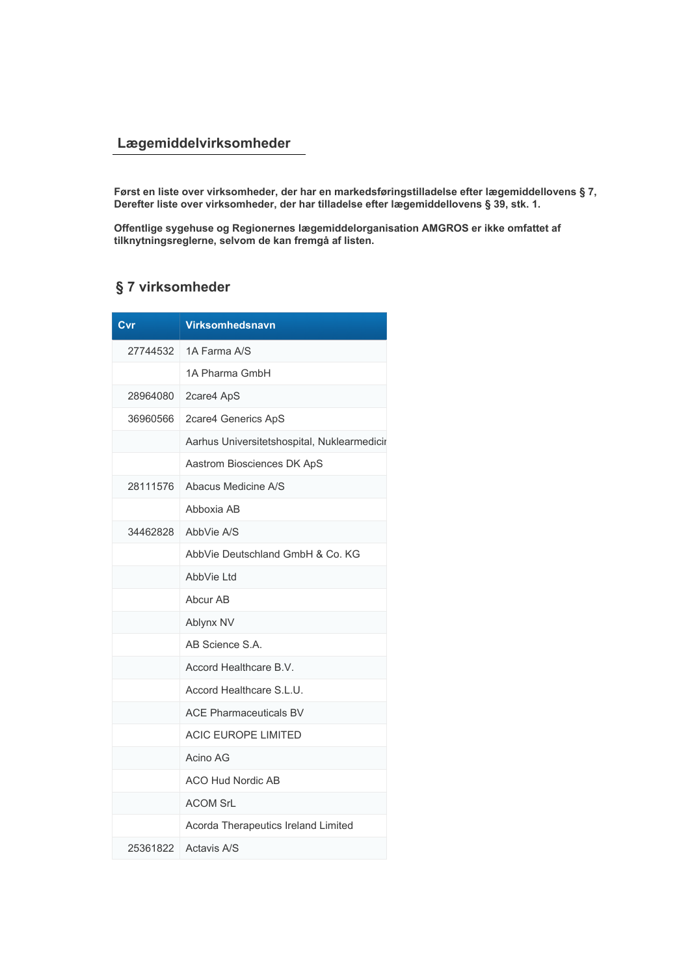## **Lægemiddelvirksomheder**

**Først en liste over virksomheder, der har en markedsføringstilladelse efter lægemiddellovens § 7, Derefter liste over virksomheder, der har tilladelse efter lægemiddellovens § 39, stk. 1.**

**Offentlige sygehuse og Regionernes lægemiddelorganisation AMGROS er ikke omfattet af tilknytningsreglerne, selvom de kan fremgå af listen.**

## **§ 7 virksomheder**

| Cvr      | <b>Virksomhedsnavn</b>                      |
|----------|---------------------------------------------|
| 27744532 | 1A Farma A/S                                |
|          | 1A Pharma GmbH                              |
| 28964080 | 2care4 ApS                                  |
| 36960566 | 2care4 Generics ApS                         |
|          | Aarhus Universitetshospital, Nuklearmedicir |
|          | Aastrom Biosciences DK ApS                  |
| 28111576 | Abacus Medicine A/S                         |
|          | Abboxia AB                                  |
| 34462828 | AbbVie A/S                                  |
|          | AbbVie Deutschland GmbH & Co. KG            |
|          | AbbVie Ltd                                  |
|          | Abcur AB                                    |
|          | Ablynx NV                                   |
|          | AB Science S.A.                             |
|          | Accord Healthcare B.V.                      |
|          | Accord Healthcare S.L.U.                    |
|          | <b>ACE Pharmaceuticals BV</b>               |
|          | <b>ACIC EUROPE LIMITED</b>                  |
|          | Acino AG                                    |
|          | <b>ACO Hud Nordic AB</b>                    |
|          | <b>ACOM SrL</b>                             |
|          | Acorda Therapeutics Ireland Limited         |
| 25361822 | <b>Actavis A/S</b>                          |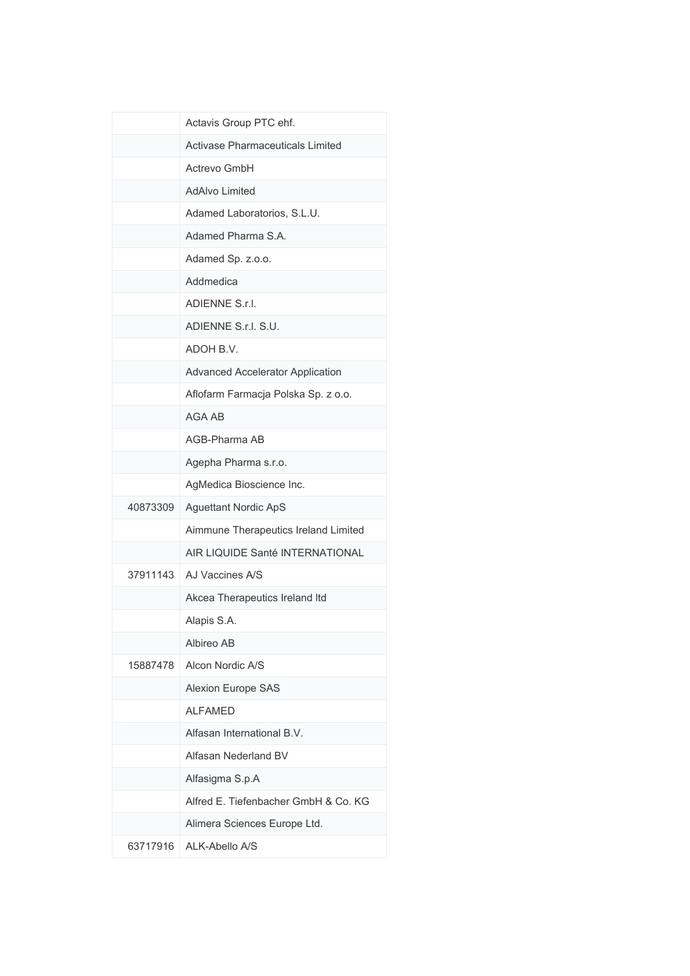|          | Actavis Group PTC ehf.                  |
|----------|-----------------------------------------|
|          | <b>Activase Pharmaceuticals Limited</b> |
|          | Actrevo GmbH                            |
|          | <b>AdAlvo Limited</b>                   |
|          | Adamed Laboratorios, S.L.U.             |
|          | Adamed Pharma S.A.                      |
|          | Adamed Sp. z.o.o.                       |
|          | Addmedica                               |
|          | <b>ADIENNE S.r.I.</b>                   |
|          | ADIENNE S.r.I. S.U.                     |
|          | ADOH B.V.                               |
|          | Advanced Accelerator Application        |
|          | Aflofarm Farmacja Polska Sp. z o.o.     |
|          | <b>AGA AB</b>                           |
|          | AGB-Pharma AB                           |
|          | Agepha Pharma s.r.o.                    |
|          | AgMedica Bioscience Inc.                |
| 40873309 | <b>Aguettant Nordic ApS</b>             |
|          | Aimmune Therapeutics Ireland Limited    |
|          | AIR LIQUIDE Santé INTERNATIONAL         |
| 37911143 | AJ Vaccines A/S                         |
|          | Akcea Therapeutics Ireland Itd          |
|          | Alapis S.A.                             |
|          | Albireo AB                              |
| 15887478 | Alcon Nordic A/S                        |
|          | <b>Alexion Europe SAS</b>               |
|          | <b>ALFAMED</b>                          |
|          | Alfasan International B.V.              |
|          | Alfasan Nederland BV                    |
|          | Alfasigma S.p.A                         |
|          | Alfred E. Tiefenbacher GmbH & Co. KG    |
|          | Alimera Sciences Europe Ltd.            |
| 63717916 | ALK-Abello A/S                          |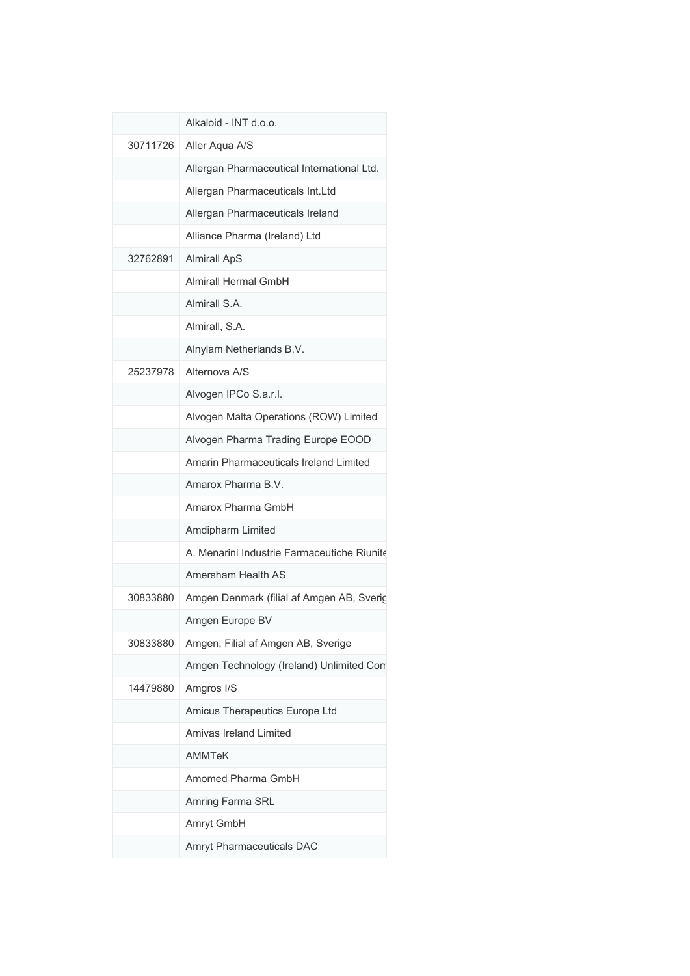|          | Alkaloid - INT d.o.o.                       |
|----------|---------------------------------------------|
| 30711726 | Aller Aqua A/S                              |
|          | Allergan Pharmaceutical International Ltd.  |
|          | Allergan Pharmaceuticals Int.Ltd            |
|          | Allergan Pharmaceuticals Ireland            |
|          | Alliance Pharma (Ireland) Ltd               |
| 32762891 | <b>Almirall ApS</b>                         |
|          | Almirall Hermal GmbH                        |
|          | Almirall S.A.                               |
|          | Almirall, S.A.                              |
|          | Alnylam Netherlands B.V.                    |
| 25237978 | Alternova A/S                               |
|          | Alvogen IPCo S.a.r.l.                       |
|          | Alvogen Malta Operations (ROW) Limited      |
|          | Alvogen Pharma Trading Europe EOOD          |
|          | Amarin Pharmaceuticals Ireland Limited      |
|          | Amarox Pharma B.V.                          |
|          | Amarox Pharma GmbH                          |
|          | Amdipharm Limited                           |
|          | A. Menarini Industrie Farmaceutiche Riunite |
|          | Amersham Health AS                          |
| 30833880 | Amgen Denmark (filial af Amgen AB, Sverig   |
|          | Amgen Europe BV                             |
| 30833880 | Amgen, Filial af Amgen AB, Sverige          |
|          | Amgen Technology (Ireland) Unlimited Com    |
| 14479880 | Amgros I/S                                  |
|          | Amicus Therapeutics Europe Ltd              |
|          | Amivas Ireland Limited                      |
|          | <b>AMMTeK</b>                               |
|          | Amomed Pharma GmbH                          |
|          | Amring Farma SRL                            |
|          | Amryt GmbH                                  |
|          | Amryt Pharmaceuticals DAC                   |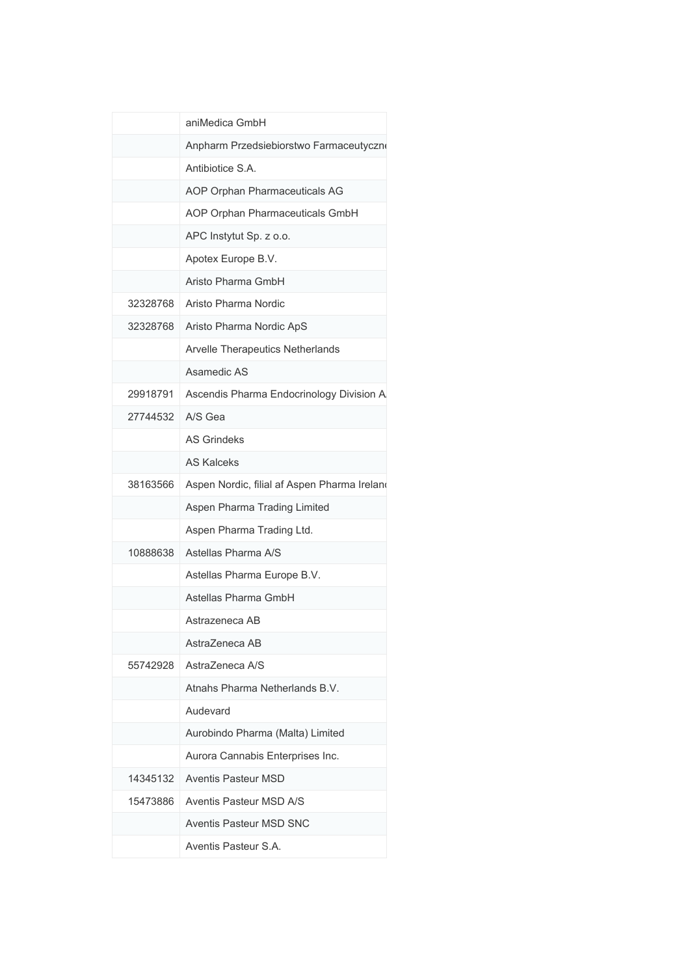|          | aniMedica GmbH                               |
|----------|----------------------------------------------|
|          | Anpharm Przedsiebiorstwo Farmaceutyczno      |
|          | Antibiotice S.A.                             |
|          | AOP Orphan Pharmaceuticals AG                |
|          | AOP Orphan Pharmaceuticals GmbH              |
|          | APC Instytut Sp. z o.o.                      |
|          | Apotex Europe B.V.                           |
|          | Aristo Pharma GmbH                           |
| 32328768 | Aristo Pharma Nordic                         |
| 32328768 | Aristo Pharma Nordic ApS                     |
|          | <b>Arvelle Therapeutics Netherlands</b>      |
|          | Asamedic AS                                  |
| 29918791 | Ascendis Pharma Endocrinology Division A     |
| 27744532 | A/S Gea                                      |
|          | <b>AS Grindeks</b>                           |
|          | <b>AS Kalceks</b>                            |
| 38163566 | Aspen Nordic, filial af Aspen Pharma Ireland |
|          | Aspen Pharma Trading Limited                 |
|          | Aspen Pharma Trading Ltd.                    |
| 10888638 | Astellas Pharma A/S                          |
|          | Astellas Pharma Europe B.V.                  |
|          | Astellas Pharma GmbH                         |
|          | Astrazeneca AB                               |
|          | AstraZeneca AB                               |
| 55742928 | AstraZeneca A/S                              |
|          | Atnahs Pharma Netherlands B.V.               |
|          | Audevard                                     |
|          | Aurobindo Pharma (Malta) Limited             |
|          | Aurora Cannabis Enterprises Inc.             |
| 14345132 | <b>Aventis Pasteur MSD</b>                   |
| 15473886 | Aventis Pasteur MSD A/S                      |
|          | Aventis Pasteur MSD SNC                      |
|          | Aventis Pasteur S.A.                         |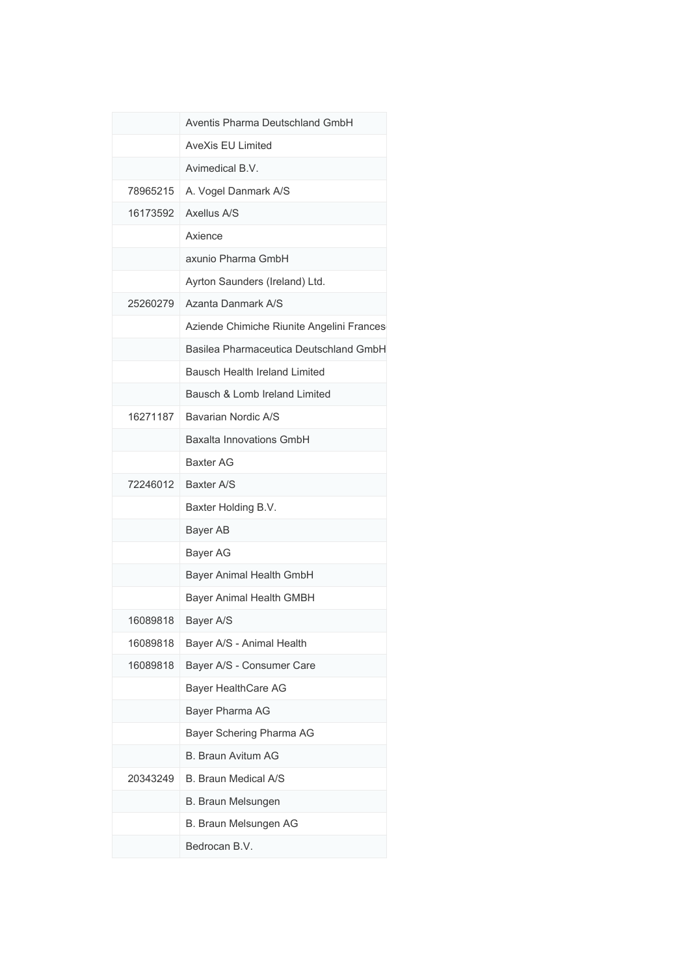|          | Aventis Pharma Deutschland GmbH           |
|----------|-------------------------------------------|
|          | <b>AveXis EU Limited</b>                  |
|          | Avimedical B.V.                           |
| 78965215 | A. Vogel Danmark A/S                      |
| 16173592 | Axellus A/S                               |
|          | Axience                                   |
|          | axunio Pharma GmbH                        |
|          | Ayrton Saunders (Ireland) Ltd.            |
| 25260279 | Azanta Danmark A/S                        |
|          | Aziende Chimiche Riunite Angelini Frances |
|          | Basilea Pharmaceutica Deutschland GmbH    |
|          | Bausch Health Ireland Limited             |
|          | Bausch & Lomb Ireland Limited             |
| 16271187 | Bavarian Nordic A/S                       |
|          | Baxalta Innovations GmbH                  |
|          | <b>Baxter AG</b>                          |
| 72246012 | Baxter A/S                                |
|          | Baxter Holding B.V.                       |
|          | Bayer AB                                  |
|          | Bayer AG                                  |
|          | Bayer Animal Health GmbH                  |
|          | Bayer Animal Health GMBH                  |
| 16089818 | Bayer A/S                                 |
| 16089818 | Bayer A/S - Animal Health                 |
| 16089818 | Bayer A/S - Consumer Care                 |
|          | Bayer HealthCare AG                       |
|          | Bayer Pharma AG                           |
|          | Bayer Schering Pharma AG                  |
|          | <b>B. Braun Avitum AG</b>                 |
| 20343249 | B. Braun Medical A/S                      |
|          | B. Braun Melsungen                        |
|          | B. Braun Melsungen AG                     |
|          | Bedrocan B.V.                             |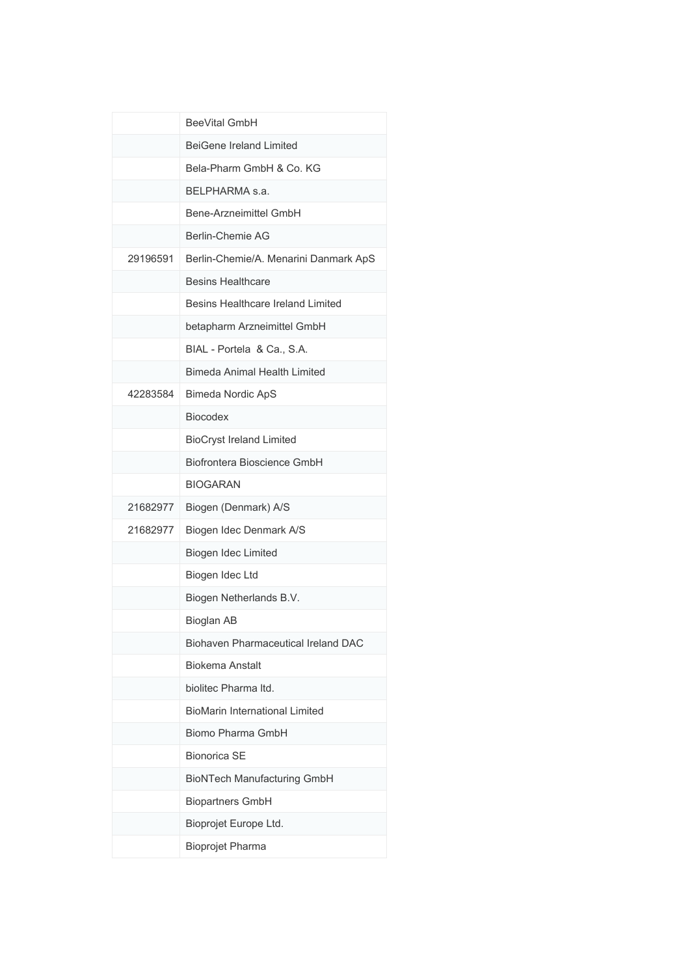|          | BeeVital GmbH                              |
|----------|--------------------------------------------|
|          | BeiGene Ireland Limited                    |
|          | Bela-Pharm GmbH & Co. KG                   |
|          | <b>BEI PHARMA S.A.</b>                     |
|          | Bene-Arzneimittel GmbH                     |
|          | Berlin-Chemie AG                           |
| 29196591 | Berlin-Chemie/A. Menarini Danmark ApS      |
|          | <b>Besins Healthcare</b>                   |
|          | Besins Healthcare Ireland Limited          |
|          | betapharm Arzneimittel GmbH                |
|          | BIAL - Portela & Ca., S.A.                 |
|          | Bimeda Animal Health Limited               |
| 42283584 | <b>Bimeda Nordic ApS</b>                   |
|          | <b>Biocodex</b>                            |
|          | <b>BioCryst Ireland Limited</b>            |
|          | Biofrontera Bioscience GmbH                |
|          | <b>BIOGARAN</b>                            |
| 21682977 | Biogen (Denmark) A/S                       |
| 21682977 | Biogen Idec Denmark A/S                    |
|          | Biogen Idec Limited                        |
|          | Biogen Idec Ltd                            |
|          | Biogen Netherlands B.V.                    |
|          | <b>Bioglan AB</b>                          |
|          | <b>Biohaven Pharmaceutical Ireland DAC</b> |
|          | <b>Biokema Anstalt</b>                     |
|          | biolitec Pharma Itd.                       |
|          | <b>BioMarin International Limited</b>      |
|          | Biomo Pharma GmbH                          |
|          | <b>Bionorica SE</b>                        |
|          | <b>BioNTech Manufacturing GmbH</b>         |
|          | <b>Biopartners GmbH</b>                    |
|          | Bioprojet Europe Ltd.                      |
|          | Bioprojet Pharma                           |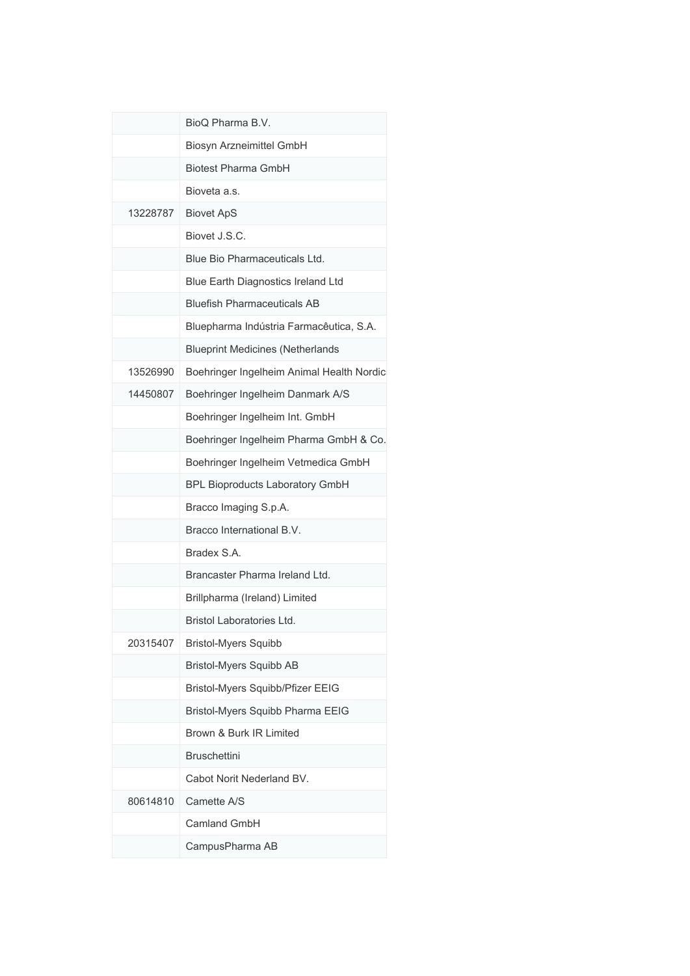|          | BioQ Pharma B.V.                          |
|----------|-------------------------------------------|
|          | <b>Biosyn Arzneimittel GmbH</b>           |
|          | <b>Biotest Pharma GmbH</b>                |
|          | Bioveta a.s.                              |
| 13228787 | <b>Biovet ApS</b>                         |
|          | Biovet J.S.C.                             |
|          | Blue Bio Pharmaceuticals Ltd.             |
|          | Blue Earth Diagnostics Ireland Ltd        |
|          | <b>Bluefish Pharmaceuticals AB</b>        |
|          | Bluepharma Indústria Farmacêutica, S.A.   |
|          | <b>Blueprint Medicines (Netherlands</b>   |
| 13526990 | Boehringer Ingelheim Animal Health Nordic |
| 14450807 | Boehringer Ingelheim Danmark A/S          |
|          | Boehringer Ingelheim Int. GmbH            |
|          | Boehringer Ingelheim Pharma GmbH & Co.    |
|          | Boehringer Ingelheim Vetmedica GmbH       |
|          | <b>BPL Bioproducts Laboratory GmbH</b>    |
|          | Bracco Imaging S.p.A.                     |
|          | Bracco International B.V.                 |
|          | Bradex S.A.                               |
|          | Brancaster Pharma Ireland Ltd.            |
|          | Brillpharma (Ireland) Limited             |
|          | <b>Bristol Laboratories Ltd.</b>          |
| 20315407 | <b>Bristol-Myers Squibb</b>               |
|          | Bristol-Myers Squibb AB                   |
|          | Bristol-Myers Squibb/Pfizer EEIG          |
|          | Bristol-Myers Squibb Pharma EEIG          |
|          | Brown & Burk IR Limited                   |
|          | <b>Bruschettini</b>                       |
|          | Cabot Norit Nederland BV.                 |
| 80614810 | Camette A/S                               |
|          | Camland GmbH                              |
|          | CampusPharma AB                           |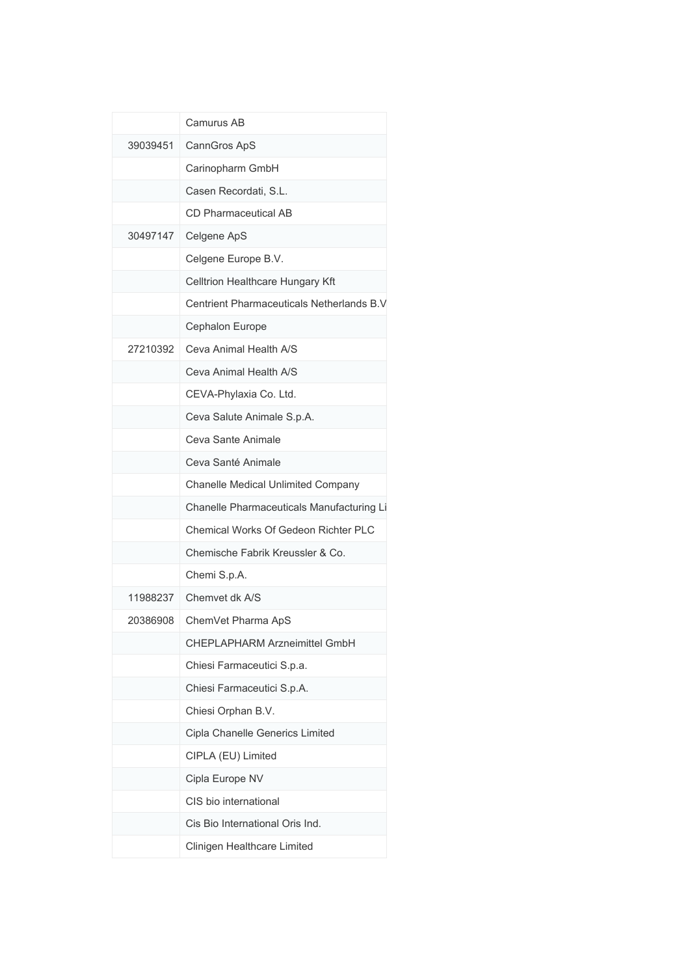|          | Camurus AB                                |
|----------|-------------------------------------------|
| 39039451 | CannGros ApS                              |
|          | Carinopharm GmbH                          |
|          | Casen Recordati, S.L.                     |
|          | CD Pharmaceutical AB                      |
| 30497147 | Celgene ApS                               |
|          | Celgene Europe B.V.                       |
|          | Celltrion Healthcare Hungary Kft          |
|          | Centrient Pharmaceuticals Netherlands B.V |
|          | Cephalon Europe                           |
| 27210392 | Ceva Animal Health A/S                    |
|          | Ceva Animal Health A/S                    |
|          | CEVA-Phylaxia Co. Ltd.                    |
|          | Ceva Salute Animale S.p.A.                |
|          | Ceva Sante Animale                        |
|          | Ceva Santé Animale                        |
|          | Chanelle Medical Unlimited Company        |
|          | Chanelle Pharmaceuticals Manufacturing Li |
|          | Chemical Works Of Gedeon Richter PLC      |
|          | Chemische Fabrik Kreussler & Co.          |
|          | Chemi S.p.A.                              |
| 11988237 | Chemvet dk A/S                            |
| 20386908 | ChemVet Pharma ApS                        |
|          | CHEPLAPHARM Arzneimittel GmbH             |
|          | Chiesi Farmaceutici S.p.a.                |
|          | Chiesi Farmaceutici S.p.A.                |
|          | Chiesi Orphan B.V.                        |
|          | Cipla Chanelle Generics Limited           |
|          | CIPLA (EU) Limited                        |
|          | Cipla Europe NV                           |
|          | CIS bio international                     |
|          | Cis Bio International Oris Ind.           |
|          | Clinigen Healthcare Limited               |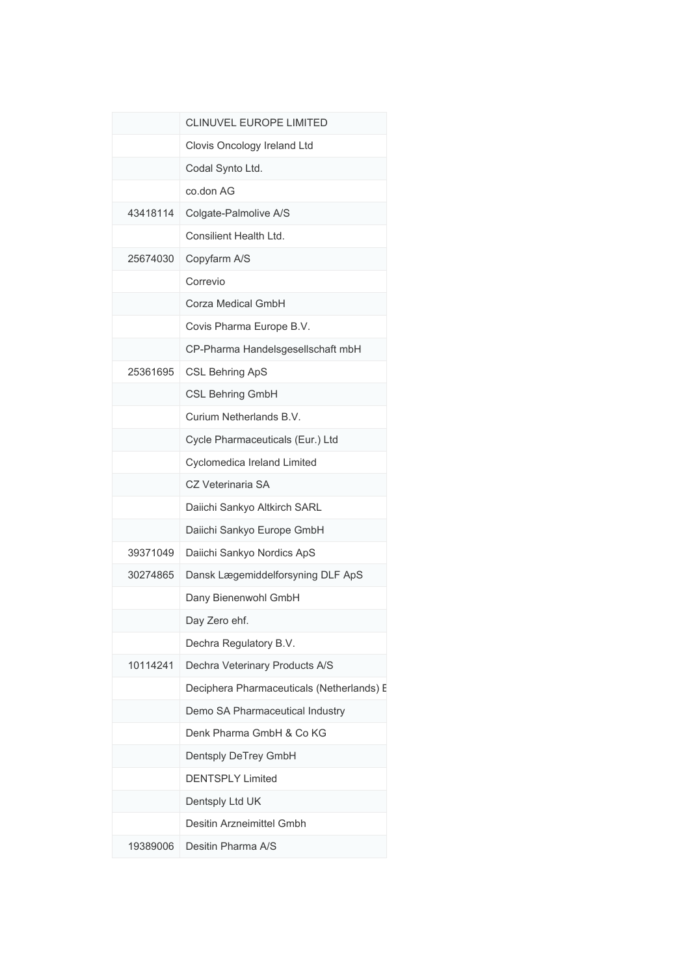|          | CLINUVEL EUROPE LIMITED                   |
|----------|-------------------------------------------|
|          | Clovis Oncology Ireland Ltd               |
|          | Codal Synto Ltd.                          |
|          | co.don AG                                 |
| 43418114 | Colgate-Palmolive A/S                     |
|          | Consilient Health Ltd.                    |
| 25674030 | Copyfarm A/S                              |
|          | Correvio                                  |
|          | Corza Medical GmbH                        |
|          | Covis Pharma Europe B.V.                  |
|          | CP-Pharma Handelsgesellschaft mbH         |
| 25361695 | <b>CSL Behring ApS</b>                    |
|          | <b>CSL Behring GmbH</b>                   |
|          | Curium Netherlands B.V.                   |
|          | Cycle Pharmaceuticals (Eur.) Ltd          |
|          | Cyclomedica Ireland Limited               |
|          | CZ Veterinaria SA                         |
|          | Daiichi Sankyo Altkirch SARL              |
|          | Daiichi Sankyo Europe GmbH                |
| 39371049 | Daiichi Sankyo Nordics ApS                |
| 30274865 | Dansk Lægemiddelforsyning DLF ApS         |
|          | Dany Bienenwohl GmbH                      |
|          | Day Zero ehf.                             |
|          | Dechra Regulatory B.V.                    |
| 10114241 | Dechra Veterinary Products A/S            |
|          | Deciphera Pharmaceuticals (Netherlands) E |
|          | Demo SA Pharmaceutical Industry           |
|          | Denk Pharma GmbH & Co KG                  |
|          | Dentsply DeTrey GmbH                      |
|          | <b>DENTSPLY Limited</b>                   |
|          | Dentsply Ltd UK                           |
|          | Desitin Arzneimittel Gmbh                 |
| 19389006 | Desitin Pharma A/S                        |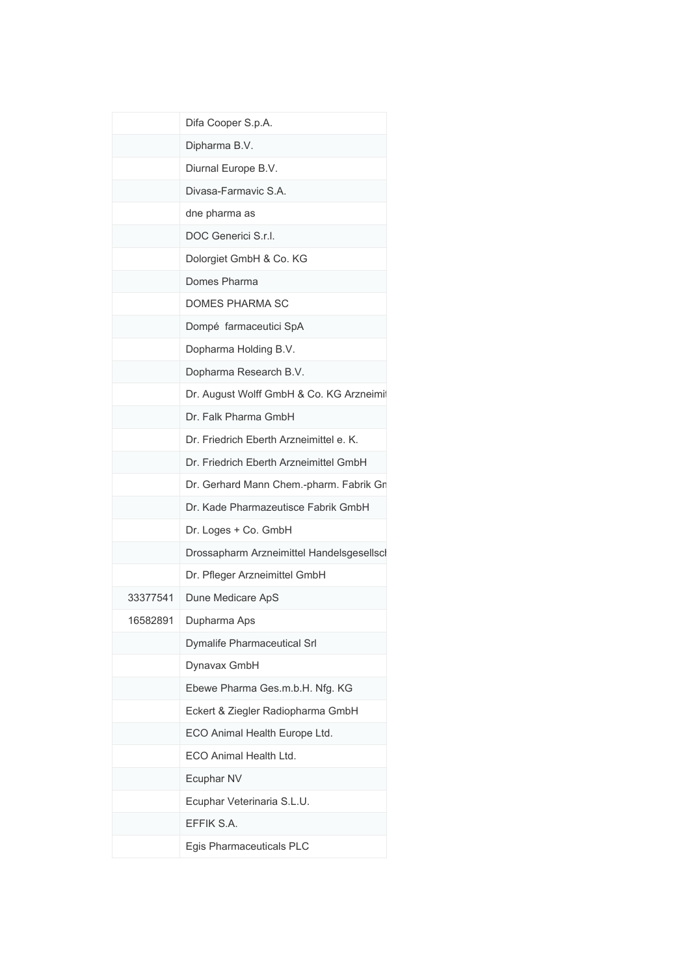|          | Difa Cooper S.p.A.                        |
|----------|-------------------------------------------|
|          | Dipharma B.V.                             |
|          | Diurnal Europe B.V.                       |
|          | Divasa-Farmavic S.A.                      |
|          | dne pharma as                             |
|          | DOC Generici S.r.I.                       |
|          | Dolorgiet GmbH & Co. KG                   |
|          | Domes Pharma                              |
|          | <b>DOMES PHARMA SC</b>                    |
|          | Dompé farmaceutici SpA                    |
|          | Dopharma Holding B.V.                     |
|          | Dopharma Research B.V.                    |
|          | Dr. August Wolff GmbH & Co. KG Arzneimit  |
|          | Dr. Falk Pharma GmbH                      |
|          | Dr. Friedrich Eberth Arzneimittel e. K.   |
|          | Dr. Friedrich Eberth Arzneimittel GmbH    |
|          | Dr. Gerhard Mann Chem.-pharm. Fabrik Gn   |
|          | Dr. Kade Pharmazeutisce Fabrik GmbH       |
|          | Dr. Loges + Co. GmbH                      |
|          | Drossapharm Arzneimittel Handelsgesellsch |
|          | Dr. Pfleger Arzneimittel GmbH             |
| 33377541 | Dune Medicare ApS                         |
| 16582891 | Dupharma Aps                              |
|          | Dymalife Pharmaceutical Srl               |
|          | Dynavax GmbH                              |
|          | Ebewe Pharma Ges.m.b.H. Nfg. KG           |
|          | Eckert & Ziegler Radiopharma GmbH         |
|          | ECO Animal Health Europe Ltd.             |
|          | ECO Animal Health Ltd.                    |
|          | Ecuphar NV                                |
|          | Ecuphar Veterinaria S.L.U.                |
|          | EFFIK S.A.                                |
|          | Egis Pharmaceuticals PLC                  |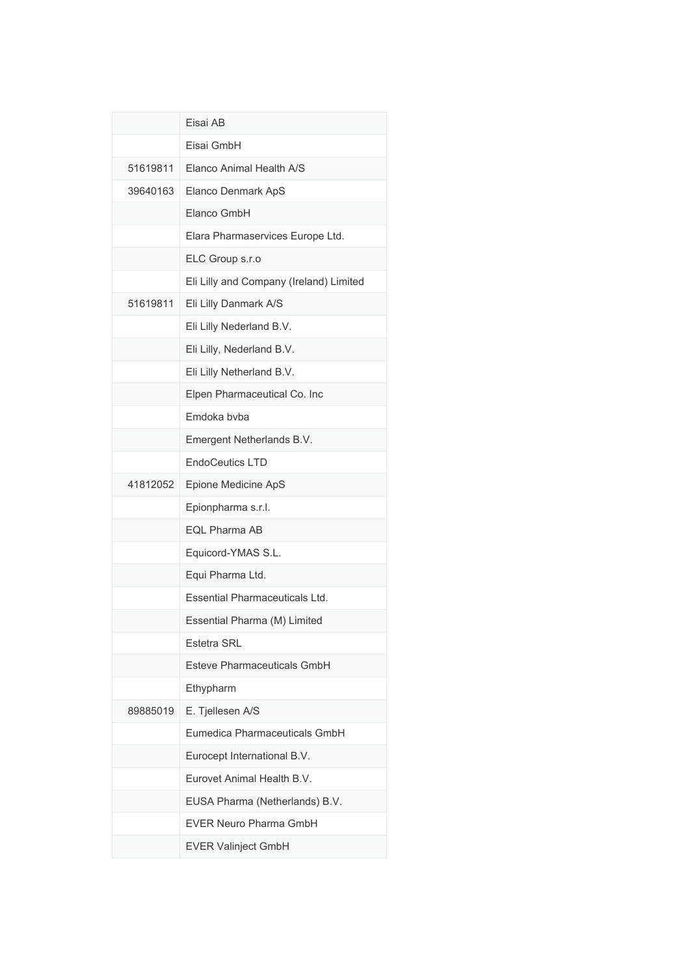|          | Eisai AB                                |
|----------|-----------------------------------------|
|          | Fisai GmbH                              |
| 51619811 | Elanco Animal Health A/S                |
| 39640163 | Elanco Denmark ApS                      |
|          | Elanco GmbH                             |
|          | Elara Pharmaservices Europe Ltd.        |
|          | ELC Group s.r.o                         |
|          | Eli Lilly and Company (Ireland) Limited |
| 51619811 | Eli Lilly Danmark A/S                   |
|          | Eli Lilly Nederland B.V.                |
|          | Eli Lilly, Nederland B.V.               |
|          | Eli Lilly Netherland B.V.               |
|          | Elpen Pharmaceutical Co. Inc            |
|          | Emdoka byba                             |
|          | Emergent Netherlands B.V.               |
|          | <b>EndoCeutics LTD</b>                  |
| 41812052 | Epione Medicine ApS                     |
|          | Epionpharma s.r.l.                      |
|          | <b>EQL Pharma AB</b>                    |
|          | Equicord-YMAS S.L.                      |
|          | Equi Pharma Ltd.                        |
|          | <b>Essential Pharmaceuticals Ltd.</b>   |
|          | Essential Pharma (M) Limited            |
|          | <b>Estetra SRL</b>                      |
|          | Esteve Pharmaceuticals GmbH             |
|          | Ethypharm                               |
| 89885019 | E. Tjellesen A/S                        |
|          | Eumedica Pharmaceuticals GmbH           |
|          | Eurocept International B.V.             |
|          | Eurovet Animal Health B.V.              |
|          | EUSA Pharma (Netherlands) B.V.          |
|          | <b>EVER Neuro Pharma GmbH</b>           |
|          | <b>EVER Valinject GmbH</b>              |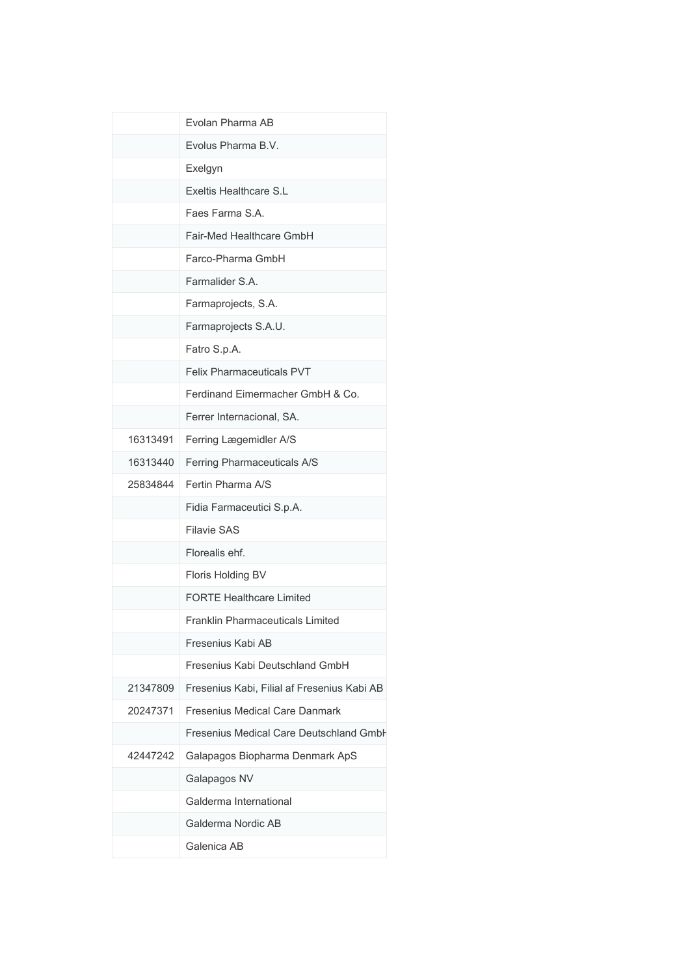|          | Evolan Pharma AB                            |
|----------|---------------------------------------------|
|          | Evolus Pharma B.V.                          |
|          | Exelgyn                                     |
|          | Exeltis Healthcare S.L                      |
|          | Faes Farma S.A.                             |
|          | Fair-Med Healthcare GmbH                    |
|          | Farco-Pharma GmbH                           |
|          | Farmalider S.A.                             |
|          | Farmaprojects, S.A.                         |
|          | Farmaprojects S.A.U.                        |
|          | Fatro S.p.A.                                |
|          | <b>Felix Pharmaceuticals PVT</b>            |
|          | Ferdinand Eimermacher GmbH & Co.            |
|          | Ferrer Internacional, SA.                   |
| 16313491 | Ferring Lægemidler A/S                      |
| 16313440 | Ferring Pharmaceuticals A/S                 |
| 25834844 | Fertin Pharma A/S                           |
|          | Fidia Farmaceutici S.p.A.                   |
|          | <b>Filavie SAS</b>                          |
|          | Florealis ehf.                              |
|          | Floris Holding BV                           |
|          | <b>FORTE Healthcare Limited</b>             |
|          | <b>Franklin Pharmaceuticals Limited</b>     |
|          | Fresenius Kabi AB                           |
|          | Fresenius Kabi Deutschland GmbH             |
| 21347809 | Fresenius Kabi, Filial af Fresenius Kabi AB |
| 20247371 | <b>Fresenius Medical Care Danmark</b>       |
|          | Fresenius Medical Care Deutschland GmbH     |
| 42447242 | Galapagos Biopharma Denmark ApS             |
|          | Galapagos NV                                |
|          | Galderma International                      |
|          | Galderma Nordic AB                          |
|          | Galenica AB                                 |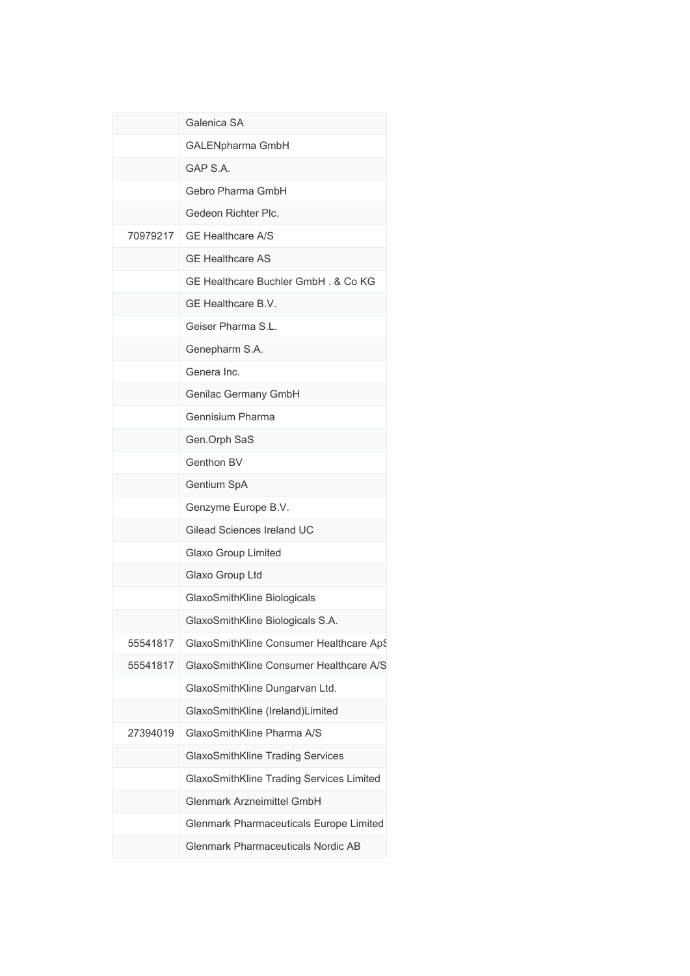|          | Galenica SA                              |
|----------|------------------------------------------|
|          | GALENpharma GmbH                         |
|          | GAP S.A.                                 |
|          | Gebro Pharma GmbH                        |
|          | Gedeon Richter Plc.                      |
| 70979217 | <b>GE Healthcare A/S</b>                 |
|          | <b>GE Healthcare AS</b>                  |
|          | GE Healthcare Buchler GmbH. & Co KG      |
|          | GE Healthcare B.V.                       |
|          | Geiser Pharma S.L.                       |
|          | Genepharm S.A.                           |
|          | Genera Inc.                              |
|          | Genilac Germany GmbH                     |
|          | Gennisium Pharma                         |
|          | Gen.Orph SaS                             |
|          | Genthon BV                               |
|          | Gentium SpA                              |
|          | Genzyme Europe B.V.                      |
|          | Gilead Sciences Ireland UC               |
|          | Glaxo Group Limited                      |
|          | Glaxo Group Ltd                          |
|          | GlaxoSmithKline Biologicals              |
|          | GlaxoSmithKline Biologicals S.A.         |
| 55541817 | GlaxoSmithKline Consumer Healthcare ApS  |
| 55541817 | GlaxoSmithKline Consumer Healthcare A/S  |
|          | GlaxoSmithKline Dungarvan Ltd.           |
|          | GlaxoSmithKline (Ireland)Limited         |
| 27394019 | GlaxoSmithKline Pharma A/S               |
|          | GlaxoSmithKline Trading Services         |
|          | GlaxoSmithKline Trading Services Limited |
|          | <b>Glenmark Arzneimittel GmbH</b>        |
|          | Glenmark Pharmaceuticals Europe Limited  |
|          | Glenmark Pharmaceuticals Nordic AB       |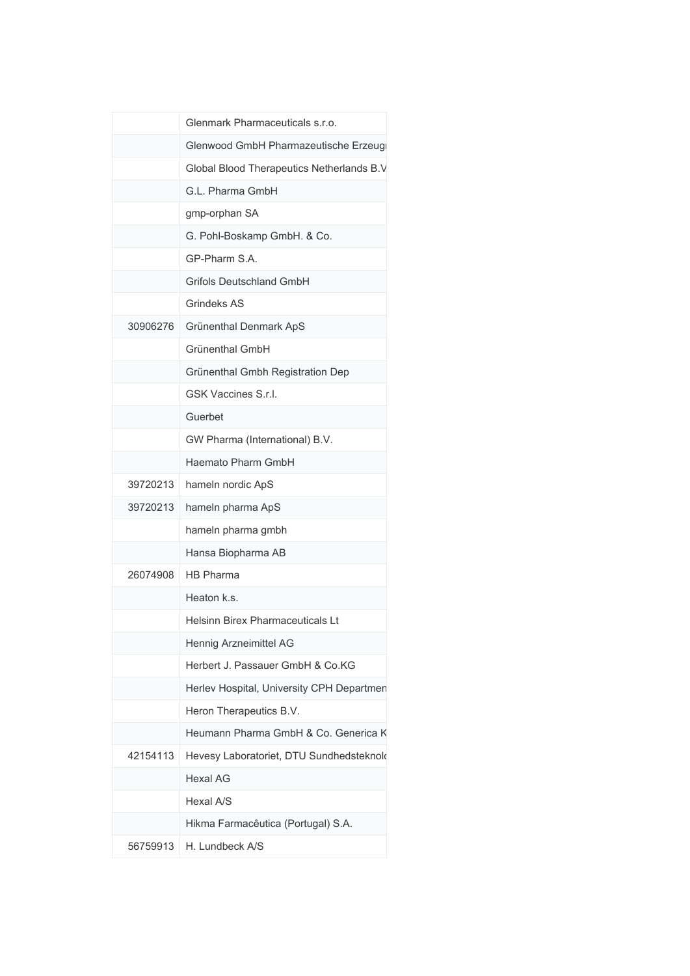|          | Glenmark Pharmaceuticals s.r.o.                            |
|----------|------------------------------------------------------------|
|          | Glenwood GmbH Pharmazeutische Erzeugi                      |
|          | Global Blood Therapeutics Netherlands B.V                  |
|          | G.L. Pharma GmbH                                           |
|          | gmp-orphan SA                                              |
|          | G. Pohl-Boskamp GmbH. & Co.                                |
|          | GP-Pharm S.A.                                              |
|          | Grifols Deutschland GmbH                                   |
|          | Grindeks AS                                                |
| 30906276 | Grünenthal Denmark ApS                                     |
|          | Grünenthal GmbH                                            |
|          | Grünenthal Gmbh Registration Dep                           |
|          | <b>GSK Vaccines S.r.l.</b>                                 |
|          | Guerbet                                                    |
|          | GW Pharma (International) B.V.                             |
|          | Haemato Pharm GmbH                                         |
| 39720213 | hameln nordic ApS                                          |
| 39720213 |                                                            |
|          | hameln pharma ApS<br>hameln pharma gmbh                    |
|          | Hansa Biopharma AB                                         |
| 26074908 | <b>HB Pharma</b>                                           |
|          | Heaton k.s.                                                |
|          | <b>Helsinn Birex Pharmaceuticals Lt</b>                    |
|          |                                                            |
|          | Hennig Arzneimittel AG<br>Herbert J. Passauer GmbH & Co.KG |
|          |                                                            |
|          | Herlev Hospital, University CPH Departmen                  |
|          | Heron Therapeutics B.V.                                    |
|          | Heumann Pharma GmbH & Co. Generica K                       |
| 42154113 | Hevesy Laboratoriet, DTU Sundhedsteknold                   |
|          | <b>Hexal AG</b>                                            |
|          | Hexal A/S                                                  |
|          | Hikma Farmacêutica (Portugal) S.A.                         |
| 56759913 | H. Lundbeck A/S                                            |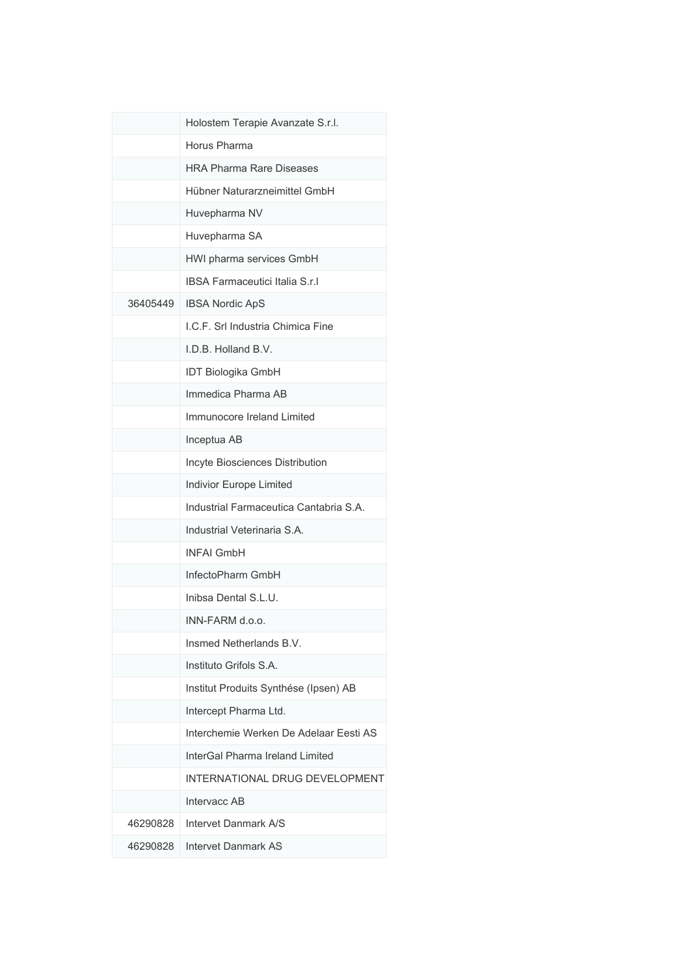|          | Holostem Terapie Avanzate S.r.l.       |
|----------|----------------------------------------|
|          | Horus Pharma                           |
|          | <b>HRA Pharma Rare Diseases</b>        |
|          | Hübner Naturarzneimittel GmbH          |
|          | Huvepharma NV                          |
|          | Huvepharma SA                          |
|          | HWI pharma services GmbH               |
|          | <b>IBSA Farmaceutici Italia S.r.I</b>  |
| 36405449 | <b>IBSA Nordic ApS</b>                 |
|          | I.C.F. Srl Industria Chimica Fine      |
|          | LD.B. Holland B.V.                     |
|          | <b>IDT Biologika GmbH</b>              |
|          | Immedica Pharma AB                     |
|          | Immunocore Ireland Limited             |
|          | Inceptua AB                            |
|          | Incyte Biosciences Distribution        |
|          | Indivior Europe Limited                |
|          | Industrial Farmaceutica Cantabria S.A. |
|          | Industrial Veterinaria S.A.            |
|          | <b>INFAI GmbH</b>                      |
|          | InfectoPharm GmbH                      |
|          | Inibsa Dental S.L.U.                   |
|          | INN-FARM d.o.o.                        |
|          | Insmed Netherlands B.V.                |
|          | Instituto Grifols S.A.                 |
|          | Institut Produits Synthése (Ipsen) AB  |
|          | Intercept Pharma Ltd.                  |
|          | Interchemie Werken De Adelaar Eesti AS |
|          | InterGal Pharma Ireland Limited        |
|          | INTERNATIONAL DRUG DEVELOPMENT         |
|          | Intervacc AB                           |
| 46290828 | Intervet Danmark A/S                   |
| 46290828 | Intervet Danmark AS                    |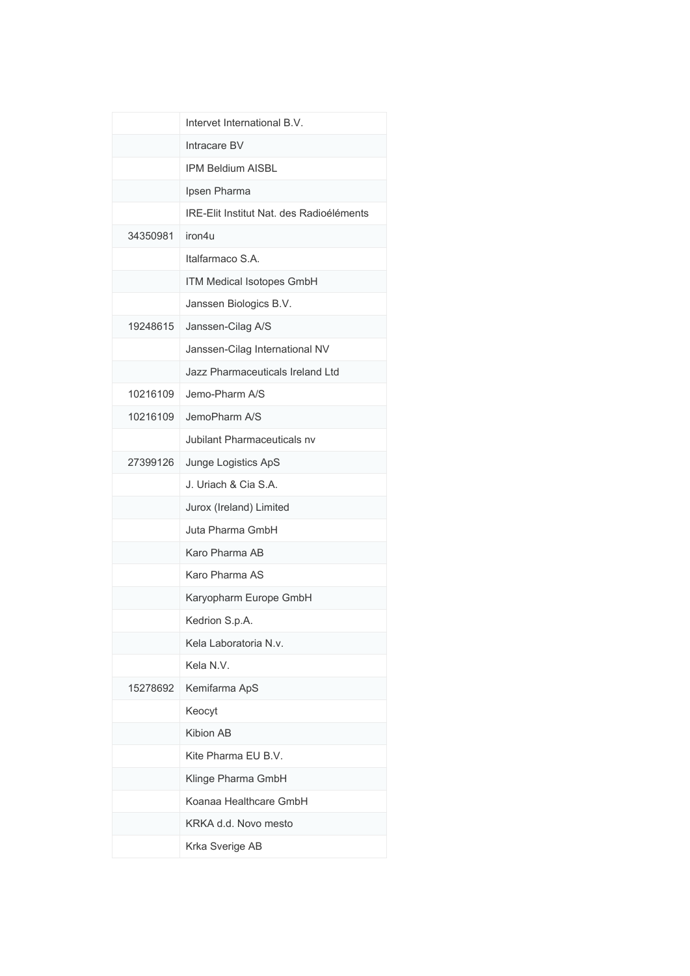|          | Intervet International B.V.              |
|----------|------------------------------------------|
|          | Intracare BV                             |
|          | <b>IPM Beldium AISBL</b>                 |
|          | Ipsen Pharma                             |
|          | IRE-Elit Institut Nat. des Radioéléments |
| 34350981 | iron4u                                   |
|          | Italfarmaco S.A.                         |
|          | ITM Medical Isotopes GmbH                |
|          | Janssen Biologics B.V.                   |
| 19248615 | Janssen-Cilag A/S                        |
|          | Janssen-Cilag International NV           |
|          | Jazz Pharmaceuticals Ireland Ltd         |
| 10216109 | Jemo-Pharm A/S                           |
| 10216109 | JemoPharm A/S                            |
|          | Jubilant Pharmaceuticals nv              |
| 27399126 | Junge Logistics ApS                      |
|          | J. Uriach & Cia S.A.                     |
|          | Jurox (Ireland) Limited                  |
|          | Juta Pharma GmbH                         |
|          | Karo Pharma AB                           |
|          | Karo Pharma AS                           |
|          | Karyopharm Europe GmbH                   |
|          | Kedrion S.p.A.                           |
|          | Kela Laboratoria N.v.                    |
|          | Kela N.V.                                |
| 15278692 | Kemifarma ApS                            |
|          | Keocyt                                   |
|          | Kibion AB                                |
|          | Kite Pharma EU B.V.                      |
|          | Klinge Pharma GmbH                       |
|          | Koanaa Healthcare GmbH                   |
|          | KRKA d.d. Novo mesto                     |
|          | Krka Sverige AB                          |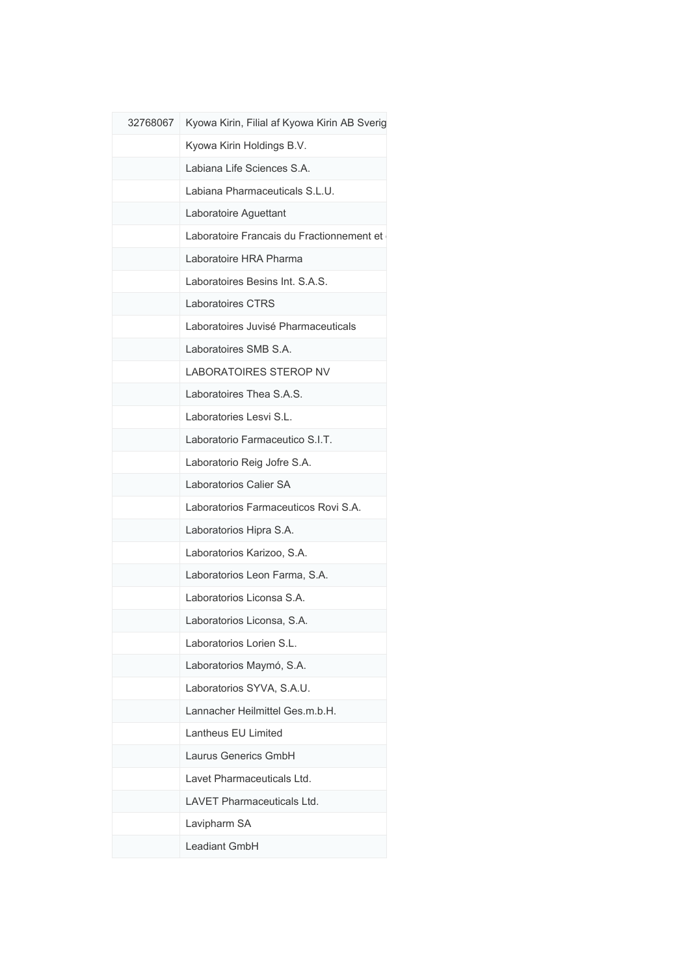| 32768067 | Kyowa Kirin, Filial af Kyowa Kirin AB Sverig |
|----------|----------------------------------------------|
|          | Kyowa Kirin Holdings B.V.                    |
|          | Labiana Life Sciences S.A.                   |
|          | Labiana Pharmaceuticals S.L.U.               |
|          | Laboratoire Aguettant                        |
|          | Laboratoire Francais du Fractionnement et    |
|          | Laboratoire HRA Pharma                       |
|          | Laboratoires Besins Int. S.A.S.              |
|          | <b>Laboratoires CTRS</b>                     |
|          | Laboratoires Juvisé Pharmaceuticals          |
|          | Laboratoires SMB S.A.                        |
|          | <b>LABORATOIRES STEROP NV</b>                |
|          | Laboratoires Thea S.A.S.                     |
|          | Laboratories Lesvi S.L.                      |
|          | Laboratorio Farmaceutico S.I.T.              |
|          | Laboratorio Reig Jofre S.A.                  |
|          | Laboratorios Calier SA                       |
|          | Laboratorios Farmaceuticos Rovi S.A.         |
|          | Laboratorios Hipra S.A.                      |
|          | Laboratorios Karizoo, S.A.                   |
|          | Laboratorios Leon Farma, S.A.                |
|          | Laboratorios Liconsa S.A.                    |
|          | Laboratorios Liconsa, S.A.                   |
|          | Laboratorios Lorien S.L.                     |
|          | Laboratorios Maymó, S.A.                     |
|          | Laboratorios SYVA, S.A.U.                    |
|          | Lannacher Heilmittel Ges.m.b.H.              |
|          | Lantheus EU Limited                          |
|          | Laurus Generics GmbH                         |
|          | Lavet Pharmaceuticals Ltd.                   |
|          | LAVET Pharmaceuticals Ltd.                   |
|          | Lavipharm SA                                 |
|          | Leadiant GmbH                                |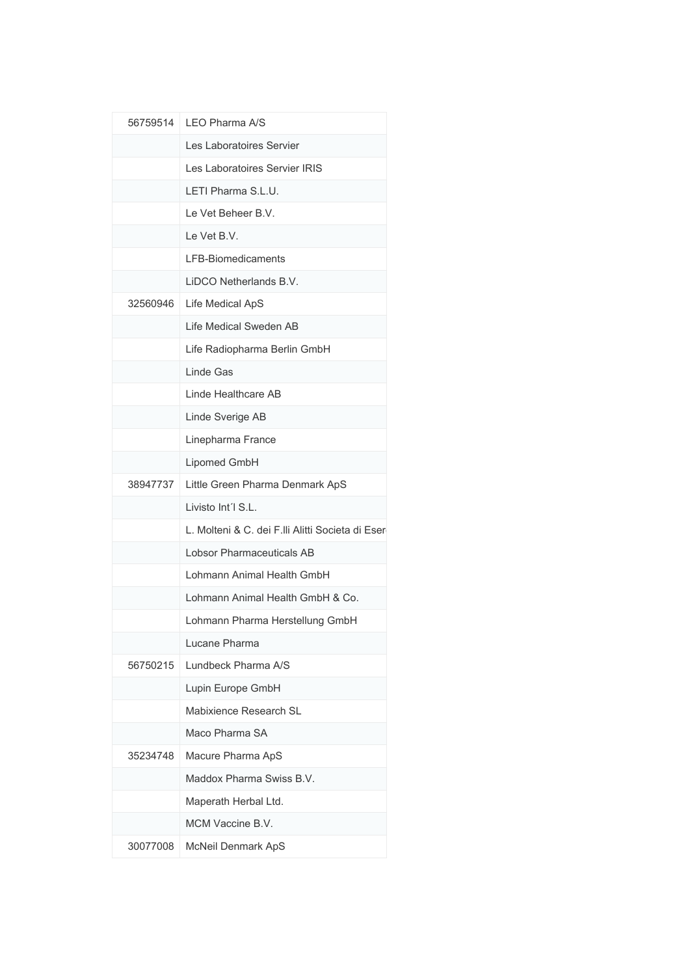|          | 56759514   LEO Pharma A/S                         |
|----------|---------------------------------------------------|
|          | Les Laboratoires Servier                          |
|          | Les Laboratoires Servier IRIS                     |
|          | I FTI Pharma S.I.U.                               |
|          | Le Vet Beheer B.V.                                |
|          | Le Vet B.V.                                       |
|          | LFB-Biomedicaments                                |
|          | LIDCO Netherlands B.V.                            |
| 32560946 | Life Medical ApS                                  |
|          | Life Medical Sweden AB                            |
|          | Life Radiopharma Berlin GmbH                      |
|          | Linde Gas                                         |
|          | Linde Healthcare AB                               |
|          | Linde Sverige AB                                  |
|          | Linepharma France                                 |
|          | Lipomed GmbH                                      |
| 38947737 | Little Green Pharma Denmark ApS                   |
|          | Livisto Int'l S.L.                                |
|          | L. Molteni & C. dei F.IIi Alitti Societa di Eseri |
|          | <b>Lobsor Pharmaceuticals AB</b>                  |
|          | Lohmann Animal Health GmbH                        |
|          | Lohmann Animal Health GmbH & Co.                  |
|          | Lohmann Pharma Herstellung GmbH                   |
|          | Lucane Pharma                                     |
| 56750215 | Lundbeck Pharma A/S                               |
|          | Lupin Europe GmbH                                 |
|          | Mabixience Research SL                            |
|          | Maco Pharma SA                                    |
| 35234748 | Macure Pharma ApS                                 |
|          | Maddox Pharma Swiss B.V.                          |
|          | Maperath Herbal Ltd.                              |
|          | MCM Vaccine B.V.                                  |
| 30077008 | McNeil Denmark ApS                                |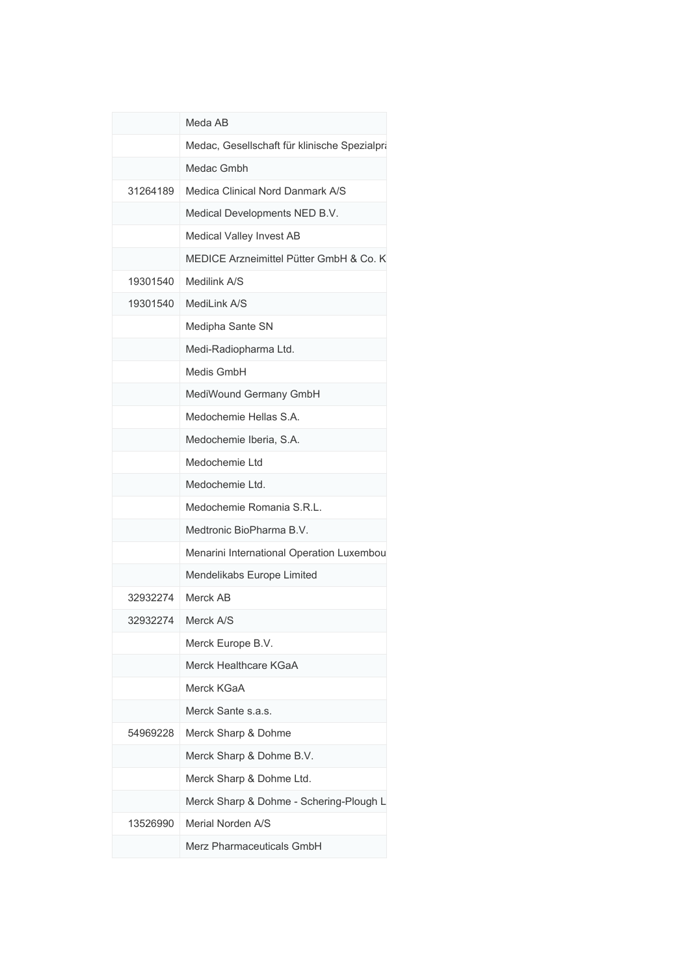|          | Meda AB                                      |
|----------|----------------------------------------------|
|          | Medac, Gesellschaft für klinische Spezialpra |
|          | Medac Gmbh                                   |
| 31264189 | Medica Clinical Nord Danmark A/S             |
|          | Medical Developments NED B.V.                |
|          | Medical Valley Invest AB                     |
|          | MEDICE Arzneimittel Pütter GmbH & Co. K      |
| 19301540 | Medilink A/S                                 |
| 19301540 | MediLink A/S                                 |
|          | Medipha Sante SN                             |
|          | Medi-Radiopharma Ltd.                        |
|          | Medis GmbH                                   |
|          | MediWound Germany GmbH                       |
|          | Medochemie Hellas S.A.                       |
|          | Medochemie Iberia, S.A.                      |
|          | Medochemie Ltd                               |
|          | Medochemie Ltd.                              |
|          | Medochemie Romania S.R.L.                    |
|          | Medtronic BioPharma B.V.                     |
|          | Menarini International Operation Luxembou    |
|          | Mendelikabs Europe Limited                   |
| 32932274 | Merck AB                                     |
| 32932274 | Merck A/S                                    |
|          | Merck Europe B.V.                            |
|          | Merck Healthcare KGaA                        |
|          | Merck KGaA                                   |
|          | Merck Sante s.a.s.                           |
| 54969228 | Merck Sharp & Dohme                          |
|          | Merck Sharp & Dohme B.V.                     |
|          | Merck Sharp & Dohme Ltd.                     |
|          | Merck Sharp & Dohme - Schering-Plough L      |
| 13526990 | Merial Norden A/S                            |
|          | Merz Pharmaceuticals GmbH                    |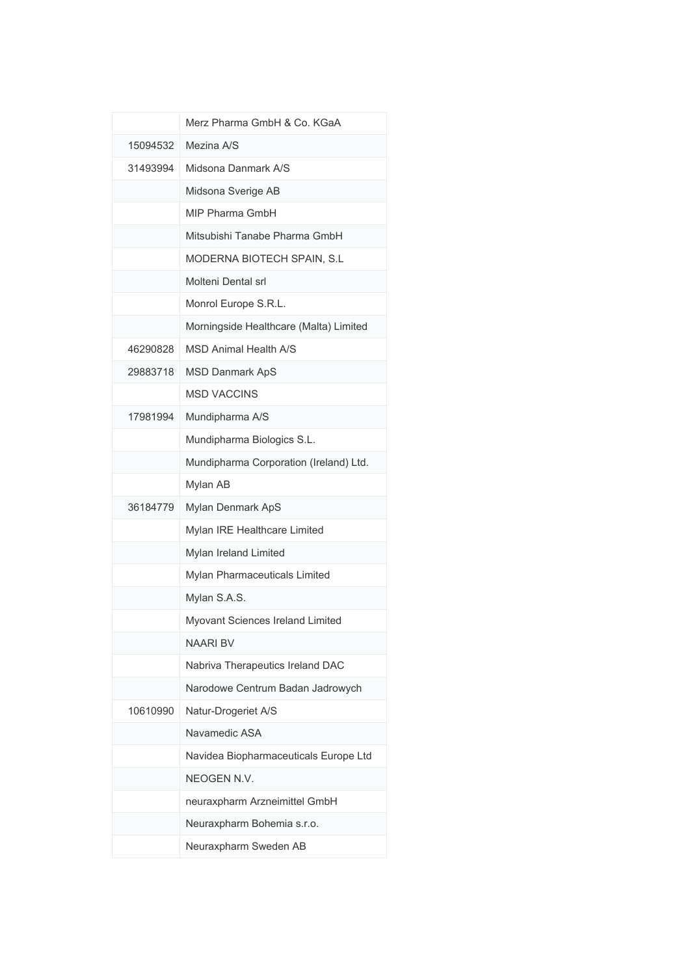|          | Merz Pharma GmbH & Co. KGaA            |
|----------|----------------------------------------|
| 15094532 | Mezina A/S                             |
| 31493994 | Midsona Danmark A/S                    |
|          | Midsona Sverige AB                     |
|          | MIP Pharma GmbH                        |
|          | Mitsubishi Tanabe Pharma GmbH          |
|          | MODERNA BIOTECH SPAIN, S.L             |
|          | Molteni Dental srl                     |
|          | Monrol Europe S.R.L.                   |
|          | Morningside Healthcare (Malta) Limited |
| 46290828 | <b>MSD Animal Health A/S</b>           |
| 29883718 | <b>MSD Danmark ApS</b>                 |
|          | <b>MSD VACCINS</b>                     |
| 17981994 | Mundipharma A/S                        |
|          | Mundipharma Biologics S.L.             |
|          | Mundipharma Corporation (Ireland) Ltd. |
|          | Mylan AB                               |
| 36184779 | Mylan Denmark ApS                      |
|          | Mylan IRE Healthcare Limited           |
|          | Mylan Ireland Limited                  |
|          | Mylan Pharmaceuticals Limited          |
|          | Mylan S.A.S.                           |
|          | Myovant Sciences Ireland Limited       |
|          | <b>NAARI BV</b>                        |
|          | Nabriva Therapeutics Ireland DAC       |
|          | Narodowe Centrum Badan Jadrowych       |
| 10610990 | Natur-Drogeriet A/S                    |
|          | Navamedic ASA                          |
|          | Navidea Biopharmaceuticals Europe Ltd  |
|          | NEOGEN N.V.                            |
|          | neuraxpharm Arzneimittel GmbH          |
|          | Neuraxpharm Bohemia s.r.o.             |
|          | Neuraxpharm Sweden AB                  |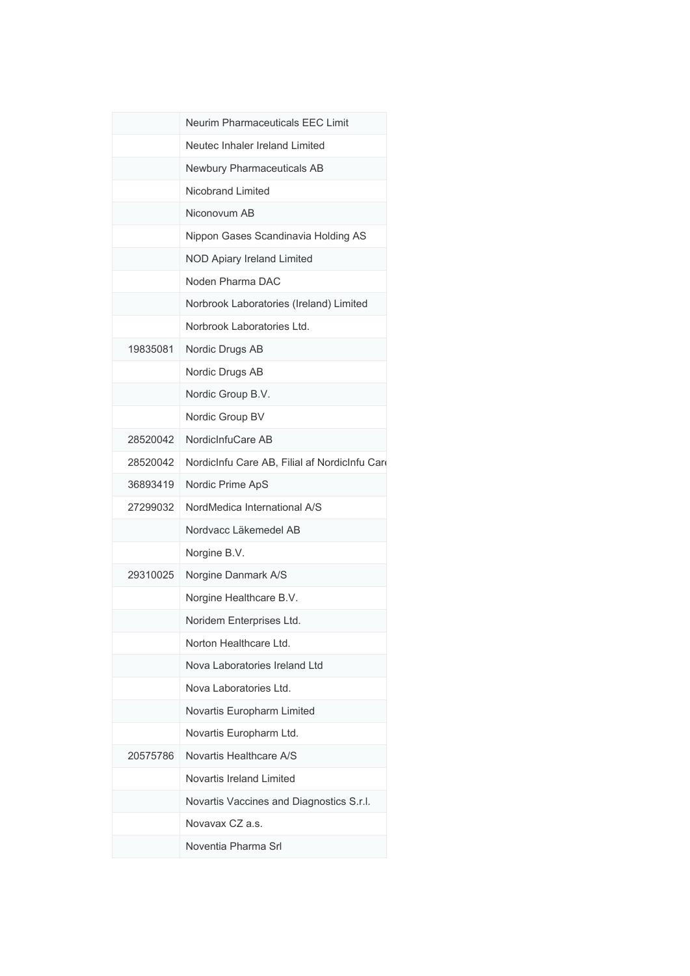|          | <b>Neurim Pharmaceuticals EEC Limit</b>       |
|----------|-----------------------------------------------|
|          | Neutec Inhaler Ireland Limited                |
|          | Newbury Pharmaceuticals AB                    |
|          | Nicobrand Limited                             |
|          | Niconovum AB                                  |
|          | Nippon Gases Scandinavia Holding AS           |
|          | <b>NOD Apiary Ireland Limited</b>             |
|          | Noden Pharma DAC                              |
|          | Norbrook Laboratories (Ireland) Limited       |
|          | Norbrook Laboratories Ltd.                    |
| 19835081 | Nordic Drugs AB                               |
|          | Nordic Drugs AB                               |
|          | Nordic Group B.V.                             |
|          | Nordic Group BV                               |
| 28520042 | NordicInfuCare AB                             |
| 28520042 | NordicInfu Care AB, Filial af NordicInfu Care |
| 36893419 | Nordic Prime ApS                              |
| 27299032 | NordMedica International A/S                  |
|          | Nordvacc Läkemedel AB                         |
|          | Norgine B.V.                                  |
| 29310025 | Norgine Danmark A/S                           |
|          | Norgine Healthcare B.V.                       |
|          | Noridem Enterprises Ltd.                      |
|          | Norton Healthcare Ltd.                        |
|          | Nova Laboratories Ireland Ltd                 |
|          | Nova Laboratories Ltd.                        |
|          | Novartis Europharm Limited                    |
|          | Novartis Europharm Ltd.                       |
| 20575786 | Novartis Healthcare A/S                       |
|          | Novartis Ireland Limited                      |
|          | Novartis Vaccines and Diagnostics S.r.l.      |
|          | Novavax CZ a.s.                               |
|          | Noventia Pharma Srl                           |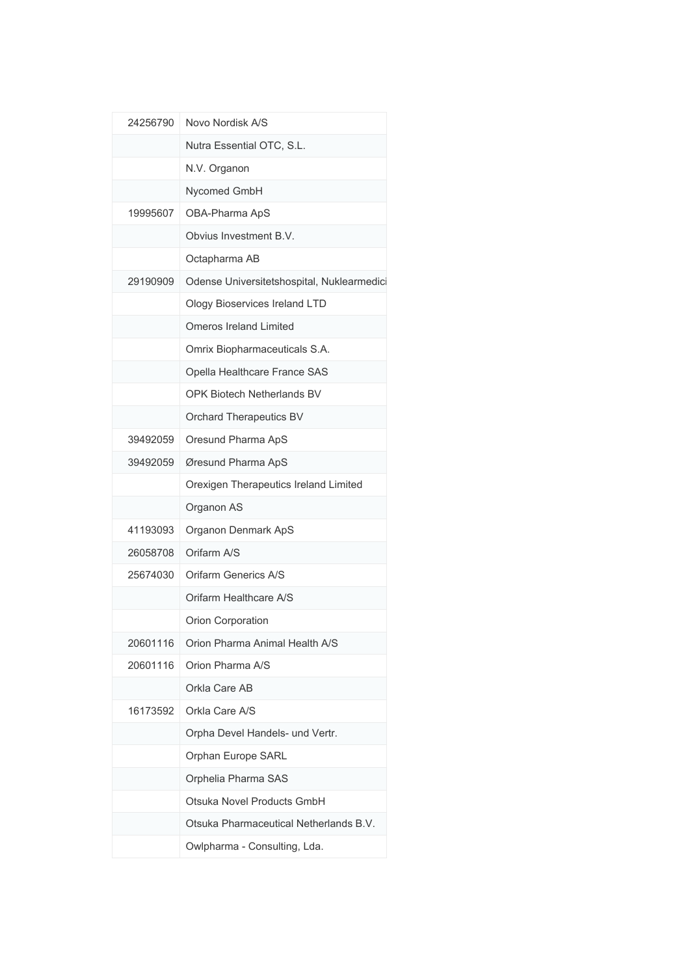| 24256790 | Novo Nordisk A/S                           |
|----------|--------------------------------------------|
|          | Nutra Essential OTC, S.L.                  |
|          | N.V. Organon                               |
|          | Nycomed GmbH                               |
| 19995607 | OBA-Pharma ApS                             |
|          | Obvius Investment B.V.                     |
|          | Octapharma AB                              |
| 29190909 | Odense Universitetshospital, Nuklearmedici |
|          | Ology Bioservices Ireland LTD              |
|          | <b>Omeros Ireland Limited</b>              |
|          | Omrix Biopharmaceuticals S.A.              |
|          | Opella Healthcare France SAS               |
|          | <b>OPK Biotech Netherlands BV</b>          |
|          | Orchard Therapeutics BV                    |
| 39492059 | Oresund Pharma ApS                         |
| 39492059 | Øresund Pharma ApS                         |
|          | Orexigen Therapeutics Ireland Limited      |
|          | Organon AS                                 |
| 41193093 | Organon Denmark ApS                        |
| 26058708 | Orifarm A/S                                |
| 25674030 | Orifarm Generics A/S                       |
|          | Orifarm Healthcare A/S                     |
|          | Orion Corporation                          |
| 20601116 | Orion Pharma Animal Health A/S             |
| 20601116 | Orion Pharma A/S                           |
|          | Orkla Care AB                              |
| 16173592 | Orkla Care A/S                             |
|          | Orpha Devel Handels- und Vertr.            |
|          | Orphan Europe SARL                         |
|          | Orphelia Pharma SAS                        |
|          | Otsuka Novel Products GmbH                 |
|          | Otsuka Pharmaceutical Netherlands B.V.     |
|          | Owlpharma - Consulting, Lda.               |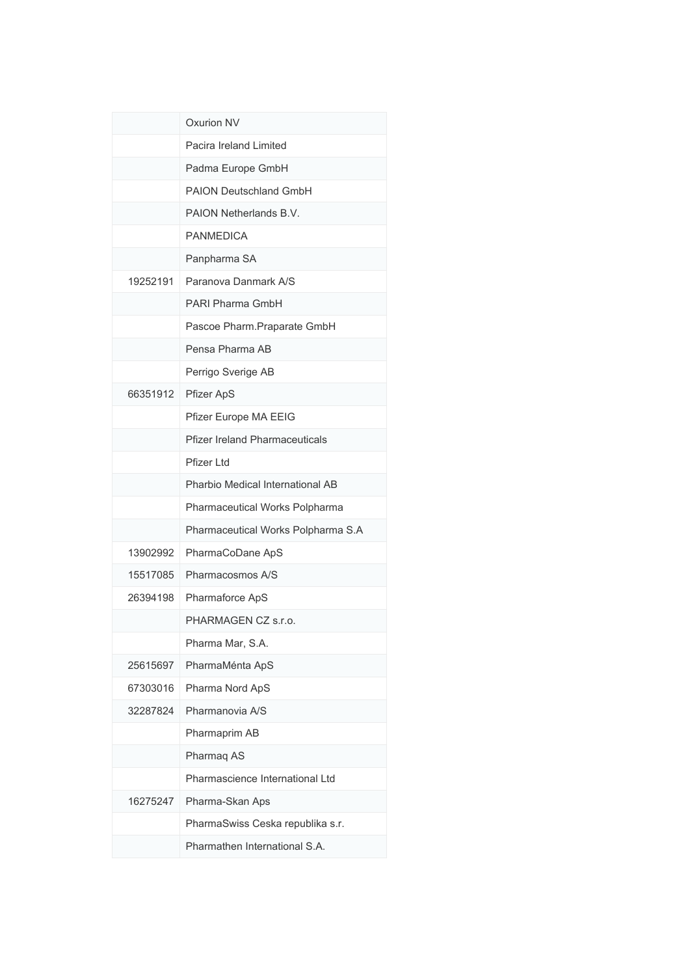|          | Oxurion NV                            |
|----------|---------------------------------------|
|          | Pacira Ireland Limited                |
|          | Padma Europe GmbH                     |
|          | <b>PAION Deutschland GmbH</b>         |
|          | PAION Netherlands B.V.                |
|          | <b>PANMEDICA</b>                      |
|          | Panpharma SA                          |
| 19252191 | Paranova Danmark A/S                  |
|          | PARI Pharma GmbH                      |
|          | Pascoe Pharm.Praparate GmbH           |
|          | Pensa Pharma AB                       |
|          | Perrigo Sverige AB                    |
| 66351912 | Pfizer ApS                            |
|          | Pfizer Europe MA EEIG                 |
|          | <b>Pfizer Ireland Pharmaceuticals</b> |
|          | Pfizer Ltd                            |
|          | Pharbio Medical International AB      |
|          | Pharmaceutical Works Polpharma        |
|          | Pharmaceutical Works Polpharma S.A    |
| 13902992 | PharmaCoDane ApS                      |
| 15517085 | Pharmacosmos A/S                      |
| 26394198 | Pharmaforce ApS                       |
|          | PHARMAGEN CZ s.r.o.                   |
|          | Pharma Mar, S.A.                      |
| 25615697 | PharmaMénta ApS                       |
| 67303016 | Pharma Nord ApS                       |
| 32287824 | Pharmanovia A/S                       |
|          | Pharmaprim AB                         |
|          | Pharmag AS                            |
|          | Pharmascience International Ltd       |
| 16275247 | Pharma-Skan Aps                       |
|          | PharmaSwiss Ceska republika s.r.      |
|          | Pharmathen International S.A.         |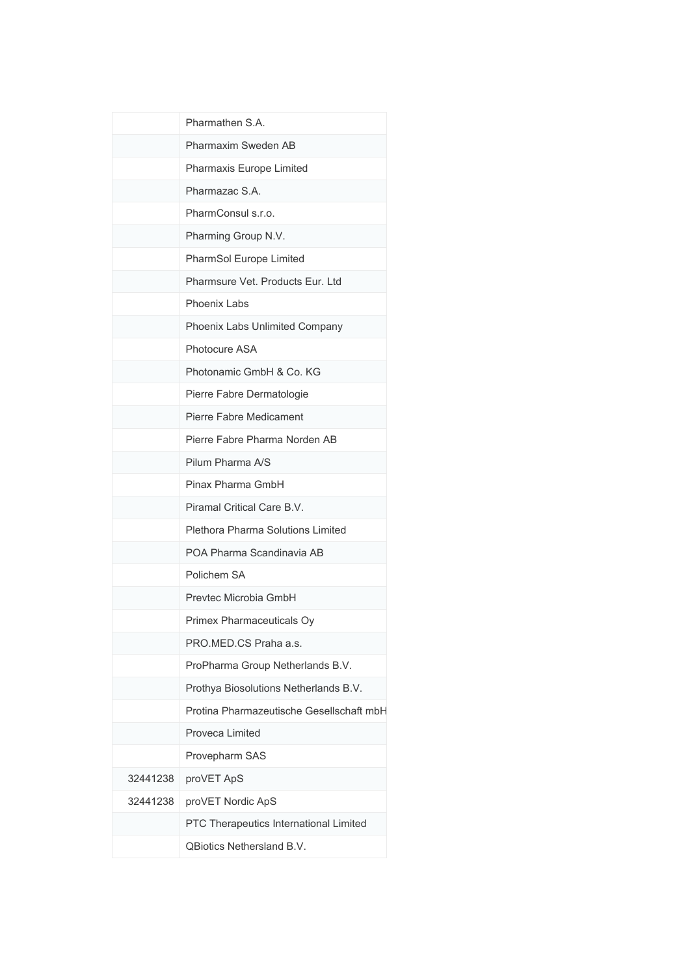|          | Pharmathen S.A.                          |
|----------|------------------------------------------|
|          | Pharmaxim Sweden AB                      |
|          | Pharmaxis Europe Limited                 |
|          | Pharmazac S.A.                           |
|          | PharmConsul s.r.o.                       |
|          | Pharming Group N.V.                      |
|          | PharmSol Europe Limited                  |
|          | Pharmsure Vet. Products Eur. Ltd.        |
|          | <b>Phoenix Labs</b>                      |
|          | Phoenix Labs Unlimited Company           |
|          | Photocure ASA                            |
|          | Photonamic GmbH & Co. KG                 |
|          | Pierre Fabre Dermatologie                |
|          | Pierre Fabre Medicament                  |
|          | Pierre Fabre Pharma Norden AB            |
|          | Pilum Pharma A/S                         |
|          | Pinax Pharma GmbH                        |
|          | Piramal Critical Care B.V.               |
|          | Plethora Pharma Solutions Limited        |
|          | POA Pharma Scandinavia AB                |
|          | Polichem SA                              |
|          | Prevtec Microbia GmbH                    |
|          | Primex Pharmaceuticals Oy                |
|          | PRO.MED.CS Praha a.s.                    |
|          | ProPharma Group Netherlands B.V.         |
|          | Prothya Biosolutions Netherlands B.V.    |
|          | Protina Pharmazeutische Gesellschaft mbH |
|          | Proveca Limited                          |
|          | Provepharm SAS                           |
| 32441238 | proVET ApS                               |
| 32441238 | proVET Nordic ApS                        |
|          | PTC Therapeutics International Limited   |
|          | QBiotics Nethersland B.V.                |
|          |                                          |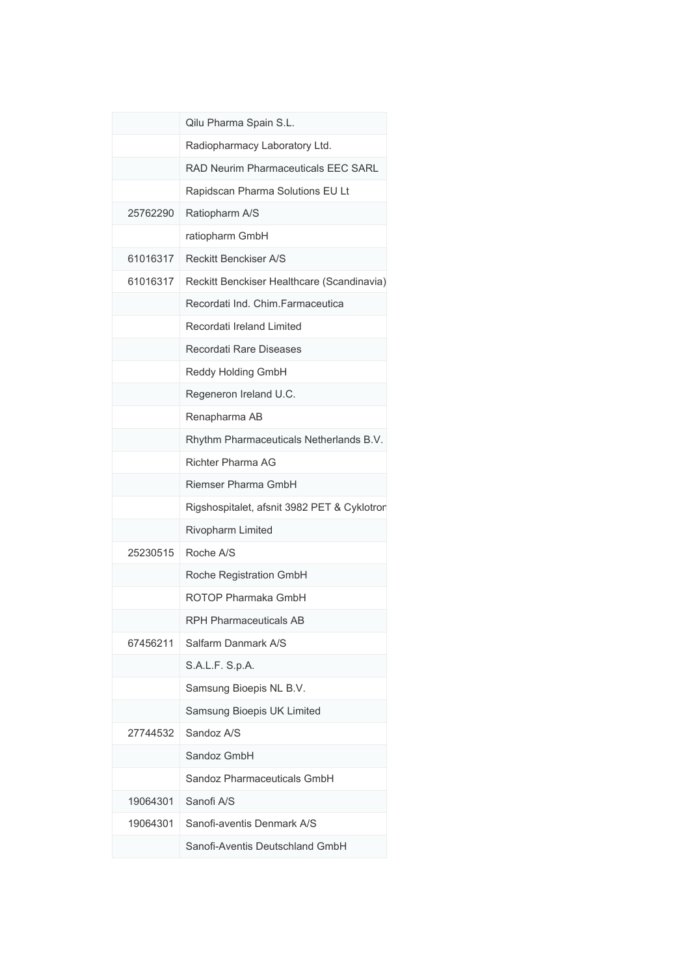|          | Qilu Pharma Spain S.L.                      |
|----------|---------------------------------------------|
|          | Radiopharmacy Laboratory Ltd.               |
|          | <b>RAD Neurim Pharmaceuticals EEC SARL</b>  |
|          | Rapidscan Pharma Solutions EU Lt            |
| 25762290 | Ratiopharm A/S                              |
|          | ratiopharm GmbH                             |
| 61016317 | Reckitt Benckiser A/S                       |
| 61016317 | Reckitt Benckiser Healthcare (Scandinavia)  |
|          | Recordati Ind. Chim.Farmaceutica            |
|          | Recordati Ireland Limited                   |
|          | Recordati Rare Diseases                     |
|          | Reddy Holding GmbH                          |
|          | Regeneron Ireland U.C.                      |
|          | Renapharma AB                               |
|          | Rhythm Pharmaceuticals Netherlands B.V.     |
|          | Richter Pharma AG                           |
|          | Riemser Pharma GmbH                         |
|          | Rigshospitalet, afsnit 3982 PET & Cyklotron |
|          | Rivopharm Limited                           |
| 25230515 | Roche A/S                                   |
|          | Roche Registration GmbH                     |
|          | ROTOP Pharmaka GmbH                         |
|          | <b>RPH Pharmaceuticals AB</b>               |
| 67456211 | Salfarm Danmark A/S                         |
|          | S.A.L.F. S.p.A.                             |
|          | Samsung Bioepis NL B.V.                     |
|          | Samsung Bioepis UK Limited                  |
| 27744532 | Sandoz A/S                                  |
|          | Sandoz GmbH                                 |
|          | Sandoz Pharmaceuticals GmbH                 |
| 19064301 | Sanofi A/S                                  |
| 19064301 | Sanofi-aventis Denmark A/S                  |
|          | Sanofi-Aventis Deutschland GmbH             |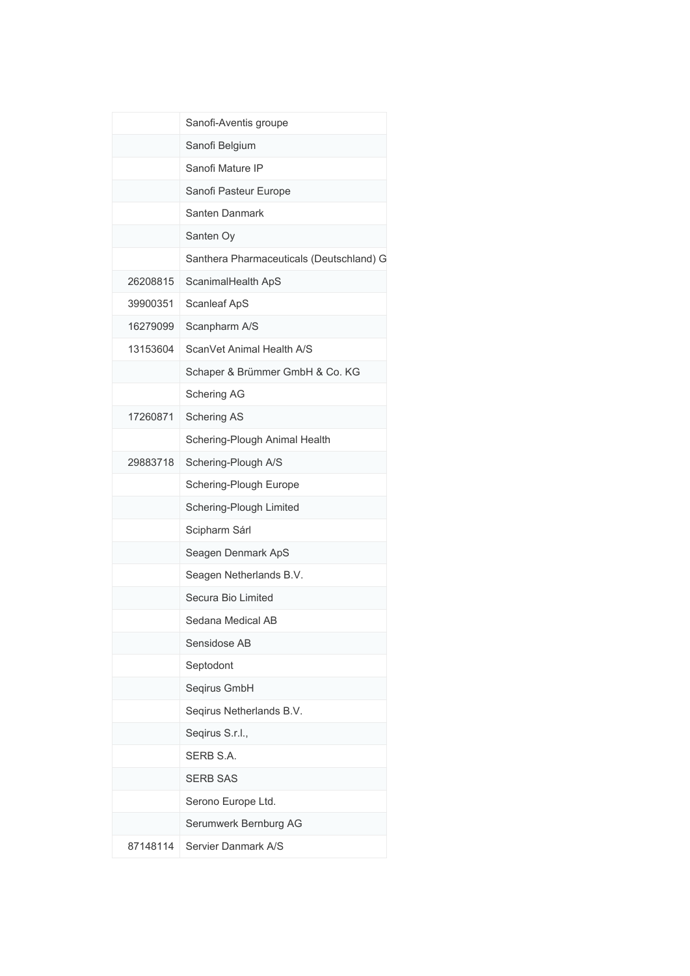|          | Sanofi-Aventis groupe                    |
|----------|------------------------------------------|
|          | Sanofi Belgium                           |
|          | Sanofi Mature IP                         |
|          | Sanofi Pasteur Europe                    |
|          | Santen Danmark                           |
|          | Santen Oy                                |
|          | Santhera Pharmaceuticals (Deutschland) G |
| 26208815 | ScanimalHealth ApS                       |
| 39900351 | Scanleaf ApS                             |
| 16279099 | Scanpharm A/S                            |
| 13153604 | ScanVet Animal Health A/S                |
|          | Schaper & Brümmer GmbH & Co. KG          |
|          | Schering AG                              |
| 17260871 | Schering AS                              |
|          | Schering-Plough Animal Health            |
| 29883718 | Schering-Plough A/S                      |
|          | Schering-Plough Europe                   |
|          | Schering-Plough Limited                  |
|          | Scipharm Sárl                            |
|          | Seagen Denmark ApS                       |
|          | Seagen Netherlands B.V.                  |
|          | Secura Bio Limited                       |
|          | Sedana Medical AB                        |
|          | Sensidose AB                             |
|          | Septodont                                |
|          | Seqirus GmbH                             |
|          | Seqirus Netherlands B.V.                 |
|          | Seqirus S.r.l.,                          |
|          | SERB S.A.                                |
|          | <b>SERB SAS</b>                          |
|          | Serono Europe Ltd.                       |
|          | Serumwerk Bernburg AG                    |
| 87148114 | Servier Danmark A/S                      |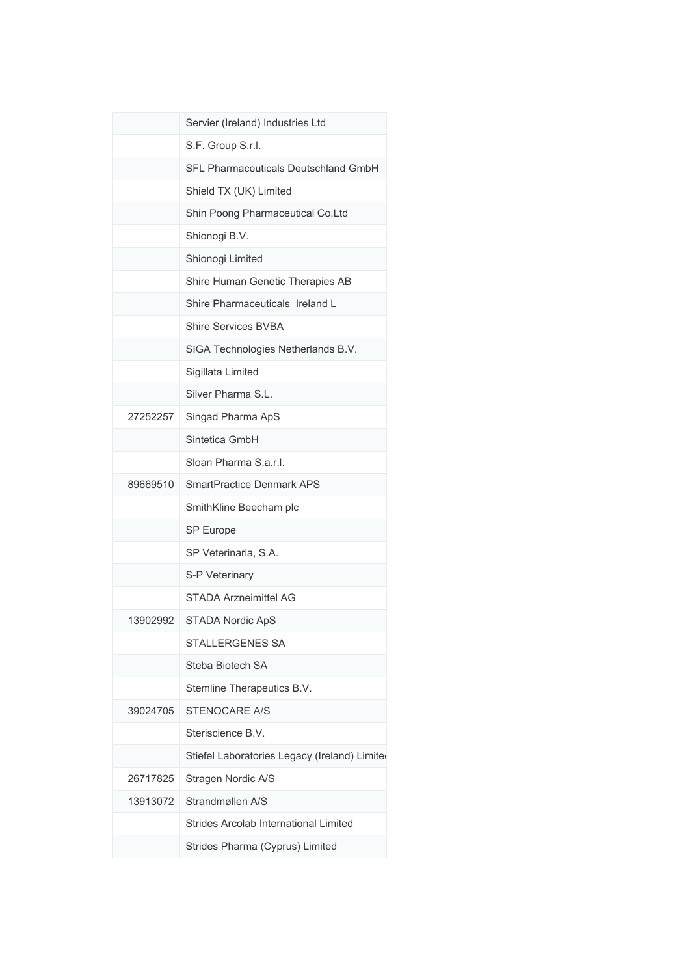|          | Servier (Ireland) Industries Ltd              |
|----------|-----------------------------------------------|
|          | S.F. Group S.r.l.                             |
|          | <b>SFL Pharmaceuticals Deutschland GmbH</b>   |
|          | Shield TX (UK) Limited                        |
|          | Shin Poong Pharmaceutical Co.Ltd              |
|          | Shionogi B.V.                                 |
|          | Shionogi Limited                              |
|          | Shire Human Genetic Therapies AB              |
|          | Shire Pharmaceuticals Ireland L               |
|          | <b>Shire Services BVBA</b>                    |
|          | SIGA Technologies Netherlands B.V.            |
|          | Sigillata Limited                             |
|          | Silver Pharma S.L.                            |
| 27252257 | Singad Pharma ApS                             |
|          | Sintetica GmbH                                |
|          | Sloan Pharma S.a.r.l.                         |
| 89669510 | <b>SmartPractice Denmark APS</b>              |
|          | SmithKline Beecham plc                        |
|          | SP Europe                                     |
|          | SP Veterinaria, S.A.                          |
|          | S-P Veterinary                                |
|          | STADA Arzneimittel AG                         |
| 13902992 | <b>STADA Nordic ApS</b>                       |
|          | STALLERGENES SA                               |
|          | Steba Biotech SA                              |
|          | Stemline Therapeutics B.V.                    |
| 39024705 | <b>STENOCARE A/S</b>                          |
|          | Steriscience B.V.                             |
|          | Stiefel Laboratories Legacy (Ireland) Limited |
| 26717825 | Stragen Nordic A/S                            |
| 13913072 | Strandmøllen A/S                              |
|          | Strides Arcolab International Limited         |
|          | Strides Pharma (Cyprus) Limited               |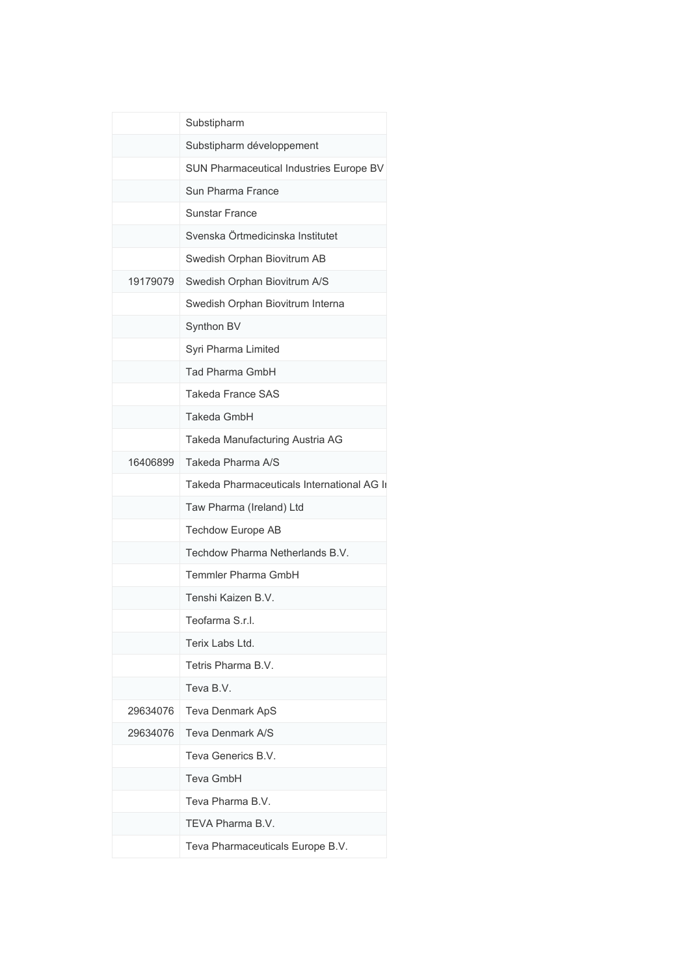|          | Substipharm                                |
|----------|--------------------------------------------|
|          | Substipharm développement                  |
|          | SUN Pharmaceutical Industries Europe BV    |
|          | Sun Pharma France                          |
|          | <b>Sunstar France</b>                      |
|          | Svenska Örtmedicinska Institutet           |
|          | Swedish Orphan Biovitrum AB                |
| 19179079 | Swedish Orphan Biovitrum A/S               |
|          | Swedish Orphan Biovitrum Interna           |
|          | Synthon BV                                 |
|          | Syri Pharma Limited                        |
|          | Tad Pharma GmbH                            |
|          | Takeda France SAS                          |
|          | Takeda GmbH                                |
|          | Takeda Manufacturing Austria AG            |
| 16406899 | Takeda Pharma A/S                          |
|          | Takeda Pharmaceuticals International AG In |
|          | Taw Pharma (Ireland) Ltd                   |
|          | <b>Techdow Europe AB</b>                   |
|          | Techdow Pharma Netherlands B.V.            |
|          | Temmler Pharma GmbH                        |
|          | Tenshi Kaizen B.V.                         |
|          | Teofarma S.r.l.                            |
|          | Terix Labs Ltd.                            |
|          | Tetris Pharma B.V.                         |
|          | Teva B.V.                                  |
| 29634076 | Teva Denmark ApS                           |
| 29634076 | Teva Denmark A/S                           |
|          | Teva Generics B.V.                         |
|          | Teva GmbH                                  |
|          | Teva Pharma B.V.                           |
|          | TEVA Pharma B.V.                           |
|          | Teva Pharmaceuticals Europe B.V.           |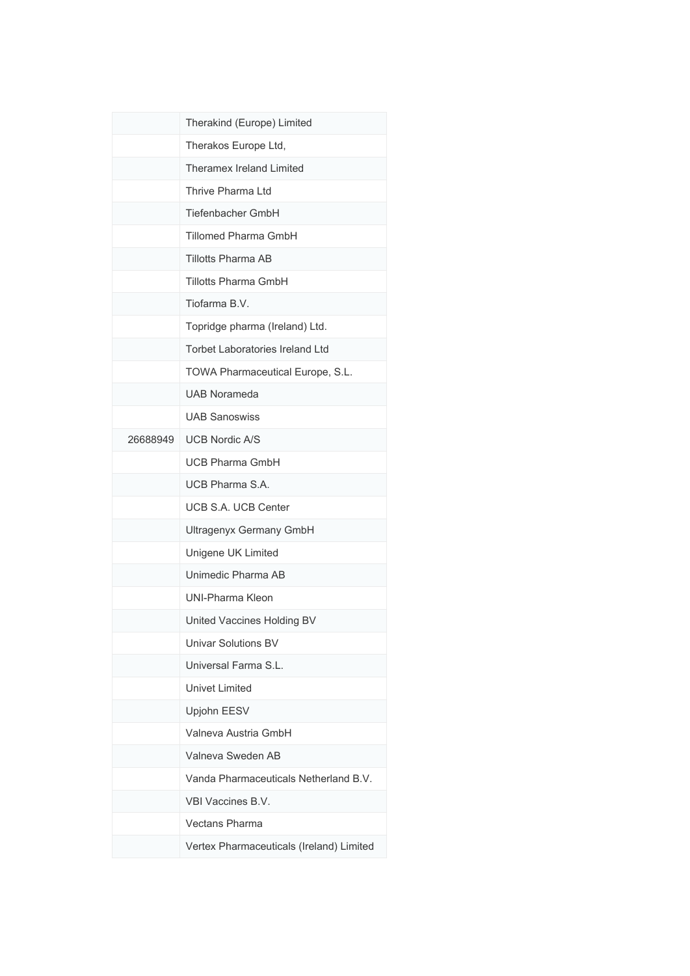|          | Therakind (Europe) Limited               |
|----------|------------------------------------------|
|          | Therakos Europe Ltd,                     |
|          | Theramex Ireland Limited                 |
|          | Thrive Pharma Ltd                        |
|          | <b>Tiefenbacher GmbH</b>                 |
|          | <b>Tillomed Pharma GmbH</b>              |
|          | <b>Tillotts Pharma AB</b>                |
|          | Tillotts Pharma GmbH                     |
|          | Tiofarma B.V.                            |
|          | Topridge pharma (Ireland) Ltd.           |
|          | <b>Torbet Laboratories Ireland Ltd</b>   |
|          | TOWA Pharmaceutical Europe, S.L.         |
|          | <b>UAB Norameda</b>                      |
|          | <b>UAB Sanoswiss</b>                     |
| 26688949 | <b>UCB Nordic A/S</b>                    |
|          | <b>UCB Pharma GmbH</b>                   |
|          | UCB Pharma S.A.                          |
|          | UCB S.A. UCB Center                      |
|          | Ultragenyx Germany GmbH                  |
|          | Unigene UK Limited                       |
|          | Unimedic Pharma AB                       |
|          | UNI-Pharma Kleon                         |
|          | United Vaccines Holding BV               |
|          | <b>Univar Solutions BV</b>               |
|          | Universal Farma S.L.                     |
|          | Univet Limited                           |
|          | Upjohn EESV                              |
|          | Valneva Austria GmbH                     |
|          | Valneva Sweden AB                        |
|          | Vanda Pharmaceuticals Netherland B.V.    |
|          | VBI Vaccines B.V.                        |
|          | Vectans Pharma                           |
|          | Vertex Pharmaceuticals (Ireland) Limited |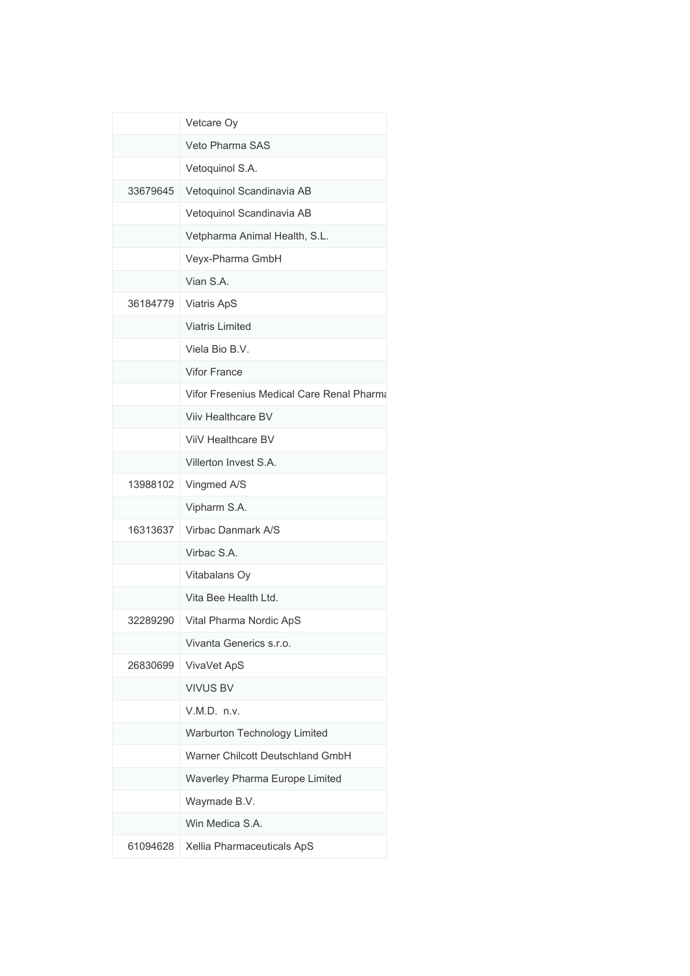|          | Vetcare Oy                                |
|----------|-------------------------------------------|
|          | Veto Pharma SAS                           |
|          | Vetoquinol S.A.                           |
| 33679645 | Vetoquinol Scandinavia AB                 |
|          | Vetoquinol Scandinavia AB                 |
|          | Vetpharma Animal Health, S.L.             |
|          | Veyx-Pharma GmbH                          |
|          | Vian S.A.                                 |
| 36184779 | Viatris ApS                               |
|          | <b>Viatris Limited</b>                    |
|          | Viela Bio B.V.                            |
|          | <b>Vifor France</b>                       |
|          | Vifor Fresenius Medical Care Renal Pharma |
|          | Viiv Healthcare BV                        |
|          | ViiV Healthcare BV                        |
|          | Villerton Invest S.A.                     |
| 13988102 | Vingmed A/S                               |
|          | Vipharm S.A.                              |
| 16313637 | Virbac Danmark A/S                        |
|          | Virbac S.A.                               |
|          | Vitabalans Oy                             |
|          | Vita Bee Health Ltd.                      |
| 32289290 | Vital Pharma Nordic ApS                   |
|          | Vivanta Generics s.r.o.                   |
| 26830699 | VivaVet ApS                               |
|          | <b>VIVUS BV</b>                           |
|          | V.M.D. n.v.                               |
|          | Warburton Technology Limited              |
|          | Warner Chilcott Deutschland GmbH          |
|          | Waverley Pharma Europe Limited            |
|          | Waymade B.V.                              |
|          | Win Medica S.A.                           |
| 61094628 | Xellia Pharmaceuticals ApS                |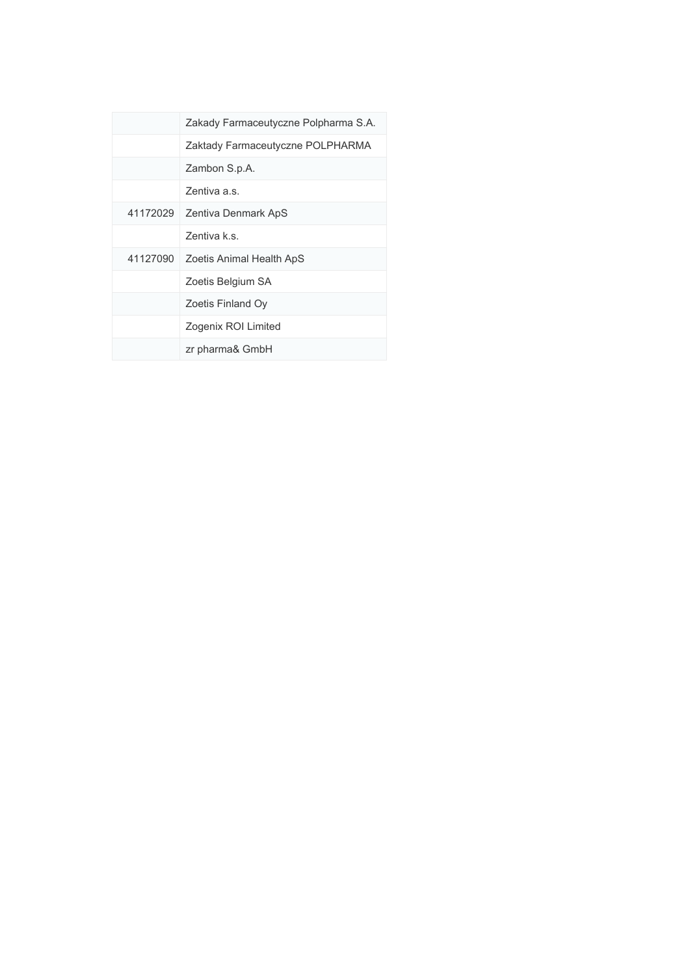|          | Zakady Farmaceutyczne Polpharma S.A. |
|----------|--------------------------------------|
|          | Zaktady Farmaceutyczne POLPHARMA     |
|          | Zambon S.p.A.                        |
|          | Zentiva a.s.                         |
| 41172029 | Zentiva Denmark ApS                  |
|          | Zentiva k.s.                         |
| 41127090 | Zoetis Animal Health ApS             |
|          | Zoetis Belgium SA                    |
|          | Zoetis Finland Oy                    |
|          | Zogenix ROI Limited                  |
|          | zr pharma& GmbH                      |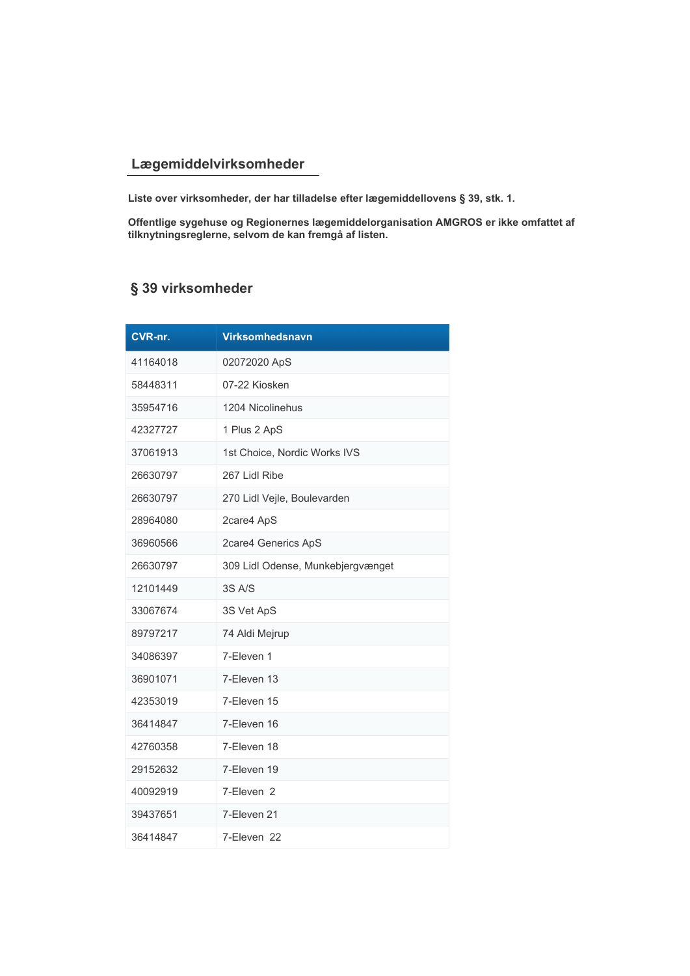## **Lægemiddelvirksomheder**

**Liste over virksomheder, der har tilladelse efter lægemiddellovens § 39, stk. 1.**

**Offentlige sygehuse og Regionernes lægemiddelorganisation AMGROS er ikke omfattet af tilknytningsreglerne, selvom de kan fremgå af listen.**

## **§ 39 virksomheder**

| CVR-nr.  | <b>Virksomhedsnavn</b>            |
|----------|-----------------------------------|
| 41164018 | 02072020 ApS                      |
| 58448311 | 07-22 Kiosken                     |
| 35954716 | 1204 Nicolinehus                  |
| 42327727 | 1 Plus 2 ApS                      |
| 37061913 | 1st Choice, Nordic Works IVS      |
| 26630797 | 267 Lidl Ribe                     |
| 26630797 | 270 Lidl Vejle, Boulevarden       |
| 28964080 | 2care4 ApS                        |
| 36960566 | 2care4 Generics ApS               |
| 26630797 | 309 Lidl Odense, Munkebjergvænget |
| 12101449 | 3S A/S                            |
| 33067674 | 3S Vet ApS                        |
| 89797217 | 74 Aldi Mejrup                    |
| 34086397 | 7-Eleven 1                        |
| 36901071 | 7-Eleven 13                       |
| 42353019 | 7-Eleven 15                       |
| 36414847 | 7-Eleven 16                       |
| 42760358 | 7-Eleven 18                       |
| 29152632 | 7-Eleven 19                       |
| 40092919 | 7-Eleven 2                        |
| 39437651 | 7-Eleven 21                       |
| 36414847 | 7-Eleven 22                       |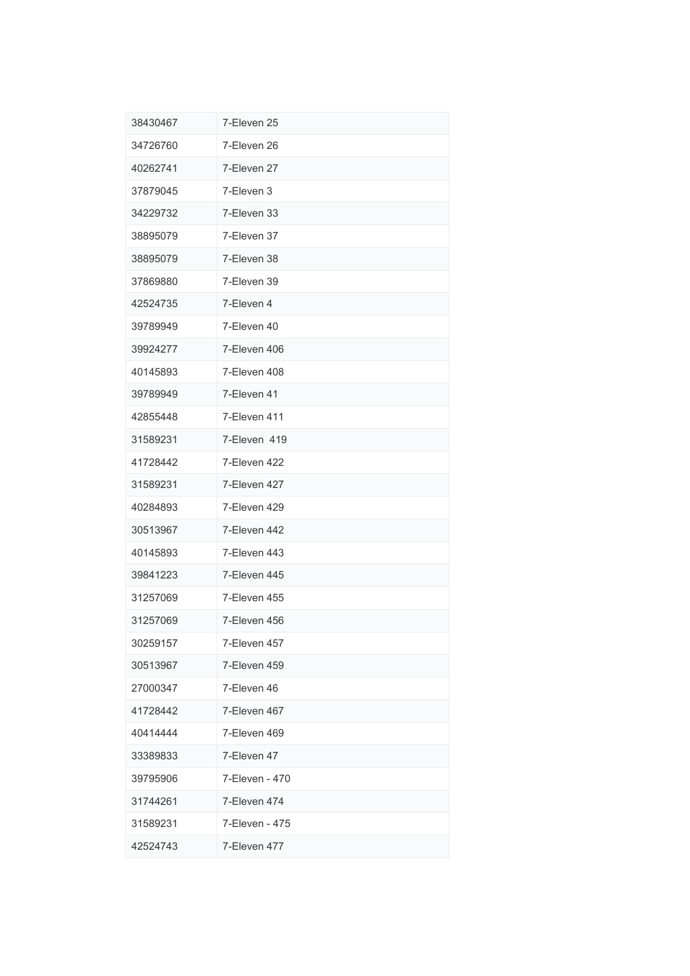| 38430467 | 7-Eleven 25    |
|----------|----------------|
| 34726760 | 7-Eleven 26    |
| 40262741 | 7-Eleven 27    |
| 37879045 | 7-Eleven 3     |
| 34229732 | 7-Eleven 33    |
| 38895079 | 7-Eleven 37    |
| 38895079 | 7-Eleven 38    |
| 37869880 | 7-Eleven 39    |
| 42524735 | 7-Eleven 4     |
| 39789949 | 7-Eleven 40    |
| 39924277 | 7-Eleven 406   |
| 40145893 | 7-Eleven 408   |
| 39789949 | 7-Eleven 41    |
| 42855448 | 7-Eleven 411   |
| 31589231 | 7-Eleven 419   |
| 41728442 | 7-Eleven 422   |
| 31589231 | 7-Eleven 427   |
| 40284893 | 7-Eleven 429   |
| 30513967 | 7-Eleven 442   |
| 40145893 | 7-Eleven 443   |
| 39841223 | 7-Eleven 445   |
| 31257069 | 7-Eleven 455   |
| 31257069 | 7-Eleven 456   |
| 30259157 | 7-Eleven 457   |
| 30513967 | 7-Eleven 459   |
| 27000347 | 7-Eleven 46    |
| 41728442 | 7-Eleven 467   |
| 40414444 | 7-Eleven 469   |
| 33389833 | 7-Eleven 47    |
| 39795906 | 7-Eleven - 470 |
| 31744261 | 7-Eleven 474   |
| 31589231 | 7-Eleven - 475 |
| 42524743 | 7-Eleven 477   |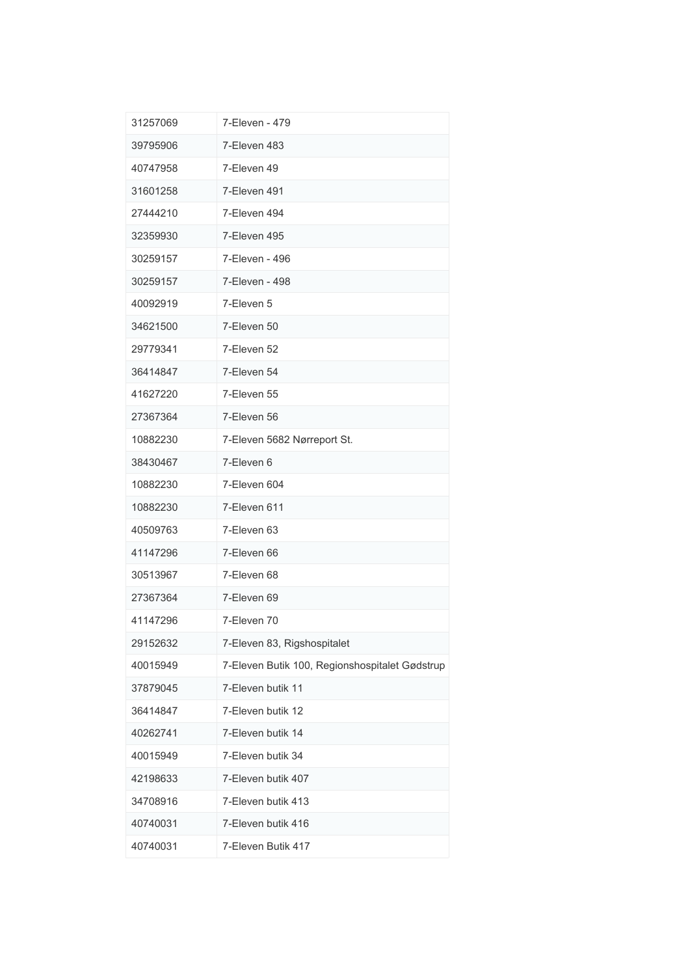| 31257069 | 7-Eleven - 479                                 |
|----------|------------------------------------------------|
| 39795906 | 7-Eleven 483                                   |
| 40747958 | 7-Eleven 49                                    |
| 31601258 | 7-Eleven 491                                   |
| 27444210 | 7-Eleven 494                                   |
| 32359930 | 7-Eleven 495                                   |
| 30259157 | 7-Eleven - 496                                 |
| 30259157 | 7-Eleven - 498                                 |
| 40092919 | 7-Eleven 5                                     |
| 34621500 | 7-Eleven 50                                    |
| 29779341 | 7-Eleven 52                                    |
| 36414847 | 7-Eleven 54                                    |
| 41627220 | 7-Eleven 55                                    |
| 27367364 | 7-Eleven 56                                    |
| 10882230 | 7-Eleven 5682 Nørreport St.                    |
| 38430467 | 7-Eleven 6                                     |
| 10882230 | 7-Eleven 604                                   |
| 10882230 | 7-Eleven 611                                   |
| 40509763 | 7-Eleven 63                                    |
| 41147296 | 7-Eleven 66                                    |
| 30513967 | 7-Eleven 68                                    |
| 27367364 | 7-Eleven 69                                    |
| 41147296 | 7-Eleven 70                                    |
| 29152632 | 7-Eleven 83, Rigshospitalet                    |
| 40015949 | 7-Eleven Butik 100, Regionshospitalet Gødstrup |
| 37879045 | 7-Eleven butik 11                              |
| 36414847 | 7-Eleven butik 12                              |
| 40262741 | 7-Eleven butik 14                              |
| 40015949 | 7-Eleven butik 34                              |
| 42198633 | 7-Eleven butik 407                             |
| 34708916 | 7-Eleven butik 413                             |
| 40740031 | 7-Eleven butik 416                             |
| 40740031 | 7-Eleven Butik 417                             |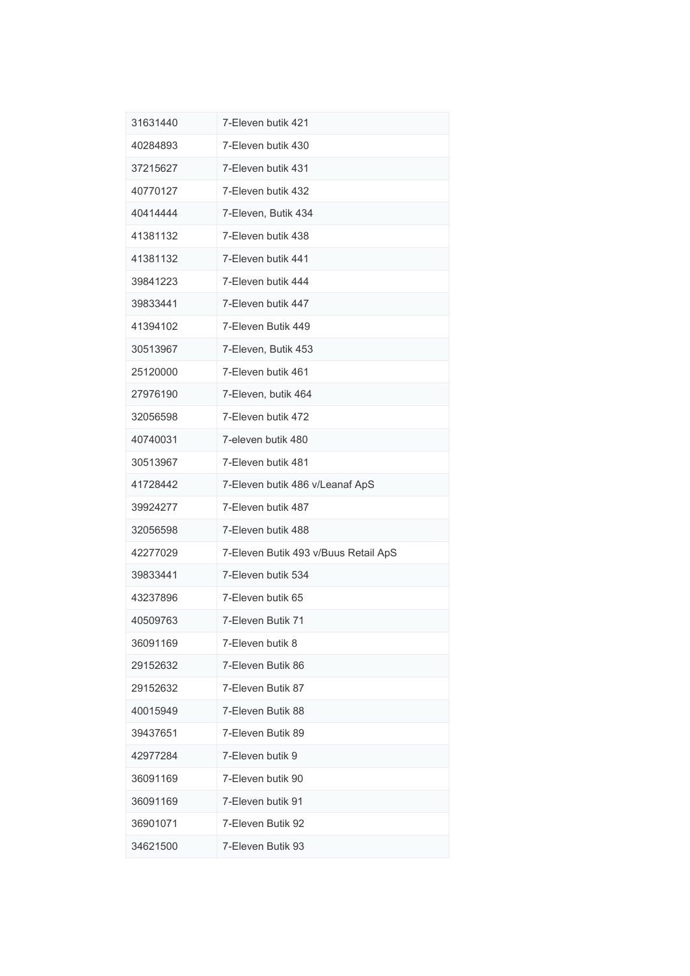| 31631440 | 7-Eleven butik 421                   |
|----------|--------------------------------------|
| 40284893 | 7-Eleven butik 430                   |
| 37215627 | 7-Eleven butik 431                   |
| 40770127 | 7-Eleven butik 432                   |
| 40414444 | 7-Eleven, Butik 434                  |
| 41381132 | 7-Eleven butik 438                   |
| 41381132 | 7-Eleven butik 441                   |
| 39841223 | 7-Eleven butik 444                   |
| 39833441 | 7-Eleven butik 447                   |
| 41394102 | 7-Eleven Butik 449                   |
| 30513967 | 7-Eleven, Butik 453                  |
| 25120000 | 7-Eleven butik 461                   |
| 27976190 | 7-Eleven, butik 464                  |
| 32056598 | 7-Eleven butik 472                   |
| 40740031 | 7-eleven butik 480                   |
| 30513967 | 7-Eleven butik 481                   |
| 41728442 | 7-Eleven butik 486 v/Leanaf ApS      |
| 39924277 | 7-Eleven butik 487                   |
| 32056598 | 7-Eleven butik 488                   |
| 42277029 | 7-Eleven Butik 493 v/Buus Retail ApS |
| 39833441 | 7-Eleven butik 534                   |
| 43237896 | 7-Eleven butik 65                    |
| 40509763 | 7-Fleven Butik 71                    |
| 36091169 | 7-Eleven butik 8                     |
| 29152632 | 7-Eleven Butik 86                    |
| 29152632 | 7-Eleven Butik 87                    |
| 40015949 | 7-Eleven Butik 88                    |
| 39437651 | 7-Eleven Butik 89                    |
| 42977284 | 7-Eleven butik 9                     |
| 36091169 | 7-Eleven butik 90                    |
| 36091169 | 7-Eleven butik 91                    |
| 36901071 | 7-Eleven Butik 92                    |
| 34621500 | 7-Eleven Butik 93                    |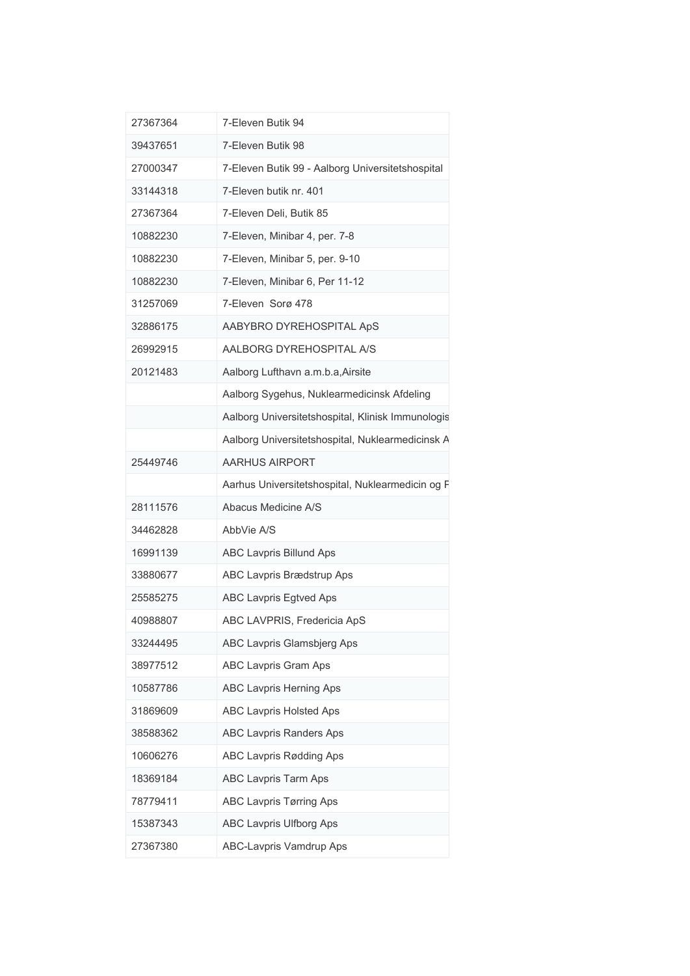| 27367364 | 7-Eleven Butik 94                                 |
|----------|---------------------------------------------------|
| 39437651 | 7-Eleven Butik 98                                 |
| 27000347 | 7-Eleven Butik 99 - Aalborg Universitetshospital  |
| 33144318 | 7-Eleven butik nr. 401                            |
| 27367364 | 7-Eleven Deli, Butik 85                           |
| 10882230 | 7-Eleven, Minibar 4, per. 7-8                     |
| 10882230 | 7-Eleven, Minibar 5, per. 9-10                    |
| 10882230 | 7-Eleven, Minibar 6, Per 11-12                    |
| 31257069 | 7-Eleven Sorø 478                                 |
| 32886175 | AABYBRO DYREHOSPITAL ApS                          |
| 26992915 | AALBORG DYREHOSPITAL A/S                          |
| 20121483 | Aalborg Lufthavn a.m.b.a, Airsite                 |
|          | Aalborg Sygehus, Nuklearmedicinsk Afdeling        |
|          | Aalborg Universitetshospital, Klinisk Immunologis |
|          | Aalborg Universitetshospital, Nuklearmedicinsk A  |
| 25449746 | <b>AARHUS AIRPORT</b>                             |
|          | Aarhus Universitetshospital, Nuklearmedicin og F  |
| 28111576 | Abacus Medicine A/S                               |
| 34462828 | AbbVie A/S                                        |
| 16991139 | ABC Lavpris Billund Aps                           |
| 33880677 | ABC Lavpris Brædstrup Aps                         |
| 25585275 | ABC Lavpris Egtved Aps                            |
| 40988807 | ABC LAVPRIS, Fredericia ApS                       |
| 33244495 | ABC Lavpris Glamsbjerg Aps                        |
| 38977512 | ABC Lavpris Gram Aps                              |
| 10587786 | <b>ABC Lavpris Herning Aps</b>                    |
| 31869609 | ABC Lavpris Holsted Aps                           |
| 38588362 | ABC Lavpris Randers Aps                           |
| 10606276 | ABC Lavpris Rødding Aps                           |
| 18369184 | ABC Lavpris Tarm Aps                              |
|          |                                                   |
| 78779411 | <b>ABC Lavpris Tørring Aps</b>                    |
| 15387343 | ABC Lavpris Ulfborg Aps                           |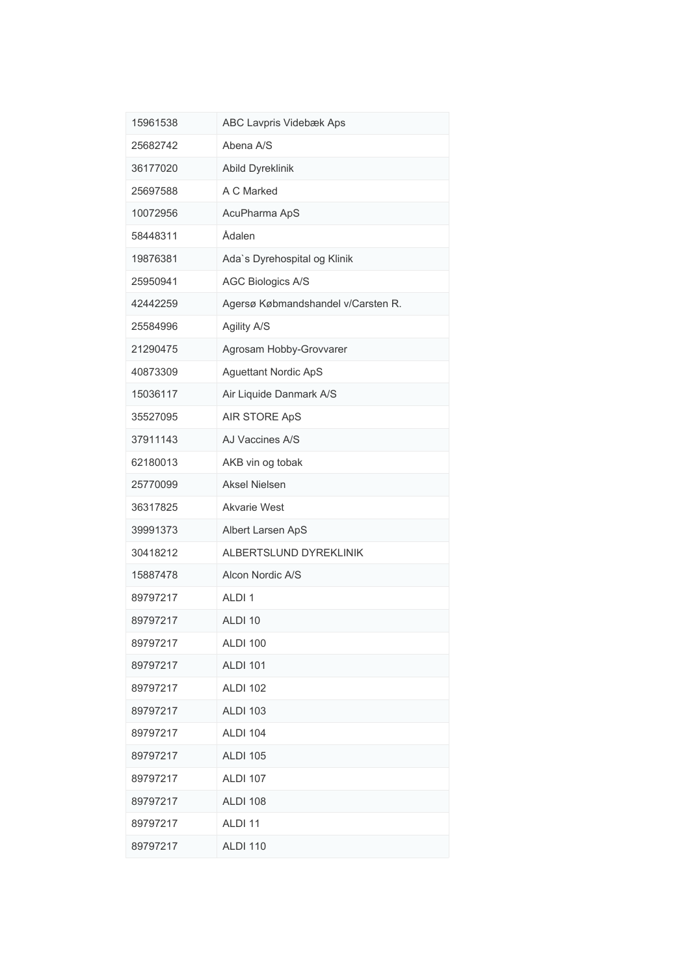| 15961538 | ABC Lavpris Videbæk Aps            |
|----------|------------------------------------|
| 25682742 | Abena A/S                          |
| 36177020 | Abild Dyreklinik                   |
| 25697588 | A C Marked                         |
| 10072956 | AcuPharma ApS                      |
| 58448311 | Ådalen                             |
| 19876381 | Ada's Dyrehospital og Klinik       |
| 25950941 | <b>AGC Biologics A/S</b>           |
| 42442259 | Agersø Købmandshandel v/Carsten R. |
| 25584996 | Agility A/S                        |
| 21290475 | Agrosam Hobby-Grovvarer            |
| 40873309 | <b>Aguettant Nordic ApS</b>        |
| 15036117 | Air Liquide Danmark A/S            |
| 35527095 | AIR STORE ApS                      |
| 37911143 | AJ Vaccines A/S                    |
| 62180013 | AKB vin og tobak                   |
| 25770099 | Aksel Nielsen                      |
| 36317825 | Akvarie West                       |
| 39991373 | Albert Larsen ApS                  |
| 30418212 | ALBERTSLUND DYREKLINIK             |
| 15887478 | Alcon Nordic A/S                   |
| 89797217 | ALDI <sub>1</sub>                  |
| 89797217 | ALDI <sub>10</sub>                 |
| 89797217 | <b>ALDI 100</b>                    |
| 89797217 | <b>ALDI 101</b>                    |
| 89797217 | <b>ALDI 102</b>                    |
| 89797217 | <b>ALDI 103</b>                    |
| 89797217 | <b>ALDI 104</b>                    |
| 89797217 | <b>ALDI 105</b>                    |
| 89797217 | <b>ALDI 107</b>                    |
| 89797217 | <b>ALDI 108</b>                    |
| 89797217 | ALDI 11                            |
| 89797217 | <b>ALDI 110</b>                    |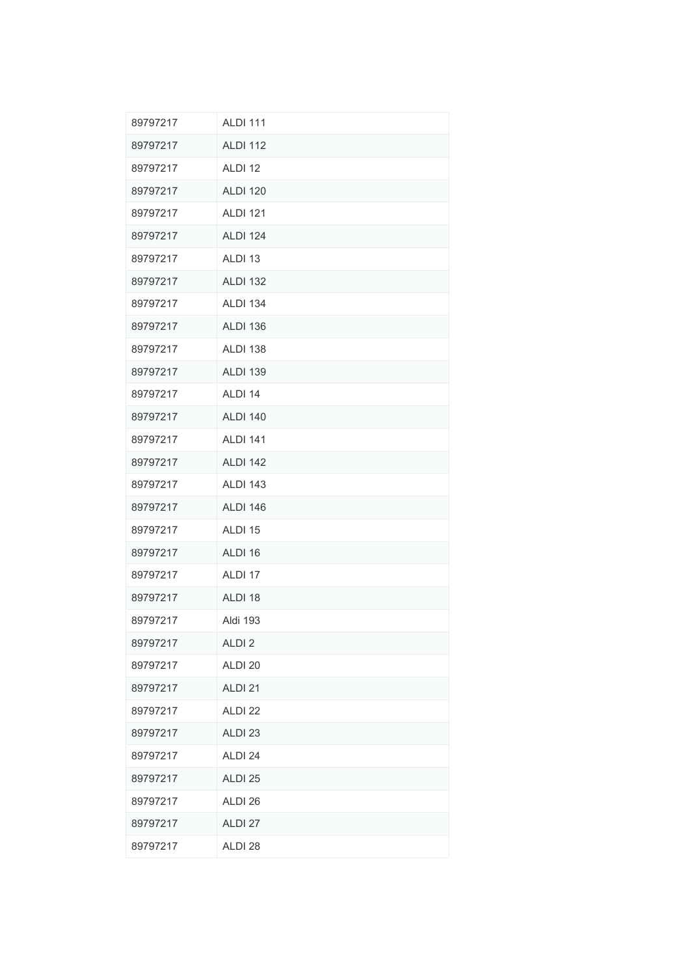| 89797217 | <b>ALDI 111</b>    |
|----------|--------------------|
| 89797217 | <b>ALDI 112</b>    |
| 89797217 | ALDI 12            |
| 89797217 | <b>ALDI 120</b>    |
| 89797217 | <b>ALDI 121</b>    |
| 89797217 | <b>ALDI 124</b>    |
| 89797217 | ALDI <sub>13</sub> |
| 89797217 | <b>ALDI 132</b>    |
| 89797217 | <b>ALDI 134</b>    |
| 89797217 | <b>ALDI 136</b>    |
| 89797217 | <b>ALDI 138</b>    |
| 89797217 | <b>ALDI 139</b>    |
| 89797217 | ALDI 14            |
| 89797217 | <b>ALDI 140</b>    |
| 89797217 | <b>ALDI 141</b>    |
| 89797217 | <b>ALDI 142</b>    |
| 89797217 | <b>ALDI 143</b>    |
| 89797217 | <b>ALDI 146</b>    |
| 89797217 | ALDI 15            |
| 89797217 | ALDI 16            |
| 89797217 | ALDI 17            |
| 89797217 | ALDI <sub>18</sub> |
| 89797217 | Aldi 193           |
| 89797217 | ALDI <sub>2</sub>  |
| 89797217 | ALDI 20            |
| 89797217 | ALDI 21            |
| 89797217 | ALDI <sub>22</sub> |
| 89797217 | ALDI 23            |
| 89797217 | ALDI 24            |
| 89797217 | ALDI <sub>25</sub> |
| 89797217 | ALDI 26            |
| 89797217 | ALDI 27            |
| 89797217 | ALDI 28            |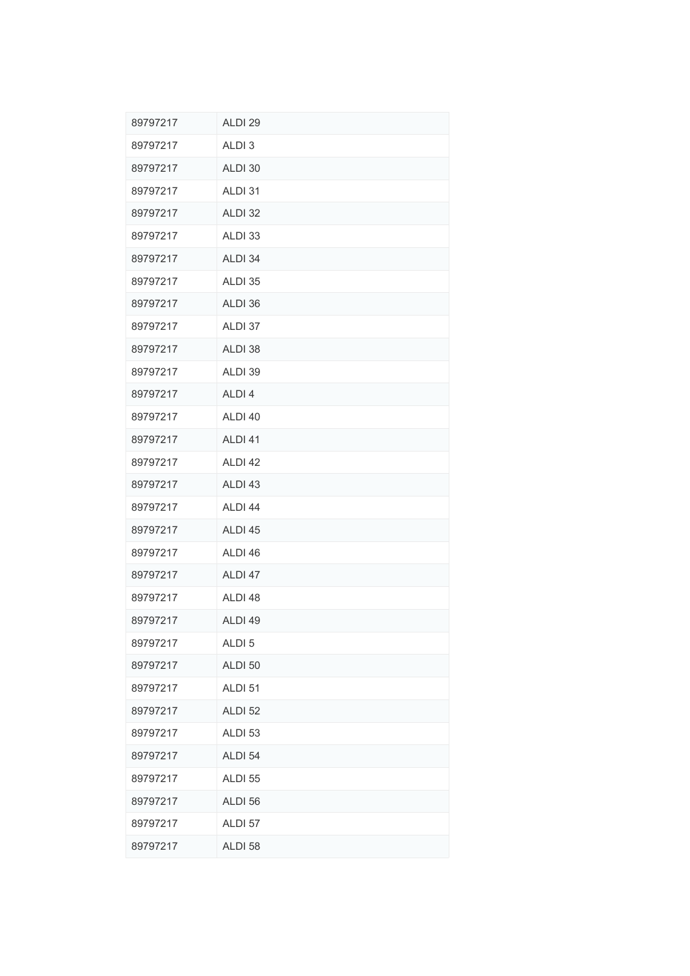| 89797217 | ALDI <sub>29</sub> |
|----------|--------------------|
| 89797217 | ALDI <sub>3</sub>  |
| 89797217 | ALDI 30            |
| 89797217 | ALDI 31            |
| 89797217 | ALDI 32            |
| 89797217 | ALDI 33            |
| 89797217 | ALDI 34            |
| 89797217 | ALDI 35            |
| 89797217 | ALDI 36            |
| 89797217 | ALDI 37            |
| 89797217 | ALDI 38            |
| 89797217 | ALDI 39            |
| 89797217 | ALDI <sub>4</sub>  |
| 89797217 | ALDI 40            |
| 89797217 | ALDI <sub>41</sub> |
| 89797217 | ALDI 42            |
| 89797217 | ALDI <sub>43</sub> |
| 89797217 | ALDI 44            |
| 89797217 | ALDI 45            |
| 89797217 | ALDI 46            |
| 89797217 | ALDI 47            |
| 89797217 | ALDI <sub>48</sub> |
| 89797217 | ALDI 49            |
| 89797217 | ALDI 5             |
| 89797217 | ALDI 50            |
| 89797217 | ALDI 51            |
| 89797217 | ALDI 52            |
| 89797217 | ALDI 53            |
| 89797217 | ALDI 54            |
| 89797217 | ALDI 55            |
| 89797217 | ALDI 56            |
| 89797217 | ALDI 57            |
| 89797217 | ALDI 58            |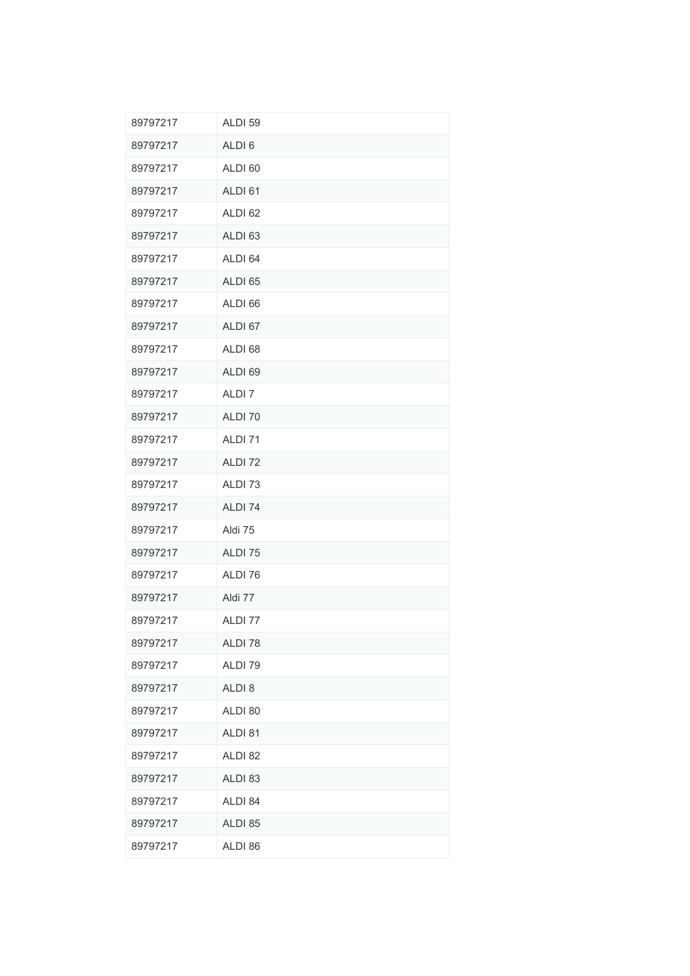| 89797217 | ALDI 59            |
|----------|--------------------|
| 89797217 | ALDI <sub>6</sub>  |
| 89797217 | ALDI 60            |
| 89797217 | ALDI <sub>61</sub> |
| 89797217 | ALDI <sub>62</sub> |
| 89797217 | ALDI <sub>63</sub> |
| 89797217 | ALDI <sub>64</sub> |
| 89797217 | ALDI 65            |
| 89797217 | ALDI 66            |
| 89797217 | ALDI 67            |
| 89797217 | ALDI <sub>68</sub> |
| 89797217 | ALDI <sub>69</sub> |
| 89797217 | ALDI <sub>7</sub>  |
| 89797217 | ALDI 70            |
| 89797217 | ALDI <sub>71</sub> |
| 89797217 | ALDI <sub>72</sub> |
| 89797217 | ALDI <sub>73</sub> |
| 89797217 | ALDI 74            |
| 89797217 | Aldi 75            |
| 89797217 | ALDI 75            |
| 89797217 | ALDI 76            |
| 89797217 | Aldi 77            |
| 89797217 | ALDI 77            |
| 89797217 | ALDI 78            |
| 89797217 | ALDI 79            |
| 89797217 | ALDI <sub>8</sub>  |
| 89797217 | ALDI 80            |
| 89797217 | ALDI 81            |
| 89797217 | ALDI 82            |
| 89797217 | ALDI 83            |
| 89797217 | ALDI 84            |
| 89797217 | ALDI 85            |
| 89797217 | ALDI 86            |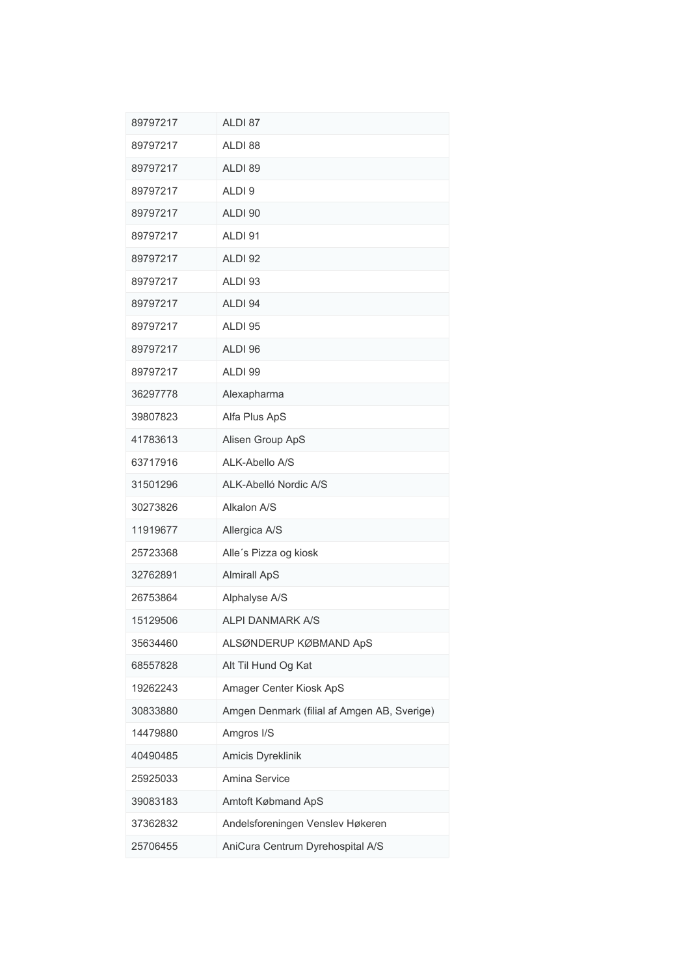| 89797217 | ALDI 87                                     |
|----------|---------------------------------------------|
| 89797217 | ALDI <sub>88</sub>                          |
| 89797217 | ALDI 89                                     |
| 89797217 | ALDI <sub>9</sub>                           |
| 89797217 | ALDI 90                                     |
| 89797217 | ALDI 91                                     |
| 89797217 | ALDI <sub>92</sub>                          |
| 89797217 | ALDI 93                                     |
| 89797217 | ALDI 94                                     |
| 89797217 | ALDI <sub>95</sub>                          |
| 89797217 | ALDI 96                                     |
| 89797217 | ALDI 99                                     |
| 36297778 | Alexapharma                                 |
| 39807823 | Alfa Plus ApS                               |
| 41783613 | Alisen Group ApS                            |
| 63717916 | ALK-Abello A/S                              |
| 31501296 | ALK-Abelló Nordic A/S                       |
| 30273826 | Alkalon A/S                                 |
| 11919677 | Allergica A/S                               |
| 25723368 | Alle's Pizza og kiosk                       |
| 32762891 | <b>Almirall ApS</b>                         |
| 26753864 | Alphalyse A/S                               |
| 15129506 | <b>ALPI DANMARK A/S</b>                     |
| 35634460 | ALSØNDERUP KØBMAND ApS                      |
| 68557828 | Alt Til Hund Og Kat                         |
| 19262243 | Amager Center Kiosk ApS                     |
| 30833880 | Amgen Denmark (filial af Amgen AB, Sverige) |
| 14479880 | Amgros I/S                                  |
| 40490485 | Amicis Dyreklinik                           |
| 25925033 | Amina Service                               |
| 39083183 | Amtoft Købmand ApS                          |
| 37362832 | Andelsforeningen Venslev Høkeren            |
| 25706455 | AniCura Centrum Dyrehospital A/S            |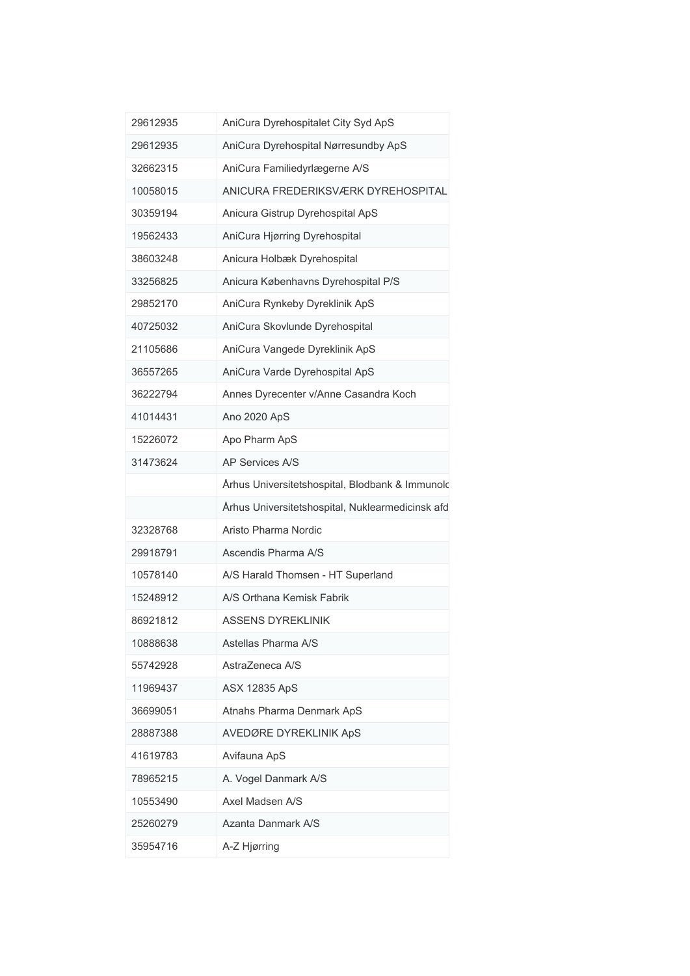| 29612935 | AniCura Dyrehospitalet City Syd ApS              |
|----------|--------------------------------------------------|
| 29612935 | AniCura Dyrehospital Nørresundby ApS             |
| 32662315 | AniCura Familiedyrlægerne A/S                    |
| 10058015 | ANICURA FREDERIKSVÆRK DYREHOSPITAL               |
| 30359194 | Anicura Gistrup Dyrehospital ApS                 |
| 19562433 | AniCura Hjørring Dyrehospital                    |
| 38603248 | Anicura Holbæk Dyrehospital                      |
| 33256825 | Anicura Københavns Dyrehospital P/S              |
| 29852170 | AniCura Rynkeby Dyreklinik ApS                   |
| 40725032 | AniCura Skovlunde Dyrehospital                   |
| 21105686 | AniCura Vangede Dyreklinik ApS                   |
| 36557265 | AniCura Varde Dyrehospital ApS                   |
| 36222794 | Annes Dyrecenter v/Anne Casandra Koch            |
| 41014431 | Ano 2020 ApS                                     |
| 15226072 | Apo Pharm ApS                                    |
| 31473624 | <b>AP Services A/S</b>                           |
|          | Århus Universitetshospital, Blodbank & Immunold  |
|          | Århus Universitetshospital, Nuklearmedicinsk afd |
| 32328768 | Aristo Pharma Nordic                             |
| 29918791 | Ascendis Pharma A/S                              |
| 10578140 | A/S Harald Thomsen - HT Superland                |
| 15248912 | A/S Orthana Kemisk Fabrik                        |
| 86921812 | <b>ASSENS DYREKLINIK</b>                         |
| 10888638 | Astellas Pharma A/S                              |
| 55742928 | AstraZeneca A/S                                  |
| 11969437 | <b>ASX 12835 ApS</b>                             |
| 36699051 | Atnahs Pharma Denmark ApS                        |
| 28887388 | AVEDØRE DYREKLINIK ApS                           |
| 41619783 | Avifauna ApS                                     |
| 78965215 | A. Vogel Danmark A/S                             |
| 10553490 | Axel Madsen A/S                                  |
| 25260279 | Azanta Danmark A/S                               |
| 35954716 | A-Z Hjørring                                     |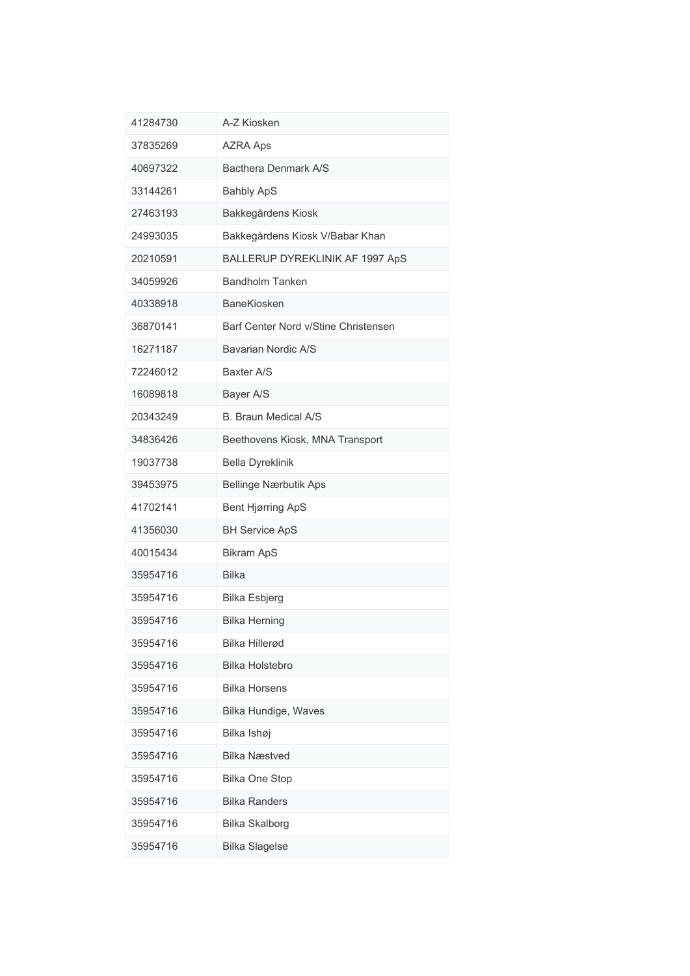| 41284730 | A-Z Kiosken                          |
|----------|--------------------------------------|
| 37835269 | <b>AZRA Aps</b>                      |
| 40697322 | Bacthera Denmark A/S                 |
| 33144261 | <b>Bahbly ApS</b>                    |
| 27463193 | Bakkegårdens Kiosk                   |
| 24993035 | Bakkegårdens Kiosk V/Babar Khan      |
| 20210591 | BALLERUP DYREKLINIK AF 1997 ApS      |
| 34059926 | <b>Bandholm Tanken</b>               |
| 40338918 | <b>BaneKiosken</b>                   |
| 36870141 | Barf Center Nord v/Stine Christensen |
| 16271187 | Bavarian Nordic A/S                  |
| 72246012 | Baxter A/S                           |
| 16089818 | Bayer A/S                            |
| 20343249 | <b>B. Braun Medical A/S</b>          |
| 34836426 | Beethovens Kiosk, MNA Transport      |
| 19037738 | <b>Bella Dyreklinik</b>              |
| 39453975 | <b>Bellinge Nærbutik Aps</b>         |
| 41702141 | <b>Bent Hjørring ApS</b>             |
| 41356030 | <b>BH Service ApS</b>                |
| 40015434 | <b>Bikram ApS</b>                    |
| 35954716 | <b>Bilka</b>                         |
| 35954716 | <b>Bilka Esbjerg</b>                 |
| 35954716 | <b>Bilka Herning</b>                 |
| 35954716 | <b>Bilka Hillerød</b>                |
| 35954716 | <b>Bilka Holstebro</b>               |
| 35954716 | <b>Bilka Horsens</b>                 |
| 35954716 | Bilka Hundige, Waves                 |
| 35954716 | Bilka Ishøj                          |
| 35954716 | <b>Bilka Næstved</b>                 |
| 35954716 | <b>Bilka One Stop</b>                |
| 35954716 | <b>Bilka Randers</b>                 |
| 35954716 | <b>Bilka Skalborg</b>                |
| 35954716 | <b>Bilka Slagelse</b>                |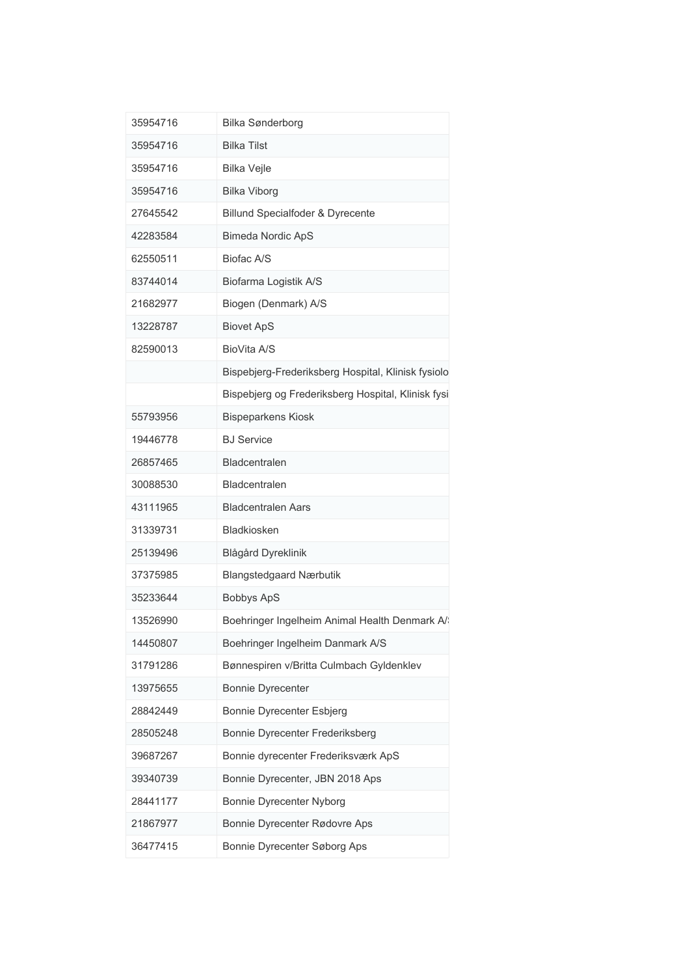| 35954716 | <b>Bilka Sønderborg</b>                            |
|----------|----------------------------------------------------|
| 35954716 | <b>Bilka Tilst</b>                                 |
| 35954716 | <b>Bilka Vejle</b>                                 |
| 35954716 | <b>Bilka Viborg</b>                                |
| 27645542 | Billund Specialfoder & Dyrecente                   |
| 42283584 | <b>Bimeda Nordic ApS</b>                           |
| 62550511 | Biofac A/S                                         |
| 83744014 | Biofarma Logistik A/S                              |
| 21682977 | Biogen (Denmark) A/S                               |
| 13228787 | <b>Biovet ApS</b>                                  |
| 82590013 | BioVita A/S                                        |
|          | Bispebjerg-Frederiksberg Hospital, Klinisk fysiolo |
|          | Bispebjerg og Frederiksberg Hospital, Klinisk fysi |
| 55793956 | <b>Bispeparkens Kiosk</b>                          |
| 19446778 | <b>BJ</b> Service                                  |
| 26857465 | Bladcentralen                                      |
| 30088530 | Bladcentralen                                      |
| 43111965 | <b>Bladcentralen Aars</b>                          |
| 31339731 | <b>Bladkiosken</b>                                 |
| 25139496 | Blågård Dyreklinik                                 |
| 37375985 | <b>Blangstedgaard Nærbutik</b>                     |
| 35233644 | <b>Bobbys ApS</b>                                  |
| 13526990 | Boehringer Ingelheim Animal Health Denmark A/      |
| 14450807 | Boehringer Ingelheim Danmark A/S                   |
| 31791286 | Bønnespiren v/Britta Culmbach Gyldenklev           |
| 13975655 | <b>Bonnie Dyrecenter</b>                           |
| 28842449 | Bonnie Dyrecenter Esbjerg                          |
| 28505248 | Bonnie Dyrecenter Frederiksberg                    |
| 39687267 | Bonnie dyrecenter Frederiksværk ApS                |
| 39340739 | Bonnie Dyrecenter, JBN 2018 Aps                    |
| 28441177 | Bonnie Dyrecenter Nyborg                           |
| 21867977 | Bonnie Dyrecenter Rødovre Aps                      |
| 36477415 | Bonnie Dyrecenter Søborg Aps                       |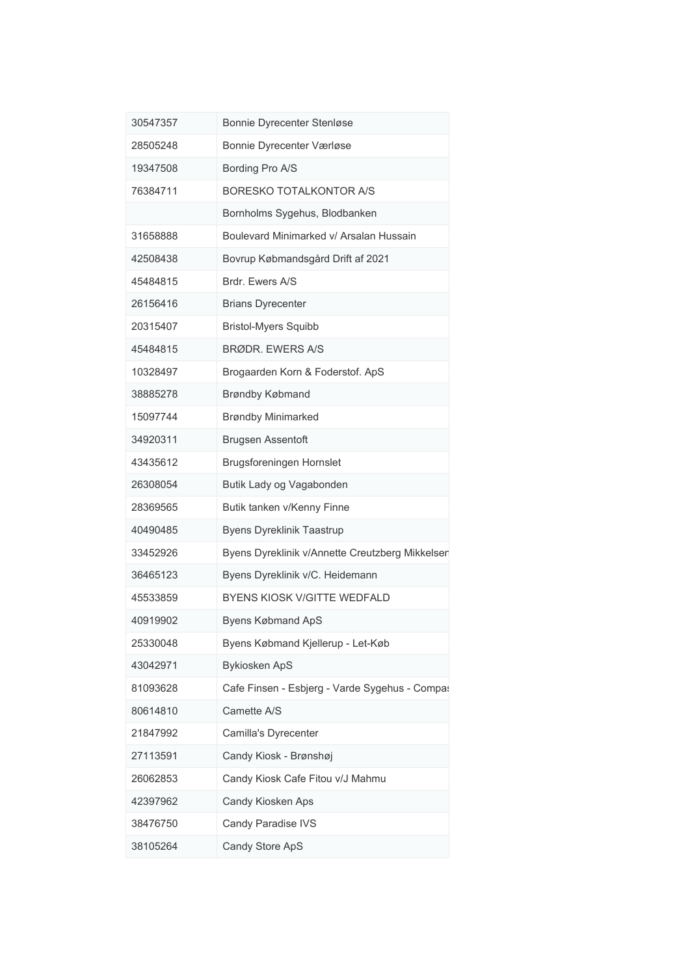| 30547357 | Bonnie Dyrecenter Stenløse                      |
|----------|-------------------------------------------------|
| 28505248 | Bonnie Dyrecenter Værløse                       |
| 19347508 | Bording Pro A/S                                 |
| 76384711 | <b>BORESKO TOTALKONTOR A/S</b>                  |
|          | Bornholms Sygehus, Blodbanken                   |
| 31658888 | Boulevard Minimarked v/ Arsalan Hussain         |
| 42508438 | Bovrup Købmandsgård Drift af 2021               |
| 45484815 | Brdr. Ewers A/S                                 |
| 26156416 | <b>Brians Dyrecenter</b>                        |
| 20315407 | <b>Bristol-Myers Squibb</b>                     |
| 45484815 | <b>BRØDR, EWERS A/S</b>                         |
| 10328497 | Brogaarden Korn & Foderstof. ApS                |
| 38885278 | Brøndby Købmand                                 |
| 15097744 | <b>Brøndby Minimarked</b>                       |
| 34920311 | Brugsen Assentoft                               |
| 43435612 | Brugsforeningen Hornslet                        |
| 26308054 | Butik Lady og Vagabonden                        |
| 28369565 | Butik tanken v/Kenny Finne                      |
| 40490485 | <b>Byens Dyreklinik Taastrup</b>                |
| 33452926 | Byens Dyreklinik v/Annette Creutzberg Mikkelser |
| 36465123 | Byens Dyreklinik v/C. Heidemann                 |
| 45533859 | BYENS KIOSK V/GITTE WEDFALD                     |
| 40919902 | <b>Byens Købmand ApS</b>                        |
| 25330048 | Byens Købmand Kjellerup - Let-Køb               |
| 43042971 | <b>Bykiosken ApS</b>                            |
| 81093628 | Cafe Finsen - Esbjerg - Varde Sygehus - Compas  |
| 80614810 | Camette A/S                                     |
| 21847992 | Camilla's Dyrecenter                            |
| 27113591 | Candy Kiosk - Brønshøj                          |
| 26062853 | Candy Kiosk Cafe Fitou v/J Mahmu                |
| 42397962 | Candy Kiosken Aps                               |
| 38476750 | Candy Paradise IVS                              |
| 38105264 | Candy Store ApS                                 |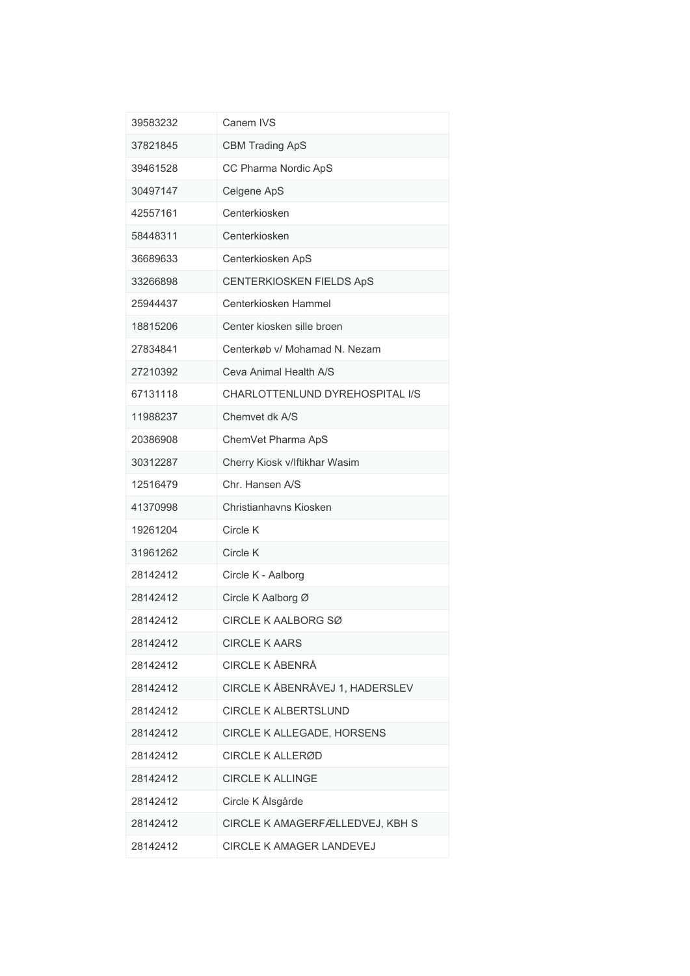| 39583232 | Canem IVS                       |
|----------|---------------------------------|
| 37821845 | <b>CBM Trading ApS</b>          |
| 39461528 | CC Pharma Nordic ApS            |
| 30497147 | Celgene ApS                     |
| 42557161 | Centerkiosken                   |
| 58448311 | Centerkiosken                   |
| 36689633 | Centerkiosken ApS               |
| 33266898 | CENTERKIOSKEN FIELDS ApS        |
| 25944437 | Centerkiosken Hammel            |
| 18815206 | Center kiosken sille broen      |
| 27834841 | Centerkøb v/ Mohamad N. Nezam   |
| 27210392 | Ceva Animal Health A/S          |
| 67131118 | CHARLOTTENLUND DYREHOSPITAL I/S |
| 11988237 | Chemvet dk A/S                  |
| 20386908 | ChemVet Pharma ApS              |
| 30312287 | Cherry Kiosk v/lftikhar Wasim   |
| 12516479 | Chr. Hansen A/S                 |
| 41370998 | Christianhavns Kiosken          |
| 19261204 | Circle K                        |
| 31961262 | Circle K                        |
| 28142412 | Circle K - Aalborg              |
| 28142412 | Circle K Aalborg Ø              |
| 28142412 | CIRCLE K AALBORG SØ             |
| 28142412 | <b>CIRCLE K AARS</b>            |
| 28142412 | <b>CIRCLE K ÅBENRÅ</b>          |
| 28142412 | CIRCLE K ÅBENRÅVEJ 1, HADERSLEV |
| 28142412 | <b>CIRCLE K ALBERTSLUND</b>     |
| 28142412 | CIRCLE K ALLEGADE, HORSENS      |
| 28142412 | <b>CIRCLE K ALLERØD</b>         |
| 28142412 | <b>CIRCLE K ALLINGE</b>         |
| 28142412 | Circle K Ålsgårde               |
| 28142412 | CIRCLE K AMAGERFÆLLEDVEJ, KBH S |
| 28142412 | CIRCLE K AMAGER LANDEVEJ        |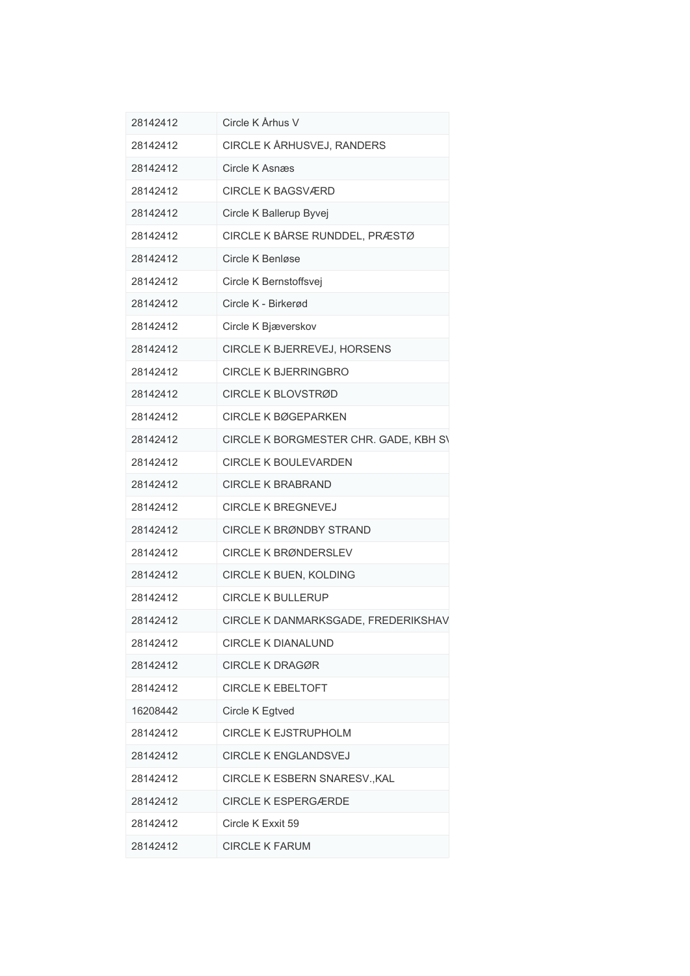| 28142412 | Circle K Århus V                      |
|----------|---------------------------------------|
| 28142412 | CIRCLE K ÅRHUSVEJ, RANDERS            |
| 28142412 | Circle K Asnæs                        |
| 28142412 | <b>CIRCLE K BAGSVÆRD</b>              |
| 28142412 | Circle K Ballerup Byvej               |
| 28142412 | CIRCLE K BÅRSE RUNDDEL, PRÆSTØ        |
| 28142412 | Circle K Benløse                      |
| 28142412 | Circle K Bernstoffsvej                |
| 28142412 | Circle K - Birkerød                   |
| 28142412 | Circle K Bjæverskov                   |
| 28142412 | CIRCLE K BJERREVEJ, HORSENS           |
| 28142412 | <b>CIRCLE K BJERRINGBRO</b>           |
| 28142412 | CIRCLE K BLOVSTRØD                    |
| 28142412 | <b>CIRCLE K BØGEPARKEN</b>            |
| 28142412 | CIRCLE K BORGMESTER CHR. GADE, KBH SV |
| 28142412 | <b>CIRCLE K BOULEVARDEN</b>           |
| 28142412 | <b>CIRCLE K BRABRAND</b>              |
| 28142412 | <b>CIRCLE K BREGNEVEJ</b>             |
| 28142412 | <b>CIRCLE K BRØNDBY STRAND</b>        |
| 28142412 | <b>CIRCLE K BRØNDERSLEV</b>           |
| 28142412 | CIRCLE K BUEN, KOLDING                |
| 28142412 | <b>CIRCLE K BULLERUP</b>              |
| 28142412 | CIRCLE K DANMARKSGADE, FREDERIKSHAV   |
| 28142412 | <b>CIRCLE K DIANALUND</b>             |
| 28142412 | <b>CIRCLE K DRAGØR</b>                |
| 28142412 | <b>CIRCLE K EBELTOFT</b>              |
| 16208442 | Circle K Egtved                       |
| 28142412 | <b>CIRCLE K EJSTRUPHOLM</b>           |
| 28142412 | <b>CIRCLE K ENGLANDSVEJ</b>           |
| 28142412 | CIRCLE K ESBERN SNARESV., KAL         |
| 28142412 | <b>CIRCLE K ESPERGÆRDE</b>            |
| 28142412 | Circle K Exxit 59                     |
| 28142412 | <b>CIRCLE K FARUM</b>                 |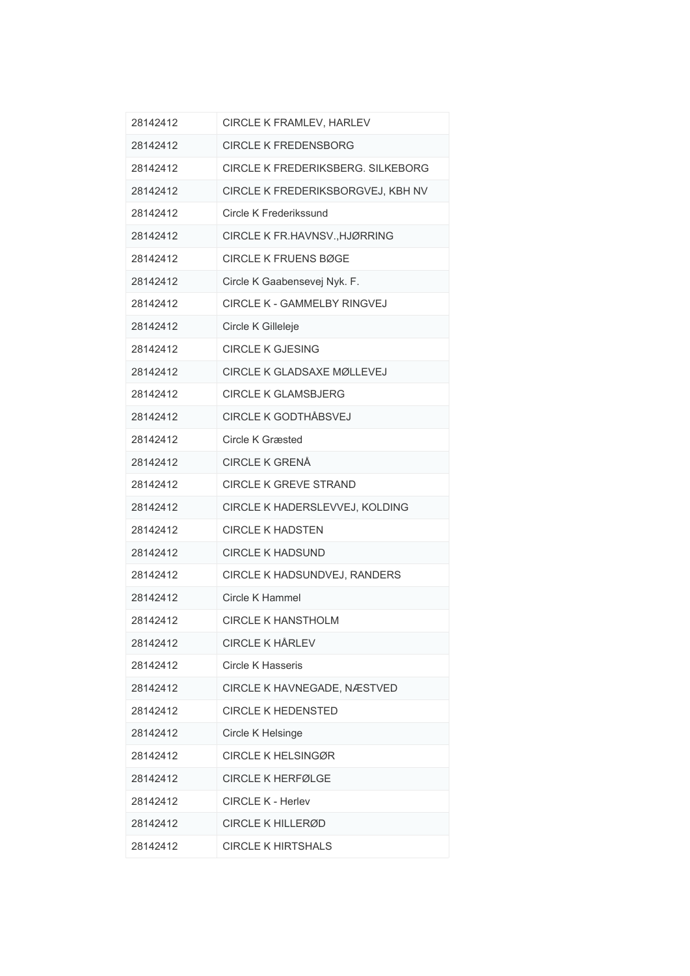| 28142412 | CIRCLE K FRAMLEV, HARLEV                 |
|----------|------------------------------------------|
| 28142412 | <b>CIRCLE K FREDENSBORG</b>              |
| 28142412 | <b>CIRCLE K FREDERIKSBERG, SILKEBORG</b> |
| 28142412 | CIRCLE K FREDERIKSBORGVEJ, KBH NV        |
| 28142412 | Circle K Frederikssund                   |
| 28142412 | CIRCLE K FR.HAVNSV., HJØRRING            |
| 28142412 | <b>CIRCLE K FRUENS BØGE</b>              |
| 28142412 | Circle K Gaabensevej Nyk. F.             |
| 28142412 | CIRCLE K - GAMMELBY RINGVEJ              |
| 28142412 | Circle K Gilleleje                       |
| 28142412 | <b>CIRCLE K GJESING</b>                  |
| 28142412 | CIRCLE K GLADSAXE MØLLEVEJ               |
| 28142412 | <b>CIRCLE K GLAMSBJERG</b>               |
| 28142412 | <b>CIRCLE K GODTHÅBSVEJ</b>              |
| 28142412 | Circle K Græsted                         |
| 28142412 | <b>CIRCLE K GRENÅ</b>                    |
| 28142412 | <b>CIRCLE K GREVE STRAND</b>             |
| 28142412 | CIRCLE K HADERSLEVVEJ, KOLDING           |
| 28142412 | <b>CIRCLE K HADSTEN</b>                  |
| 28142412 | <b>CIRCLE K HADSUND</b>                  |
| 28142412 | CIRCLE K HADSUNDVEJ, RANDERS             |
| 28142412 | Circle K Hammel                          |
| 28142412 | <b>CIRCLE K HANSTHOLM</b>                |
| 28142412 | <b>CIRCLE K HÅRLEV</b>                   |
| 28142412 | Circle K Hasseris                        |
| 28142412 | CIRCLE K HAVNEGADE, NÆSTVED              |
| 28142412 | <b>CIRCLE K HEDENSTED</b>                |
| 28142412 | Circle K Helsinge                        |
| 28142412 | <b>CIRCLE K HELSINGØR</b>                |
| 28142412 | <b>CIRCLE K HERFØLGE</b>                 |
| 28142412 | <b>CIRCLE K - Herlev</b>                 |
| 28142412 | <b>CIRCLE K HILLERØD</b>                 |
| 28142412 | <b>CIRCLE K HIRTSHALS</b>                |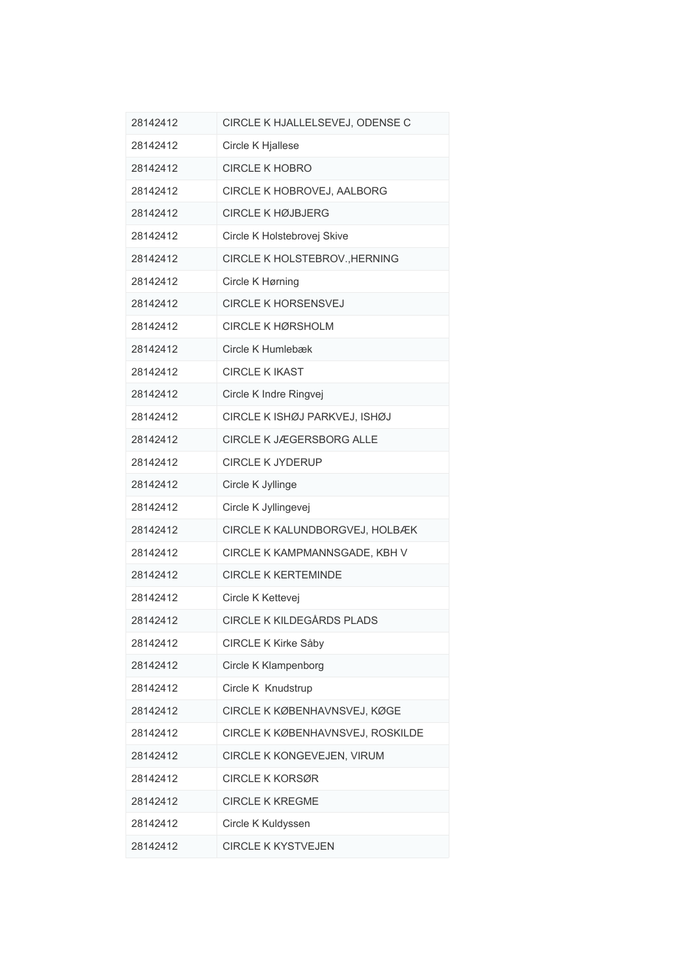| 28142412 | CIRCLE K HJALLELSEVEJ, ODENSE C  |
|----------|----------------------------------|
| 28142412 | Circle K Hjallese                |
| 28142412 | <b>CIRCLE K HOBRO</b>            |
| 28142412 | CIRCLE K HOBROVEJ, AALBORG       |
| 28142412 | <b>CIRCLE K HØJBJERG</b>         |
| 28142412 | Circle K Holstebrovej Skive      |
| 28142412 | CIRCLE K HOLSTEBROV., HERNING    |
| 28142412 | Circle K Hørning                 |
| 28142412 | <b>CIRCLE K HORSENSVEJ</b>       |
| 28142412 | <b>CIRCLE K HØRSHOLM</b>         |
| 28142412 | Circle K Humlebæk                |
| 28142412 | <b>CIRCLE K IKAST</b>            |
| 28142412 | Circle K Indre Ringvej           |
| 28142412 | CIRCLE K ISHØJ PARKVEJ, ISHØJ    |
| 28142412 | <b>CIRCLE K JÆGERSBORG ALLE</b>  |
| 28142412 | <b>CIRCLE K JYDERUP</b>          |
| 28142412 | Circle K Jyllinge                |
| 28142412 | Circle K Jyllingevej             |
| 28142412 | CIRCLE K KALUNDBORGVEJ, HOLBÆK   |
| 28142412 | CIRCLE K KAMPMANNSGADE, KBH V    |
| 28142412 | <b>CIRCLE K KERTEMINDE</b>       |
| 28142412 | Circle K Kettevej                |
| 28142412 | <b>CIRCLE K KILDEGÅRDS PLADS</b> |
| 28142412 | CIRCLE K Kirke Såby              |
| 28142412 | Circle K Klampenborg             |
| 28142412 | Circle K Knudstrup               |
| 28142412 | CIRCLE K KØBENHAVNSVEJ, KØGE     |
| 28142412 | CIRCLE K KØBENHAVNSVEJ, ROSKILDE |
| 28142412 | CIRCLE K KONGEVEJEN, VIRUM       |
| 28142412 | <b>CIRCLE K KORSØR</b>           |
| 28142412 | <b>CIRCLE K KREGME</b>           |
| 28142412 | Circle K Kuldyssen               |
| 28142412 | <b>CIRCLE K KYSTVEJEN</b>        |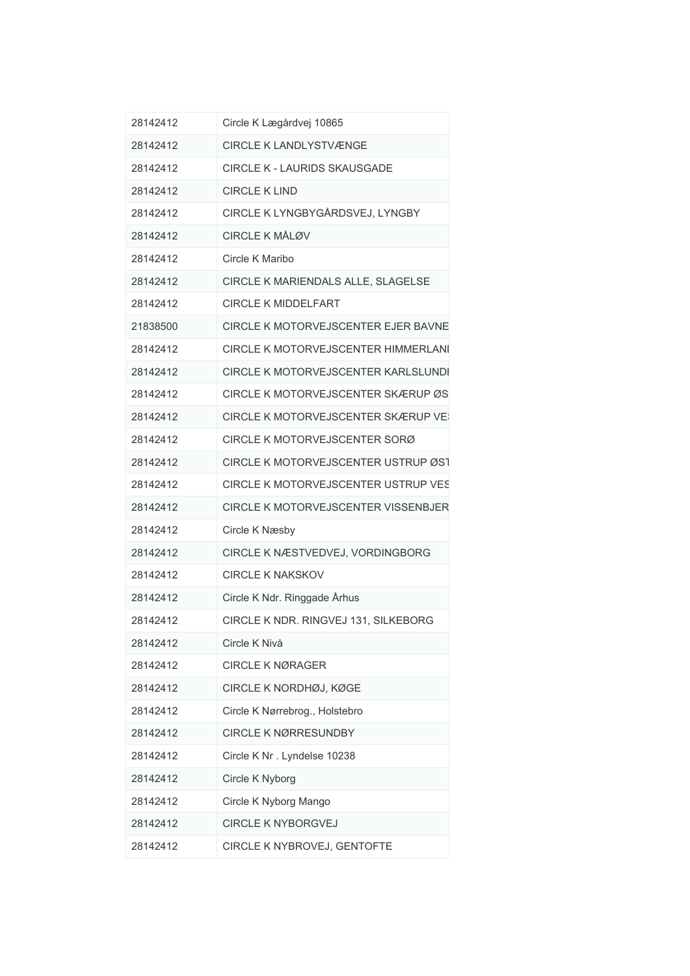| 28142412 | Circle K Lægårdvej 10865                  |
|----------|-------------------------------------------|
| 28142412 | <b>CIRCLE K LANDLYSTVÆNGE</b>             |
| 28142412 | <b>CIRCLE K - LAURIDS SKAUSGADE</b>       |
| 28142412 | <b>CIRCLE K LIND</b>                      |
| 28142412 | CIRCLE K LYNGBYGÅRDSVEJ, LYNGBY           |
| 28142412 | <b>CIRCLE K MÅLØV</b>                     |
| 28142412 | Circle K Maribo                           |
| 28142412 | CIRCLE K MARIENDALS ALLE, SLAGELSE        |
| 28142412 | <b>CIRCLE K MIDDELFART</b>                |
| 21838500 | CIRCLE K MOTORVEJSCENTER EJER BAVNE       |
| 28142412 | CIRCLE K MOTORVEJSCENTER HIMMERLANI       |
| 28142412 | CIRCLE K MOTORVEJSCENTER KARLSLUNDI       |
| 28142412 | CIRCLE K MOTORVEJSCENTER SKÆRUP ØS        |
| 28142412 | <b>CIRCLE K MOTORVEJSCENTER SKÆRUP VE</b> |
| 28142412 | CIRCLE K MOTORVEJSCENTER SORØ             |
| 28142412 | CIRCLE K MOTORVEJSCENTER USTRUP ØST       |
| 28142412 | CIRCLE K MOTORVEJSCENTER USTRUP VES       |
| 28142412 | CIRCLE K MOTORVEJSCENTER VISSENBJER       |
| 28142412 | Circle K Næsby                            |
| 28142412 | CIRCLE K NÆSTVEDVEJ, VORDINGBORG          |
| 28142412 | <b>CIRCLE K NAKSKOV</b>                   |
| 28142412 | Circle K Ndr. Ringgade Århus              |
| 28142412 | CIRCLE K NDR. RINGVEJ 131, SILKEBORG      |
| 28142412 | Circle K Nivå                             |
| 28142412 | <b>CIRCLE K NØRAGER</b>                   |
| 28142412 | CIRCLE K NORDHØJ, KØGE                    |
| 28142412 | Circle K Nørrebrog., Holstebro            |
| 28142412 | <b>CIRCLE K NØRRESUNDBY</b>               |
| 28142412 | Circle K Nr . Lyndelse 10238              |
| 28142412 | Circle K Nyborg                           |
| 28142412 | Circle K Nyborg Mango                     |
| 28142412 | <b>CIRCLE K NYBORGVEJ</b>                 |
| 28142412 | CIRCLE K NYBROVEJ, GENTOFTE               |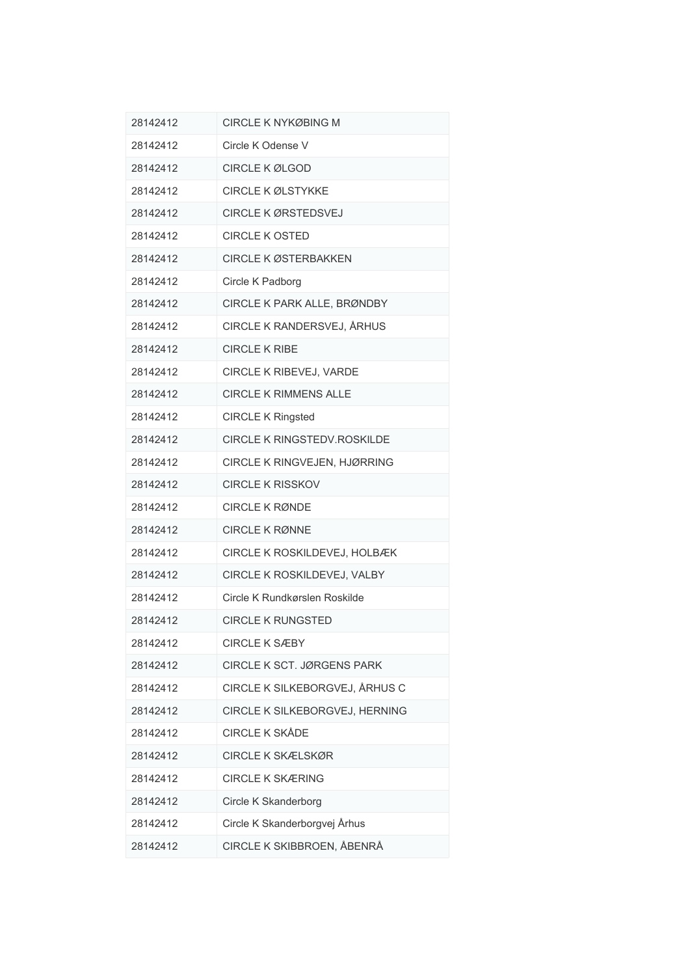| 28142412 | <b>CIRCLE K NYKØBING M</b>         |
|----------|------------------------------------|
| 28142412 | Circle K Odense V                  |
| 28142412 | <b>CIRCLE KØLGOD</b>               |
| 28142412 | <b>CIRCLE K ØLSTYKKE</b>           |
| 28142412 | <b>CIRCLE K ØRSTEDSVEJ</b>         |
| 28142412 | <b>CIRCLE K OSTED</b>              |
| 28142412 | <b>CIRCLE K ØSTERBAKKEN</b>        |
| 28142412 | Circle K Padborg                   |
| 28142412 | CIRCLE K PARK ALLE, BRØNDBY        |
| 28142412 | CIRCLE K RANDERSVEJ, ÅRHUS         |
| 28142412 | CIRCI F K RIBE                     |
| 28142412 | CIRCLE K RIBEVEJ, VARDE            |
| 28142412 | <b>CIRCLE K RIMMENS ALLE</b>       |
| 28142412 | <b>CIRCLE K Ringsted</b>           |
| 28142412 | <b>CIRCLE K RINGSTEDV.ROSKILDE</b> |
| 28142412 | CIRCLE K RINGVEJEN, HJØRRING       |
| 28142412 | <b>CIRCLE K RISSKOV</b>            |
| 28142412 | <b>CIRCLE K RØNDE</b>              |
| 28142412 | <b>CIRCLE K RØNNE</b>              |
| 28142412 | CIRCLE K ROSKILDEVEJ, HOLBÆK       |
| 28142412 | CIRCLE K ROSKILDEVEJ, VALBY        |
| 28142412 | Circle K Rundkørslen Roskilde      |
| 28142412 | <b>CIRCLE K RUNGSTED</b>           |
| 28142412 | <b>CIRCLE K SÆBY</b>               |
| 28142412 | CIRCLE K SCT. JØRGENS PARK         |
| 28142412 | CIRCLE K SILKEBORGVEJ, ÅRHUS C     |
| 28142412 | CIRCLE K SILKEBORGVEJ, HERNING     |
| 28142412 | <b>CIRCLE K SKÅDE</b>              |
| 28142412 | <b>CIRCLE K SKÆLSKØR</b>           |
| 28142412 | <b>CIRCLE K SKÆRING</b>            |
| 28142412 | Circle K Skanderborg               |
| 28142412 | Circle K Skanderborgvej Århus      |
| 28142412 | CIRCLE K SKIBBROEN, ÅBENRÅ         |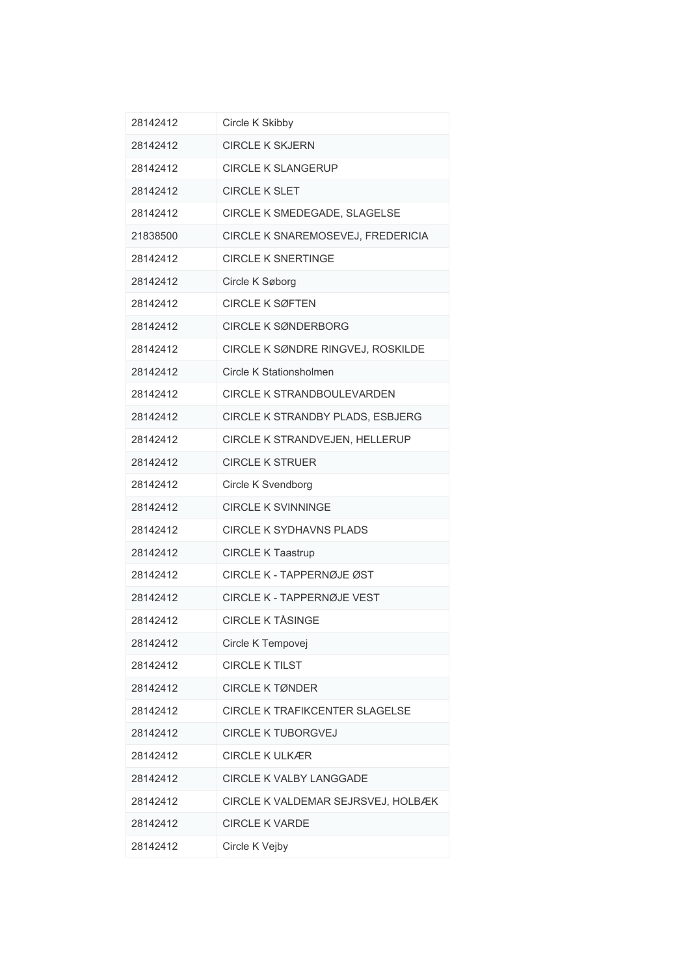| 28142412 | Circle K Skibby                       |
|----------|---------------------------------------|
| 28142412 | <b>CIRCLE K SKJERN</b>                |
| 28142412 | <b>CIRCLE K SLANGERUP</b>             |
| 28142412 | <b>CIRCLE K SLET</b>                  |
| 28142412 | CIRCLE K SMEDEGADE, SLAGELSE          |
| 21838500 | CIRCLE K SNAREMOSEVEJ, FREDERICIA     |
| 28142412 | <b>CIRCLE K SNERTINGE</b>             |
| 28142412 | Circle K Søborg                       |
| 28142412 | <b>CIRCLE K SØFTEN</b>                |
| 28142412 | <b>CIRCLE K SØNDERBORG</b>            |
| 28142412 | CIRCLE K SØNDRE RINGVEJ, ROSKILDE     |
| 28142412 | Circle K Stationsholmen               |
| 28142412 | CIRCLE K STRANDBOULEVARDEN            |
| 28142412 | CIRCLE K STRANDBY PLADS, ESBJERG      |
| 28142412 | CIRCLE K STRANDVEJEN, HELLERUP        |
| 28142412 | <b>CIRCLE K STRUER</b>                |
| 28142412 | Circle K Svendborg                    |
| 28142412 | <b>CIRCLE K SVINNINGE</b>             |
| 28142412 | <b>CIRCLE K SYDHAVNS PLADS</b>        |
| 28142412 | <b>CIRCLE K Taastrup</b>              |
| 28142412 | CIRCLE K - TAPPERNØJE ØST             |
| 28142412 | CIRCLE K - TAPPERNØJE VEST            |
| 28142412 | <b>CIRCLE K TÅSINGE</b>               |
| 28142412 | Circle K Tempovej                     |
| 28142412 | <b>CIRCLE K TILST</b>                 |
| 28142412 | <b>CIRCLE K TØNDER</b>                |
| 28142412 | <b>CIRCLE K TRAFIKCENTER SLAGELSE</b> |
| 28142412 | <b>CIRCLE K TUBORGVEJ</b>             |
| 28142412 | <b>CIRCLE K ULKÆR</b>                 |
| 28142412 | <b>CIRCLE K VALBY LANGGADE</b>        |
| 28142412 | CIRCLE K VALDEMAR SEJRSVEJ, HOLBÆK    |
| 28142412 | <b>CIRCLE K VARDE</b>                 |
| 28142412 | Circle K Vejby                        |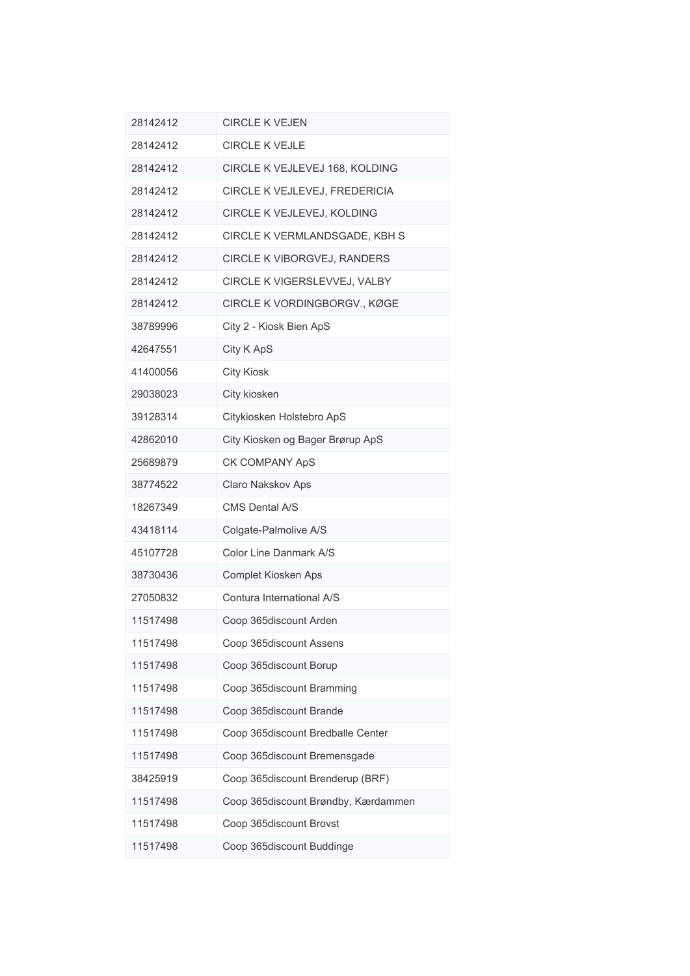| 28142412 | <b>CIRCLE K VEJEN</b>               |
|----------|-------------------------------------|
| 28142412 | <b>CIRCLE K VEJLE</b>               |
| 28142412 | CIRCLE K VEJLEVEJ 168, KOLDING      |
| 28142412 | CIRCLE K VEJLEVEJ, FREDERICIA       |
| 28142412 | CIRCLE K VEJLEVEJ, KOLDING          |
| 28142412 | CIRCLE K VERMLANDSGADE, KBH S       |
| 28142412 | CIRCLE K VIBORGVEJ, RANDERS         |
| 28142412 | CIRCLE K VIGERSLEVVEJ, VALBY        |
| 28142412 | CIRCLE K VORDINGBORGV., KØGE        |
| 38789996 | City 2 - Kiosk Bien ApS             |
| 42647551 | City K ApS                          |
| 41400056 | <b>City Kiosk</b>                   |
| 29038023 | City kiosken                        |
| 39128314 | Citykiosken Holstebro ApS           |
| 42862010 | City Kiosken og Bager Brørup ApS    |
| 25689879 | CK COMPANY ApS                      |
| 38774522 | Claro Nakskov Aps                   |
| 18267349 | <b>CMS Dental A/S</b>               |
| 43418114 | Colgate-Palmolive A/S               |
| 45107728 | Color Line Danmark A/S              |
| 38730436 | Complet Kiosken Aps                 |
| 27050832 | Contura International A/S           |
| 11517498 | Coop 365discount Arden              |
| 11517498 | Coop 365discount Assens             |
| 11517498 | Coop 365discount Borup              |
| 11517498 | Coop 365discount Bramming           |
| 11517498 | Coop 365discount Brande             |
| 11517498 | Coop 365discount Bredballe Center   |
| 11517498 | Coop 365discount Bremensgade        |
| 38425919 | Coop 365discount Brenderup (BRF)    |
| 11517498 | Coop 365discount Brøndby, Kærdammen |
| 11517498 | Coop 365discount Brovst             |
| 11517498 | Coop 365discount Buddinge           |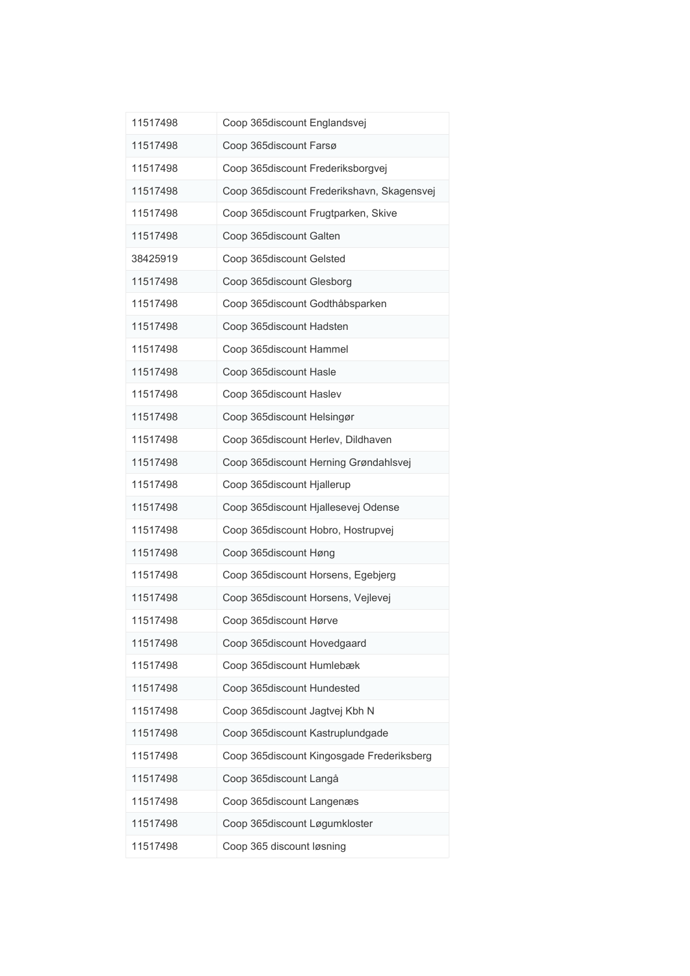| 11517498 | Coop 365discount Englandsvej               |
|----------|--------------------------------------------|
| 11517498 | Coop 365discount Farsø                     |
| 11517498 | Coop 365discount Frederiksborgvej          |
| 11517498 | Coop 365discount Frederikshavn, Skagensvej |
| 11517498 | Coop 365discount Frugtparken, Skive        |
| 11517498 | Coop 365discount Galten                    |
| 38425919 | Coop 365discount Gelsted                   |
| 11517498 | Coop 365discount Glesborg                  |
| 11517498 | Coop 365discount Godthåbsparken            |
| 11517498 | Coop 365discount Hadsten                   |
| 11517498 | Coop 365discount Hammel                    |
| 11517498 | Coop 365discount Hasle                     |
| 11517498 | Coop 365discount Haslev                    |
| 11517498 | Coop 365discount Helsingør                 |
| 11517498 | Coop 365discount Herlev, Dildhaven         |
| 11517498 | Coop 365discount Herning Grøndahlsvej      |
| 11517498 | Coop 365discount Hjallerup                 |
| 11517498 | Coop 365discount Hjallesevej Odense        |
| 11517498 | Coop 365discount Hobro, Hostrupvej         |
| 11517498 | Coop 365discount Høng                      |
| 11517498 | Coop 365discount Horsens, Egebjerg         |
| 11517498 | Coop 365discount Horsens, Vejlevej         |
| 11517498 | Coop 365discount Hørve                     |
| 11517498 | Coop 365discount Hovedgaard                |
| 11517498 | Coop 365discount Humlebæk                  |
| 11517498 | Coop 365discount Hundested                 |
| 11517498 | Coop 365discount Jagtvej Kbh N             |
| 11517498 | Coop 365discount Kastruplundgade           |
| 11517498 | Coop 365discount Kingosgade Frederiksberg  |
| 11517498 | Coop 365discount Langå                     |
| 11517498 | Coop 365discount Langenæs                  |
| 11517498 | Coop 365discount Løgumkloster              |
| 11517498 | Coop 365 discount løsning                  |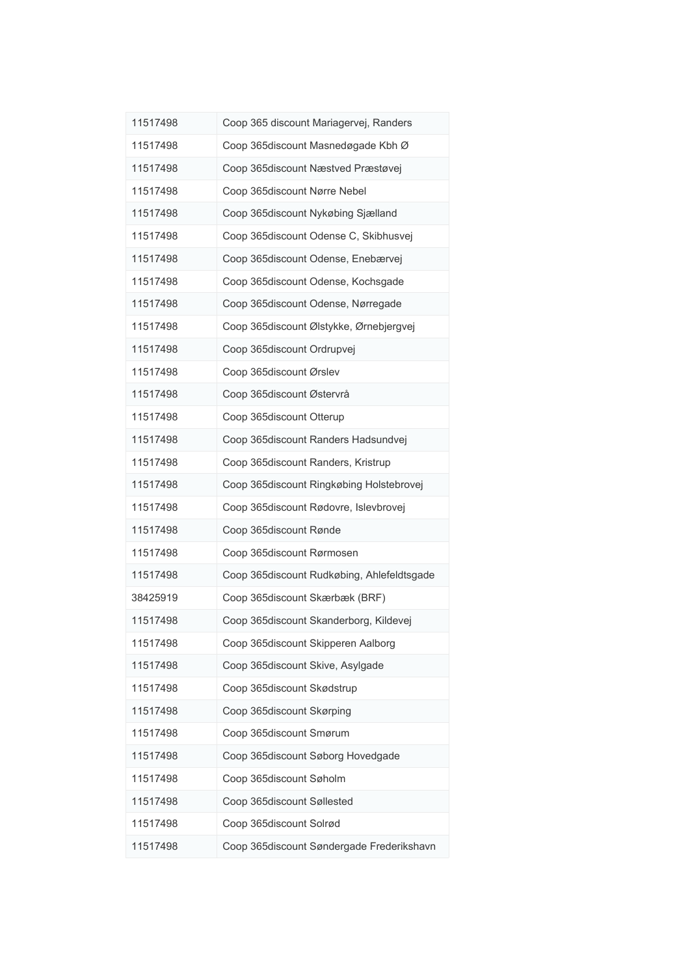| 11517498 | Coop 365 discount Mariagervej, Randers     |
|----------|--------------------------------------------|
| 11517498 | Coop 365discount Masnedøgade Kbh Ø         |
| 11517498 | Coop 365 discount Næstved Præstøvej        |
| 11517498 | Coop 365discount Nørre Nebel               |
| 11517498 | Coop 365discount Nykøbing Sjælland         |
| 11517498 | Coop 365discount Odense C, Skibhusvej      |
| 11517498 | Coop 365discount Odense, Enebærvej         |
| 11517498 | Coop 365discount Odense, Kochsgade         |
| 11517498 | Coop 365 discount Odense, Nørregade        |
| 11517498 | Coop 365discount Ølstykke, Ørnebjergvej    |
| 11517498 | Coop 365discount Ordrupvej                 |
| 11517498 | Coop 365discount Ørslev                    |
| 11517498 | Coop 365discount Østervrå                  |
| 11517498 | Coop 365discount Otterup                   |
| 11517498 | Coop 365discount Randers Hadsundvej        |
| 11517498 | Coop 365discount Randers, Kristrup         |
| 11517498 | Coop 365discount Ringkøbing Holstebrovej   |
| 11517498 | Coop 365discount Rødovre, Islevbrovej      |
| 11517498 | Coop 365discount Rønde                     |
| 11517498 | Coop 365discount Rørmosen                  |
| 11517498 | Coop 365discount Rudkøbing, Ahlefeldtsgade |
| 38425919 | Coop 365discount Skærbæk (BRF)             |
| 11517498 | Coop 365discount Skanderborg, Kildevej     |
| 11517498 | Coop 365discount Skipperen Aalborg         |
| 11517498 | Coop 365discount Skive, Asylgade           |
| 11517498 | Coop 365discount Skødstrup                 |
| 11517498 | Coop 365discount Skørping                  |
| 11517498 | Coop 365discount Smørum                    |
| 11517498 | Coop 365discount Søborg Hovedgade          |
| 11517498 | Coop 365discount Søholm                    |
| 11517498 | Coop 365discount Søllested                 |
| 11517498 | Coop 365discount Solrød                    |
| 11517498 | Coop 365discount Søndergade Frederikshavn  |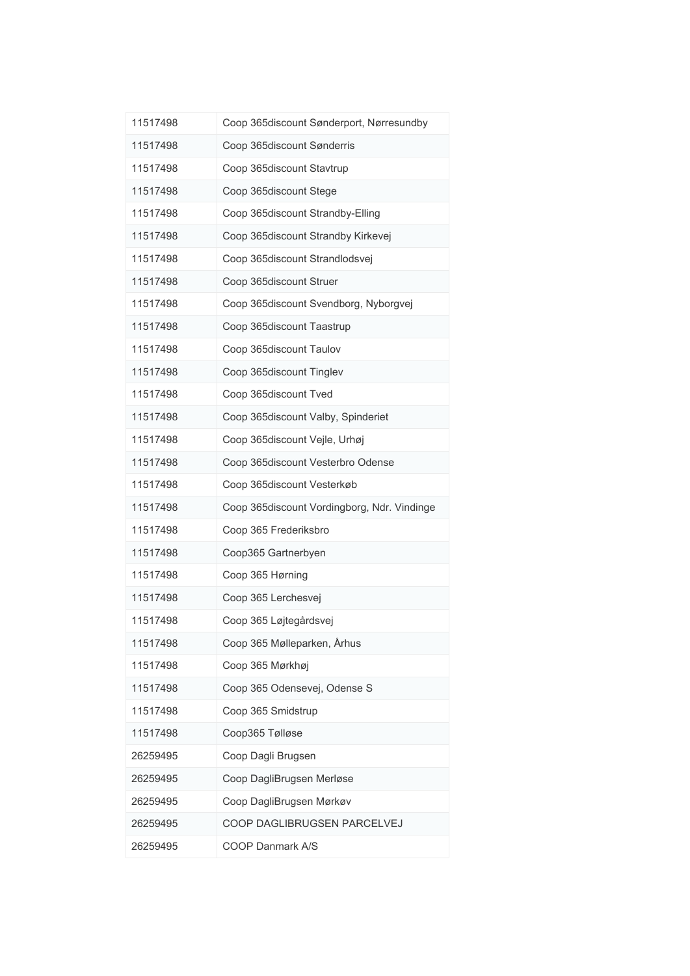| 11517498 | Coop 365discount Sønderport, Nørresundby    |
|----------|---------------------------------------------|
| 11517498 | Coop 365discount Sønderris                  |
| 11517498 | Coop 365discount Stavtrup                   |
| 11517498 | Coop 365discount Stege                      |
| 11517498 | Coop 365discount Strandby-Elling            |
| 11517498 | Coop 365discount Strandby Kirkevej          |
| 11517498 | Coop 365discount Strandlodsvej              |
| 11517498 | Coop 365discount Struer                     |
| 11517498 | Coop 365discount Svendborg, Nyborgvej       |
| 11517498 | Coop 365discount Taastrup                   |
| 11517498 | Coop 365discount Taulov                     |
| 11517498 | Coop 365discount Tinglev                    |
| 11517498 | Coop 365discount Tved                       |
| 11517498 | Coop 365discount Valby, Spinderiet          |
| 11517498 | Coop 365discount Vejle, Urhøj               |
| 11517498 | Coop 365discount Vesterbro Odense           |
| 11517498 | Coop 365discount Vesterkøb                  |
| 11517498 | Coop 365discount Vordingborg, Ndr. Vindinge |
| 11517498 | Coop 365 Frederiksbro                       |
| 11517498 | Coop365 Gartnerbyen                         |
| 11517498 | Coop 365 Hørning                            |
| 11517498 | Coop 365 Lerchesvej                         |
| 11517498 | Coop 365 Løjtegårdsvej                      |
| 11517498 | Coop 365 Mølleparken, Århus                 |
| 11517498 | Coop 365 Mørkhøj                            |
| 11517498 | Coop 365 Odensevej, Odense S                |
| 11517498 | Coop 365 Smidstrup                          |
| 11517498 | Coop365 Tølløse                             |
| 26259495 | Coop Dagli Brugsen                          |
| 26259495 | Coop DagliBrugsen Merløse                   |
| 26259495 | Coop DagliBrugsen Mørkøv                    |
| 26259495 | COOP DAGLIBRUGSEN PARCELVEJ                 |
| 26259495 | COOP Danmark A/S                            |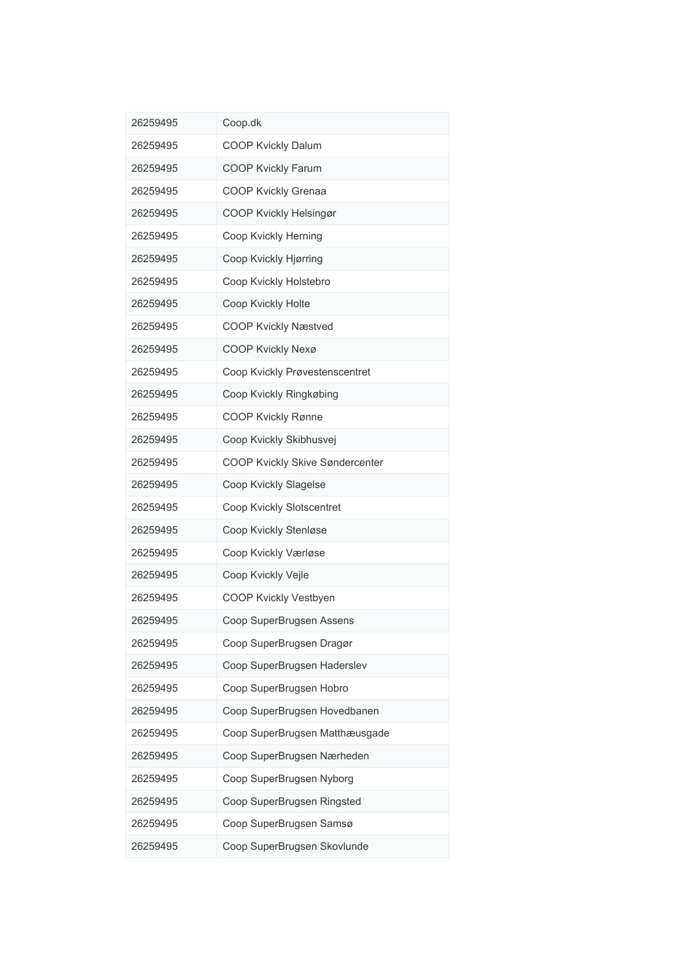| 26259495 | Coop.dk                         |
|----------|---------------------------------|
| 26259495 | <b>COOP Kvickly Dalum</b>       |
| 26259495 | COOP Kvickly Farum              |
| 26259495 | COOP Kvickly Grenaa             |
| 26259495 | COOP Kvickly Helsingør          |
| 26259495 | Coop Kvickly Herning            |
| 26259495 | Coop Kvickly Hjørring           |
| 26259495 | Coop Kvickly Holstebro          |
| 26259495 | Coop Kvickly Holte              |
| 26259495 | <b>COOP Kvickly Næstved</b>     |
| 26259495 | <b>COOP Kvickly Nexø</b>        |
| 26259495 | Coop Kvickly Prøvestenscentret  |
| 26259495 | Coop Kvickly Ringkøbing         |
| 26259495 | COOP Kvickly Rønne              |
| 26259495 | Coop Kvickly Skibhusvej         |
| 26259495 | COOP Kvickly Skive Søndercenter |
| 26259495 | Coop Kvickly Slagelse           |
| 26259495 | Coop Kvickly Slotscentret       |
| 26259495 | Coop Kvickly Stenløse           |
| 26259495 | Coop Kvickly Værløse            |
| 26259495 | Coop Kvickly Vejle              |
| 26259495 | COOP Kvickly Vestbyen           |
| 26259495 | Coop SuperBrugsen Assens        |
| 26259495 | Coop SuperBrugsen Dragør        |
| 26259495 | Coop SuperBrugsen Haderslev     |
| 26259495 | Coop SuperBrugsen Hobro         |
| 26259495 | Coop SuperBrugsen Hovedbanen    |
| 26259495 | Coop SuperBrugsen Matthæusgade  |
| 26259495 | Coop SuperBrugsen Nærheden      |
| 26259495 | Coop SuperBrugsen Nyborg        |
| 26259495 | Coop SuperBrugsen Ringsted      |
| 26259495 | Coop SuperBrugsen Samsø         |
| 26259495 | Coop SuperBrugsen Skovlunde     |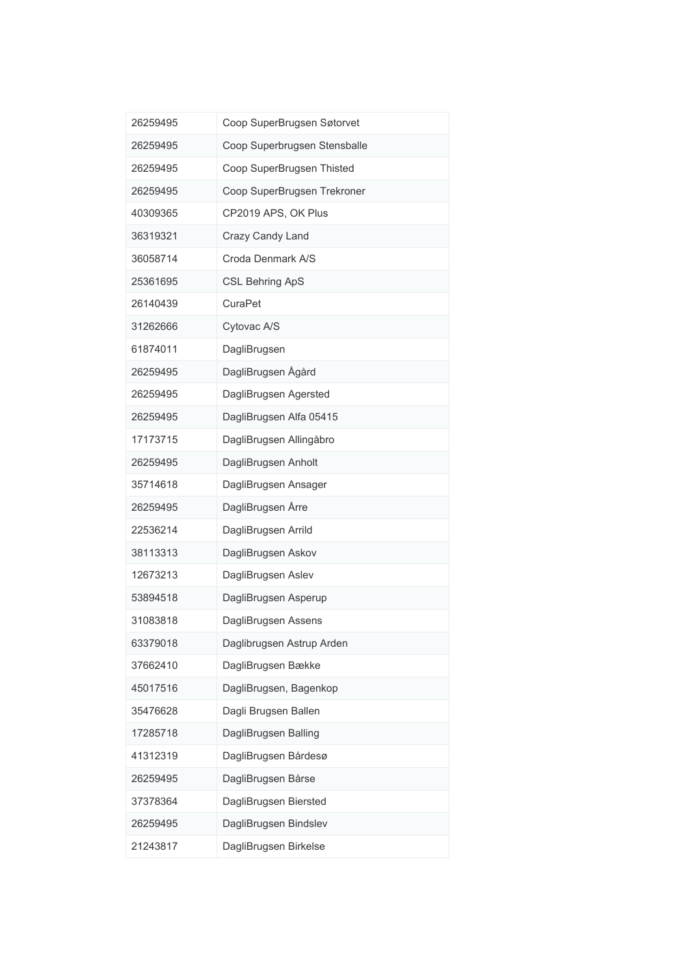| 26259495 | Coop SuperBrugsen Søtorvet   |
|----------|------------------------------|
| 26259495 | Coop Superbrugsen Stensballe |
| 26259495 | Coop SuperBrugsen Thisted    |
| 26259495 | Coop SuperBrugsen Trekroner  |
| 40309365 | CP2019 APS, OK Plus          |
| 36319321 | Crazy Candy Land             |
| 36058714 | Croda Denmark A/S            |
| 25361695 | <b>CSL Behring ApS</b>       |
| 26140439 | CuraPet                      |
| 31262666 | Cytovac A/S                  |
| 61874011 | DagliBrugsen                 |
| 26259495 | DagliBrugsen Ågård           |
| 26259495 | DagliBrugsen Agersted        |
| 26259495 | DagliBrugsen Alfa 05415      |
| 17173715 | DagliBrugsen Allingåbro      |
| 26259495 | DagliBrugsen Anholt          |
| 35714618 | DagliBrugsen Ansager         |
| 26259495 | DagliBrugsen Årre            |
| 22536214 | DagliBrugsen Arrild          |
| 38113313 | DagliBrugsen Askov           |
| 12673213 | DagliBrugsen Aslev           |
| 53894518 | DagliBrugsen Asperup         |
| 31083818 | DagliBrugsen Assens          |
| 63379018 | Daglibrugsen Astrup Arden    |
| 37662410 | DagliBrugsen Bække           |
| 45017516 | DagliBrugsen, Bagenkop       |
| 35476628 | Dagli Brugsen Ballen         |
| 17285718 | DagliBrugsen Balling         |
| 41312319 | DagliBrugsen Bårdesø         |
| 26259495 | DagliBrugsen Bårse           |
| 37378364 | DagliBrugsen Biersted        |
| 26259495 | DagliBrugsen Bindslev        |
| 21243817 | DagliBrugsen Birkelse        |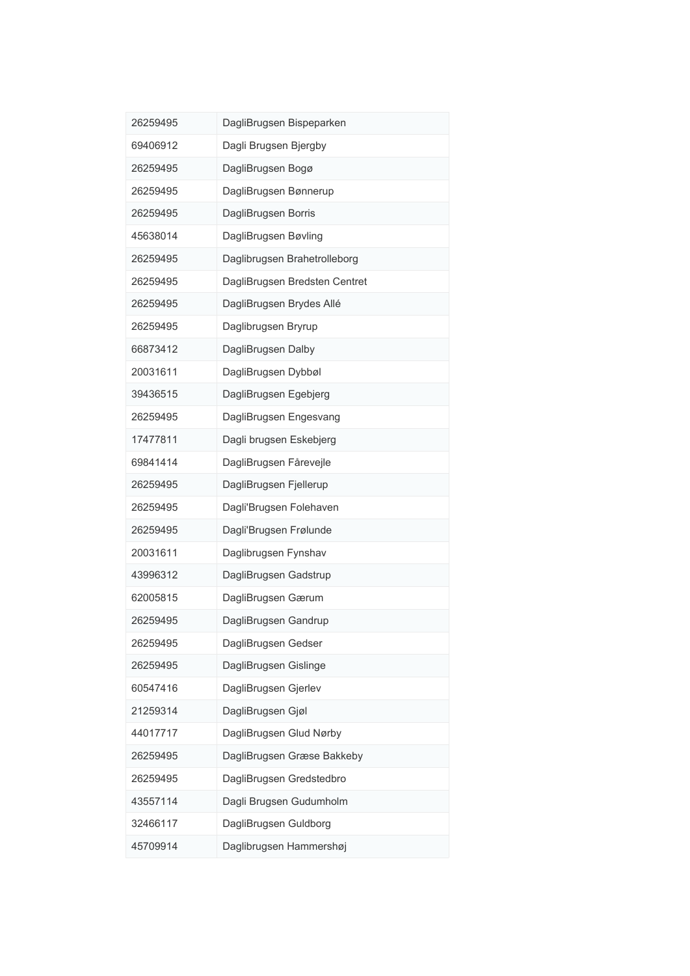| 26259495 | DagliBrugsen Bispeparken      |
|----------|-------------------------------|
| 69406912 | Dagli Brugsen Bjergby         |
| 26259495 | DagliBrugsen Bogø             |
| 26259495 | DagliBrugsen Bønnerup         |
| 26259495 | DagliBrugsen Borris           |
| 45638014 | DagliBrugsen Bøvling          |
| 26259495 | Daglibrugsen Brahetrolleborg  |
| 26259495 | DagliBrugsen Bredsten Centret |
| 26259495 | DagliBrugsen Brydes Allé      |
| 26259495 | Daglibrugsen Bryrup           |
| 66873412 | DagliBrugsen Dalby            |
| 20031611 | DagliBrugsen Dybbøl           |
| 39436515 | DagliBrugsen Egebjerg         |
| 26259495 | DagliBrugsen Engesvang        |
| 17477811 | Dagli brugsen Eskebjerg       |
| 69841414 | DagliBrugsen Fårevejle        |
| 26259495 | DagliBrugsen Fjellerup        |
| 26259495 | Dagli'Brugsen Folehaven       |
| 26259495 | Dagli'Brugsen Frølunde        |
| 20031611 | Daglibrugsen Fynshav          |
| 43996312 | DagliBrugsen Gadstrup         |
| 62005815 | DagliBrugsen Gærum            |
| 26259495 | DagliBrugsen Gandrup          |
| 26259495 | DagliBrugsen Gedser           |
| 26259495 | DagliBrugsen Gislinge         |
| 60547416 | DagliBrugsen Gjerlev          |
| 21259314 | DagliBrugsen Gjøl             |
| 44017717 | DagliBrugsen Glud Nørby       |
| 26259495 | DagliBrugsen Græse Bakkeby    |
| 26259495 | DagliBrugsen Gredstedbro      |
| 43557114 | Dagli Brugsen Gudumholm       |
| 32466117 | DagliBrugsen Guldborg         |
| 45709914 | Daglibrugsen Hammershøj       |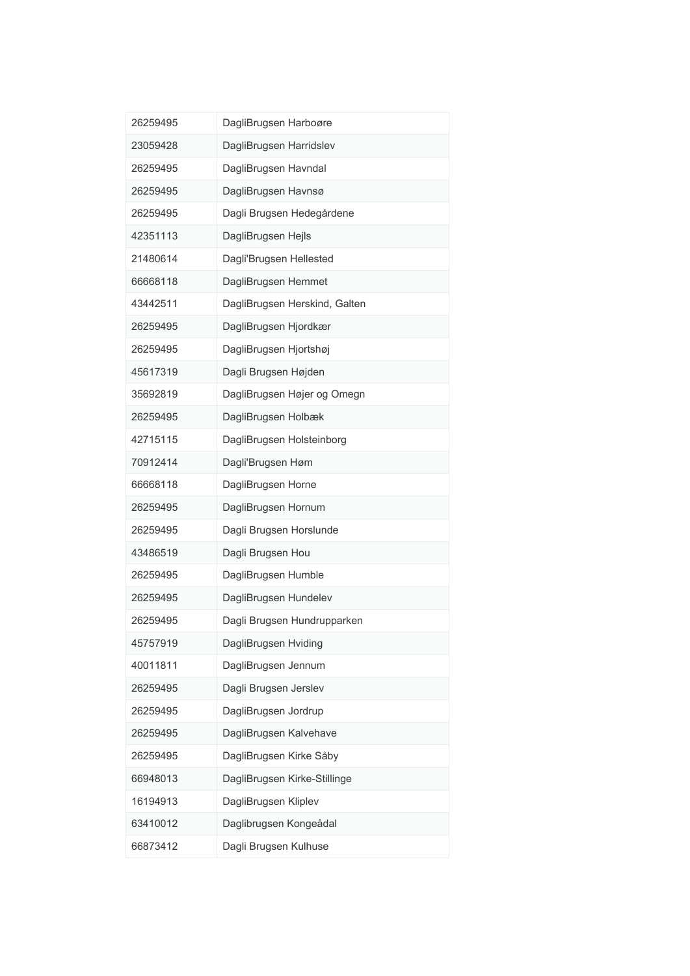| 26259495 | DagliBrugsen Harboøre         |
|----------|-------------------------------|
| 23059428 | DagliBrugsen Harridslev       |
| 26259495 | DagliBrugsen Havndal          |
| 26259495 | DagliBrugsen Havnsø           |
| 26259495 | Dagli Brugsen Hedegårdene     |
| 42351113 | DagliBrugsen Hejls            |
| 21480614 | Dagli'Brugsen Hellested       |
| 66668118 | DagliBrugsen Hemmet           |
| 43442511 | DagliBrugsen Herskind, Galten |
| 26259495 | DagliBrugsen Hjordkær         |
| 26259495 | DagliBrugsen Hjortshøj        |
| 45617319 | Dagli Brugsen Højden          |
| 35692819 | DagliBrugsen Højer og Omegn   |
| 26259495 | DagliBrugsen Holbæk           |
| 42715115 | DagliBrugsen Holsteinborg     |
| 70912414 | Dagli'Brugsen Høm             |
| 66668118 | DagliBrugsen Horne            |
| 26259495 | DagliBrugsen Hornum           |
| 26259495 | Dagli Brugsen Horslunde       |
| 43486519 | Dagli Brugsen Hou             |
| 26259495 | DagliBrugsen Humble           |
| 26259495 | DagliBrugsen Hundelev         |
| 26259495 | Dagli Brugsen Hundrupparken   |
| 45757919 | DagliBrugsen Hviding          |
| 40011811 | DagliBrugsen Jennum           |
| 26259495 | Dagli Brugsen Jerslev         |
| 26259495 | DagliBrugsen Jordrup          |
| 26259495 | DagliBrugsen Kalvehave        |
| 26259495 | DagliBrugsen Kirke Såby       |
| 66948013 | DagliBrugsen Kirke-Stillinge  |
| 16194913 | DagliBrugsen Kliplev          |
| 63410012 | Daglibrugsen Kongeådal        |
| 66873412 | Dagli Brugsen Kulhuse         |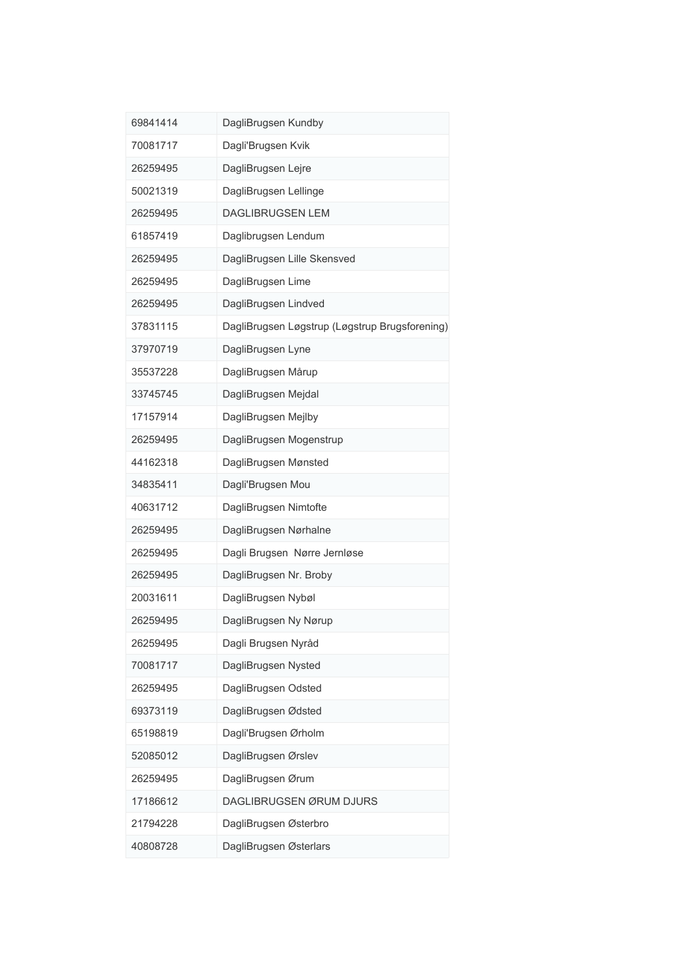| 69841414 | DagliBrugsen Kundby                            |
|----------|------------------------------------------------|
| 70081717 | Dagli'Brugsen Kvik                             |
| 26259495 | DagliBrugsen Lejre                             |
| 50021319 | DagliBrugsen Lellinge                          |
| 26259495 | <b>DAGLIBRUGSEN LEM</b>                        |
| 61857419 | Daglibrugsen Lendum                            |
| 26259495 | DagliBrugsen Lille Skensved                    |
| 26259495 | DagliBrugsen Lime                              |
| 26259495 | DagliBrugsen Lindved                           |
| 37831115 | DagliBrugsen Løgstrup (Løgstrup Brugsforening) |
| 37970719 | DagliBrugsen Lyne                              |
| 35537228 | DagliBrugsen Mårup                             |
| 33745745 | DagliBrugsen Mejdal                            |
| 17157914 | DagliBrugsen Mejlby                            |
| 26259495 | DagliBrugsen Mogenstrup                        |
| 44162318 | DagliBrugsen Mønsted                           |
| 34835411 | Dagli'Brugsen Mou                              |
| 40631712 | DagliBrugsen Nimtofte                          |
| 26259495 | DagliBrugsen Nørhalne                          |
| 26259495 | Dagli Brugsen Nørre Jernløse                   |
| 26259495 | DagliBrugsen Nr. Broby                         |
| 20031611 | DagliBrugsen Nybøl                             |
| 26259495 | DagliBrugsen Ny Nørup                          |
| 26259495 | Dagli Brugsen Nyråd                            |
| 70081717 | DagliBrugsen Nysted                            |
| 26259495 | DagliBrugsen Odsted                            |
| 69373119 | DagliBrugsen Ødsted                            |
| 65198819 | Dagli'Brugsen Ørholm                           |
| 52085012 | DagliBrugsen Ørslev                            |
| 26259495 | DagliBrugsen Ørum                              |
| 17186612 | DAGLIBRUGSEN ØRUM DJURS                        |
| 21794228 | DagliBrugsen Østerbro                          |
| 40808728 | DagliBrugsen Østerlars                         |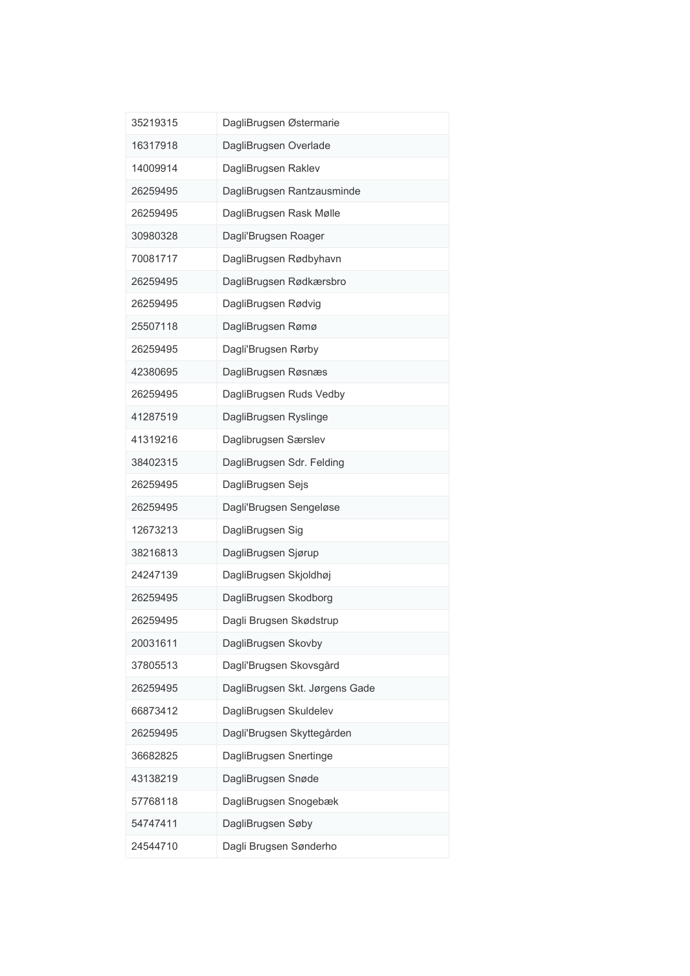| 35219315 | DagliBrugsen Østermarie        |
|----------|--------------------------------|
| 16317918 | DagliBrugsen Overlade          |
| 14009914 | DagliBrugsen Raklev            |
| 26259495 | DagliBrugsen Rantzausminde     |
| 26259495 | DagliBrugsen Rask Mølle        |
| 30980328 | Dagli'Brugsen Roager           |
| 70081717 | DagliBrugsen Rødbyhavn         |
| 26259495 | DagliBrugsen Rødkærsbro        |
| 26259495 | DagliBrugsen Rødvig            |
| 25507118 | DagliBrugsen Rømø              |
| 26259495 | Dagli'Brugsen Rørby            |
| 42380695 | DagliBrugsen Røsnæs            |
| 26259495 | DagliBrugsen Ruds Vedby        |
| 41287519 | DagliBrugsen Ryslinge          |
| 41319216 | Daglibrugsen Særslev           |
| 38402315 | DagliBrugsen Sdr. Felding      |
| 26259495 | DagliBrugsen Sejs              |
| 26259495 | Dagli'Brugsen Sengeløse        |
| 12673213 | DagliBrugsen Sig               |
| 38216813 | DagliBrugsen Sjørup            |
| 24247139 | DagliBrugsen Skjoldhøj         |
| 26259495 | DagliBrugsen Skodborg          |
| 26259495 | Dagli Brugsen Skødstrup        |
| 20031611 | DagliBrugsen Skovby            |
| 37805513 | Dagli'Brugsen Skovsgård        |
| 26259495 | DagliBrugsen Skt. Jørgens Gade |
| 66873412 | DagliBrugsen Skuldelev         |
| 26259495 | Dagli'Brugsen Skyttegården     |
| 36682825 | DagliBrugsen Snertinge         |
| 43138219 | DagliBrugsen Snøde             |
| 57768118 | DagliBrugsen Snogebæk          |
| 54747411 | DagliBrugsen Søby              |
| 24544710 | Dagli Brugsen Sønderho         |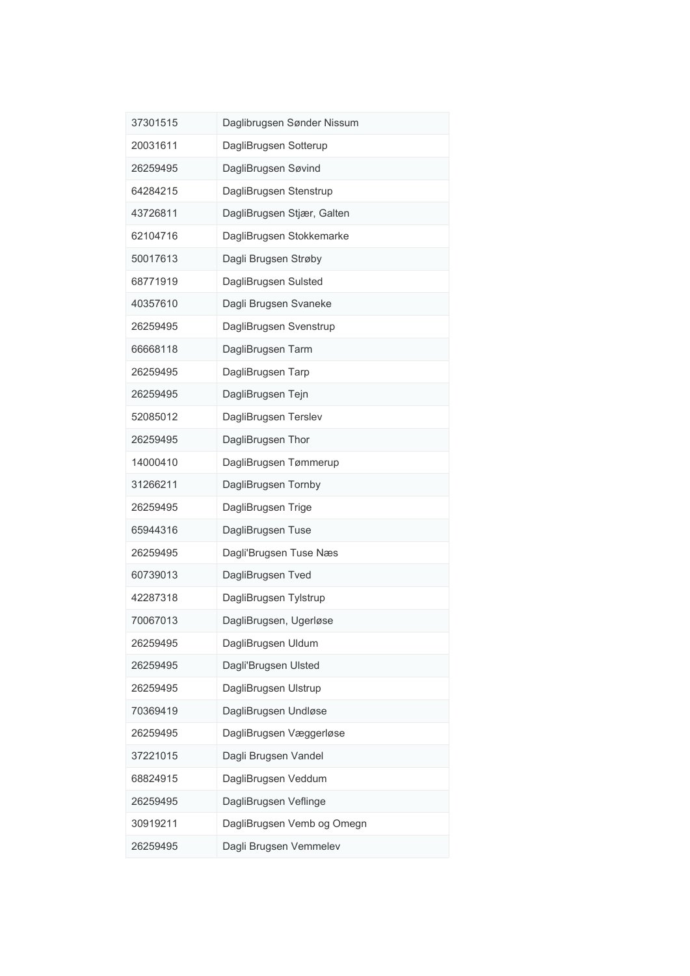| 37301515 | Daglibrugsen Sønder Nissum |
|----------|----------------------------|
| 20031611 | DagliBrugsen Sotterup      |
| 26259495 | DagliBrugsen Søvind        |
| 64284215 | DagliBrugsen Stenstrup     |
| 43726811 | DagliBrugsen Stjær, Galten |
| 62104716 | DagliBrugsen Stokkemarke   |
| 50017613 | Dagli Brugsen Strøby       |
| 68771919 | DagliBrugsen Sulsted       |
| 40357610 | Dagli Brugsen Svaneke      |
| 26259495 | DagliBrugsen Svenstrup     |
| 66668118 | DagliBrugsen Tarm          |
| 26259495 | DagliBrugsen Tarp          |
| 26259495 | DagliBrugsen Tejn          |
| 52085012 | DagliBrugsen Terslev       |
| 26259495 | DagliBrugsen Thor          |
| 14000410 | DagliBrugsen Tømmerup      |
| 31266211 | DagliBrugsen Tornby        |
| 26259495 | DagliBrugsen Trige         |
| 65944316 | DagliBrugsen Tuse          |
| 26259495 | Dagli'Brugsen Tuse Næs     |
| 60739013 | DagliBrugsen Tved          |
| 42287318 | DagliBrugsen Tylstrup      |
| 70067013 | DagliBrugsen, Ugerløse     |
| 26259495 | DagliBrugsen Uldum         |
| 26259495 | Dagli'Brugsen Ulsted       |
| 26259495 | DagliBrugsen Ulstrup       |
| 70369419 | DagliBrugsen Undløse       |
| 26259495 | DagliBrugsen Væggerløse    |
| 37221015 | Dagli Brugsen Vandel       |
| 68824915 | DagliBrugsen Veddum        |
| 26259495 | DagliBrugsen Veflinge      |
| 30919211 | DagliBrugsen Vemb og Omegn |
| 26259495 | Dagli Brugsen Vemmelev     |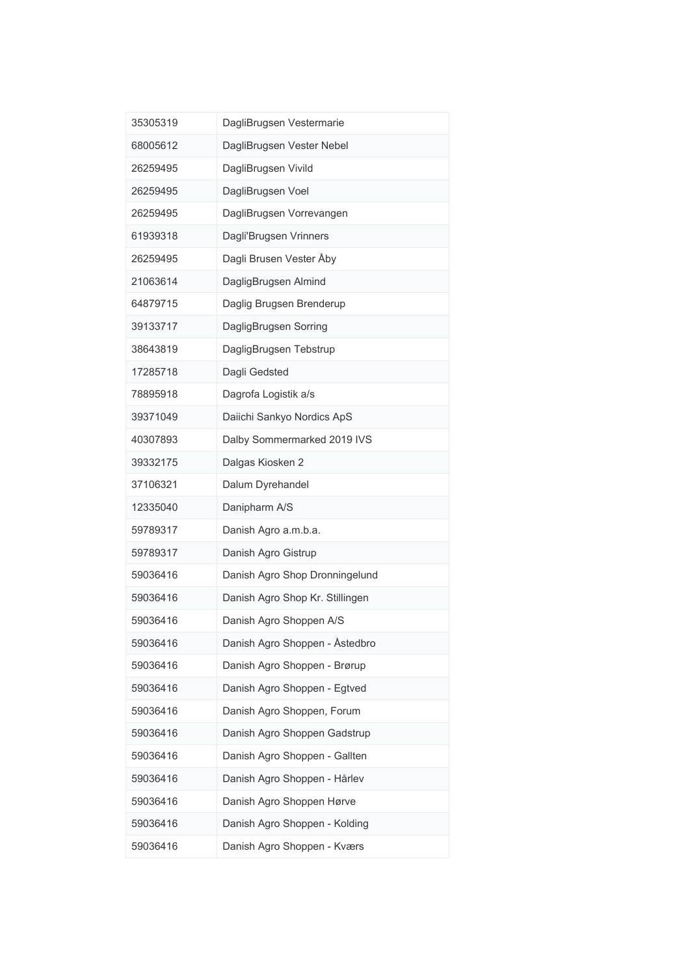| 35305319 | DagliBrugsen Vestermarie        |
|----------|---------------------------------|
| 68005612 | DagliBrugsen Vester Nebel       |
| 26259495 | DagliBrugsen Vivild             |
| 26259495 | DagliBrugsen Voel               |
| 26259495 | DagliBrugsen Vorrevangen        |
| 61939318 | Dagli'Brugsen Vrinners          |
| 26259495 | Dagli Brusen Vester Åby         |
| 21063614 | DagligBrugsen Almind            |
| 64879715 | Daglig Brugsen Brenderup        |
| 39133717 | DagligBrugsen Sorring           |
| 38643819 | DagligBrugsen Tebstrup          |
| 17285718 | Dagli Gedsted                   |
| 78895918 | Dagrofa Logistik a/s            |
| 39371049 | Daiichi Sankyo Nordics ApS      |
| 40307893 | Dalby Sommermarked 2019 IVS     |
| 39332175 | Dalgas Kiosken 2                |
|          |                                 |
| 37106321 | Dalum Dyrehandel                |
| 12335040 | Danipharm A/S                   |
| 59789317 | Danish Agro a.m.b.a.            |
| 59789317 | Danish Agro Gistrup             |
| 59036416 | Danish Agro Shop Dronningelund  |
| 59036416 | Danish Agro Shop Kr. Stillingen |
| 59036416 | Danish Agro Shoppen A/S         |
| 59036416 | Danish Agro Shoppen - Åstedbro  |
| 59036416 | Danish Agro Shoppen - Brørup    |
| 59036416 | Danish Agro Shoppen - Egtved    |
| 59036416 | Danish Agro Shoppen, Forum      |
| 59036416 | Danish Agro Shoppen Gadstrup    |
| 59036416 | Danish Agro Shoppen - Gallten   |
| 59036416 | Danish Agro Shoppen - Hårlev    |
| 59036416 | Danish Agro Shoppen Hørve       |
| 59036416 | Danish Agro Shoppen - Kolding   |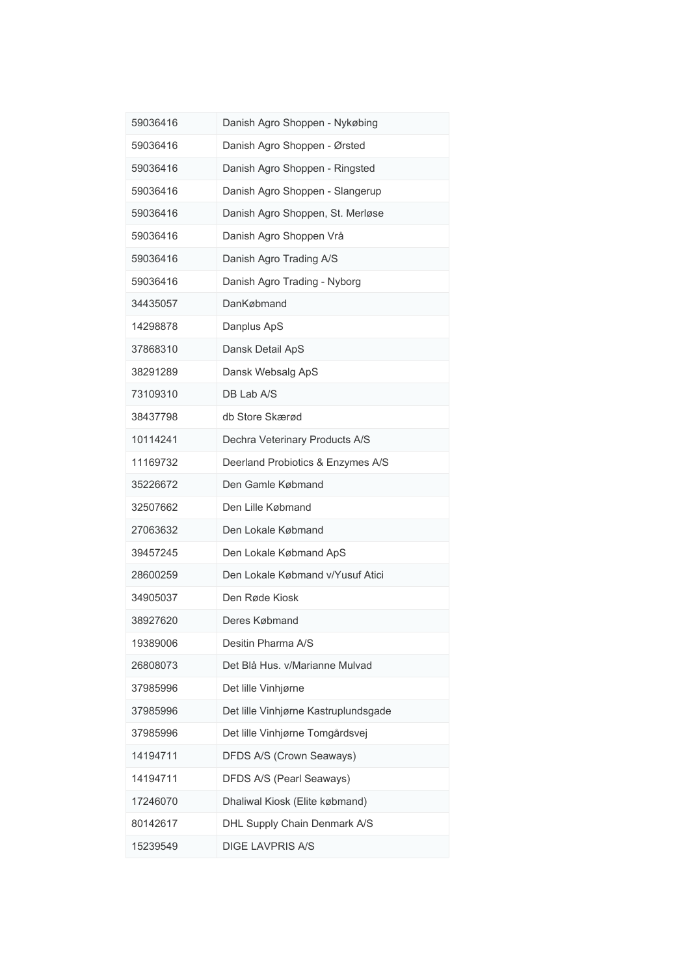| 59036416 | Danish Agro Shoppen - Nykøbing       |
|----------|--------------------------------------|
| 59036416 | Danish Agro Shoppen - Ørsted         |
| 59036416 | Danish Agro Shoppen - Ringsted       |
| 59036416 | Danish Agro Shoppen - Slangerup      |
| 59036416 | Danish Agro Shoppen, St. Merløse     |
| 59036416 | Danish Agro Shoppen Vrå              |
| 59036416 | Danish Agro Trading A/S              |
| 59036416 | Danish Agro Trading - Nyborg         |
| 34435057 | DanKøbmand                           |
| 14298878 | Danplus ApS                          |
| 37868310 | Dansk Detail ApS                     |
| 38291289 | Dansk Websalg ApS                    |
| 73109310 | DB Lab A/S                           |
| 38437798 | db Store Skærød                      |
| 10114241 | Dechra Veterinary Products A/S       |
| 11169732 | Deerland Probiotics & Enzymes A/S    |
| 35226672 | Den Gamle Købmand                    |
| 32507662 | Den Lille Købmand                    |
| 27063632 | Den Lokale Købmand                   |
| 39457245 | Den Lokale Købmand ApS               |
| 28600259 | Den Lokale Købmand v/Yusuf Atici     |
| 34905037 | Den Røde Kiosk                       |
| 38927620 | Deres Købmand                        |
| 19389006 | Desitin Pharma A/S                   |
| 26808073 | Det Blå Hus. v/Marianne Mulvad       |
| 37985996 | Det lille Vinhjørne                  |
| 37985996 | Det lille Vinhjørne Kastruplundsgade |
| 37985996 | Det lille Vinhjørne Tomgårdsvej      |
| 14194711 | DFDS A/S (Crown Seaways)             |
| 14194711 | DFDS A/S (Pearl Seaways)             |
| 17246070 | Dhaliwal Kiosk (Elite købmand)       |
| 80142617 | DHL Supply Chain Denmark A/S         |
| 15239549 | <b>DIGE LAVPRIS A/S</b>              |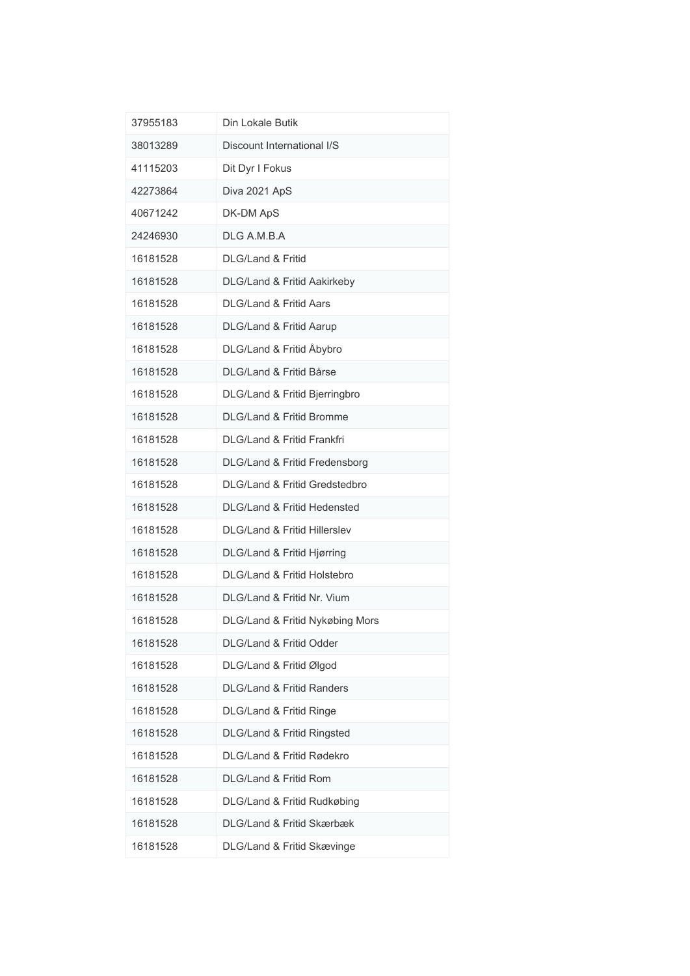| 37955183 | Din Lokale Butik                      |
|----------|---------------------------------------|
| 38013289 | Discount International I/S            |
| 41115203 | Dit Dyr I Fokus                       |
| 42273864 | Diva 2021 ApS                         |
| 40671242 | DK-DM ApS                             |
| 24246930 | DLG A.M.B.A                           |
| 16181528 | DLG/Land & Fritid                     |
| 16181528 | DLG/Land & Fritid Aakirkeby           |
| 16181528 | <b>DLG/Land &amp; Fritid Aars</b>     |
| 16181528 | DLG/Land & Fritid Aarup               |
| 16181528 | DLG/Land & Fritid Åbybro              |
| 16181528 | DLG/Land & Fritid Bårse               |
| 16181528 | DLG/Land & Fritid Bjerringbro         |
| 16181528 | <b>DLG/Land &amp; Fritid Bromme</b>   |
| 16181528 | <b>DLG/Land &amp; Fritid Frankfri</b> |
| 16181528 | DLG/Land & Fritid Fredensborg         |
| 16181528 | DLG/Land & Fritid Gredstedbro         |
| 16181528 | DLG/Land & Fritid Hedensted           |
| 16181528 | DLG/Land & Fritid Hillerslev          |
| 16181528 | DLG/Land & Fritid Hjørring            |
| 16181528 | DLG/Land & Fritid Holstebro           |
| 16181528 | DLG/Land & Fritid Nr. Vium            |
| 16181528 | DLG/Land & Fritid Nykøbing Mors       |
| 16181528 | DLG/Land & Fritid Odder               |
| 16181528 | DLG/Land & Fritid Ølgod               |
| 16181528 | <b>DLG/Land &amp; Fritid Randers</b>  |
| 16181528 | DLG/Land & Fritid Ringe               |
| 16181528 | DLG/Land & Fritid Ringsted            |
| 16181528 | DLG/Land & Fritid Rødekro             |
| 16181528 | DLG/Land & Fritid Rom                 |
| 16181528 | DLG/Land & Fritid Rudkøbing           |
| 16181528 | DLG/Land & Fritid Skærbæk             |
| 16181528 | DLG/Land & Fritid Skævinge            |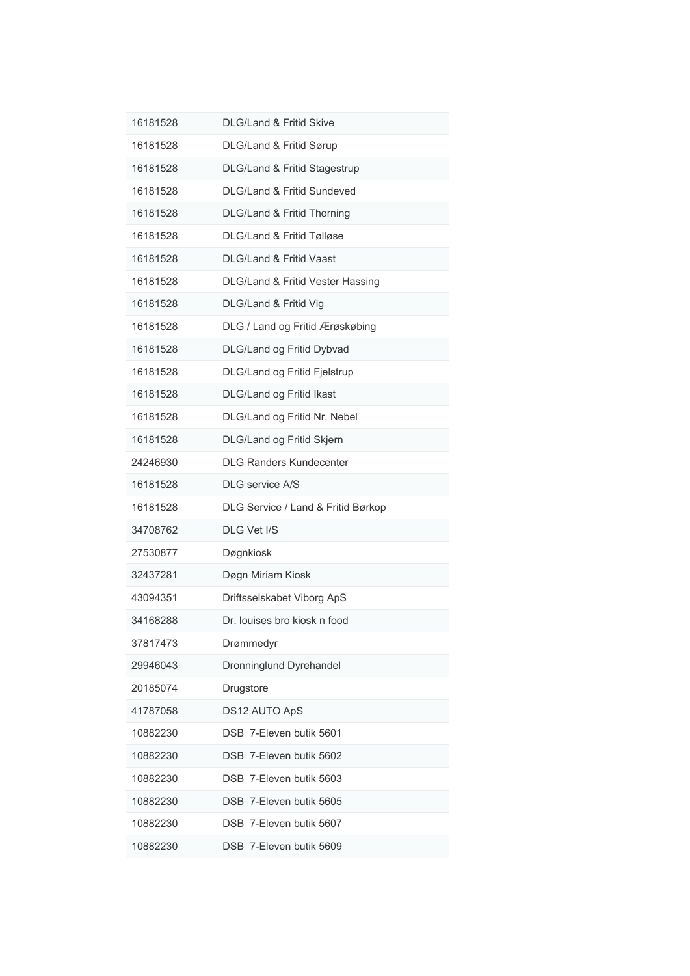| 16181528 | <b>DLG/Land &amp; Fritid Skive</b>   |
|----------|--------------------------------------|
| 16181528 | DLG/Land & Fritid Sørup              |
| 16181528 | DLG/Land & Fritid Stagestrup         |
| 16181528 | DLG/Land & Fritid Sundeved           |
| 16181528 | DLG/Land & Fritid Thorning           |
| 16181528 | <b>DLG/Land &amp; Fritid Tølløse</b> |
| 16181528 | DLG/Land & Fritid Vaast              |
| 16181528 | DLG/Land & Fritid Vester Hassing     |
| 16181528 | DLG/Land & Fritid Vig                |
| 16181528 | DLG / Land og Fritid Ærøskøbing      |
| 16181528 | DLG/Land og Fritid Dybvad            |
| 16181528 | DLG/Land og Fritid Fjelstrup         |
| 16181528 | DLG/Land og Fritid Ikast             |
| 16181528 | DLG/Land og Fritid Nr. Nebel         |
| 16181528 | DLG/Land og Fritid Skjern            |
| 24246930 | <b>DLG Randers Kundecenter</b>       |
| 16181528 | <b>DLG</b> service A/S               |
| 16181528 | DLG Service / Land & Fritid Børkop   |
| 34708762 | <b>DLG Vet I/S</b>                   |
| 27530877 | Døgnkiosk                            |
| 32437281 | Døgn Miriam Kiosk                    |
| 43094351 | Driftsselskabet Viborg ApS           |
| 34168288 | Dr. louises bro kiosk n food         |
| 37817473 | Drømmedyr                            |
| 29946043 | Dronninglund Dyrehandel              |
| 20185074 | Drugstore                            |
| 41787058 | DS12 AUTO ApS                        |
| 10882230 | DSB 7-Eleven butik 5601              |
| 10882230 | DSB 7-Eleven butik 5602              |
| 10882230 | DSB 7-Eleven butik 5603              |
| 10882230 | DSB 7-Eleven butik 5605              |
| 10882230 | DSB 7-Eleven butik 5607              |
| 10882230 | DSB 7-Eleven butik 5609              |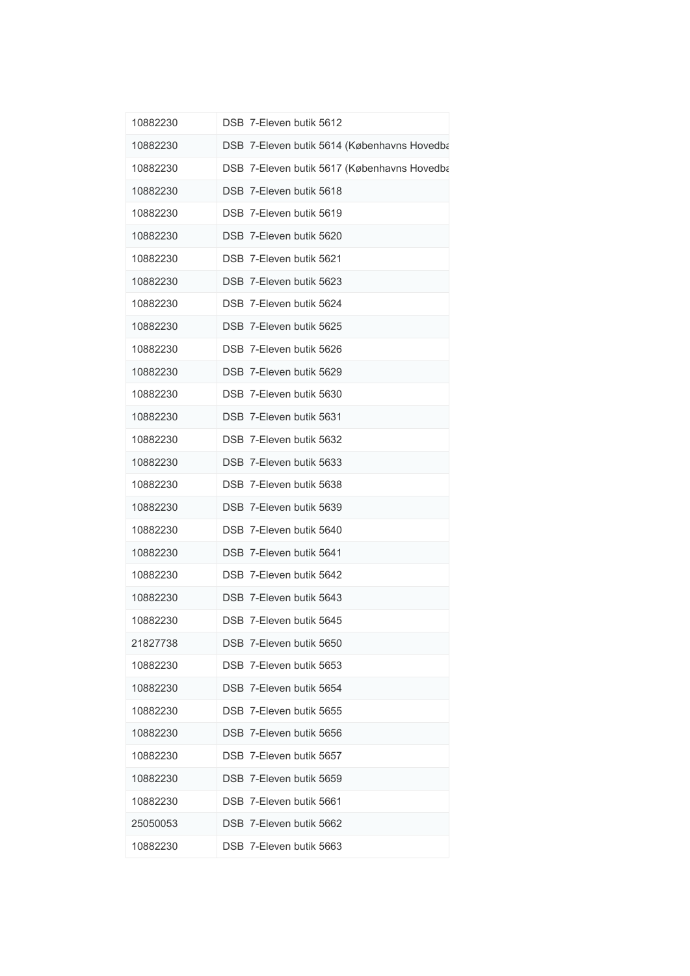| 10882230 | DSB 7-Eleven butik 5612                     |
|----------|---------------------------------------------|
| 10882230 | DSB 7-Eleven butik 5614 (Københavns Hovedba |
| 10882230 | DSB 7-Eleven butik 5617 (Københavns Hovedba |
| 10882230 | DSB 7-Eleven butik 5618                     |
| 10882230 | DSB 7-Eleven butik 5619                     |
| 10882230 | DSB 7-Eleven butik 5620                     |
| 10882230 | DSB 7-Eleven butik 5621                     |
| 10882230 | DSB 7-Eleven butik 5623                     |
| 10882230 | DSB 7-Eleven butik 5624                     |
| 10882230 | DSB 7-Eleven butik 5625                     |
| 10882230 | DSB 7-Eleven butik 5626                     |
| 10882230 | DSB 7-Eleven butik 5629                     |
| 10882230 | DSB 7-Eleven butik 5630                     |
| 10882230 | DSB 7-Eleven butik 5631                     |
| 10882230 | DSB 7-Eleven butik 5632                     |
| 10882230 | DSB 7-Eleven butik 5633                     |
| 10882230 | DSB 7-Eleven butik 5638                     |
| 10882230 | DSB 7-Eleven butik 5639                     |
| 10882230 | DSB 7-Eleven butik 5640                     |
| 10882230 | DSB 7-Eleven butik 5641                     |
| 10882230 | DSB 7-Eleven butik 5642                     |
| 10882230 | DSB 7-Eleven butik 5643                     |
| 10882230 | DSB 7-Eleven butik 5645                     |
| 21827738 | DSB 7-Eleven butik 5650                     |
| 10882230 | DSB 7-Eleven butik 5653                     |
| 10882230 | DSB 7-Eleven butik 5654                     |
| 10882230 | DSB 7-Eleven butik 5655                     |
| 10882230 | DSB 7-Eleven butik 5656                     |
| 10882230 | DSB 7-Eleven butik 5657                     |
| 10882230 | DSB 7-Eleven butik 5659                     |
| 10882230 | DSB 7-Eleven butik 5661                     |
| 25050053 | DSB 7-Eleven butik 5662                     |
| 10882230 | DSB 7-Eleven butik 5663                     |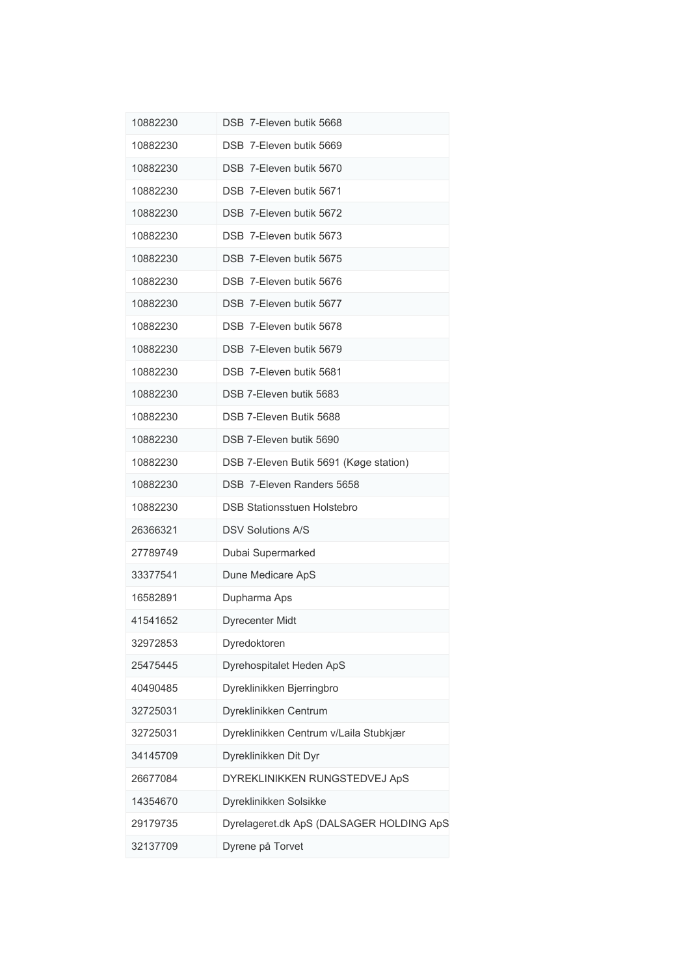| 10882230 | DSB 7-Eleven butik 5668                  |
|----------|------------------------------------------|
| 10882230 | DSB 7-Eleven butik 5669                  |
| 10882230 | DSB 7-Eleven butik 5670                  |
| 10882230 | DSB 7-Eleven butik 5671                  |
| 10882230 | DSB 7-Eleven butik 5672                  |
| 10882230 | DSB 7-Eleven butik 5673                  |
| 10882230 | DSB 7-Eleven butik 5675                  |
| 10882230 | DSB 7-Eleven butik 5676                  |
| 10882230 | DSB 7-Eleven butik 5677                  |
| 10882230 | DSB 7-Eleven butik 5678                  |
| 10882230 | DSB 7-Eleven butik 5679                  |
| 10882230 | DSB 7-Fleven butik 5681                  |
| 10882230 | DSB 7-Eleven butik 5683                  |
| 10882230 | DSB 7-Eleven Butik 5688                  |
| 10882230 | DSB 7-Eleven butik 5690                  |
| 10882230 | DSB 7-Eleven Butik 5691 (Køge station)   |
| 10882230 | DSB 7-Eleven Randers 5658                |
| 10882230 | <b>DSB Stationsstuen Holstebro</b>       |
| 26366321 | <b>DSV Solutions A/S</b>                 |
| 27789749 | Dubai Supermarked                        |
| 33377541 | Dune Medicare ApS                        |
| 16582891 | Dupharma Aps                             |
| 41541652 | <b>Dyrecenter Midt</b>                   |
| 32972853 | Dyredoktoren                             |
| 25475445 | Dyrehospitalet Heden ApS                 |
| 40490485 | Dyreklinikken Bjerringbro                |
| 32725031 | Dyreklinikken Centrum                    |
| 32725031 | Dyreklinikken Centrum v/Laila Stubkjær   |
| 34145709 | Dyreklinikken Dit Dyr                    |
| 26677084 | DYREKLINIKKEN RUNGSTEDVEJ ApS            |
| 14354670 | Dyreklinikken Solsikke                   |
| 29179735 | Dyrelageret.dk ApS (DALSAGER HOLDING ApS |
| 32137709 | Dyrene på Torvet                         |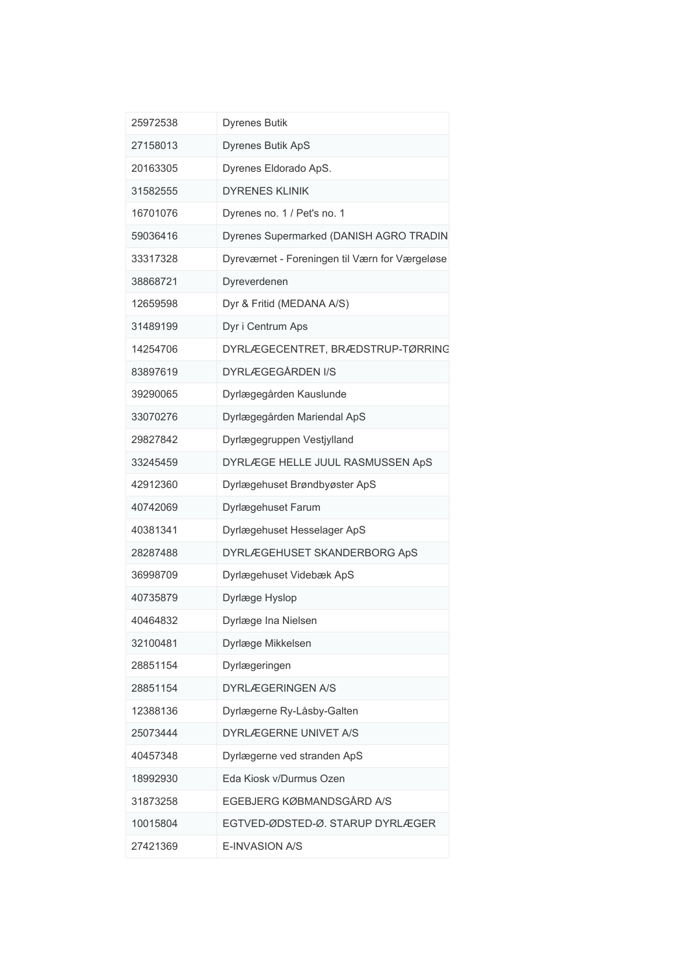| 25972538 | <b>Dyrenes Butik</b>                           |
|----------|------------------------------------------------|
| 27158013 | Dyrenes Butik ApS                              |
| 20163305 | Dyrenes Eldorado ApS.                          |
| 31582555 | <b>DYRENES KLINIK</b>                          |
| 16701076 | Dyrenes no. 1 / Pet's no. 1                    |
| 59036416 | Dyrenes Supermarked (DANISH AGRO TRADIN        |
| 33317328 | Dyreværnet - Foreningen til Værn for Værgeløse |
| 38868721 | Dyreverdenen                                   |
| 12659598 | Dyr & Fritid (MEDANA A/S)                      |
| 31489199 | Dyr i Centrum Aps                              |
| 14254706 | DYRLÆGECENTRET, BRÆDSTRUP-TØRRING              |
| 83897619 | DYRLÆGEGÅRDEN I/S                              |
| 39290065 | Dyrlægegården Kauslunde                        |
| 33070276 | Dyrlægegården Mariendal ApS                    |
| 29827842 | Dyrlægegruppen Vestjylland                     |
| 33245459 | DYRLÆGE HELLE JUUL RASMUSSEN ApS               |
| 42912360 | Dyrlægehuset Brøndbyøster ApS                  |
| 40742069 | Dyrlægehuset Farum                             |
| 40381341 | Dyrlægehuset Hesselager ApS                    |
| 28287488 | DYRLÆGEHUSET SKANDERBORG ApS                   |
| 36998709 | Dyrlægehuset Videbæk ApS                       |
| 40735879 | Dyrlæge Hyslop                                 |
| 40464832 | Dyrlæge Ina Nielsen                            |
| 32100481 | Dyrlæge Mikkelsen                              |
| 28851154 | Dyrlægeringen                                  |
| 28851154 | <b>DYRLÆGERINGEN A/S</b>                       |
| 12388136 | Dyrlægerne Ry-Låsby-Galten                     |
| 25073444 | DYRLÆGERNE UNIVET A/S                          |
| 40457348 | Dyrlægerne ved stranden ApS                    |
| 18992930 | Eda Kiosk v/Durmus Ozen                        |
| 31873258 | EGEBJERG KØBMANDSGÅRD A/S                      |
| 10015804 | EGTVED-ØDSTED-Ø. STARUP DYRLÆGER               |
| 27421369 | E-INVASION A/S                                 |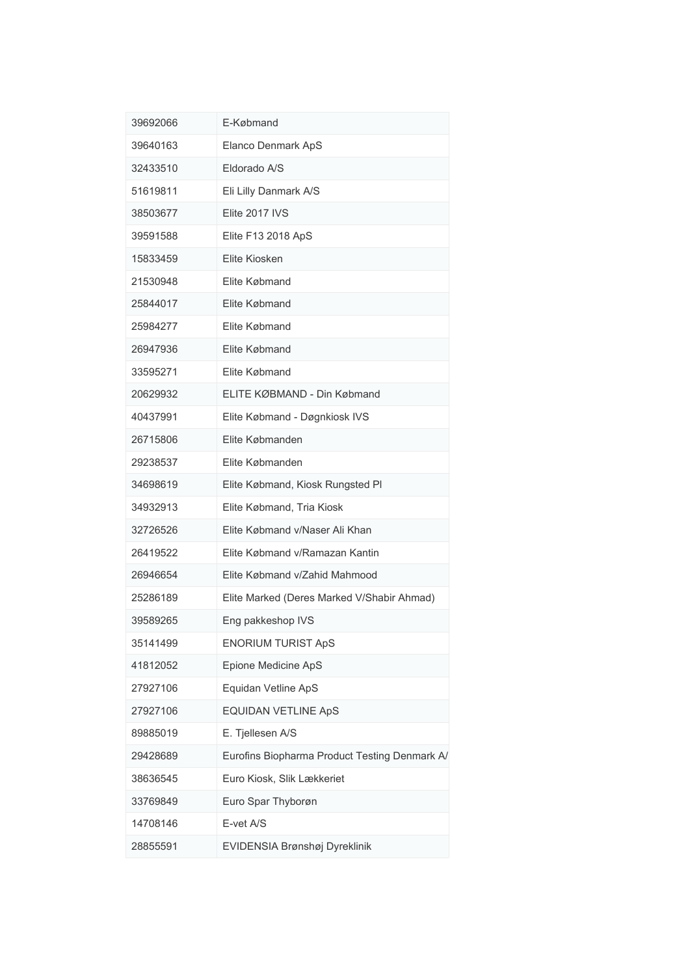| 39692066 | E-Købmand                                     |
|----------|-----------------------------------------------|
| 39640163 | Elanco Denmark ApS                            |
| 32433510 | Eldorado A/S                                  |
| 51619811 | Eli Lilly Danmark A/S                         |
| 38503677 | Elite 2017 IVS                                |
| 39591588 | Elite F13 2018 ApS                            |
| 15833459 | Elite Kiosken                                 |
| 21530948 | Flite Købmand                                 |
| 25844017 | Elite Købmand                                 |
| 25984277 | Elite Købmand                                 |
| 26947936 | Flite Købmand                                 |
| 33595271 | Elite Købmand                                 |
| 20629932 | ELITE KØBMAND - Din Købmand                   |
| 40437991 | Elite Købmand - Døgnkiosk IVS                 |
| 26715806 | Elite Købmanden                               |
| 29238537 | Elite Købmanden                               |
| 34698619 | Elite Købmand, Kiosk Rungsted Pl              |
| 34932913 | Elite Købmand, Tria Kiosk                     |
| 32726526 | Elite Købmand v/Naser Ali Khan                |
| 26419522 | Elite Købmand v/Ramazan Kantin                |
| 26946654 | Elite Købmand v/Zahid Mahmood                 |
| 25286189 | Elite Marked (Deres Marked V/Shabir Ahmad)    |
| 39589265 | Eng pakkeshop IVS                             |
| 35141499 | <b>ENORIUM TURIST ApS</b>                     |
| 41812052 | Epione Medicine ApS                           |
| 27927106 | Equidan Vetline ApS                           |
| 27927106 | <b>EQUIDAN VETLINE ApS</b>                    |
| 89885019 | E. Tjellesen A/S                              |
| 29428689 | Eurofins Biopharma Product Testing Denmark A/ |
| 38636545 | Euro Kiosk, Slik Lækkeriet                    |
| 33769849 | Euro Spar Thyborøn                            |
| 14708146 | E-vet A/S                                     |
| 28855591 | EVIDENSIA Brønshøj Dyreklinik                 |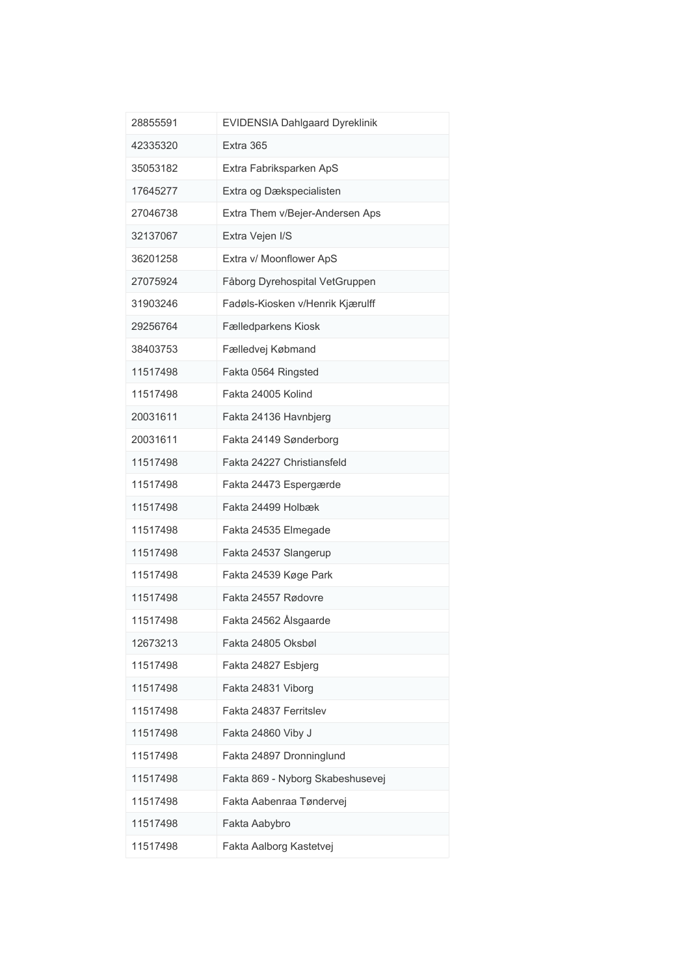| 28855591 | <b>EVIDENSIA Dahlgaard Dyreklinik</b> |
|----------|---------------------------------------|
| 42335320 | Extra 365                             |
| 35053182 | Extra Fabriksparken ApS               |
| 17645277 | Extra og Dækspecialisten              |
| 27046738 | Extra Them v/Bejer-Andersen Aps       |
| 32137067 | Extra Vejen I/S                       |
| 36201258 | Extra v/ Moonflower ApS               |
| 27075924 | Fåborg Dyrehospital VetGruppen        |
| 31903246 | Fadøls-Kiosken v/Henrik Kjærulff      |
| 29256764 | Fælledparkens Kiosk                   |
| 38403753 | Fælledvej Købmand                     |
| 11517498 | Fakta 0564 Ringsted                   |
| 11517498 | Fakta 24005 Kolind                    |
| 20031611 | Fakta 24136 Havnbjerg                 |
| 20031611 | Fakta 24149 Sønderborg                |
| 11517498 | Fakta 24227 Christiansfeld            |
| 11517498 | Fakta 24473 Espergærde                |
| 11517498 | Fakta 24499 Holbæk                    |
| 11517498 | Fakta 24535 Elmegade                  |
| 11517498 | Fakta 24537 Slangerup                 |
| 11517498 | Fakta 24539 Køge Park                 |
| 11517498 | Fakta 24557 Rødovre                   |
| 11517498 | Fakta 24562 Ålsgaarde                 |
| 12673213 | Fakta 24805 Oksbøl                    |
| 11517498 | Fakta 24827 Esbjerg                   |
| 11517498 | Fakta 24831 Viborg                    |
| 11517498 | Fakta 24837 Ferritslev                |
| 11517498 | Fakta 24860 Viby J                    |
| 11517498 | Fakta 24897 Dronninglund              |
| 11517498 | Fakta 869 - Nyborg Skabeshusevej      |
| 11517498 | Fakta Aabenraa Tøndervej              |
| 11517498 | Fakta Aabybro                         |
| 11517498 | Fakta Aalborg Kastetvej               |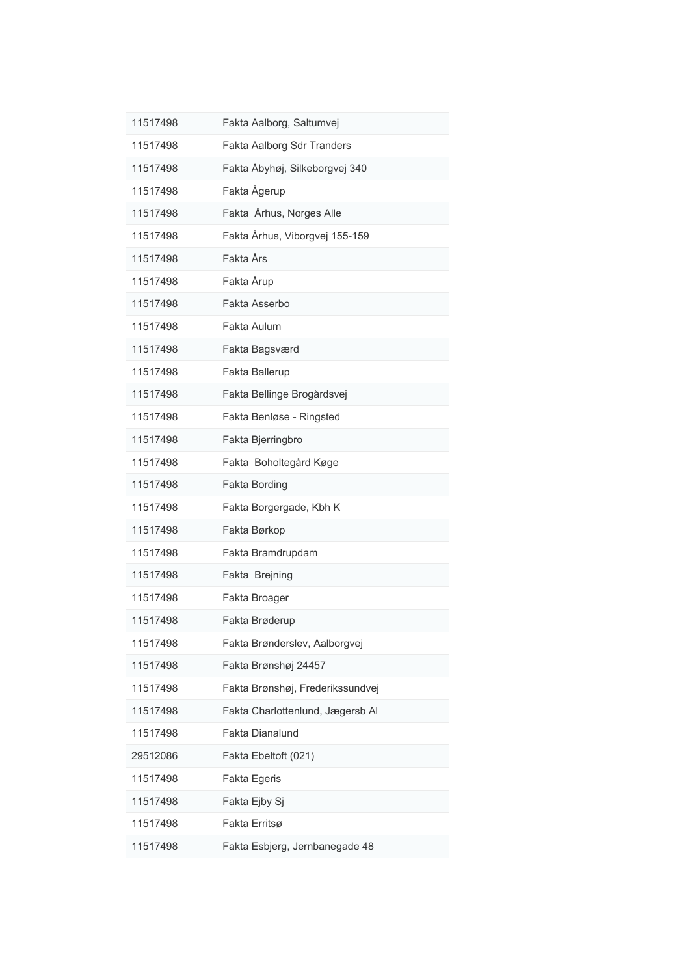| 11517498 | Fakta Aalborg, Saltumvej         |
|----------|----------------------------------|
| 11517498 | Fakta Aalborg Sdr Tranders       |
| 11517498 | Fakta Åbyhøj, Silkeborgvej 340   |
| 11517498 | Fakta Ågerup                     |
| 11517498 | Fakta Århus, Norges Alle         |
| 11517498 | Fakta Århus, Viborgvej 155-159   |
| 11517498 | Fakta Års                        |
| 11517498 | Fakta Årup                       |
| 11517498 | Fakta Asserbo                    |
| 11517498 | Fakta Aulum                      |
| 11517498 | Fakta Bagsværd                   |
| 11517498 | Fakta Ballerup                   |
| 11517498 | Fakta Bellinge Brogårdsvej       |
| 11517498 | Fakta Benløse - Ringsted         |
| 11517498 | Fakta Bjerringbro                |
| 11517498 | Fakta Boholtegård Køge           |
| 11517498 | Fakta Bording                    |
| 11517498 | Fakta Borgergade, Kbh K          |
| 11517498 | Fakta Børkop                     |
| 11517498 | Fakta Bramdrupdam                |
| 11517498 | Fakta Brejning                   |
| 11517498 | Fakta Broager                    |
| 11517498 | Fakta Brøderup                   |
| 11517498 | Fakta Brønderslev, Aalborgvej    |
| 11517498 | Fakta Brønshøj 24457             |
| 11517498 | Fakta Brønshøj, Frederikssundvej |
| 11517498 | Fakta Charlottenlund, Jægersb Al |
| 11517498 | Fakta Dianalund                  |
| 29512086 | Fakta Ebeltoft (021)             |
| 11517498 | <b>Fakta Egeris</b>              |
| 11517498 | Fakta Ejby Sj                    |
| 11517498 | Fakta Erritsø                    |
| 11517498 | Fakta Esbjerg, Jernbanegade 48   |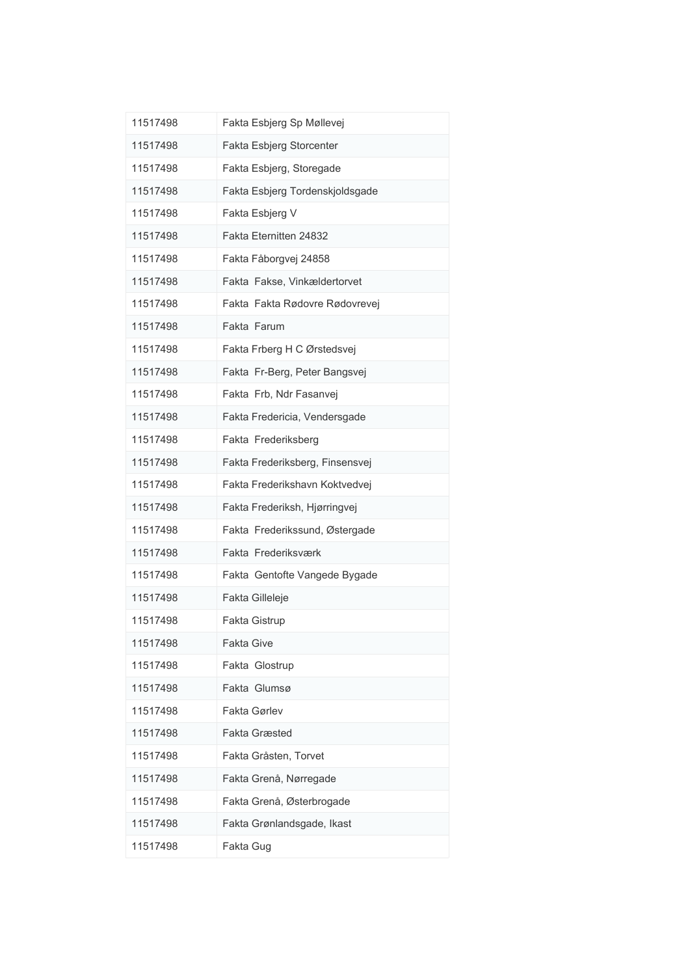| 11517498 | Fakta Esbjerg Sp Møllevej       |
|----------|---------------------------------|
| 11517498 | Fakta Esbjerg Storcenter        |
| 11517498 | Fakta Esbjerg, Storegade        |
| 11517498 | Fakta Esbjerg Tordenskjoldsgade |
| 11517498 | Fakta Esbjerg V                 |
| 11517498 | Fakta Eternitten 24832          |
| 11517498 | Fakta Fåborgvej 24858           |
| 11517498 | Fakta Fakse, Vinkældertorvet    |
| 11517498 | Fakta Fakta Rødovre Rødovrevej  |
| 11517498 | Fakta Farum                     |
| 11517498 | Fakta Frberg H C Ørstedsvej     |
| 11517498 | Fakta Fr-Berg, Peter Bangsvej   |
| 11517498 | Fakta Frb, Ndr Fasanvej         |
| 11517498 | Fakta Fredericia, Vendersgade   |
| 11517498 | Fakta Frederiksberg             |
| 11517498 | Fakta Frederiksberg, Finsensvej |
| 11517498 | Fakta Frederikshavn Koktvedvej  |
| 11517498 | Fakta Frederiksh, Hjørringvej   |
| 11517498 | Fakta Frederikssund, Østergade  |
| 11517498 | Fakta Frederiksværk             |
| 11517498 | Fakta Gentofte Vangede Bygade   |
| 11517498 | Fakta Gilleleje                 |
| 11517498 | <b>Fakta Gistrup</b>            |
| 11517498 | <b>Fakta Give</b>               |
| 11517498 | Fakta Glostrup                  |
| 11517498 | Fakta Glumsø                    |
| 11517498 | Fakta Gørlev                    |
| 11517498 | <b>Fakta Græsted</b>            |
| 11517498 | Fakta Gråsten, Torvet           |
| 11517498 | Fakta Grenå, Nørregade          |
| 11517498 | Fakta Grenå, Østerbrogade       |
| 11517498 | Fakta Grønlandsgade, Ikast      |
| 11517498 | Fakta Gug                       |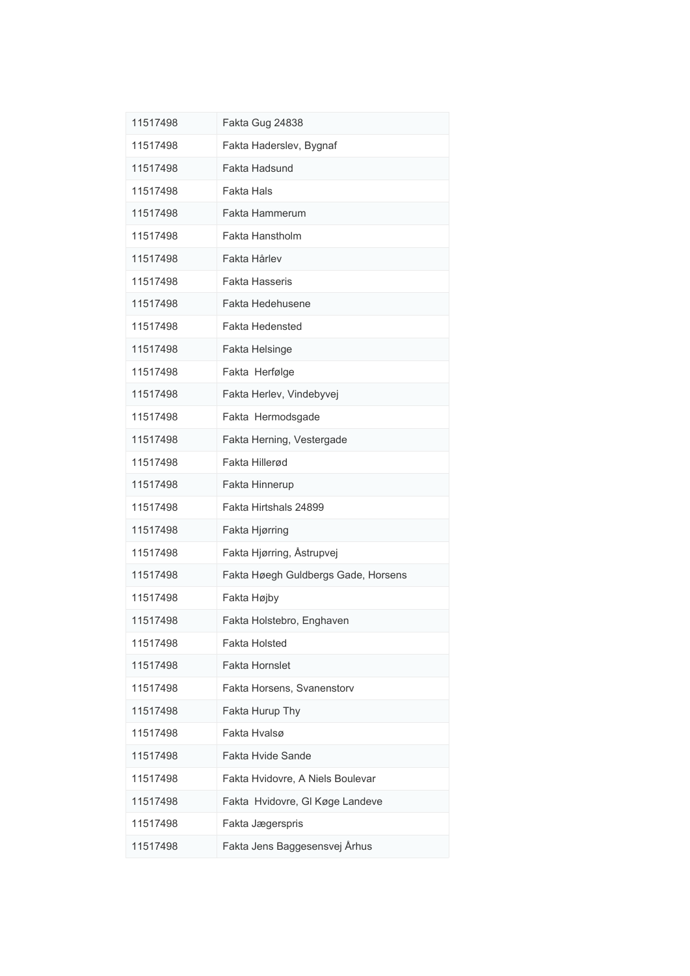| 11517498 | Fakta Gug 24838                     |
|----------|-------------------------------------|
| 11517498 | Fakta Haderslev, Bygnaf             |
| 11517498 | Fakta Hadsund                       |
| 11517498 | <b>Fakta Hals</b>                   |
| 11517498 | Fakta Hammerum                      |
| 11517498 | Fakta Hanstholm                     |
| 11517498 | Fakta Hårlev                        |
| 11517498 | <b>Fakta Hasseris</b>               |
| 11517498 | Fakta Hedehusene                    |
| 11517498 | <b>Fakta Hedensted</b>              |
| 11517498 | Fakta Helsinge                      |
| 11517498 | Fakta Herfølge                      |
| 11517498 | Fakta Herlev, Vindebyvej            |
| 11517498 | Fakta Hermodsgade                   |
| 11517498 | Fakta Herning, Vestergade           |
| 11517498 | Fakta Hillerød                      |
| 11517498 | Fakta Hinnerup                      |
| 11517498 | Fakta Hirtshals 24899               |
| 11517498 | Fakta Hjørring                      |
| 11517498 | Fakta Hjørring, Åstrupvej           |
| 11517498 | Fakta Høegh Guldbergs Gade, Horsens |
| 11517498 | Fakta Højby                         |
| 11517498 | Fakta Holstebro, Enghaven           |
| 11517498 | Fakta Holsted                       |
| 11517498 | <b>Fakta Hornslet</b>               |
| 11517498 | Fakta Horsens, Svanenstorv          |
| 11517498 | Fakta Hurup Thy                     |
| 11517498 | Fakta Hvalsø                        |
| 11517498 | <b>Fakta Hvide Sande</b>            |
| 11517498 | Fakta Hvidovre, A Niels Boulevar    |
| 11517498 | Fakta Hvidovre, GI Køge Landeve     |
| 11517498 | Fakta Jægerspris                    |
| 11517498 | Fakta Jens Baggesensvej Århus       |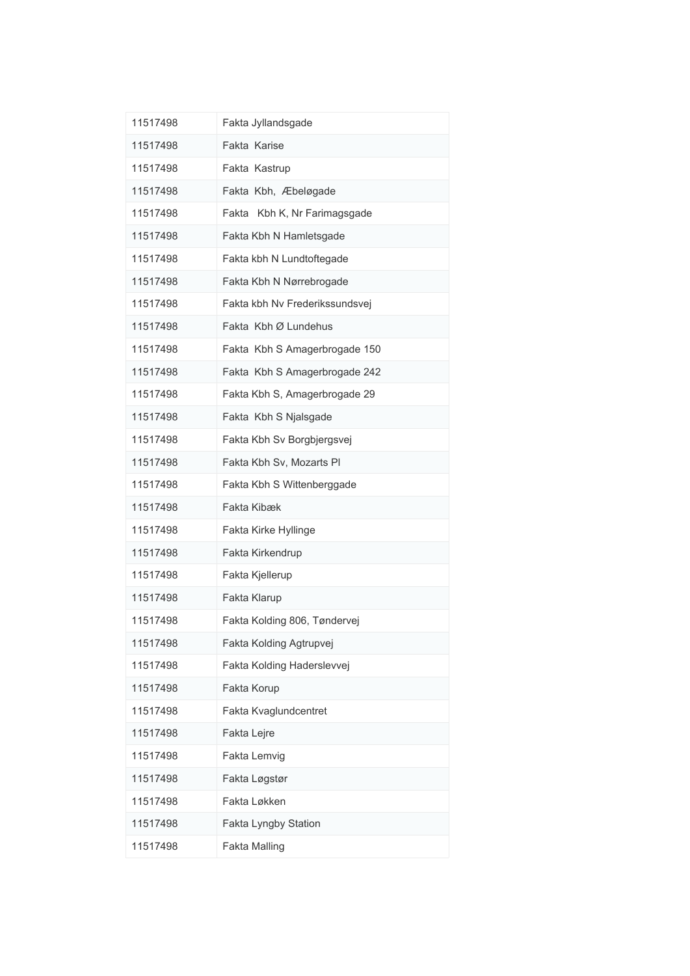| 11517498 | Fakta Jyllandsgade             |
|----------|--------------------------------|
| 11517498 | Fakta Karise                   |
| 11517498 | Fakta Kastrup                  |
| 11517498 | Fakta Kbh, Æbeløgade           |
| 11517498 | Fakta Kbh K, Nr Farimagsgade   |
| 11517498 | Fakta Kbh N Hamletsgade        |
| 11517498 | Fakta kbh N Lundtoftegade      |
| 11517498 | Fakta Kbh N Nørrebrogade       |
| 11517498 | Fakta kbh Nv Frederikssundsvej |
| 11517498 | Fakta Kbh Ø Lundehus           |
| 11517498 | Fakta Kbh S Amagerbrogade 150  |
| 11517498 | Fakta Kbh S Amagerbrogade 242  |
| 11517498 | Fakta Kbh S, Amagerbrogade 29  |
| 11517498 | Fakta Kbh S Njalsgade          |
| 11517498 | Fakta Kbh Sv Borgbjergsvej     |
| 11517498 | Fakta Kbh Sv, Mozarts Pl       |
| 11517498 | Fakta Kbh S Wittenberggade     |
| 11517498 | Fakta Kibæk                    |
| 11517498 | Fakta Kirke Hyllinge           |
| 11517498 | Fakta Kirkendrup               |
| 11517498 | Fakta Kjellerup                |
| 11517498 | Fakta Klarup                   |
| 11517498 | Fakta Kolding 806, Tøndervej   |
| 11517498 | Fakta Kolding Agtrupvej        |
| 11517498 | Fakta Kolding Haderslevvej     |
| 11517498 | Fakta Korup                    |
| 11517498 | Fakta Kvaglundcentret          |
| 11517498 | Fakta Lejre                    |
| 11517498 | Fakta Lemvig                   |
| 11517498 | Fakta Løgstør                  |
| 11517498 | Fakta Løkken                   |
| 11517498 | Fakta Lyngby Station           |
| 11517498 | <b>Fakta Malling</b>           |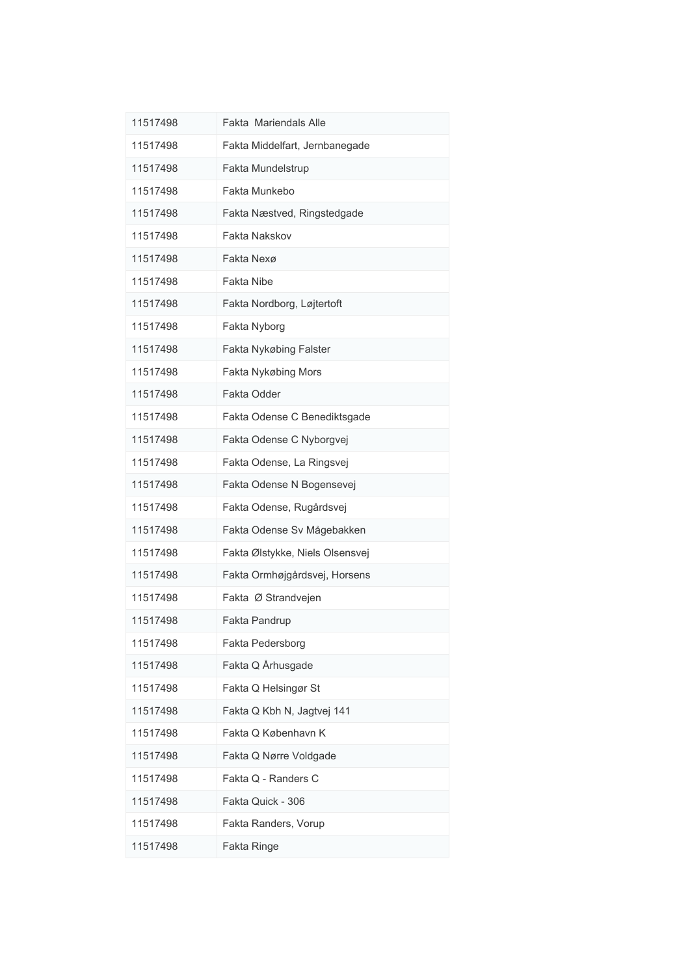| 11517498 | <b>Fakta Mariendals Alle</b>    |
|----------|---------------------------------|
| 11517498 | Fakta Middelfart, Jernbanegade  |
| 11517498 | Fakta Mundelstrup               |
| 11517498 | Fakta Munkebo                   |
| 11517498 | Fakta Næstved, Ringstedgade     |
| 11517498 | Fakta Nakskov                   |
| 11517498 | Fakta Nexø                      |
| 11517498 | <b>Fakta Nibe</b>               |
| 11517498 | Fakta Nordborg, Løjtertoft      |
| 11517498 | Fakta Nyborg                    |
| 11517498 | Fakta Nykøbing Falster          |
| 11517498 | Fakta Nykøbing Mors             |
| 11517498 | Fakta Odder                     |
| 11517498 | Fakta Odense C Benediktsgade    |
| 11517498 | Fakta Odense C Nyborgvej        |
| 11517498 | Fakta Odense, La Ringsvej       |
| 11517498 | Fakta Odense N Bogensevej       |
| 11517498 | Fakta Odense, Rugårdsvej        |
| 11517498 | Fakta Odense Sv Mågebakken      |
| 11517498 | Fakta Ølstykke, Niels Olsensvej |
| 11517498 | Fakta Ormhøjgårdsvej, Horsens   |
| 11517498 | Fakta Ø Strandvejen             |
| 11517498 | Fakta Pandrup                   |
| 11517498 | Fakta Pedersborg                |
| 11517498 | Fakta Q Århusgade               |
| 11517498 | Fakta Q Helsingør St            |
| 11517498 | Fakta Q Kbh N, Jagtvej 141      |
| 11517498 | Fakta Q København K             |
| 11517498 | Fakta Q Nørre Voldgade          |
| 11517498 | Fakta Q - Randers C             |
| 11517498 | Fakta Quick - 306               |
| 11517498 | Fakta Randers, Vorup            |
| 11517498 | Fakta Ringe                     |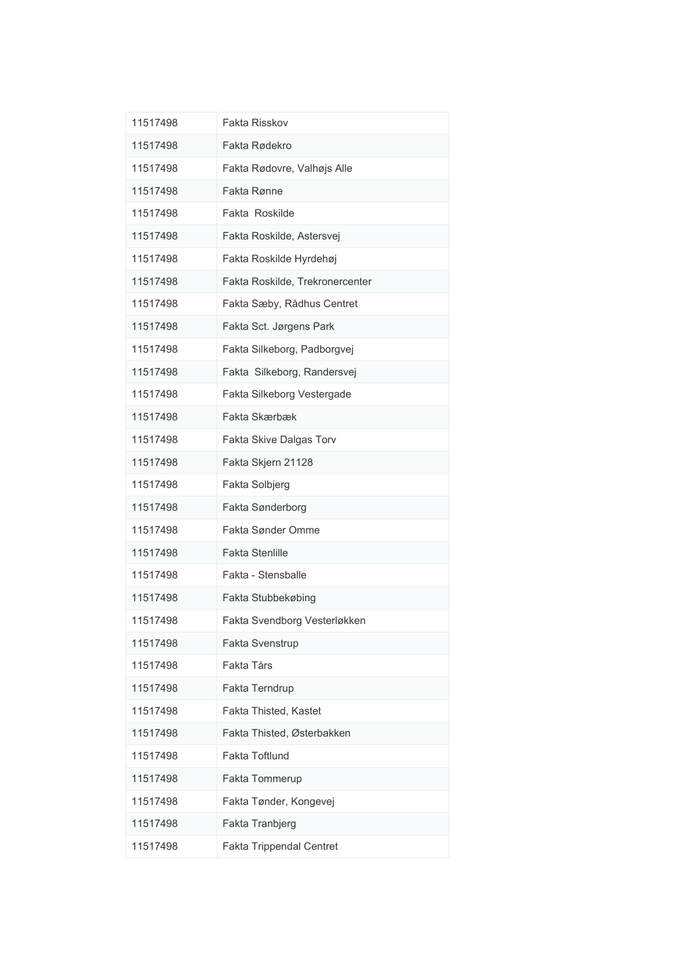| 11517498 | Fakta Risskov                   |
|----------|---------------------------------|
| 11517498 | Fakta Rødekro                   |
| 11517498 | Fakta Rødovre, Valhøjs Alle     |
| 11517498 | Fakta Rønne                     |
| 11517498 | Fakta Roskilde                  |
| 11517498 | Fakta Roskilde, Astersvej       |
| 11517498 | Fakta Roskilde Hyrdehøj         |
| 11517498 | Fakta Roskilde, Trekronercenter |
| 11517498 | Fakta Sæby, Rådhus Centret      |
| 11517498 | Fakta Sct. Jørgens Park         |
| 11517498 | Fakta Silkeborg, Padborgvej     |
| 11517498 | Fakta Silkeborg, Randersvej     |
| 11517498 | Fakta Silkeborg Vestergade      |
| 11517498 | Fakta Skærbæk                   |
| 11517498 | Fakta Skive Dalgas Torv         |
| 11517498 | Fakta Skjern 21128              |
| 11517498 | Fakta Solbjerg                  |
| 11517498 | Fakta Sønderborg                |
| 11517498 | <b>Fakta Sønder Omme</b>        |
| 11517498 | <b>Fakta Stenlille</b>          |
| 11517498 | Fakta - Stensballe              |
| 11517498 | Fakta Stubbekøbing              |
| 11517498 | Fakta Svendborg Vesterløkken    |
| 11517498 | <b>Fakta Svenstrup</b>          |
| 11517498 | Fakta Tårs                      |
| 11517498 | Fakta Terndrup                  |
| 11517498 | Fakta Thisted, Kastet           |
| 11517498 | Fakta Thisted, Østerbakken      |
| 11517498 | <b>Fakta Toftlund</b>           |
| 11517498 | Fakta Tommerup                  |
| 11517498 | Fakta Tønder, Kongevej          |
|          |                                 |
| 11517498 | Fakta Tranbjerg                 |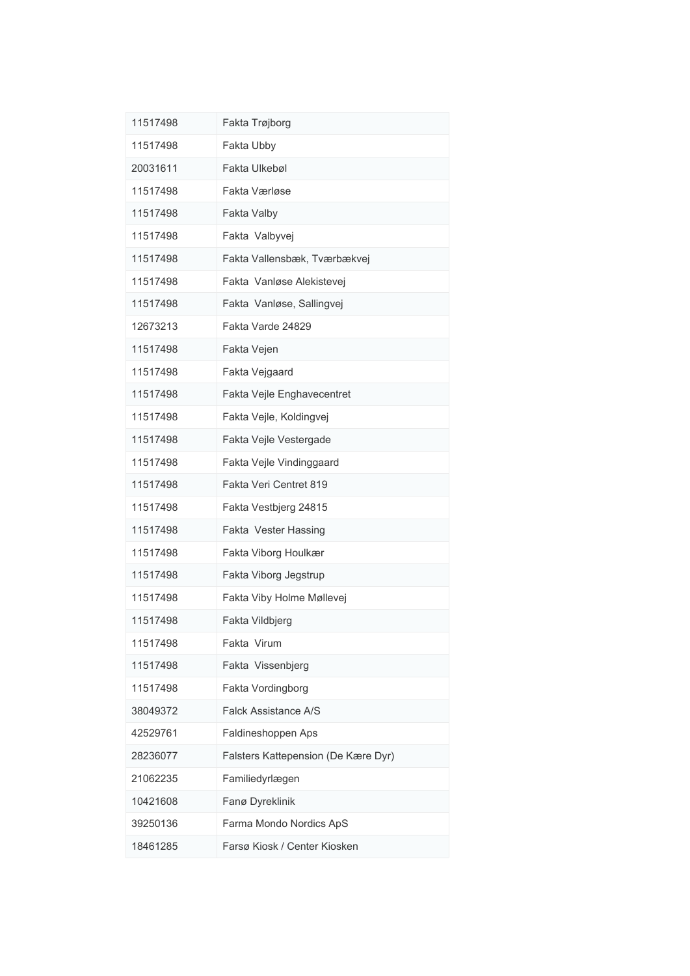| 11517498 | Fakta Trøjborg                      |
|----------|-------------------------------------|
| 11517498 | Fakta Ubby                          |
| 20031611 | Fakta Ulkebøl                       |
| 11517498 | Fakta Værløse                       |
| 11517498 | Fakta Valby                         |
| 11517498 | Fakta Valbyvej                      |
| 11517498 | Fakta Vallensbæk, Tværbækvej        |
| 11517498 | Fakta Vanløse Alekistevej           |
| 11517498 | Fakta Vanløse, Sallingvej           |
| 12673213 | Fakta Varde 24829                   |
| 11517498 | Fakta Vejen                         |
| 11517498 | Fakta Vejgaard                      |
| 11517498 | Fakta Vejle Enghavecentret          |
| 11517498 | Fakta Vejle, Koldingvej             |
| 11517498 | Fakta Vejle Vestergade              |
| 11517498 | Fakta Vejle Vindinggaard            |
| 11517498 | Fakta Veri Centret 819              |
| 11517498 | Fakta Vestbjerg 24815               |
| 11517498 | Fakta Vester Hassing                |
| 11517498 | Fakta Viborg Houlkær                |
| 11517498 | Fakta Viborg Jegstrup               |
| 11517498 | Fakta Viby Holme Møllevej           |
| 11517498 | Fakta Vildbjerg                     |
| 11517498 | Fakta Virum                         |
| 11517498 | Fakta Vissenbjerg                   |
| 11517498 | Fakta Vordingborg                   |
| 38049372 | Falck Assistance A/S                |
| 42529761 | Faldineshoppen Aps                  |
| 28236077 | Falsters Kattepension (De Kære Dyr) |
| 21062235 | Familiedyrlægen                     |
| 10421608 | Fanø Dyreklinik                     |
| 39250136 | Farma Mondo Nordics ApS             |
| 18461285 | Farsø Kiosk / Center Kiosken        |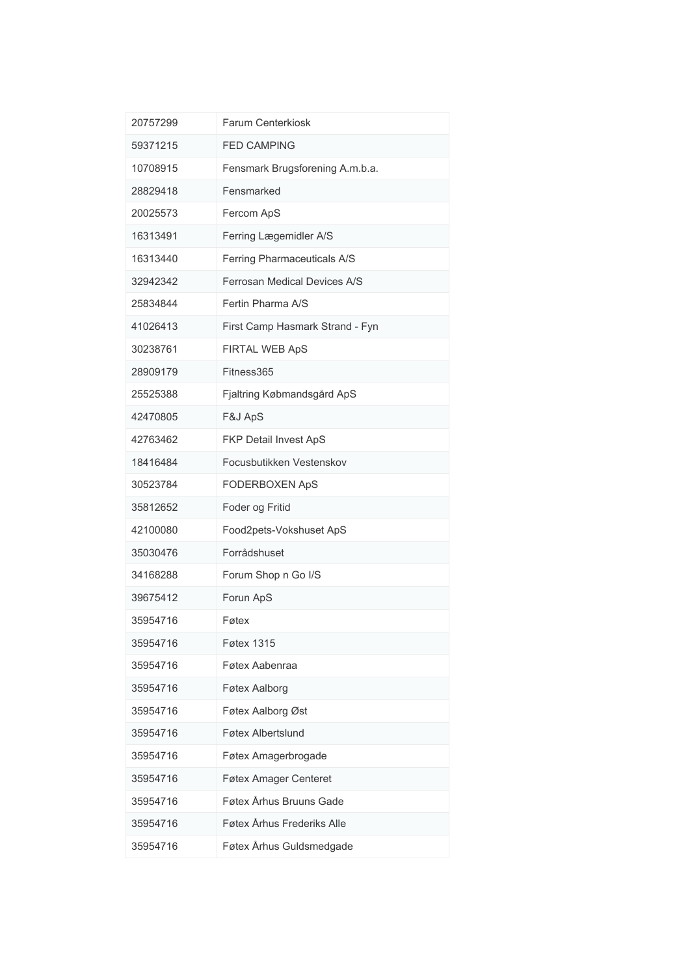| 20757299 | <b>Farum Centerkiosk</b>        |
|----------|---------------------------------|
| 59371215 | <b>FED CAMPING</b>              |
| 10708915 | Fensmark Brugsforening A.m.b.a. |
| 28829418 | Fensmarked                      |
| 20025573 | Fercom ApS                      |
| 16313491 | Ferring Lægemidler A/S          |
| 16313440 | Ferring Pharmaceuticals A/S     |
| 32942342 | Ferrosan Medical Devices A/S    |
| 25834844 | Fertin Pharma A/S               |
| 41026413 | First Camp Hasmark Strand - Fyn |
| 30238761 | FIRTAL WEB ApS                  |
| 28909179 | Fitness365                      |
| 25525388 | Fjaltring Købmandsgård ApS      |
| 42470805 | F&J ApS                         |
| 42763462 | FKP Detail Invest ApS           |
| 18416484 | Focusbutikken Vestenskov        |
| 30523784 | FODERBOXEN ApS                  |
| 35812652 | Foder og Fritid                 |
| 42100080 | Food2pets-Vokshuset ApS         |
| 35030476 | Forrådshuset                    |
| 34168288 | Forum Shop n Go I/S             |
| 39675412 | Forun ApS                       |
| 35954716 | Føtex                           |
| 35954716 | <b>Føtex 1315</b>               |
| 35954716 | Føtex Aabenraa                  |
| 35954716 | <b>Føtex Aalborg</b>            |
| 35954716 | Føtex Aalborg Øst               |
| 35954716 | Føtex Albertslund               |
| 35954716 | Føtex Amagerbrogade             |
| 35954716 | Føtex Amager Centeret           |
| 35954716 | Føtex Århus Bruuns Gade         |
| 35954716 | Føtex Århus Frederiks Alle      |
| 35954716 | Føtex Århus Guldsmedgade        |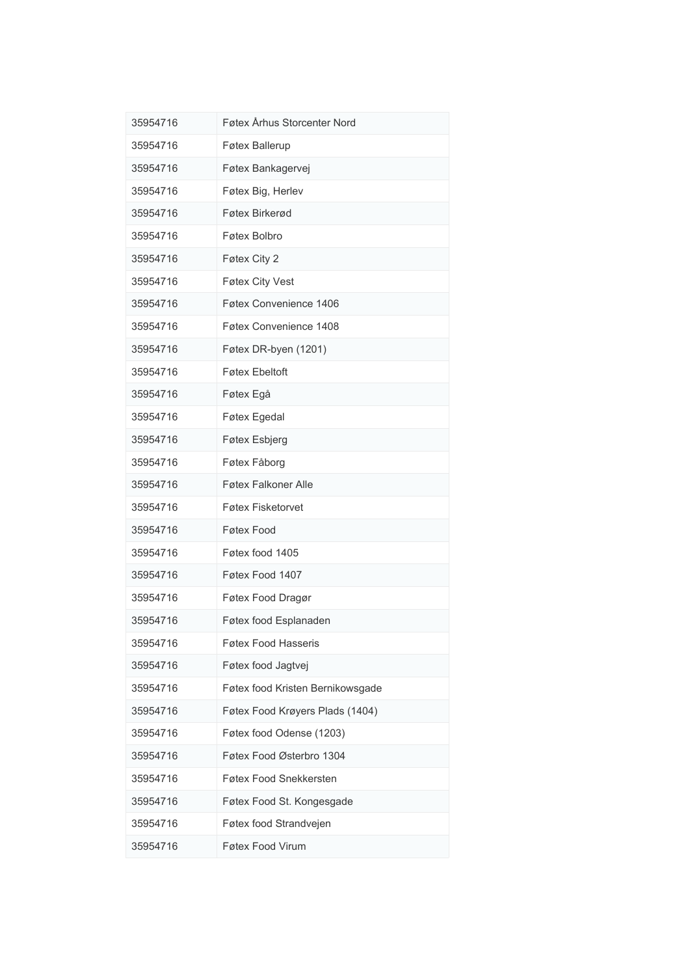| 35954716 | Føtex Århus Storcenter Nord      |
|----------|----------------------------------|
| 35954716 | Føtex Ballerup                   |
| 35954716 | Føtex Bankagervej                |
| 35954716 | Føtex Big, Herlev                |
| 35954716 | Føtex Birkerød                   |
| 35954716 | Føtex Bolbro                     |
| 35954716 | Føtex City 2                     |
| 35954716 | Føtex City Vest                  |
| 35954716 | Føtex Convenience 1406           |
| 35954716 | Føtex Convenience 1408           |
| 35954716 | Føtex DR-byen (1201)             |
| 35954716 | <b>Føtex Ebeltoft</b>            |
| 35954716 | Føtex Egå                        |
| 35954716 | Føtex Egedal                     |
| 35954716 | Føtex Esbjerg                    |
| 35954716 | Føtex Fåborg                     |
| 35954716 | Føtex Falkoner Alle              |
| 35954716 | <b>Føtex Fisketorvet</b>         |
| 35954716 | Føtex Food                       |
| 35954716 | Føtex food 1405                  |
| 35954716 | Føtex Food 1407                  |
| 35954716 | Føtex Food Dragør                |
| 35954716 | Føtex food Esplanaden            |
| 35954716 | <b>Føtex Food Hasseris</b>       |
| 35954716 | Føtex food Jagtvej               |
| 35954716 | Føtex food Kristen Bernikowsgade |
| 35954716 | Føtex Food Krøyers Plads (1404)  |
| 35954716 | Føtex food Odense (1203)         |
| 35954716 | Føtex Food Østerbro 1304         |
| 35954716 | Føtex Food Snekkersten           |
| 35954716 | Føtex Food St. Kongesgade        |
| 35954716 | Føtex food Strandvejen           |
| 35954716 | Føtex Food Virum                 |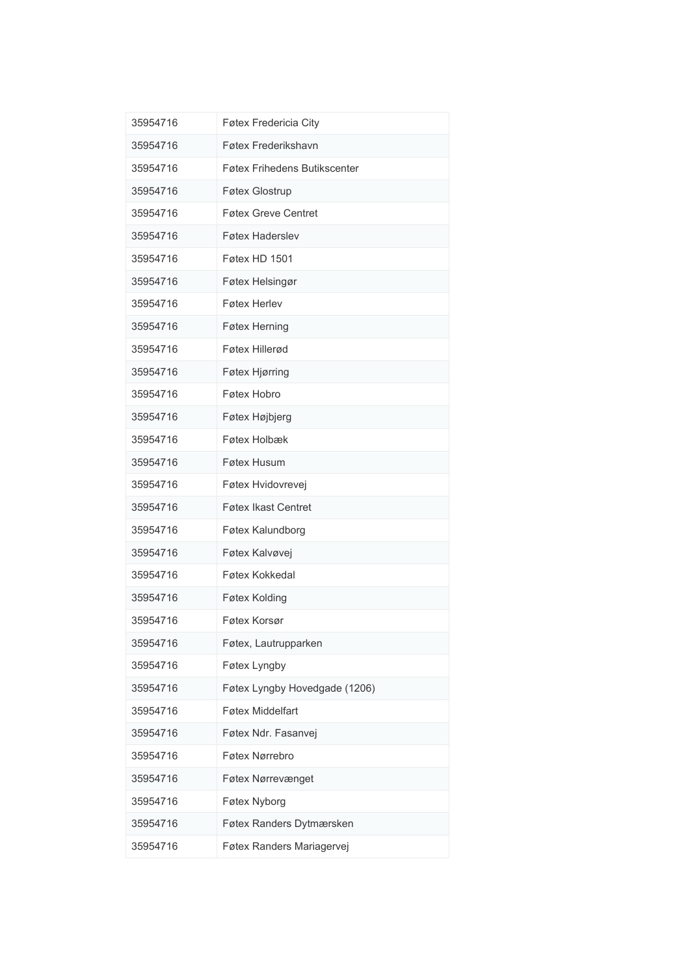| 35954716 | Føtex Fredericia City               |
|----------|-------------------------------------|
| 35954716 | Føtex Frederikshavn                 |
| 35954716 | <b>Føtex Frihedens Butikscenter</b> |
| 35954716 | <b>Føtex Glostrup</b>               |
| 35954716 | <b>Føtex Greve Centret</b>          |
| 35954716 | <b>Føtex Haderslev</b>              |
| 35954716 | Føtex HD 1501                       |
| 35954716 | Føtex Helsingør                     |
| 35954716 | <b>Føtex Herlev</b>                 |
| 35954716 | <b>Føtex Herning</b>                |
| 35954716 | Føtex Hillerød                      |
| 35954716 | Føtex Hjørring                      |
| 35954716 | Føtex Hobro                         |
| 35954716 | Føtex Højbjerg                      |
| 35954716 | Føtex Holbæk                        |
| 35954716 | Føtex Husum                         |
| 35954716 | Føtex Hvidovrevej                   |
| 35954716 | <b>Føtex Ikast Centret</b>          |
| 35954716 | Føtex Kalundborg                    |
| 35954716 | Føtex Kalvøvej                      |
| 35954716 | Føtex Kokkedal                      |
| 35954716 | Føtex Kolding                       |
| 35954716 | Føtex Korsør                        |
| 35954716 | Føtex, Lautrupparken                |
| 35954716 | Føtex Lyngby                        |
| 35954716 | Føtex Lyngby Hovedgade (1206)       |
| 35954716 | Føtex Middelfart                    |
| 35954716 | Føtex Ndr. Fasanvej                 |
| 35954716 | Føtex Nørrebro                      |
| 35954716 | Føtex Nørrevænget                   |
| 35954716 | Føtex Nyborg                        |
| 35954716 | Føtex Randers Dytmærsken            |
| 35954716 | Føtex Randers Mariagervej           |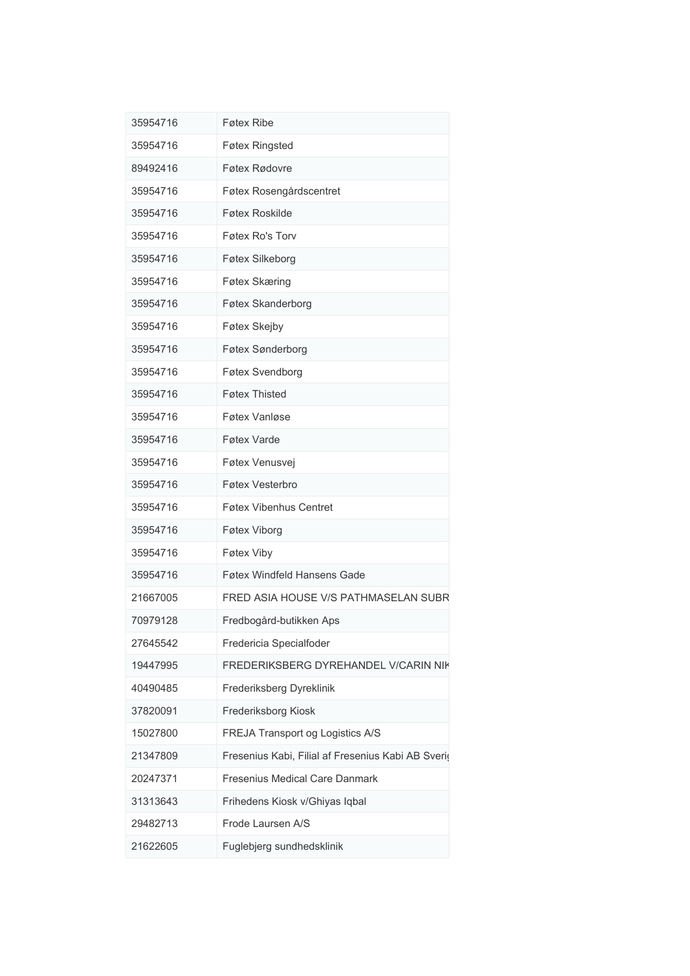| 35954716 | <b>Føtex Ribe</b>                                  |
|----------|----------------------------------------------------|
| 35954716 | Føtex Ringsted                                     |
| 89492416 | Føtex Rødovre                                      |
| 35954716 | Føtex Rosengårdscentret                            |
| 35954716 | <b>Føtex Roskilde</b>                              |
| 35954716 | Føtex Ro's Torv                                    |
| 35954716 | Føtex Silkeborg                                    |
| 35954716 | Føtex Skæring                                      |
| 35954716 | Føtex Skanderborg                                  |
| 35954716 | Føtex Skejby                                       |
| 35954716 | Føtex Sønderborg                                   |
| 35954716 | Føtex Svendborg                                    |
| 35954716 | <b>Føtex Thisted</b>                               |
| 35954716 | Føtex Vanløse                                      |
| 35954716 | <b>Føtex Varde</b>                                 |
| 35954716 | Føtex Venusvej                                     |
| 35954716 | Føtex Vesterbro                                    |
| 35954716 | <b>Føtex Vibenhus Centret</b>                      |
| 35954716 | Føtex Viborg                                       |
| 35954716 | Føtex Viby                                         |
| 35954716 | <b>Føtex Windfeld Hansens Gade</b>                 |
| 21667005 | FRED ASIA HOUSE V/S PATHMASELAN SUBR               |
| 70979128 | Fredbogård-butikken Aps                            |
| 27645542 | Fredericia Specialfoder                            |
| 19447995 | FREDERIKSBERG DYREHANDEL V/CARIN NIK               |
| 40490485 | Frederiksberg Dyreklinik                           |
| 37820091 | Frederiksborg Kiosk                                |
| 15027800 | FREJA Transport og Logistics A/S                   |
| 21347809 | Fresenius Kabi, Filial af Fresenius Kabi AB Sverio |
| 20247371 | <b>Fresenius Medical Care Danmark</b>              |
| 31313643 | Frihedens Kiosk v/Ghiyas Iqbal                     |
| 29482713 | Frode Laursen A/S                                  |
| 21622605 | Fuglebjerg sundhedsklinik                          |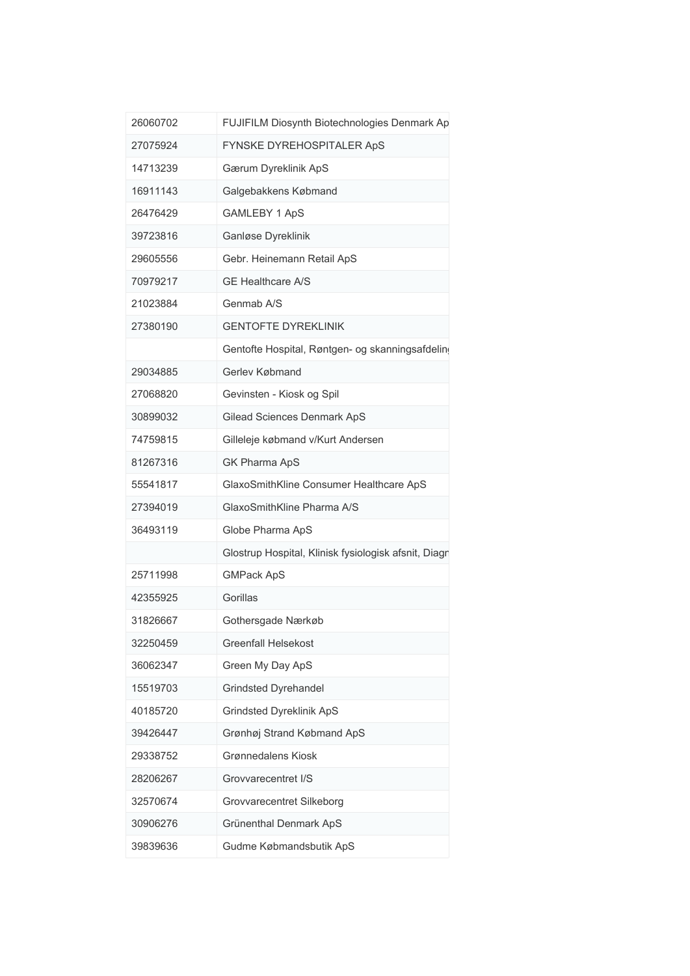| 26060702 | FUJIFILM Diosynth Biotechnologies Denmark Ap         |
|----------|------------------------------------------------------|
| 27075924 | FYNSKE DYREHOSPITALER ApS                            |
| 14713239 | Gærum Dyreklinik ApS                                 |
| 16911143 | Galgebakkens Købmand                                 |
| 26476429 | <b>GAMLEBY 1 ApS</b>                                 |
| 39723816 | Ganløse Dyreklinik                                   |
| 29605556 | Gebr. Heinemann Retail ApS                           |
| 70979217 | <b>GE Healthcare A/S</b>                             |
| 21023884 | Genmab A/S                                           |
| 27380190 | <b>GENTOFTE DYREKLINIK</b>                           |
|          | Gentofte Hospital, Røntgen- og skanningsafdeling     |
| 29034885 | Gerlev Købmand                                       |
| 27068820 | Gevinsten - Kiosk og Spil                            |
| 30899032 | Gilead Sciences Denmark ApS                          |
| 74759815 | Gilleleje købmand v/Kurt Andersen                    |
| 81267316 | <b>GK Pharma ApS</b>                                 |
| 55541817 | GlaxoSmithKline Consumer Healthcare ApS              |
| 27394019 | GlaxoSmithKline Pharma A/S                           |
| 36493119 | Globe Pharma ApS                                     |
|          | Glostrup Hospital, Klinisk fysiologisk afsnit, Diagr |
| 25711998 | <b>GMPack ApS</b>                                    |
| 42355925 | Gorillas                                             |
| 31826667 | Gothersgade Nærkøb                                   |
| 32250459 | <b>Greenfall Helsekost</b>                           |
| 36062347 | Green My Day ApS                                     |
| 15519703 | <b>Grindsted Dyrehandel</b>                          |
| 40185720 | <b>Grindsted Dyreklinik ApS</b>                      |
| 39426447 | Grønhøj Strand Købmand ApS                           |
| 29338752 | Grønnedalens Kiosk                                   |
| 28206267 | Grovvarecentret I/S                                  |
| 32570674 | Grovvarecentret Silkeborg                            |
| 30906276 | Grünenthal Denmark ApS                               |
| 39839636 | Gudme Købmandsbutik ApS                              |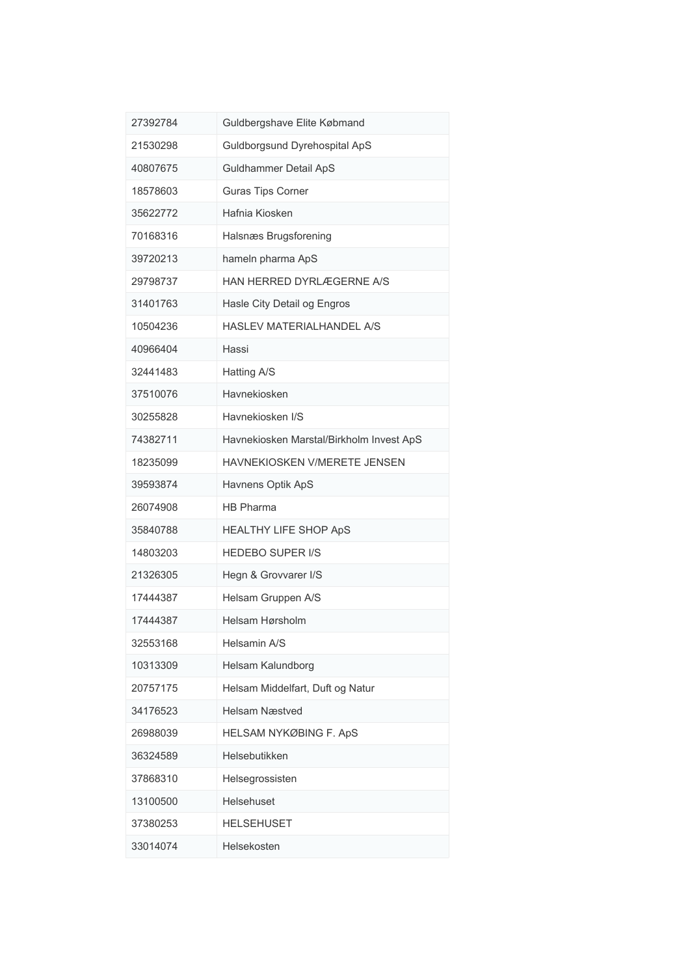| 27392784 | Guldbergshave Elite Købmand              |
|----------|------------------------------------------|
| 21530298 | Guldborgsund Dyrehospital ApS            |
| 40807675 | Guldhammer Detail ApS                    |
| 18578603 | <b>Guras Tips Corner</b>                 |
| 35622772 | Hafnia Kiosken                           |
| 70168316 | Halsnæs Brugsforening                    |
| 39720213 | hameln pharma ApS                        |
| 29798737 | HAN HERRED DYRLÆGERNE A/S                |
| 31401763 | Hasle City Detail og Engros              |
| 10504236 | <b>HASLEV MATERIALHANDEL A/S</b>         |
| 40966404 | Hassi                                    |
| 32441483 | Hatting A/S                              |
| 37510076 | Havnekiosken                             |
| 30255828 | Havnekiosken I/S                         |
| 74382711 | Havnekiosken Marstal/Birkholm Invest ApS |
| 18235099 | HAVNEKIOSKEN V/MERETE JENSEN             |
| 39593874 | Havnens Optik ApS                        |
| 26074908 | <b>HB Pharma</b>                         |
| 35840788 | <b>HEALTHY LIFE SHOP ApS</b>             |
| 14803203 | <b>HEDEBO SUPER I/S</b>                  |
| 21326305 | Hegn & Grovvarer I/S                     |
| 17444387 | Helsam Gruppen A/S                       |
| 17444387 | Helsam Hørsholm                          |
| 32553168 | Helsamin A/S                             |
| 10313309 | Helsam Kalundborg                        |
| 20757175 | Helsam Middelfart, Duft og Natur         |
| 34176523 | <b>Helsam Næstved</b>                    |
| 26988039 | HELSAM NYKØBING F. ApS                   |
| 36324589 | Helsebutikken                            |
| 37868310 | Helsegrossisten                          |
| 13100500 | Helsehuset                               |
| 37380253 | <b>HELSEHUSET</b>                        |
| 33014074 | Helsekosten                              |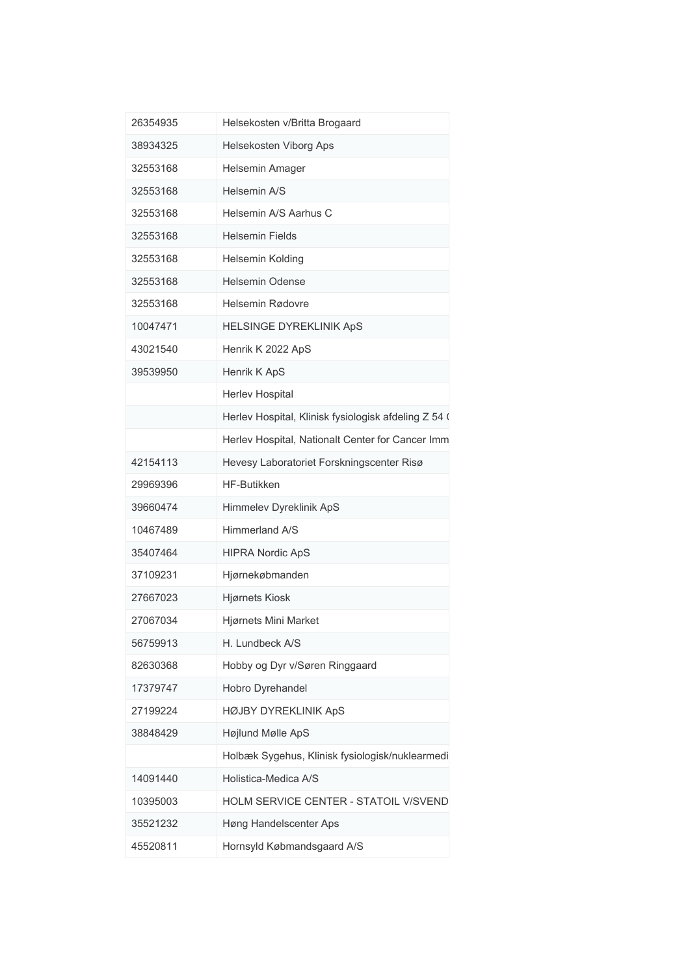| 26354935 | Helsekosten v/Britta Brogaard                        |
|----------|------------------------------------------------------|
| 38934325 | Helsekosten Viborg Aps                               |
| 32553168 | Helsemin Amager                                      |
| 32553168 | Helsemin A/S                                         |
| 32553168 | Helsemin A/S Aarhus C                                |
| 32553168 | <b>Helsemin Fields</b>                               |
| 32553168 | Helsemin Kolding                                     |
| 32553168 | <b>Helsemin Odense</b>                               |
| 32553168 | Helsemin Rødovre                                     |
| 10047471 | HELSINGE DYREKLINIK ApS                              |
| 43021540 | Henrik K 2022 ApS                                    |
| 39539950 | Henrik K ApS                                         |
|          | <b>Herlev Hospital</b>                               |
|          | Herlev Hospital, Klinisk fysiologisk afdeling Z 54 ( |
|          | Herlev Hospital, Nationalt Center for Cancer Imm     |
| 42154113 | Hevesy Laboratoriet Forskningscenter Risø            |
| 29969396 | <b>HF-Butikken</b>                                   |
| 39660474 | Himmelev Dyreklinik ApS                              |
| 10467489 | Himmerland A/S                                       |
| 35407464 | <b>HIPRA Nordic ApS</b>                              |
| 37109231 | Hjørnekøbmanden                                      |
| 27667023 | Hjørnets Kiosk                                       |
| 27067034 | Hjørnets Mini Market                                 |
| 56759913 | H. Lundbeck A/S                                      |
| 82630368 | Hobby og Dyr v/Søren Ringgaard                       |
| 17379747 | Hobro Dyrehandel                                     |
| 27199224 | HØJBY DYREKLINIK ApS                                 |
| 38848429 | Højlund Mølle ApS                                    |
|          | Holbæk Sygehus, Klinisk fysiologisk/nuklearmedi      |
| 14091440 | Holistica-Medica A/S                                 |
| 10395003 | HOLM SERVICE CENTER - STATOIL V/SVEND                |
| 35521232 | Høng Handelscenter Aps                               |
| 45520811 | Hornsyld Købmandsgaard A/S                           |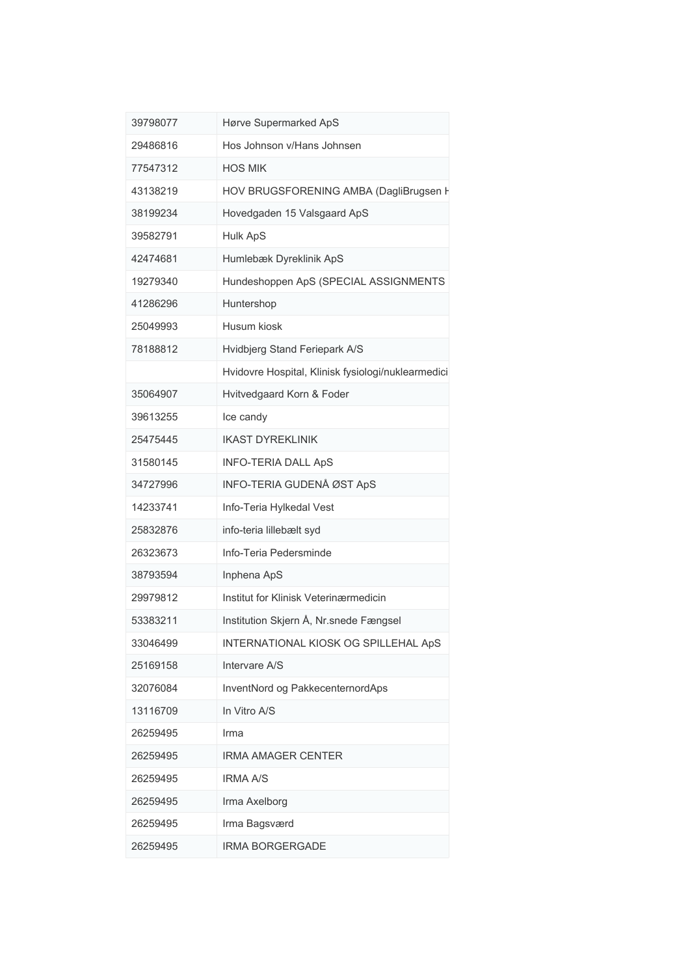| 39798077 | Hørve Supermarked ApS                              |
|----------|----------------------------------------------------|
| 29486816 | Hos Johnson v/Hans Johnsen                         |
| 77547312 | <b>HOS MIK</b>                                     |
| 43138219 | HOV BRUGSFORENING AMBA (DagliBrugsen F             |
| 38199234 | Hovedgaden 15 Valsgaard ApS                        |
| 39582791 | <b>Hulk ApS</b>                                    |
| 42474681 | Humlebæk Dyreklinik ApS                            |
| 19279340 | Hundeshoppen ApS (SPECIAL ASSIGNMENTS              |
| 41286296 | Huntershop                                         |
| 25049993 | Husum kiosk                                        |
| 78188812 | Hvidbjerg Stand Feriepark A/S                      |
|          | Hvidovre Hospital, Klinisk fysiologi/nuklearmedici |
| 35064907 | Hvitvedgaard Korn & Foder                          |
| 39613255 | Ice candy                                          |
| 25475445 | <b>IKAST DYRFKI INIK</b>                           |
| 31580145 | <b>INFO-TERIA DALL ApS</b>                         |
| 34727996 | INFO-TERIA GUDENÅ ØST ApS                          |
| 14233741 | Info-Teria Hylkedal Vest                           |
| 25832876 | info-teria lillebælt syd                           |
| 26323673 | Info-Teria Pedersminde                             |
| 38793594 | Inphena ApS                                        |
| 29979812 | Institut for Klinisk Veterinærmedicin              |
| 53383211 | Institution Skjern Å, Nr.snede Fængsel             |
| 33046499 | INTERNATIONAL KIOSK OG SPILLEHAL ApS               |
| 25169158 | Intervare A/S                                      |
| 32076084 | InventNord og PakkecenternordAps                   |
| 13116709 | In Vitro A/S                                       |
| 26259495 | Irma                                               |
| 26259495 | <b>IRMA AMAGER CENTER</b>                          |
| 26259495 | <b>IRMA A/S</b>                                    |
| 26259495 | Irma Axelborg                                      |
| 26259495 | Irma Bagsværd                                      |
| 26259495 | <b>IRMA BORGERGADE</b>                             |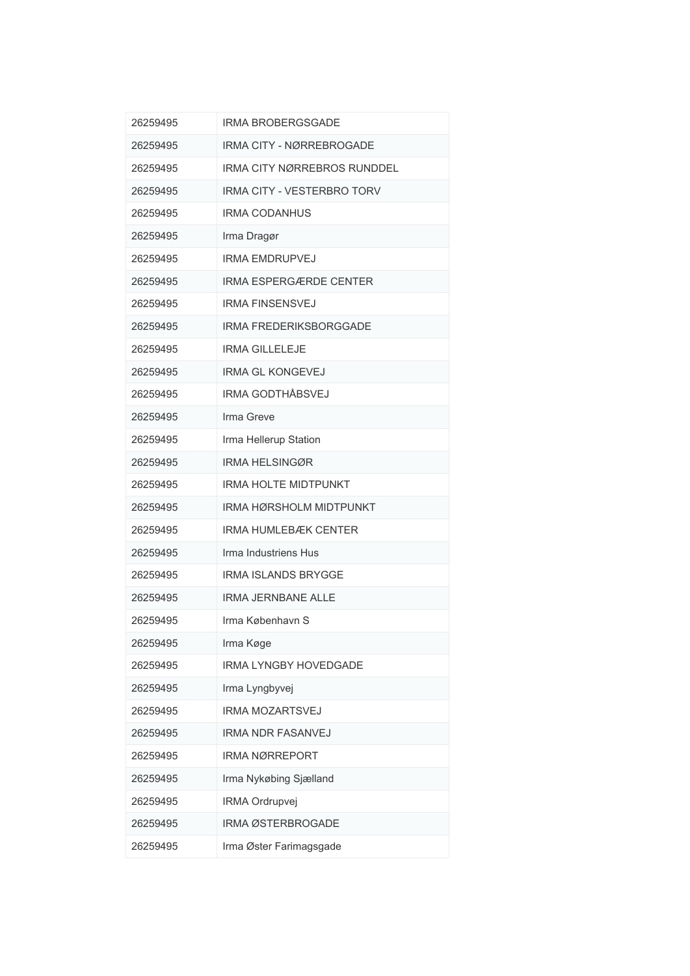| 26259495 | IRMA BROBERGSGADE                  |
|----------|------------------------------------|
| 26259495 | IRMA CITY - NØRREBROGADE           |
| 26259495 | <b>IRMA CITY NØRREBROS RUNDDEL</b> |
| 26259495 | <b>IRMA CITY - VESTERBRO TORV</b>  |
| 26259495 | <b>IRMA CODANHUS</b>               |
| 26259495 | Irma Dragør                        |
| 26259495 | <b>IRMA EMDRUPVEJ</b>              |
| 26259495 | <b>IRMA ESPERGÆRDE CENTER</b>      |
| 26259495 | <b>IRMA FINSENSVEJ</b>             |
| 26259495 | <b>IRMA FREDERIKSBORGGADE</b>      |
| 26259495 | <b>IRMA GILLELEJE</b>              |
| 26259495 | <b>IRMA GL KONGEVEJ</b>            |
| 26259495 | <b>IRMA GODTHÅBSVEJ</b>            |
| 26259495 | Irma Greve                         |
| 26259495 | Irma Hellerup Station              |
| 26259495 | <b>IRMA HELSINGØR</b>              |
| 26259495 | <b>IRMA HOLTE MIDTPUNKT</b>        |
| 26259495 | IRMA HØRSHOLM MIDTPUNKT            |
| 26259495 | <b>IRMA HUMLEBÆK CENTER</b>        |
| 26259495 | Irma Industriens Hus               |
| 26259495 | <b>IRMA ISLANDS BRYGGE</b>         |
| 26259495 | <b>IRMA JERNBANE ALLE</b>          |
| 26259495 | Irma København S                   |
| 26259495 | Irma Køge                          |
| 26259495 | IRMA LYNGBY HOVEDGADE              |
| 26259495 | Irma Lyngbyvej                     |
| 26259495 | <b>IRMA MOZARTSVEJ</b>             |
| 26259495 | <b>IRMA NDR FASANVEJ</b>           |
| 26259495 | <b>IRMA NØRREPORT</b>              |
| 26259495 | Irma Nykøbing Sjælland             |
| 26259495 | <b>IRMA Ordrupvej</b>              |
| 26259495 | IRMA ØSTERBROGADE                  |
| 26259495 | Irma Øster Farimagsgade            |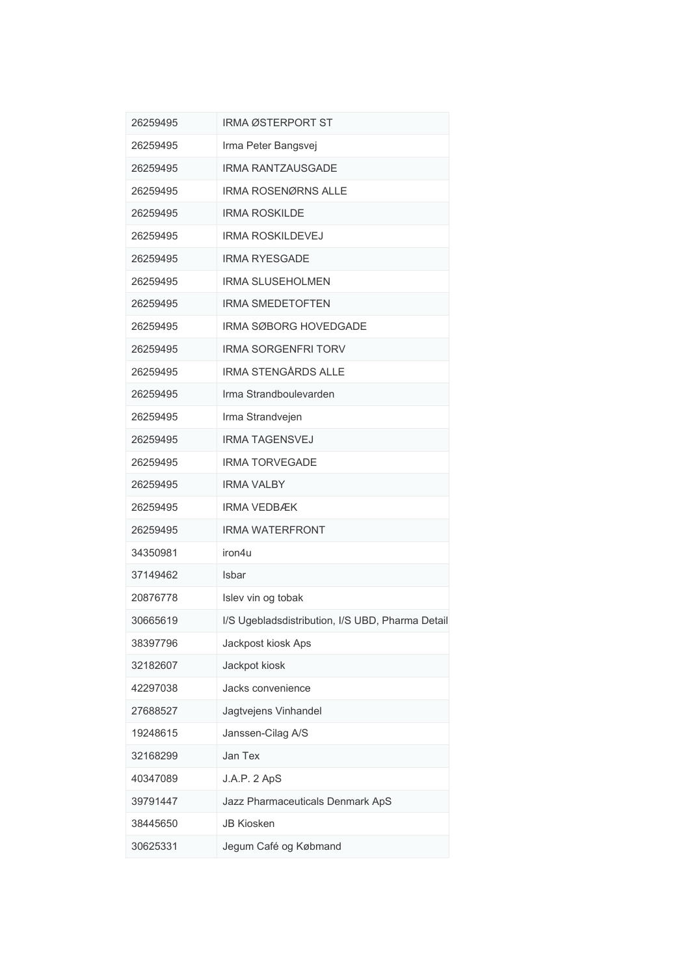| 26259495 | IRMA ØSTERPORT ST                                |
|----------|--------------------------------------------------|
| 26259495 | Irma Peter Bangsvej                              |
| 26259495 | <b>IRMA RANTZAUSGADE</b>                         |
| 26259495 | <b>IRMA ROSENØRNS ALLE</b>                       |
| 26259495 | <b>IRMA ROSKILDE</b>                             |
| 26259495 | <b>IRMA ROSKILDEVEJ</b>                          |
| 26259495 | <b>IRMA RYESGADE</b>                             |
| 26259495 | <b>IRMA SLUSEHOLMEN</b>                          |
| 26259495 | <b>IRMA SMEDETOFTEN</b>                          |
| 26259495 | IRMA SØBORG HOVEDGADE                            |
| 26259495 | <b>IRMA SORGENFRI TORV</b>                       |
| 26259495 | <b>IRMA STENGÅRDS ALLE</b>                       |
| 26259495 | Irma Strandboulevarden                           |
| 26259495 | Irma Strandvejen                                 |
| 26259495 | <b>IRMA TAGENSVEJ</b>                            |
| 26259495 | <b>IRMA TORVEGADE</b>                            |
| 26259495 | <b>IRMA VALBY</b>                                |
| 26259495 | <b>IRMA VEDBÆK</b>                               |
| 26259495 | <b>IRMA WATERFRONT</b>                           |
| 34350981 | iron4u                                           |
| 37149462 | Isbar                                            |
| 20876778 | Islev vin og tobak                               |
| 30665619 | I/S Ugebladsdistribution, I/S UBD, Pharma Detail |
| 38397796 | Jackpost kiosk Aps                               |
| 32182607 | Jackpot kiosk                                    |
| 42297038 | Jacks convenience                                |
| 27688527 | Jagtvejens Vinhandel                             |
| 19248615 | Janssen-Cilag A/S                                |
| 32168299 | Jan Tex                                          |
| 40347089 | J.A.P. 2 ApS                                     |
| 39791447 | Jazz Pharmaceuticals Denmark ApS                 |
| 38445650 | <b>JB Kiosken</b>                                |
| 30625331 | Jegum Café og Købmand                            |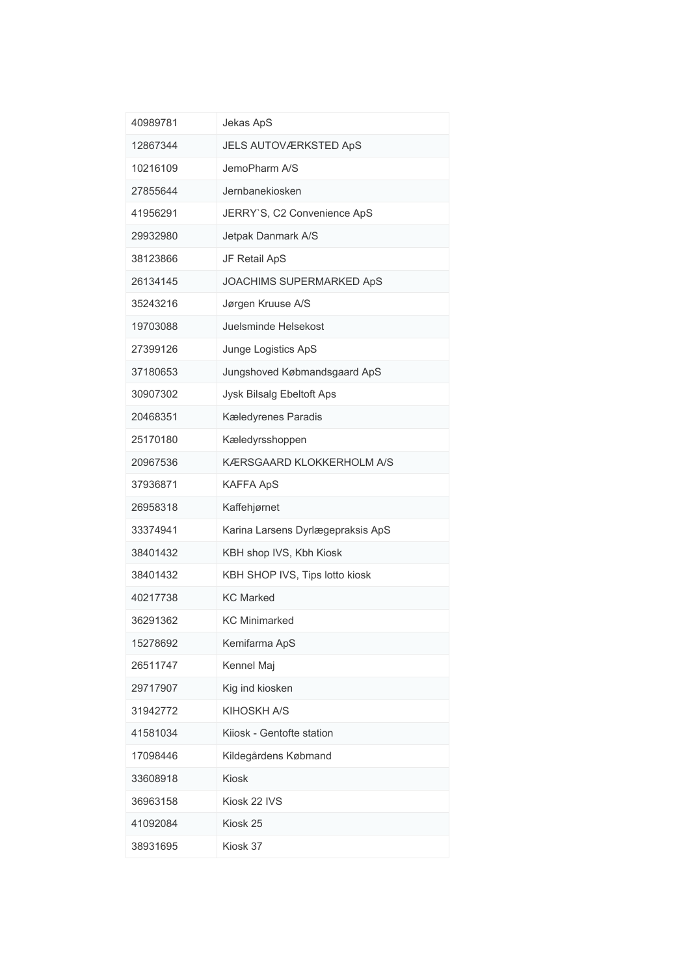| 40989781 | Jekas ApS                         |
|----------|-----------------------------------|
| 12867344 | JELS AUTOVÆRKSTED ApS             |
| 10216109 | JemoPharm A/S                     |
| 27855644 | Jernbanekiosken                   |
| 41956291 | JERRY'S, C2 Convenience ApS       |
| 29932980 | Jetpak Danmark A/S                |
| 38123866 | JF Retail ApS                     |
| 26134145 | JOACHIMS SUPERMARKED ApS          |
| 35243216 | Jørgen Kruuse A/S                 |
| 19703088 | Juelsminde Helsekost              |
| 27399126 | Junge Logistics ApS               |
| 37180653 | Jungshoved Købmandsgaard ApS      |
| 30907302 | Jysk Bilsalg Ebeltoft Aps         |
| 20468351 | Kæledyrenes Paradis               |
| 25170180 | Kæledyrsshoppen                   |
| 20967536 | KÆRSGAARD KLOKKERHOLM A/S         |
| 37936871 | <b>KAFFA ApS</b>                  |
| 26958318 | Kaffehjørnet                      |
| 33374941 | Karina Larsens Dyrlægepraksis ApS |
| 38401432 | KBH shop IVS, Kbh Kiosk           |
| 38401432 | KBH SHOP IVS, Tips lotto kiosk    |
| 40217738 | <b>KC Marked</b>                  |
| 36291362 | <b>KC Minimarked</b>              |
| 15278692 | Kemifarma ApS                     |
| 26511747 | Kennel Maj                        |
| 29717907 | Kig ind kiosken                   |
| 31942772 | KIHOSKH A/S                       |
| 41581034 | Kijosk - Gentofte station         |
| 17098446 | Kildegårdens Købmand              |
| 33608918 | <b>Kiosk</b>                      |
| 36963158 | Kiosk 22 IVS                      |
| 41092084 | Kiosk 25                          |
| 38931695 | Kiosk 37                          |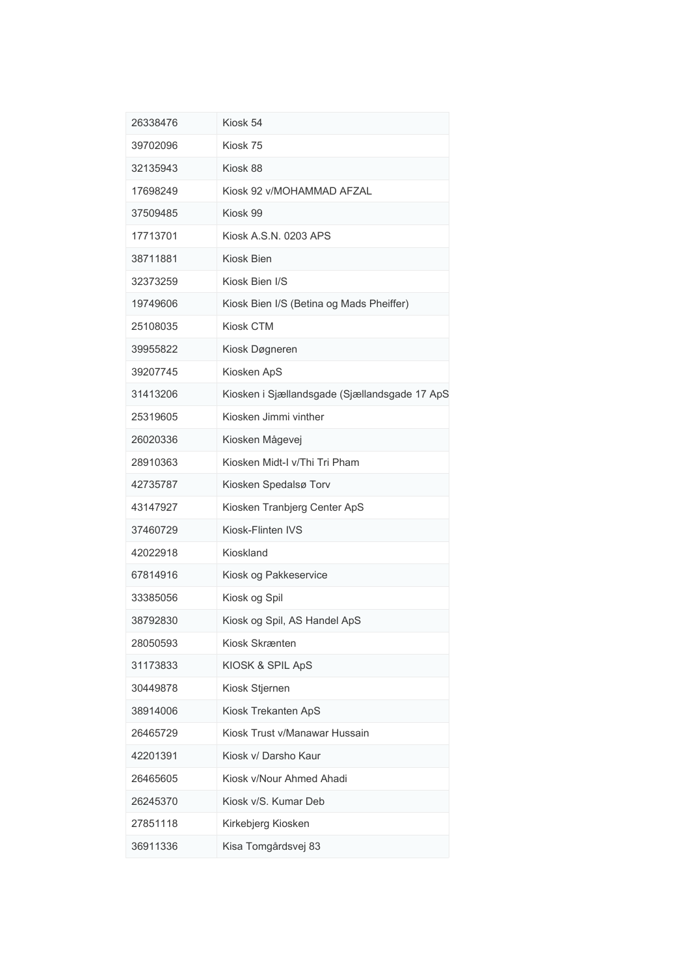| 26338476 | Kiosk 54                                      |
|----------|-----------------------------------------------|
| 39702096 | Kiosk 75                                      |
| 32135943 | Kiosk 88                                      |
| 17698249 | Kiosk 92 v/MOHAMMAD AFZAL                     |
| 37509485 | Kiosk 99                                      |
| 17713701 | Kiosk A.S.N. 0203 APS                         |
| 38711881 | Kiosk Bien                                    |
| 32373259 | Kiosk Bien I/S                                |
| 19749606 | Kiosk Bien I/S (Betina og Mads Pheiffer)      |
| 25108035 | Kiosk CTM                                     |
| 39955822 | Kiosk Døgneren                                |
| 39207745 | Kiosken ApS                                   |
| 31413206 | Kiosken i Sjællandsgade (Sjællandsgade 17 ApS |
| 25319605 | Kiosken Jimmi vinther                         |
| 26020336 | Kiosken Mågevej                               |
| 28910363 | Kiosken Midt-I v/Thi Tri Pham                 |
| 42735787 | Kiosken Spedalsø Torv                         |
| 43147927 | Kiosken Tranbjerg Center ApS                  |
| 37460729 | Kiosk-Flinten IVS                             |
| 42022918 | Kioskland                                     |
| 67814916 | Kiosk og Pakkeservice                         |
| 33385056 | Kiosk og Spil                                 |
| 38792830 | Kiosk og Spil, AS Handel ApS                  |
| 28050593 | Kiosk Skrænten                                |
| 31173833 | KIOSK & SPIL ApS                              |
| 30449878 | Kiosk Stjernen                                |
| 38914006 | Kiosk Trekanten ApS                           |
| 26465729 | Kiosk Trust v/Manawar Hussain                 |
| 42201391 | Kiosk v/ Darsho Kaur                          |
| 26465605 | Kiosk v/Nour Ahmed Ahadi                      |
| 26245370 | Kiosk v/S. Kumar Deb                          |
| 27851118 | Kirkebjerg Kiosken                            |
| 36911336 | Kisa Tomgårdsvej 83                           |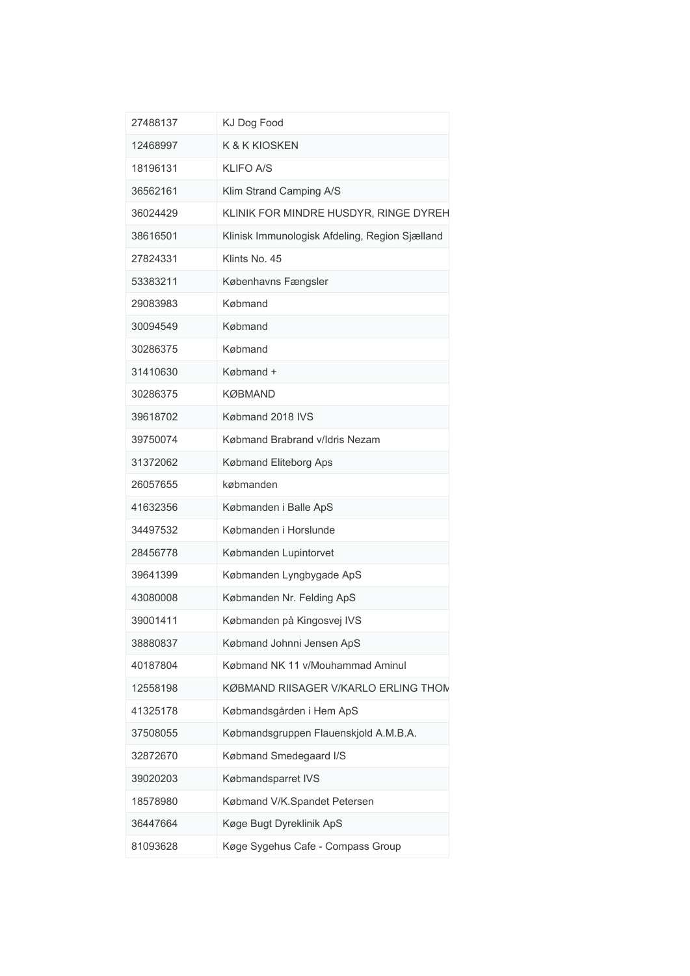| 27488137 | KJ Dog Food                                    |
|----------|------------------------------------------------|
| 12468997 | K & K KIOSKEN                                  |
| 18196131 | <b>KLIFO A/S</b>                               |
| 36562161 | Klim Strand Camping A/S                        |
| 36024429 | KLINIK FOR MINDRE HUSDYR, RINGE DYREH          |
| 38616501 | Klinisk Immunologisk Afdeling, Region Sjælland |
| 27824331 | Klints No. 45                                  |
| 53383211 | Københavns Fængsler                            |
| 29083983 | Købmand                                        |
| 30094549 | Købmand                                        |
| 30286375 | Købmand                                        |
| 31410630 | Købmand +                                      |
| 30286375 | <b>KØBMAND</b>                                 |
| 39618702 | Købmand 2018 IVS                               |
| 39750074 | Købmand Brabrand v/Idris Nezam                 |
| 31372062 | Købmand Eliteborg Aps                          |
| 26057655 | købmanden                                      |
| 41632356 | Købmanden i Balle ApS                          |
| 34497532 | Købmanden i Horslunde                          |
| 28456778 | Købmanden Lupintorvet                          |
| 39641399 | Købmanden Lyngbygade ApS                       |
| 43080008 | Købmanden Nr. Felding ApS                      |
| 39001411 | Købmanden på Kingosvej IVS                     |
| 38880837 | Købmand Johnni Jensen ApS                      |
| 40187804 | Købmand NK 11 v/Mouhammad Aminul               |
| 12558198 | KØBMAND RIISAGER V/KARLO ERLING THON           |
| 41325178 | Købmandsgården i Hem ApS                       |
| 37508055 | Købmandsgruppen Flauenskjold A.M.B.A.          |
| 32872670 | Købmand Smedegaard I/S                         |
| 39020203 | Købmandsparret IVS                             |
| 18578980 | Købmand V/K.Spandet Petersen                   |
| 36447664 | Køge Bugt Dyreklinik ApS                       |
| 81093628 | Køge Sygehus Cafe - Compass Group              |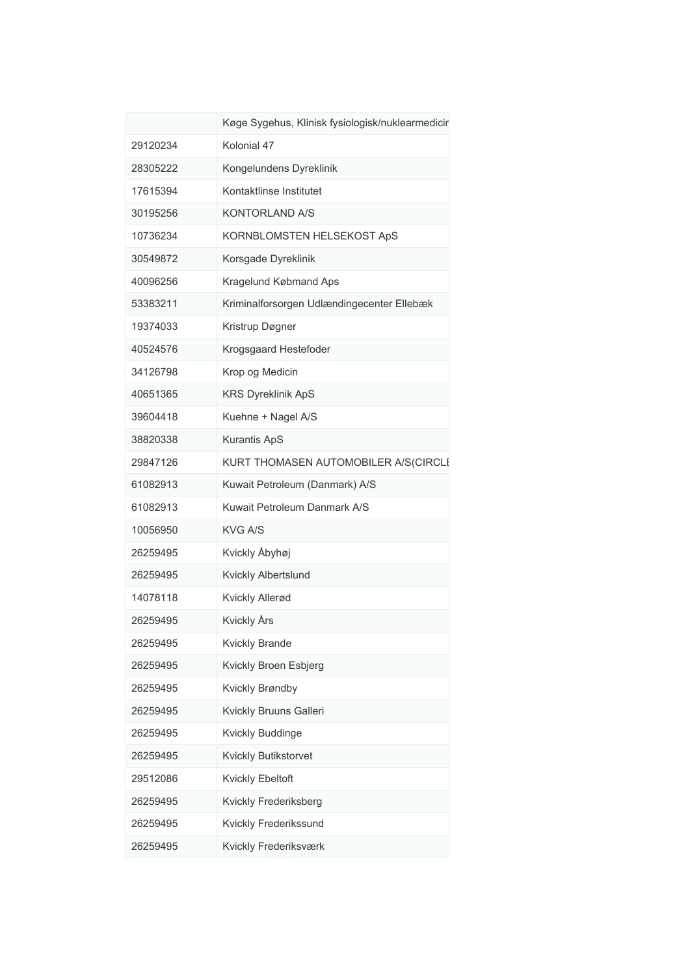|          | Køge Sygehus, Klinisk fysiologisk/nuklearmedicir |
|----------|--------------------------------------------------|
| 29120234 | Kolonial 47                                      |
| 28305222 | Kongelundens Dyreklinik                          |
| 17615394 | Kontaktlinse Institutet                          |
| 30195256 | <b>KONTORLAND A/S</b>                            |
| 10736234 | KORNBLOMSTEN HELSEKOST ApS                       |
| 30549872 | Korsgade Dyreklinik                              |
| 40096256 | Kragelund Købmand Aps                            |
| 53383211 | Kriminalforsorgen Udlændingecenter Ellebæk       |
| 19374033 | Kristrup Døgner                                  |
| 40524576 | Krogsgaard Hestefoder                            |
| 34126798 | Krop og Medicin                                  |
| 40651365 | <b>KRS Dyreklinik ApS</b>                        |
| 39604418 | Kuehne + Nagel A/S                               |
| 38820338 | <b>Kurantis ApS</b>                              |
| 29847126 | KURT THOMASEN AUTOMOBILER A/S(CIRCLI             |
| 61082913 | Kuwait Petroleum (Danmark) A/S                   |
| 61082913 | Kuwait Petroleum Danmark A/S                     |
| 10056950 | <b>KVG A/S</b>                                   |
| 26259495 | Kvickly Åbyhøj                                   |
| 26259495 | Kvickly Albertslund                              |
| 14078118 | Kvickly Allerød                                  |
| 26259495 | Kvickly Års                                      |
| 26259495 | Kvickly Brande                                   |
| 26259495 | Kvickly Broen Esbjerg                            |
| 26259495 | Kvickly Brøndby                                  |
| 26259495 | Kvickly Bruuns Galleri                           |
| 26259495 | Kvickly Buddinge                                 |
| 26259495 | Kvickly Butikstorvet                             |
| 29512086 | Kvickly Ebeltoft                                 |
| 26259495 | Kvickly Frederiksberg                            |
| 26259495 | Kvickly Frederikssund                            |
| 26259495 | Kvickly Frederiksværk                            |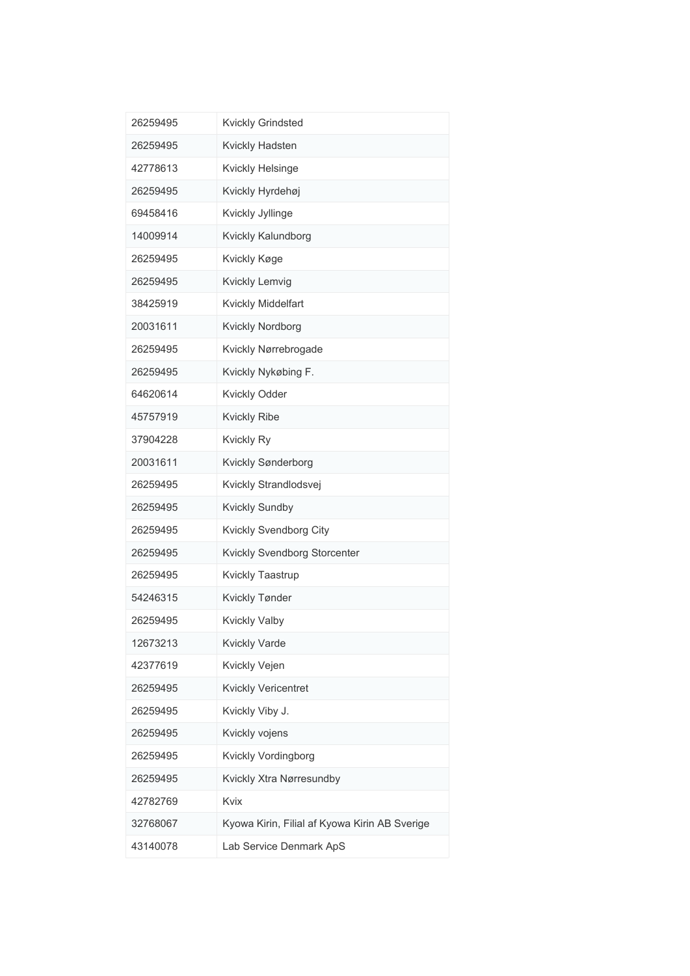| 26259495 | Kvickly Grindsted                             |
|----------|-----------------------------------------------|
| 26259495 | Kvickly Hadsten                               |
| 42778613 | Kvickly Helsinge                              |
| 26259495 | Kvickly Hyrdehøj                              |
| 69458416 | Kvickly Jyllinge                              |
| 14009914 | Kvickly Kalundborg                            |
| 26259495 | Kvickly Køge                                  |
| 26259495 | Kvickly Lemvig                                |
| 38425919 | Kvickly Middelfart                            |
| 20031611 | Kvickly Nordborg                              |
| 26259495 | Kvickly Nørrebrogade                          |
| 26259495 | Kvickly Nykøbing F.                           |
| 64620614 | Kvickly Odder                                 |
| 45757919 | <b>Kvickly Ribe</b>                           |
| 37904228 | <b>Kvickly Ry</b>                             |
| 20031611 | Kvickly Sønderborg                            |
| 26259495 | Kvickly Strandlodsvej                         |
| 26259495 | Kvickly Sundby                                |
| 26259495 | Kvickly Svendborg City                        |
| 26259495 | Kvickly Svendborg Storcenter                  |
| 26259495 | Kvickly Taastrup                              |
| 54246315 | Kvickly Tønder                                |
| 26259495 | <b>Kvickly Valby</b>                          |
| 12673213 | <b>Kvickly Varde</b>                          |
| 42377619 | Kvickly Vejen                                 |
| 26259495 | Kvickly Vericentret                           |
| 26259495 | Kvickly Viby J.                               |
| 26259495 | Kvickly vojens                                |
| 26259495 | Kvickly Vordingborg                           |
| 26259495 | Kvickly Xtra Nørresundby                      |
| 42782769 | Kvix                                          |
| 32768067 | Kyowa Kirin, Filial af Kyowa Kirin AB Sverige |
| 43140078 | Lab Service Denmark ApS                       |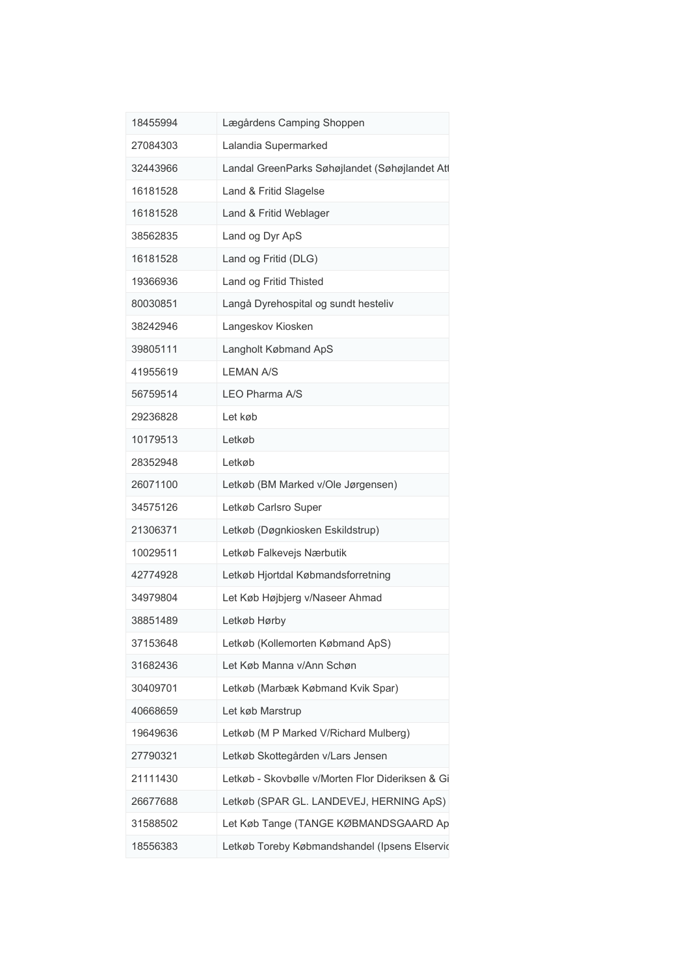| 18455994 | Lægårdens Camping Shoppen                        |
|----------|--------------------------------------------------|
| 27084303 | Lalandia Supermarked                             |
| 32443966 | Landal GreenParks Søhøjlandet (Søhøjlandet Atl   |
| 16181528 | Land & Fritid Slagelse                           |
| 16181528 | Land & Fritid Weblager                           |
| 38562835 | Land og Dyr ApS                                  |
| 16181528 | Land og Fritid (DLG)                             |
| 19366936 | Land og Fritid Thisted                           |
| 80030851 | Langå Dyrehospital og sundt hesteliv             |
| 38242946 | Langeskov Kiosken                                |
| 39805111 | Langholt Købmand ApS                             |
| 41955619 | <b>LEMAN A/S</b>                                 |
| 56759514 | <b>LEO Pharma A/S</b>                            |
| 29236828 | Let køb                                          |
| 10179513 | Letkøb                                           |
| 28352948 | Letkøb                                           |
| 26071100 | Letkøb (BM Marked v/Ole Jørgensen)               |
| 34575126 | Letkøb Carlsro Super                             |
| 21306371 | Letkøb (Døgnkiosken Eskildstrup)                 |
| 10029511 | Letkøb Falkevejs Nærbutik                        |
| 42774928 | Letkøb Hjortdal Købmandsforretning               |
| 34979804 | Let Køb Højbjerg v/Naseer Ahmad                  |
| 38851489 | Letkøb Hørby                                     |
| 37153648 | Letkøb (Kollemorten Købmand ApS)                 |
| 31682436 | Let Køb Manna v/Ann Schøn                        |
| 30409701 | Letkøb (Marbæk Købmand Kvik Spar)                |
| 40668659 | Let køb Marstrup                                 |
| 19649636 | Letkøb (M P Marked V/Richard Mulberg)            |
| 27790321 | Letkøb Skottegården v/Lars Jensen                |
| 21111430 | Letkøb - Skovbølle v/Morten Flor Dideriksen & Gi |
| 26677688 | Letkøb (SPAR GL. LANDEVEJ, HERNING ApS)          |
| 31588502 | Let Køb Tange (TANGE KØBMANDSGAARD Ap            |
| 18556383 | Letkøb Toreby Købmandshandel (Ipsens Elservic    |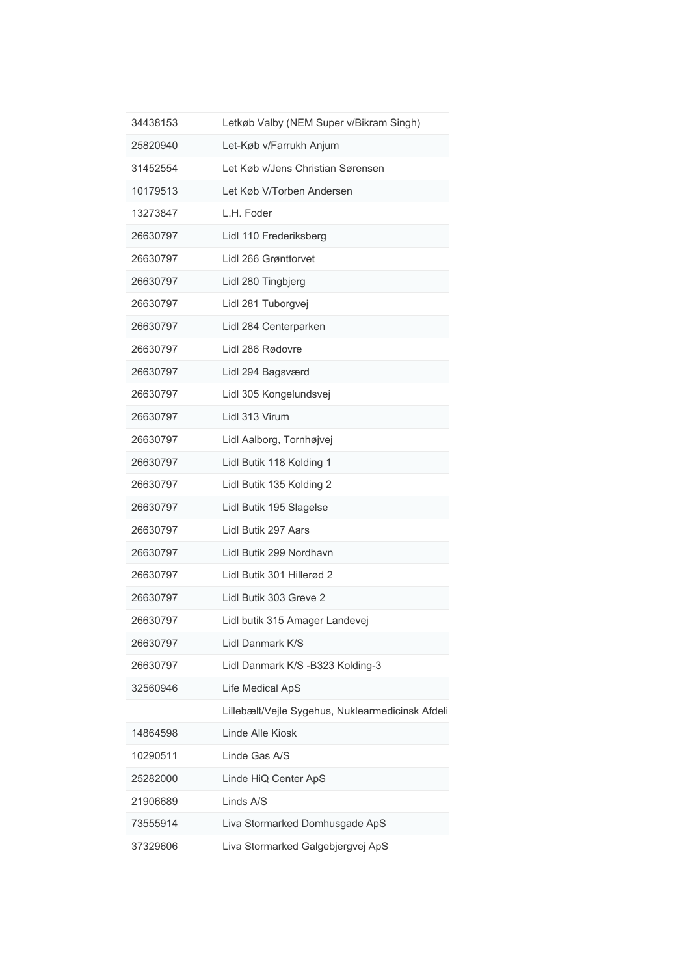| 34438153 | Letkøb Valby (NEM Super v/Bikram Singh)          |
|----------|--------------------------------------------------|
| 25820940 | Let-Køb v/Farrukh Anjum                          |
| 31452554 | Let Køb v/Jens Christian Sørensen                |
| 10179513 | Let Køb V/Torben Andersen                        |
| 13273847 | L.H. Foder                                       |
| 26630797 | Lidl 110 Frederiksberg                           |
| 26630797 | Lidl 266 Grønttorvet                             |
| 26630797 | Lidl 280 Tingbjerg                               |
| 26630797 | Lidl 281 Tuborgvej                               |
| 26630797 | Lidl 284 Centerparken                            |
| 26630797 | Lidl 286 Rødovre                                 |
| 26630797 | Lidl 294 Bagsværd                                |
| 26630797 | Lidl 305 Kongelundsvej                           |
| 26630797 | Lidl 313 Virum                                   |
| 26630797 | Lidl Aalborg, Tornhøjvej                         |
| 26630797 | Lidl Butik 118 Kolding 1                         |
| 26630797 | Lidl Butik 135 Kolding 2                         |
| 26630797 | Lidl Butik 195 Slagelse                          |
| 26630797 | Lidl Butik 297 Aars                              |
| 26630797 | Lidl Butik 299 Nordhavn                          |
| 26630797 | Lidl Butik 301 Hillerød 2                        |
| 26630797 | Lidl Butik 303 Greve 2                           |
| 26630797 | Lidl butik 315 Amager Landevej                   |
| 26630797 | Lidl Danmark K/S                                 |
| 26630797 | Lidl Danmark K/S -B323 Kolding-3                 |
| 32560946 | Life Medical ApS                                 |
|          | Lillebælt/Vejle Sygehus, Nuklearmedicinsk Afdeli |
| 14864598 | Linde Alle Kiosk                                 |
| 10290511 | Linde Gas A/S                                    |
| 25282000 | Linde HiQ Center ApS                             |
| 21906689 | Linds A/S                                        |
| 73555914 | Liva Stormarked Domhusgade ApS                   |
| 37329606 | Liva Stormarked Galgebjergvej ApS                |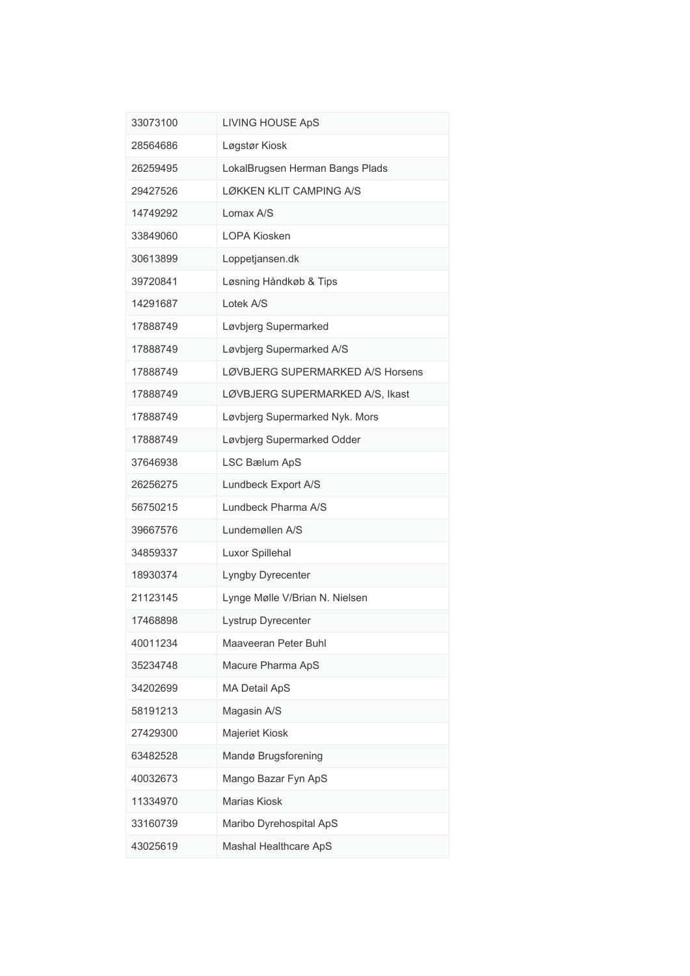| 33073100 | <b>LIVING HOUSE ApS</b>          |
|----------|----------------------------------|
| 28564686 | Løgstør Kiosk                    |
| 26259495 | LokalBrugsen Herman Bangs Plads  |
| 29427526 | <b>LØKKEN KLIT CAMPING A/S</b>   |
| 14749292 | Lomax A/S                        |
| 33849060 | <b>LOPA Kiosken</b>              |
| 30613899 | Loppetjansen.dk                  |
| 39720841 | Løsning Håndkøb & Tips           |
| 14291687 | Lotek A/S                        |
| 17888749 | Løvbjerg Supermarked             |
| 17888749 | Løvbjerg Supermarked A/S         |
| 17888749 | LØVBJERG SUPERMARKED A/S Horsens |
| 17888749 | LØVBJERG SUPERMARKED A/S, Ikast  |
| 17888749 | Løvbjerg Supermarked Nyk. Mors   |
| 17888749 | Løvbjerg Supermarked Odder       |
| 37646938 | LSC Bælum ApS                    |
| 26256275 | Lundbeck Export A/S              |
| 56750215 | Lundbeck Pharma A/S              |
| 39667576 | Lundemøllen A/S                  |
| 34859337 | Luxor Spillehal                  |
| 18930374 | Lyngby Dyrecenter                |
| 21123145 | Lynge Mølle V/Brian N. Nielsen   |
| 17468898 | Lystrup Dyrecenter               |
| 40011234 | Maaveeran Peter Buhl             |
| 35234748 | Macure Pharma ApS                |
| 34202699 | MA Detail ApS                    |
| 58191213 | Magasin A/S                      |
| 27429300 | Majeriet Kiosk                   |
| 63482528 | Mandø Brugsforening              |
| 40032673 | Mango Bazar Fyn ApS              |
| 11334970 | Marias Kiosk                     |
| 33160739 | Maribo Dyrehospital ApS          |
| 43025619 | Mashal Healthcare ApS            |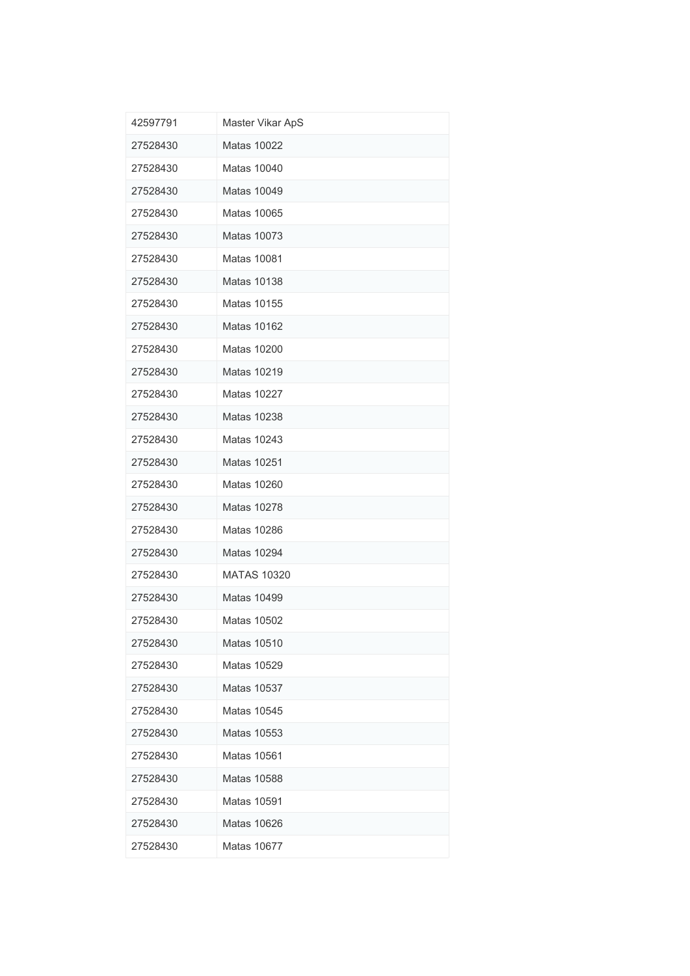| 42597791 | Master Vikar ApS   |
|----------|--------------------|
| 27528430 | <b>Matas 10022</b> |
| 27528430 | <b>Matas 10040</b> |
| 27528430 | Matas 10049        |
| 27528430 | Matas 10065        |
| 27528430 | <b>Matas 10073</b> |
| 27528430 | <b>Matas 10081</b> |
| 27528430 | <b>Matas 10138</b> |
| 27528430 | <b>Matas 10155</b> |
| 27528430 | Matas 10162        |
| 27528430 | <b>Matas 10200</b> |
| 27528430 | <b>Matas 10219</b> |
| 27528430 | <b>Matas 10227</b> |
| 27528430 | <b>Matas 10238</b> |
| 27528430 | <b>Matas 10243</b> |
| 27528430 | Matas 10251        |
| 27528430 | <b>Matas 10260</b> |
| 27528430 | <b>Matas 10278</b> |
| 27528430 | Matas 10286        |
| 27528430 | <b>Matas 10294</b> |
| 27528430 | <b>MATAS 10320</b> |
| 27528430 | <b>Matas 10499</b> |
| 27528430 | <b>Matas 10502</b> |
| 27528430 | <b>Matas 10510</b> |
| 27528430 | Matas 10529        |
| 27528430 | <b>Matas 10537</b> |
| 27528430 | Matas 10545        |
| 27528430 | Matas 10553        |
| 27528430 | Matas 10561        |
| 27528430 | <b>Matas 10588</b> |
| 27528430 | Matas 10591        |
| 27528430 | Matas 10626        |
| 27528430 | <b>Matas 10677</b> |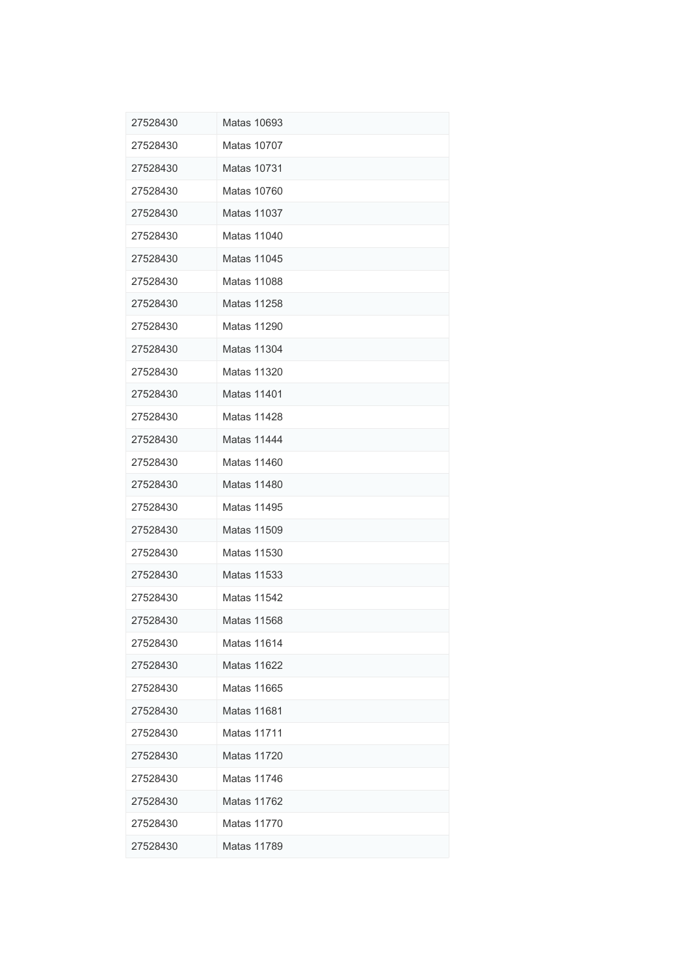| 27528430 | <b>Matas 10693</b> |
|----------|--------------------|
| 27528430 | <b>Matas 10707</b> |
| 27528430 | <b>Matas 10731</b> |
| 27528430 | <b>Matas 10760</b> |
| 27528430 | <b>Matas 11037</b> |
| 27528430 | <b>Matas 11040</b> |
| 27528430 | <b>Matas 11045</b> |
| 27528430 | <b>Matas 11088</b> |
| 27528430 | Matas 11258        |
| 27528430 | <b>Matas 11290</b> |
| 27528430 | <b>Matas 11304</b> |
| 27528430 | Matas 11320        |
| 27528430 | <b>Matas 11401</b> |
| 27528430 | <b>Matas 11428</b> |
| 27528430 | <b>Matas 11444</b> |
| 27528430 | <b>Matas 11460</b> |
| 27528430 | <b>Matas 11480</b> |
| 27528430 | <b>Matas 11495</b> |
| 27528430 | <b>Matas 11509</b> |
| 27528430 | Matas 11530        |
| 27528430 | <b>Matas 11533</b> |
| 27528430 | <b>Matas 11542</b> |
| 27528430 | Matas 11568        |
| 27528430 | <b>Matas 11614</b> |
| 27528430 | <b>Matas 11622</b> |
| 27528430 | <b>Matas 11665</b> |
| 27528430 | <b>Matas 11681</b> |
| 27528430 | <b>Matas 11711</b> |
| 27528430 | <b>Matas 11720</b> |
| 27528430 | <b>Matas 11746</b> |
| 27528430 | <b>Matas 11762</b> |
| 27528430 | Matas 11770        |
| 27528430 | <b>Matas 11789</b> |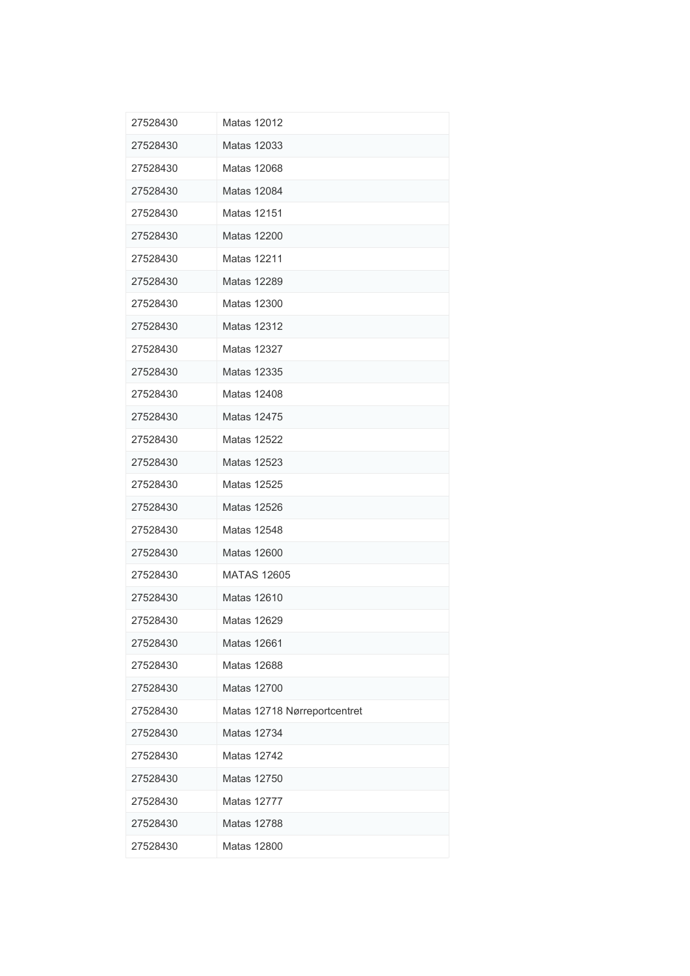| 27528430 | Matas 12012                  |
|----------|------------------------------|
| 27528430 | Matas 12033                  |
| 27528430 | <b>Matas 12068</b>           |
| 27528430 | Matas 12084                  |
| 27528430 | <b>Matas 12151</b>           |
| 27528430 | <b>Matas 12200</b>           |
| 27528430 | <b>Matas 12211</b>           |
| 27528430 | <b>Matas 12289</b>           |
| 27528430 | <b>Matas 12300</b>           |
| 27528430 | Matas 12312                  |
| 27528430 | <b>Matas 12327</b>           |
| 27528430 | Matas 12335                  |
| 27528430 | <b>Matas 12408</b>           |
| 27528430 | <b>Matas 12475</b>           |
| 27528430 | <b>Matas 12522</b>           |
| 27528430 | <b>Matas 12523</b>           |
| 27528430 | <b>Matas 12525</b>           |
| 27528430 | Matas 12526                  |
| 27528430 | <b>Matas 12548</b>           |
| 27528430 | Matas 12600                  |
| 27528430 | <b>MATAS 12605</b>           |
| 27528430 | Matas 12610                  |
| 27528430 | Matas 12629                  |
| 27528430 | <b>Matas 12661</b>           |
| 27528430 | <b>Matas 12688</b>           |
| 27528430 | <b>Matas 12700</b>           |
| 27528430 | Matas 12718 Nørreportcentret |
| 27528430 | <b>Matas 12734</b>           |
| 27528430 | <b>Matas 12742</b>           |
| 27528430 | <b>Matas 12750</b>           |
| 27528430 | <b>Matas 12777</b>           |
| 27528430 | Matas 12788                  |
| 27528430 | <b>Matas 12800</b>           |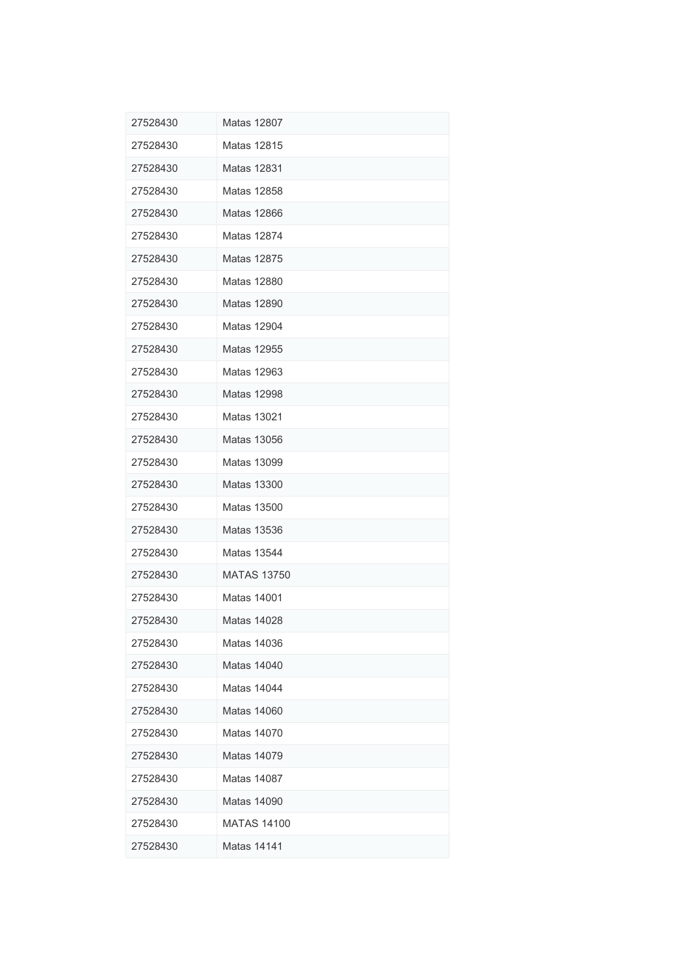| 27528430 | <b>Matas 12807</b> |
|----------|--------------------|
| 27528430 | <b>Matas 12815</b> |
| 27528430 | <b>Matas 12831</b> |
| 27528430 | Matas 12858        |
| 27528430 | Matas 12866        |
| 27528430 | <b>Matas 12874</b> |
| 27528430 | <b>Matas 12875</b> |
| 27528430 | <b>Matas 12880</b> |
| 27528430 | Matas 12890        |
| 27528430 | <b>Matas 12904</b> |
| 27528430 | <b>Matas 12955</b> |
| 27528430 | Matas 12963        |
| 27528430 | <b>Matas 12998</b> |
| 27528430 | <b>Matas 13021</b> |
| 27528430 | Matas 13056        |
| 27528430 | Matas 13099        |
| 27528430 | Matas 13300        |
| 27528430 | Matas 13500        |
| 27528430 | <b>Matas 13536</b> |
| 27528430 | Matas 13544        |
| 27528430 | <b>MATAS 13750</b> |
| 27528430 | <b>Matas 14001</b> |
| 27528430 | Matas 14028        |
| 27528430 | Matas 14036        |
| 27528430 | <b>Matas 14040</b> |
| 27528430 | <b>Matas 14044</b> |
| 27528430 | <b>Matas 14060</b> |
| 27528430 | <b>Matas 14070</b> |
| 27528430 | <b>Matas 14079</b> |
| 27528430 | <b>Matas 14087</b> |
| 27528430 | <b>Matas 14090</b> |
| 27528430 | <b>MATAS 14100</b> |
| 27528430 | <b>Matas 14141</b> |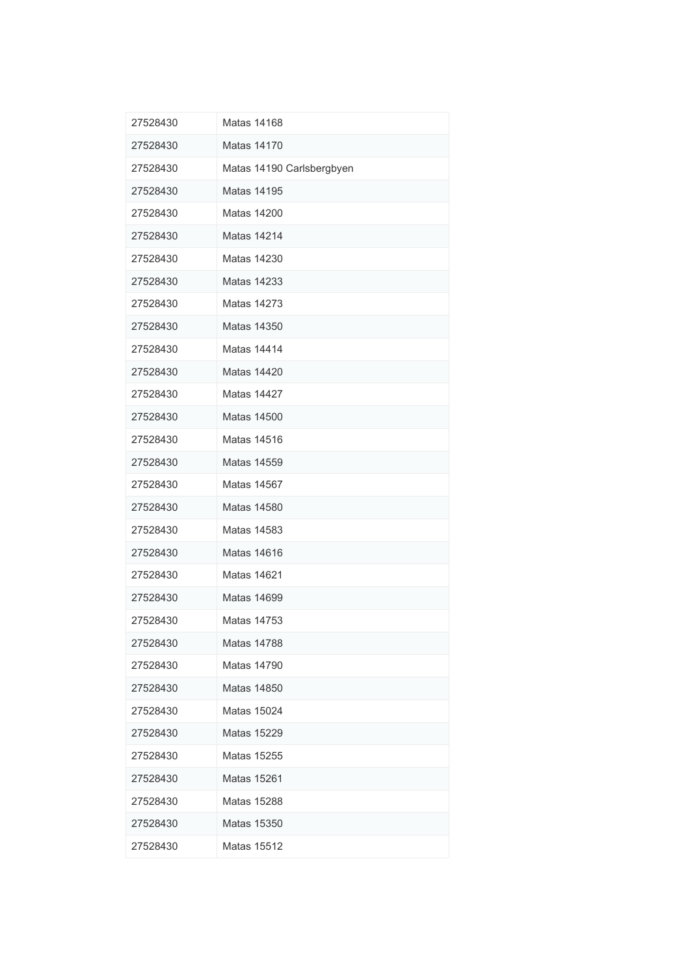| 27528430 | <b>Matas 14168</b>        |
|----------|---------------------------|
| 27528430 | <b>Matas 14170</b>        |
| 27528430 | Matas 14190 Carlsbergbyen |
| 27528430 | <b>Matas 14195</b>        |
| 27528430 | <b>Matas 14200</b>        |
| 27528430 | <b>Matas 14214</b>        |
| 27528430 | <b>Matas 14230</b>        |
| 27528430 | <b>Matas 14233</b>        |
| 27528430 | <b>Matas 14273</b>        |
| 27528430 | <b>Matas 14350</b>        |
| 27528430 | <b>Matas 14414</b>        |
| 27528430 | <b>Matas 14420</b>        |
| 27528430 | <b>Matas 14427</b>        |
| 27528430 | <b>Matas 14500</b>        |
| 27528430 | <b>Matas 14516</b>        |
| 27528430 | Matas 14559               |
| 27528430 | <b>Matas 14567</b>        |
| 27528430 | <b>Matas 14580</b>        |
| 27528430 | Matas 14583               |
| 27528430 | <b>Matas 14616</b>        |
| 27528430 | <b>Matas 14621</b>        |
| 27528430 | <b>Matas 14699</b>        |
| 27528430 | <b>Matas 14753</b>        |
| 27528430 | <b>Matas 14788</b>        |
| 27528430 | <b>Matas 14790</b>        |
| 27528430 | <b>Matas 14850</b>        |
| 27528430 | <b>Matas 15024</b>        |
| 27528430 | <b>Matas 15229</b>        |
| 27528430 | Matas 15255               |
| 27528430 | <b>Matas 15261</b>        |
| 27528430 | <b>Matas 15288</b>        |
| 27528430 | <b>Matas 15350</b>        |
| 27528430 | Matas 15512               |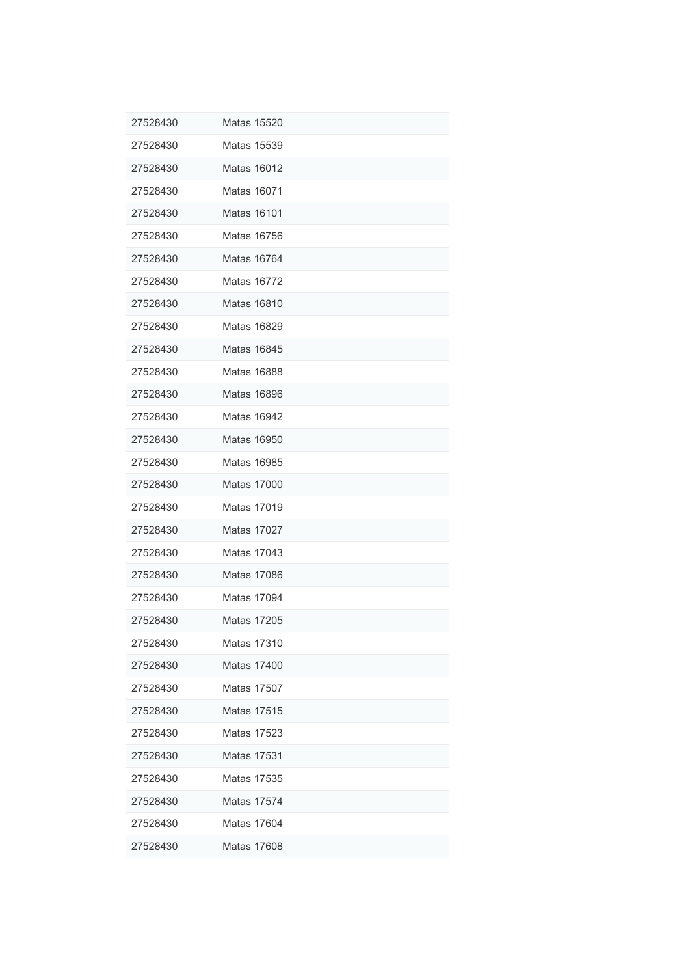| 27528430 | <b>Matas 15520</b> |
|----------|--------------------|
| 27528430 | <b>Matas 15539</b> |
| 27528430 | <b>Matas 16012</b> |
| 27528430 | Matas 16071        |
| 27528430 | Matas 16101        |
| 27528430 | <b>Matas 16756</b> |
| 27528430 | Matas 16764        |
| 27528430 | <b>Matas 16772</b> |
| 27528430 | <b>Matas 16810</b> |
| 27528430 | <b>Matas 16829</b> |
| 27528430 | <b>Matas 16845</b> |
| 27528430 | Matas 16888        |
| 27528430 | <b>Matas 16896</b> |
| 27528430 | <b>Matas 16942</b> |
| 27528430 | <b>Matas 16950</b> |
| 27528430 | Matas 16985        |
| 27528430 | <b>Matas 17000</b> |
| 27528430 | <b>Matas 17019</b> |
| 27528430 | <b>Matas 17027</b> |
| 27528430 | <b>Matas 17043</b> |
| 27528430 | <b>Matas 17086</b> |
| 27528430 | <b>Matas 17094</b> |
| 27528430 | Matas 17205        |
| 27528430 | <b>Matas 17310</b> |
| 27528430 | <b>Matas 17400</b> |
| 27528430 | <b>Matas 17507</b> |
| 27528430 | <b>Matas 17515</b> |
| 27528430 | Matas 17523        |
| 27528430 | <b>Matas 17531</b> |
| 27528430 | <b>Matas 17535</b> |
| 27528430 | <b>Matas 17574</b> |
| 27528430 | <b>Matas 17604</b> |
| 27528430 | <b>Matas 17608</b> |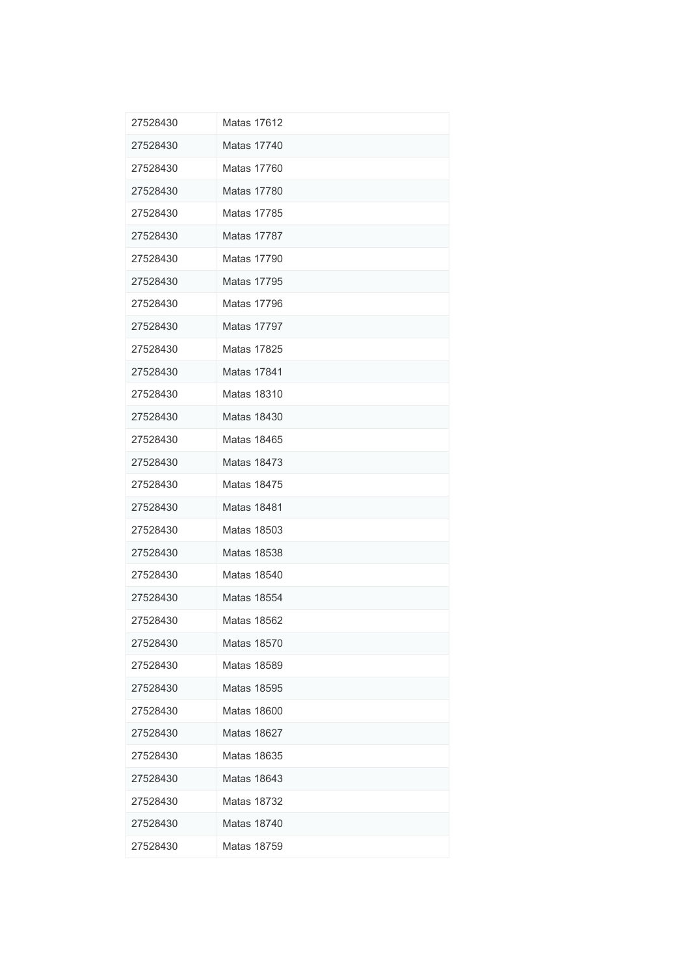| 27528430 | Matas 17612        |
|----------|--------------------|
| 27528430 | Matas 17740        |
| 27528430 | <b>Matas 17760</b> |
| 27528430 | Matas 17780        |
| 27528430 | <b>Matas 17785</b> |
| 27528430 | <b>Matas 17787</b> |
| 27528430 | <b>Matas 17790</b> |
| 27528430 | <b>Matas 17795</b> |
| 27528430 | <b>Matas 17796</b> |
| 27528430 | Matas 17797        |
| 27528430 | <b>Matas 17825</b> |
| 27528430 | Matas 17841        |
| 27528430 | <b>Matas 18310</b> |
| 27528430 | <b>Matas 18430</b> |
| 27528430 | <b>Matas 18465</b> |
| 27528430 | <b>Matas 18473</b> |
| 27528430 | <b>Matas 18475</b> |
| 27528430 | Matas 18481        |
| 27528430 | <b>Matas 18503</b> |
| 27528430 | Matas 18538        |
| 27528430 | <b>Matas 18540</b> |
| 27528430 | Matas 18554        |
| 27528430 | Matas 18562        |
| 27528430 | <b>Matas 18570</b> |
| 27528430 | <b>Matas 18589</b> |
| 27528430 | <b>Matas 18595</b> |
| 27528430 | <b>Matas 18600</b> |
| 27528430 | <b>Matas 18627</b> |
| 27528430 | Matas 18635        |
| 27528430 | Matas 18643        |
| 27528430 | <b>Matas 18732</b> |
| 27528430 | Matas 18740        |
| 27528430 | Matas 18759        |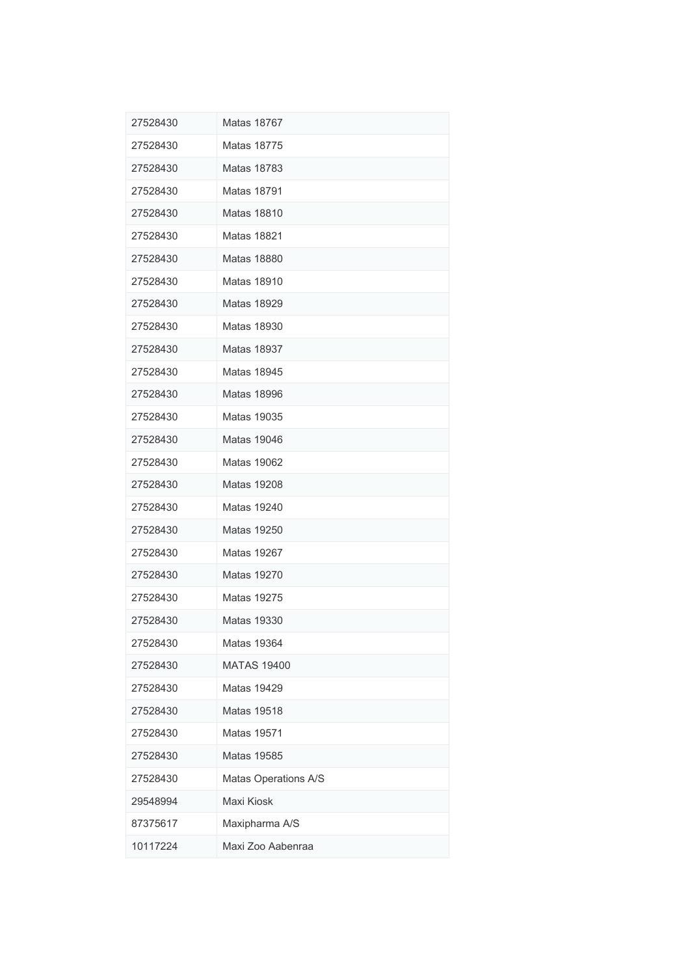| 27528430 | <b>Matas 18767</b>   |
|----------|----------------------|
| 27528430 | <b>Matas 18775</b>   |
| 27528430 | <b>Matas 18783</b>   |
| 27528430 | Matas 18791          |
| 27528430 | <b>Matas 18810</b>   |
| 27528430 | <b>Matas 18821</b>   |
| 27528430 | Matas 18880          |
| 27528430 | <b>Matas 18910</b>   |
| 27528430 | Matas 18929          |
| 27528430 | <b>Matas 18930</b>   |
| 27528430 | <b>Matas 18937</b>   |
| 27528430 | Matas 18945          |
| 27528430 | <b>Matas 18996</b>   |
| 27528430 | <b>Matas 19035</b>   |
| 27528430 | Matas 19046          |
| 27528430 | <b>Matas 19062</b>   |
| 27528430 | Matas 19208          |
| 27528430 | <b>Matas 19240</b>   |
| 27528430 | <b>Matas 19250</b>   |
| 27528430 | Matas 19267          |
| 27528430 | <b>Matas 19270</b>   |
| 27528430 | <b>Matas 19275</b>   |
| 27528430 | Matas 19330          |
| 27528430 | <b>Matas 19364</b>   |
| 27528430 | <b>MATAS 19400</b>   |
| 27528430 | <b>Matas 19429</b>   |
| 27528430 | <b>Matas 19518</b>   |
| 27528430 | <b>Matas 19571</b>   |
| 27528430 | Matas 19585          |
| 27528430 | Matas Operations A/S |
| 29548994 | Maxi Kiosk           |
| 87375617 | Maxipharma A/S       |
| 10117224 | Maxi Zoo Aabenraa    |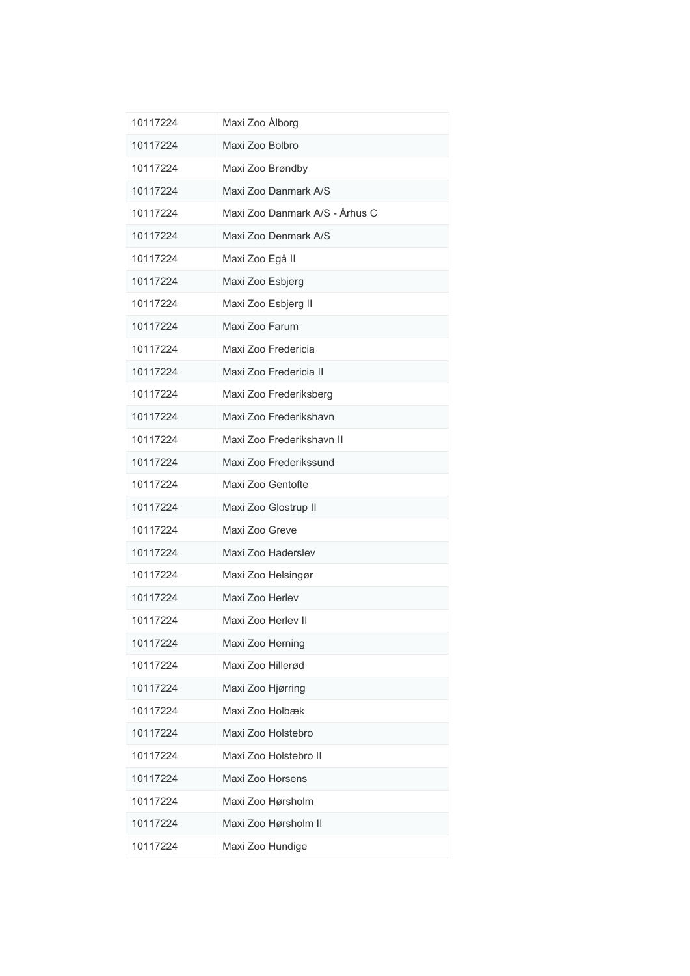| 10117224 | Maxi Zoo Ålborg                |
|----------|--------------------------------|
| 10117224 | Maxi Zoo Bolbro                |
| 10117224 | Maxi Zoo Brøndby               |
| 10117224 | Maxi Zoo Danmark A/S           |
| 10117224 | Maxi Zoo Danmark A/S - Århus C |
| 10117224 | Maxi Zoo Denmark A/S           |
| 10117224 | Maxi Zoo Egå II                |
| 10117224 | Maxi Zoo Esbjerg               |
| 10117224 | Maxi Zoo Esbjerg II            |
| 10117224 | Maxi Zoo Farum                 |
| 10117224 | Maxi Zoo Fredericia            |
| 10117224 | Maxi Zoo Fredericia II         |
| 10117224 | Maxi Zoo Frederiksberg         |
| 10117224 | Maxi Zoo Frederikshavn         |
| 10117224 | Maxi Zoo Frederikshavn II      |
| 10117224 | Maxi Zoo Frederikssund         |
| 10117224 | Maxi Zoo Gentofte              |
| 10117224 | Maxi Zoo Glostrup II           |
| 10117224 | Maxi Zoo Greve                 |
| 10117224 | Maxi Zoo Haderslev             |
| 10117224 | Maxi Zoo Helsingør             |
| 10117224 | Maxi Zoo Herley                |
| 10117224 | Maxi Zoo Herlev II             |
| 10117224 | Maxi Zoo Herning               |
| 10117224 | Maxi Zoo Hillerød              |
| 10117224 | Maxi Zoo Hjørring              |
| 10117224 | Maxi Zoo Holbæk                |
| 10117224 | Maxi Zoo Holstebro             |
| 10117224 | Maxi Zoo Holstebro II          |
| 10117224 | Maxi Zoo Horsens               |
| 10117224 | Maxi Zoo Hørsholm              |
| 10117224 | Maxi Zoo Hørsholm II           |
| 10117224 | Maxi Zoo Hundige               |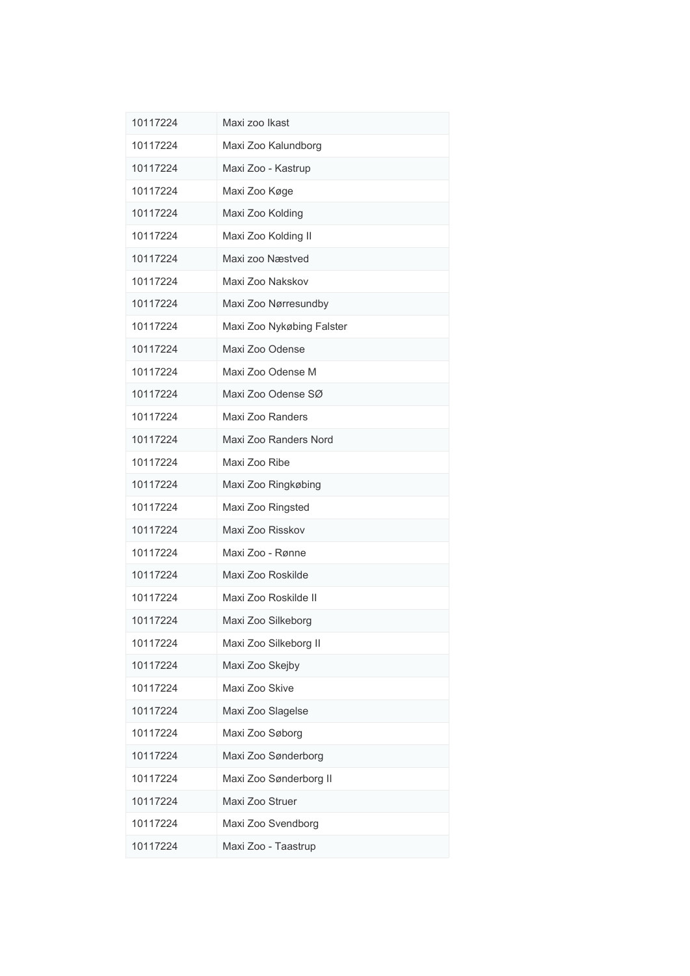| 10117224 | Maxi zoo Ikast            |
|----------|---------------------------|
| 10117224 | Maxi Zoo Kalundborg       |
| 10117224 | Maxi Zoo - Kastrup        |
| 10117224 | Maxi Zoo Køge             |
| 10117224 | Maxi Zoo Kolding          |
| 10117224 | Maxi Zoo Kolding II       |
| 10117224 | Maxi zoo Næstved          |
| 10117224 | Maxi Zoo Nakskov          |
| 10117224 | Maxi Zoo Nørresundby      |
| 10117224 | Maxi Zoo Nykøbing Falster |
| 10117224 | Maxi Zoo Odense           |
| 10117224 | Maxi Zoo Odense M         |
| 10117224 | Maxi Zoo Odense SØ        |
| 10117224 | Maxi Zoo Randers          |
| 10117224 | Maxi Zoo Randers Nord     |
| 10117224 | Maxi Zoo Ribe             |
| 10117224 | Maxi Zoo Ringkøbing       |
| 10117224 | Maxi Zoo Ringsted         |
| 10117224 | Maxi Zoo Risskov          |
| 10117224 | Maxi Zoo - Rønne          |
| 10117224 | Maxi Zoo Roskilde         |
| 10117224 | Maxi Zoo Roskilde II      |
| 10117224 | Maxi Zoo Silkeborg        |
| 10117224 | Maxi Zoo Silkeborg II     |
| 10117224 | Maxi Zoo Skejby           |
| 10117224 | Maxi Zoo Skive            |
| 10117224 | Maxi Zoo Slagelse         |
| 10117224 | Maxi Zoo Søborg           |
| 10117224 | Maxi Zoo Sønderborg       |
| 10117224 | Maxi Zoo Sønderborg II    |
| 10117224 | Maxi Zoo Struer           |
| 10117224 | Maxi Zoo Svendborg        |
| 10117224 | Maxi Zoo - Taastrup       |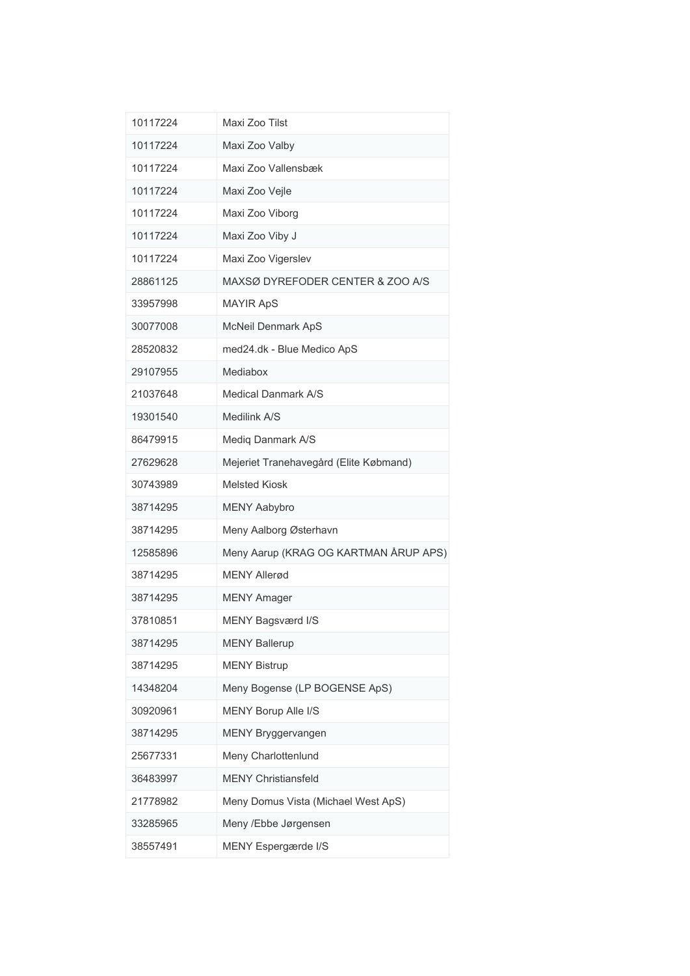| 10117224 | Maxi Zoo Tilst                         |
|----------|----------------------------------------|
| 10117224 | Maxi Zoo Valby                         |
| 10117224 | Maxi Zoo Vallensbæk                    |
| 10117224 | Maxi Zoo Vejle                         |
| 10117224 | Maxi Zoo Viborg                        |
| 10117224 | Maxi Zoo Viby J                        |
| 10117224 | Maxi Zoo Vigerslev                     |
| 28861125 | MAXSØ DYREFODER CENTER & ZOO A/S       |
| 33957998 | <b>MAYIR ApS</b>                       |
| 30077008 | McNeil Denmark ApS                     |
| 28520832 | med24.dk - Blue Medico ApS             |
| 29107955 | Mediabox                               |
| 21037648 | <b>Medical Danmark A/S</b>             |
| 19301540 | Medilink A/S                           |
| 86479915 | Mediq Danmark A/S                      |
| 27629628 | Mejeriet Tranehavegård (Elite Købmand) |
| 30743989 | <b>Melsted Kiosk</b>                   |
| 38714295 | <b>MENY Aabybro</b>                    |
| 38714295 | Meny Aalborg Østerhavn                 |
| 12585896 | Meny Aarup (KRAG OG KARTMAN ÅRUP APS)  |
| 38714295 | <b>MENY Allerød</b>                    |
| 38714295 | <b>MENY Amager</b>                     |
| 37810851 | MENY Bagsværd I/S                      |
| 38714295 | <b>MENY Ballerup</b>                   |
| 38714295 | <b>MENY Bistrup</b>                    |
| 14348204 | Meny Bogense (LP BOGENSE ApS)          |
| 30920961 | <b>MENY Borup Alle I/S</b>             |
| 38714295 | MENY Bryggervangen                     |
| 25677331 | Meny Charlottenlund                    |
| 36483997 | <b>MENY Christiansfeld</b>             |
| 21778982 | Meny Domus Vista (Michael West ApS)    |
| 33285965 | Meny /Ebbe Jørgensen                   |
| 38557491 | MENY Espergærde I/S                    |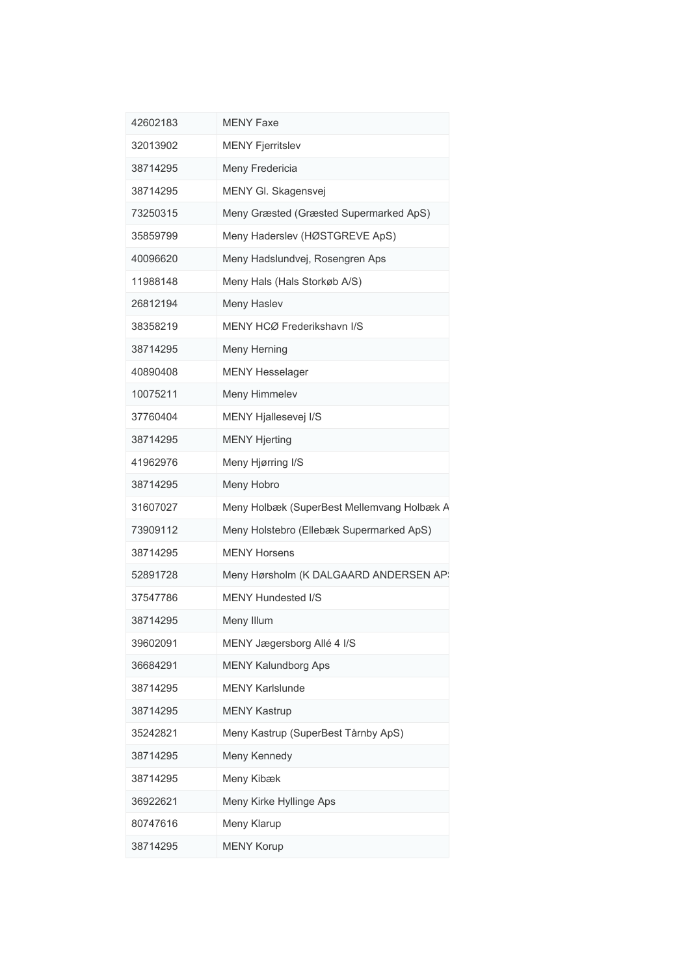| 42602183 | <b>MENY Faxe</b>                           |
|----------|--------------------------------------------|
| 32013902 | <b>MENY Fjerritslev</b>                    |
| 38714295 | Meny Fredericia                            |
| 38714295 | MENY Gl. Skagensvej                        |
| 73250315 | Meny Græsted (Græsted Supermarked ApS)     |
| 35859799 | Meny Haderslev (HØSTGREVE ApS)             |
| 40096620 | Meny Hadslundvej, Rosengren Aps            |
| 11988148 | Meny Hals (Hals Storkøb A/S)               |
| 26812194 | Meny Haslev                                |
| 38358219 | MENY HCØ Frederikshavn I/S                 |
| 38714295 | Meny Herning                               |
| 40890408 | <b>MENY Hesselager</b>                     |
| 10075211 | Meny Himmelev                              |
| 37760404 | MENY Hjallesevej I/S                       |
| 38714295 | <b>MENY Hjerting</b>                       |
| 41962976 | Meny Hjørring I/S                          |
| 38714295 | Meny Hobro                                 |
| 31607027 | Meny Holbæk (SuperBest Mellemvang Holbæk A |
| 73909112 | Meny Holstebro (Ellebæk Supermarked ApS)   |
| 38714295 | <b>MENY Horsens</b>                        |
| 52891728 | Meny Hørsholm (K DALGAARD ANDERSEN AP:     |
| 37547786 | <b>MENY Hundested I/S</b>                  |
| 38714295 | Meny Illum                                 |
| 39602091 | MENY Jægersborg Allé 4 I/S                 |
| 36684291 | <b>MENY Kalundborg Aps</b>                 |
| 38714295 | <b>MENY Karlslunde</b>                     |
| 38714295 | <b>MENY Kastrup</b>                        |
| 35242821 | Meny Kastrup (SuperBest Tårnby ApS)        |
| 38714295 | Meny Kennedy                               |
| 38714295 | Meny Kibæk                                 |
| 36922621 | Meny Kirke Hyllinge Aps                    |
| 80747616 | Meny Klarup                                |
| 38714295 | <b>MENY Korup</b>                          |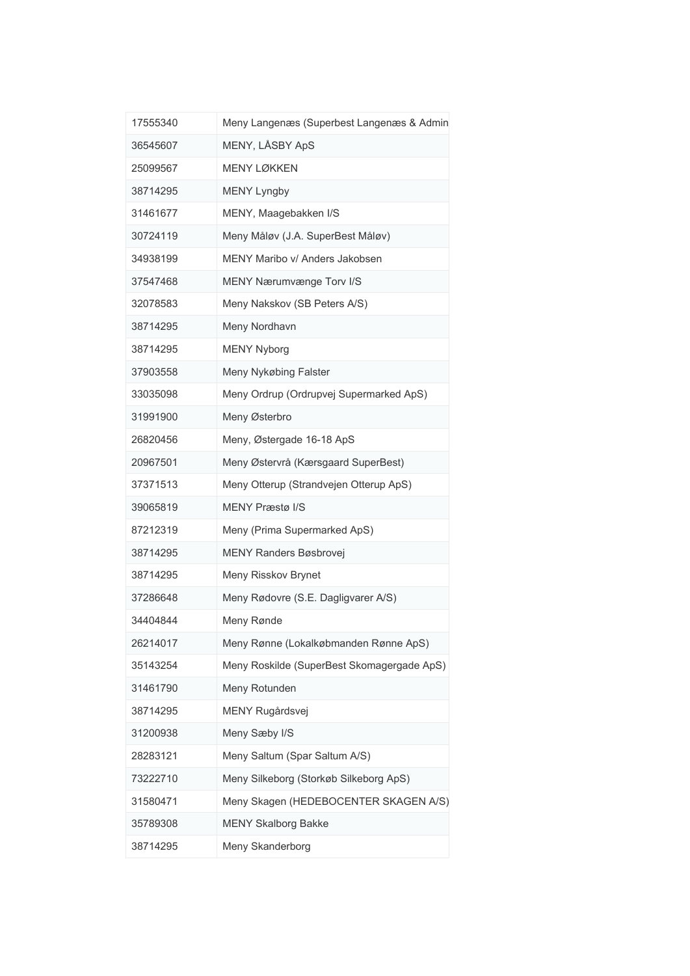| 17555340 | Meny Langenæs (Superbest Langenæs & Admin  |
|----------|--------------------------------------------|
| 36545607 | MENY, LÅSBY ApS                            |
| 25099567 | <b>MENY LØKKEN</b>                         |
| 38714295 | <b>MENY Lyngby</b>                         |
| 31461677 | MENY, Maagebakken I/S                      |
| 30724119 | Meny Måløv (J.A. SuperBest Måløv)          |
| 34938199 | MENY Maribo v/ Anders Jakobsen             |
| 37547468 | MENY Nærumvænge Torv I/S                   |
| 32078583 | Meny Nakskov (SB Peters A/S)               |
| 38714295 | Meny Nordhavn                              |
| 38714295 | <b>MENY Nyborg</b>                         |
| 37903558 | Meny Nykøbing Falster                      |
| 33035098 | Meny Ordrup (Ordrupvej Supermarked ApS)    |
| 31991900 | Meny Østerbro                              |
| 26820456 | Meny, Østergade 16-18 ApS                  |
| 20967501 | Meny Østervrå (Kærsgaard SuperBest)        |
| 37371513 | Meny Otterup (Strandvejen Otterup ApS)     |
| 39065819 | <b>MENY Præstø I/S</b>                     |
| 87212319 | Meny (Prima Supermarked ApS)               |
| 38714295 | MENY Randers Bøsbrovej                     |
| 38714295 | Meny Risskov Brynet                        |
| 37286648 | Meny Rødovre (S.E. Dagligvarer A/S)        |
| 34404844 | Meny Rønde                                 |
| 26214017 | Meny Rønne (Lokalkøbmanden Rønne ApS)      |
| 35143254 | Meny Roskilde (SuperBest Skomagergade ApS) |
| 31461790 | Meny Rotunden                              |
| 38714295 | MENY Rugårdsvej                            |
| 31200938 | Meny Sæby I/S                              |
| 28283121 | Meny Saltum (Spar Saltum A/S)              |
| 73222710 | Meny Silkeborg (Storkøb Silkeborg ApS)     |
| 31580471 | Meny Skagen (HEDEBOCENTER SKAGEN A/S)      |
| 35789308 | <b>MENY Skalborg Bakke</b>                 |
| 38714295 | Meny Skanderborg                           |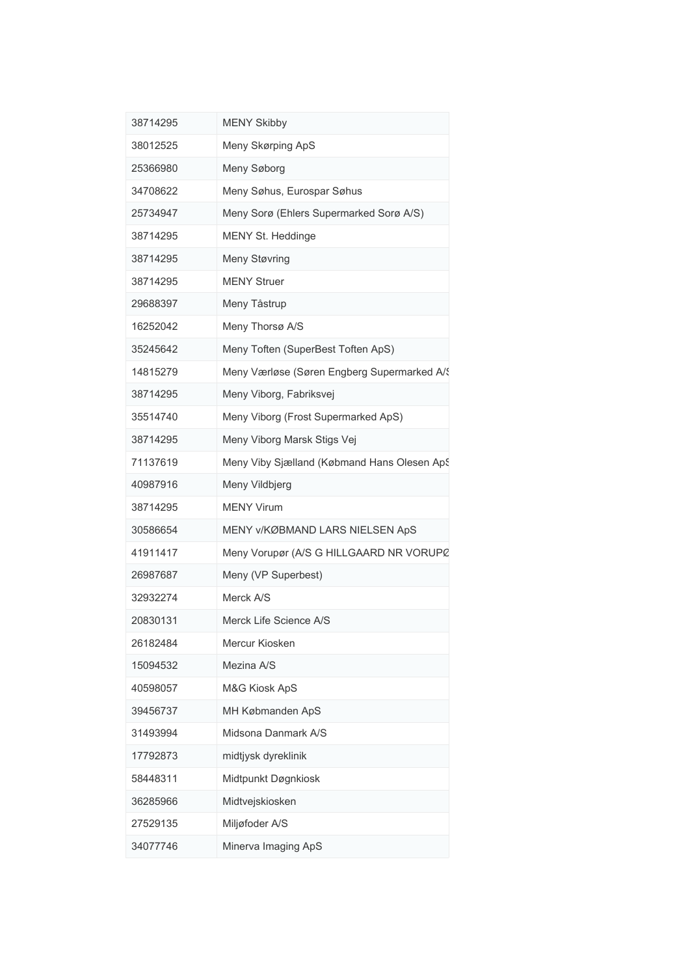| 38714295 | <b>MENY Skibby</b>                          |
|----------|---------------------------------------------|
| 38012525 | Meny Skørping ApS                           |
| 25366980 | Meny Søborg                                 |
| 34708622 | Meny Søhus, Eurospar Søhus                  |
| 25734947 | Meny Sorø (Ehlers Supermarked Sorø A/S)     |
| 38714295 | MENY St. Heddinge                           |
| 38714295 | Meny Støvring                               |
| 38714295 | <b>MENY Struer</b>                          |
| 29688397 | Meny Tåstrup                                |
| 16252042 | Meny Thorsø A/S                             |
| 35245642 | Meny Toften (SuperBest Toften ApS)          |
| 14815279 | Meny Værløse (Søren Engberg Supermarked A/S |
| 38714295 | Meny Viborg, Fabriksvej                     |
| 35514740 | Meny Viborg (Frost Supermarked ApS)         |
| 38714295 | Meny Viborg Marsk Stigs Vej                 |
| 71137619 | Meny Viby Sjælland (Købmand Hans Olesen Aps |
| 40987916 | Meny Vildbjerg                              |
| 38714295 | <b>MENY Virum</b>                           |
| 30586654 | MENY V/KØBMAND LARS NIELSEN ApS             |
| 41911417 | Meny Vorupør (A/S G HILLGAARD NR VORUPØ     |
| 26987687 | Meny (VP Superbest)                         |
| 32932274 | Merck A/S                                   |
| 20830131 | Merck Life Science A/S                      |
| 26182484 | Mercur Kiosken                              |
| 15094532 | Mezina A/S                                  |
| 40598057 | M&G Kiosk ApS                               |
| 39456737 | MH Købmanden ApS                            |
| 31493994 | Midsona Danmark A/S                         |
| 17792873 | midtjysk dyreklinik                         |
| 58448311 | Midtpunkt Døgnkiosk                         |
| 36285966 | Midtvejskiosken                             |
| 27529135 | Miljøfoder A/S                              |
| 34077746 | Minerva Imaging ApS                         |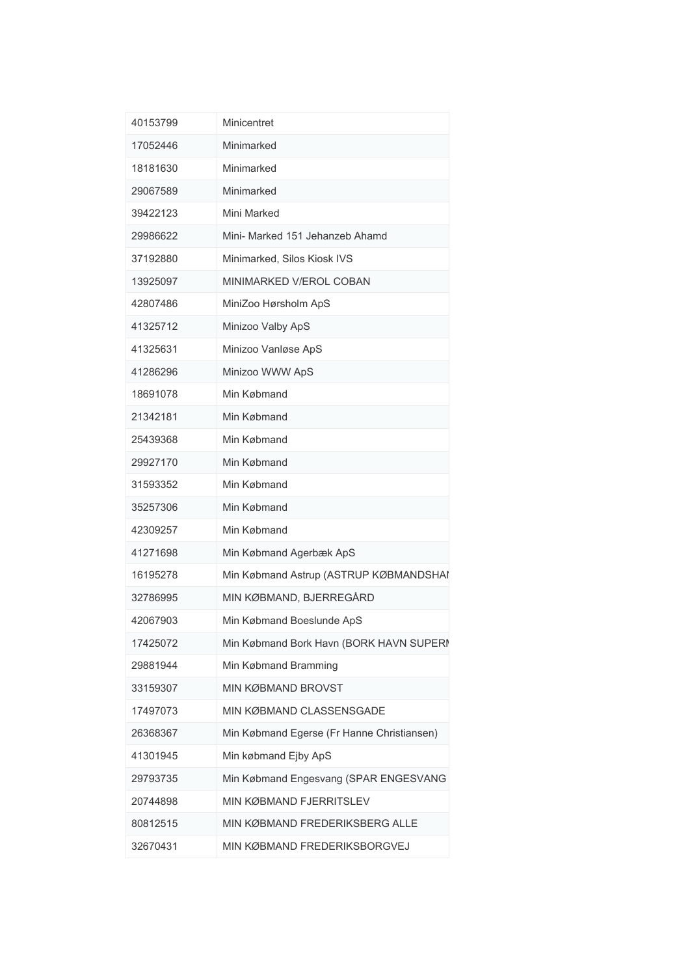| 40153799 | Minicentret                                |
|----------|--------------------------------------------|
| 17052446 | Minimarked                                 |
| 18181630 | Minimarked                                 |
| 29067589 | Minimarked                                 |
| 39422123 | Mini Marked                                |
| 29986622 | Mini- Marked 151 Jehanzeb Ahamd            |
| 37192880 | Minimarked, Silos Kiosk IVS                |
| 13925097 | MINIMARKED V/EROL COBAN                    |
| 42807486 | MiniZoo Hørsholm ApS                       |
| 41325712 | Minizoo Valby ApS                          |
| 41325631 | Minizoo Vanløse ApS                        |
| 41286296 | Minizoo WWW ApS                            |
| 18691078 | Min Købmand                                |
| 21342181 | Min Købmand                                |
| 25439368 | Min Købmand                                |
| 29927170 | Min Købmand                                |
| 31593352 | Min Købmand                                |
| 35257306 | Min Købmand                                |
| 42309257 | Min Købmand                                |
| 41271698 | Min Købmand Agerbæk ApS                    |
| 16195278 | Min Købmand Astrup (ASTRUP KØBMANDSHAI     |
| 32786995 | MIN KØBMAND, BJERREGÅRD                    |
| 42067903 | Min Købmand Boeslunde ApS                  |
| 17425072 | Min Købmand Bork Havn (BORK HAVN SUPERI    |
| 29881944 | Min Købmand Bramming                       |
| 33159307 | MIN KØBMAND BROVST                         |
| 17497073 | MIN KØBMAND CLASSENSGADE                   |
| 26368367 | Min Købmand Egerse (Fr Hanne Christiansen) |
| 41301945 | Min købmand Ejby ApS                       |
| 29793735 | Min Købmand Engesvang (SPAR ENGESVANG      |
| 20744898 | MIN KØBMAND FJERRITSLEV                    |
| 80812515 | MIN KØBMAND FREDERIKSBERG ALLE             |
| 32670431 | MIN KØBMAND FREDERIKSBORGVEJ               |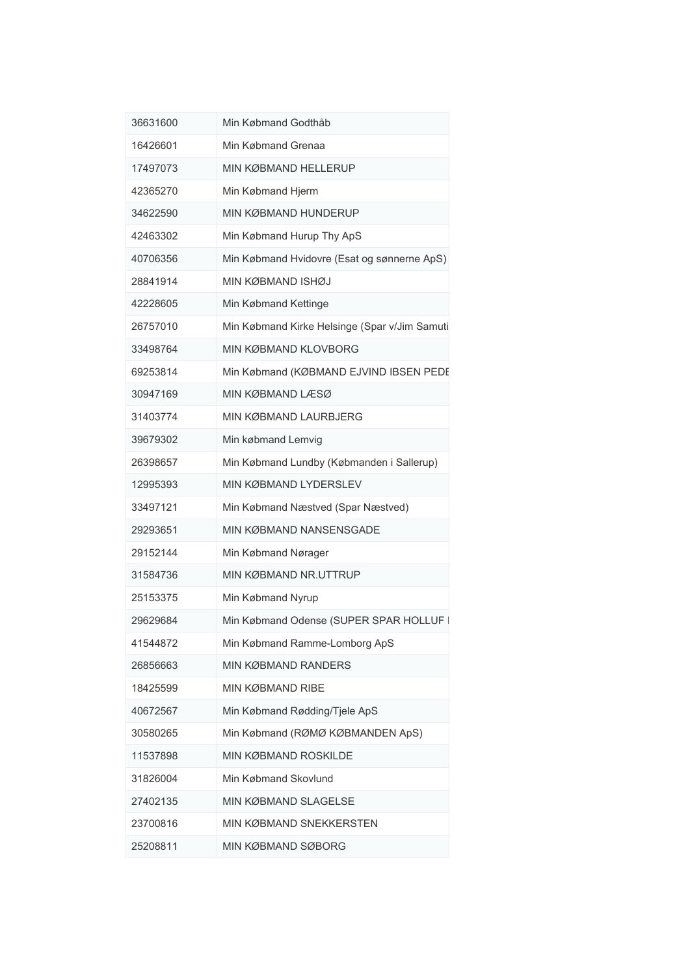| 36631600 | Min Købmand Godthåb                           |
|----------|-----------------------------------------------|
| 16426601 | Min Købmand Grenaa                            |
| 17497073 | MIN KØBMAND HELLERUP                          |
| 42365270 | Min Købmand Hjerm                             |
| 34622590 | MIN KØBMAND HUNDERUP                          |
| 42463302 | Min Købmand Hurup Thy ApS                     |
| 40706356 | Min Købmand Hvidovre (Esat og sønnerne ApS)   |
| 28841914 | MIN KØBMAND ISHØJ                             |
| 42228605 | Min Købmand Kettinge                          |
| 26757010 | Min Købmand Kirke Helsinge (Spar v/Jim Samuti |
| 33498764 | MIN KØBMAND KLOVBORG                          |
| 69253814 | Min Købmand (KØBMAND EJVIND IBSEN PEDE        |
| 30947169 | MIN KØBMAND LÆSØ                              |
| 31403774 | MIN KØBMAND LAURBJERG                         |
| 39679302 | Min købmand Lemvig                            |
| 26398657 | Min Købmand Lundby (Købmanden i Sallerup)     |
| 12995393 | MIN KØBMAND LYDERSLEV                         |
| 33497121 | Min Købmand Næstved (Spar Næstved)            |
| 29293651 | MIN KØBMAND NANSENSGADE                       |
| 29152144 | Min Købmand Nørager                           |
| 31584736 | MIN KØBMAND NR.UTTRUP                         |
| 25153375 | Min Købmand Nyrup                             |
| 29629684 | Min Købmand Odense (SUPER SPAR HOLLUF I       |
| 41544872 | Min Købmand Ramme-Lomborg ApS                 |
| 26856663 | <b>MIN KØBMAND RANDERS</b>                    |
| 18425599 | MIN KØBMAND RIBE                              |
| 40672567 | Min Købmand Rødding/Tjele ApS                 |
| 30580265 | Min Købmand (RØMØ KØBMANDEN ApS)              |
| 11537898 | MIN KØBMAND ROSKILDE                          |
| 31826004 | Min Købmand Skovlund                          |
| 27402135 | MIN KØBMAND SLAGELSE                          |
| 23700816 | MIN KØBMAND SNEKKERSTEN                       |
| 25208811 | MIN KØBMAND SØBORG                            |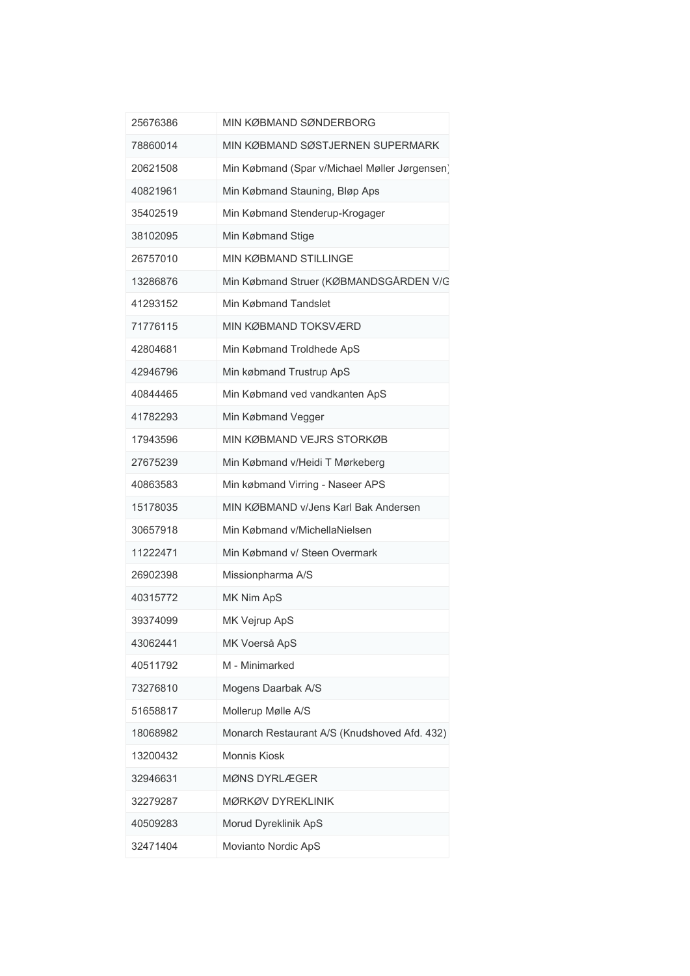| 25676386 | MIN KØBMAND SØNDERBORG                        |
|----------|-----------------------------------------------|
| 78860014 | MIN KØBMAND SØSTJERNEN SUPERMARK              |
| 20621508 | Min Købmand (Spar v/Michael Møller Jørgensen) |
| 40821961 | Min Købmand Stauning, Bløp Aps                |
| 35402519 | Min Købmand Stenderup-Krogager                |
| 38102095 | Min Købmand Stige                             |
| 26757010 | <b>MIN KØBMAND STILLINGE</b>                  |
| 13286876 | Min Købmand Struer (KØBMANDSGÅRDEN V/G        |
| 41293152 | Min Købmand Tandslet                          |
| 71776115 | MIN KØBMAND TOKSVÆRD                          |
| 42804681 | Min Købmand Troldhede ApS                     |
| 42946796 | Min købmand Trustrup ApS                      |
| 40844465 | Min Købmand ved vandkanten ApS                |
| 41782293 | Min Købmand Vegger                            |
| 17943596 | MIN KØBMAND VEJRS STORKØB                     |
| 27675239 | Min Købmand v/Heidi T Mørkeberg               |
| 40863583 | Min købmand Virring - Naseer APS              |
| 15178035 | MIN KØBMAND v/Jens Karl Bak Andersen          |
| 30657918 | Min Købmand v/MichellaNielsen                 |
| 11222471 | Min Købmand v/ Steen Overmark                 |
| 26902398 | Missionpharma A/S                             |
| 40315772 | MK Nim ApS                                    |
| 39374099 | MK Vejrup ApS                                 |
| 43062441 | MK Voerså ApS                                 |
| 40511792 | M - Minimarked                                |
| 73276810 | Mogens Daarbak A/S                            |
| 51658817 | Mollerup Mølle A/S                            |
| 18068982 | Monarch Restaurant A/S (Knudshoved Afd. 432)  |
| 13200432 | Monnis Kiosk                                  |
| 32946631 | MØNS DYRLÆGER                                 |
| 32279287 | <b>MØRKØV DYREKLINIK</b>                      |
| 40509283 | Morud Dyreklinik ApS                          |
| 32471404 | Movianto Nordic ApS                           |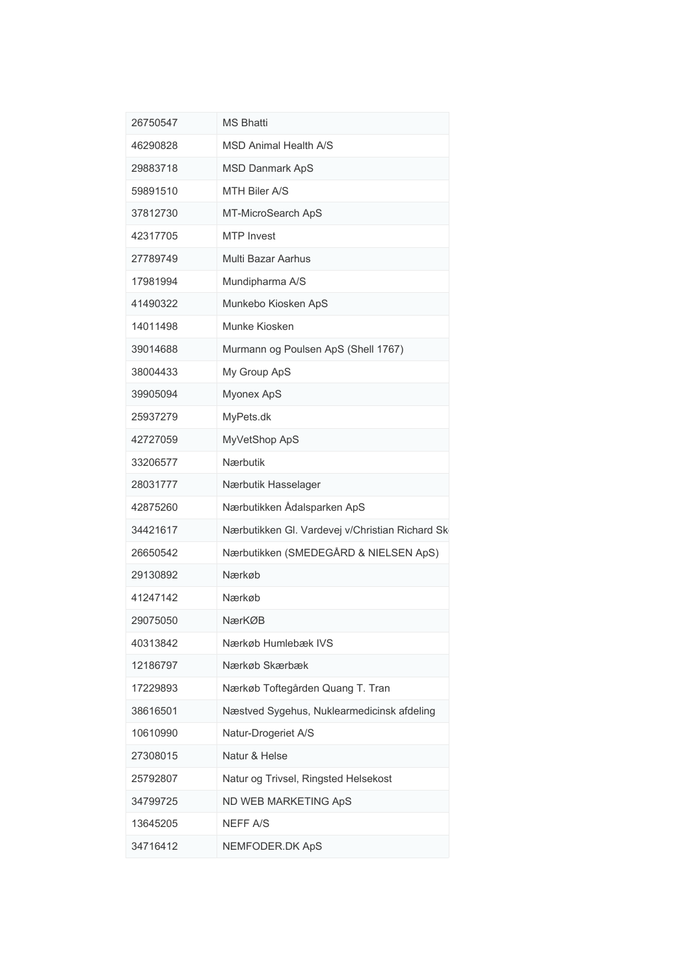| 26750547 | <b>MS Bhatti</b>                                |
|----------|-------------------------------------------------|
| 46290828 | <b>MSD Animal Health A/S</b>                    |
| 29883718 | <b>MSD Danmark ApS</b>                          |
| 59891510 | <b>MTH Biler A/S</b>                            |
| 37812730 | MT-MicroSearch ApS                              |
| 42317705 | <b>MTP</b> Invest                               |
| 27789749 | Multi Bazar Aarhus                              |
| 17981994 | Mundipharma A/S                                 |
| 41490322 | Munkebo Kiosken ApS                             |
| 14011498 | Munke Kiosken                                   |
| 39014688 | Murmann og Poulsen ApS (Shell 1767)             |
| 38004433 | My Group ApS                                    |
| 39905094 | Myonex ApS                                      |
| 25937279 | MyPets.dk                                       |
| 42727059 | MyVetShop ApS                                   |
| 33206577 | Nærbutik                                        |
| 28031777 | Nærbutik Hasselager                             |
| 42875260 | Nærbutikken Ådalsparken ApS                     |
| 34421617 | Nærbutikken Gl. Vardevej v/Christian Richard Sk |
| 26650542 | Nærbutikken (SMEDEGÅRD & NIELSEN ApS)           |
| 29130892 | Nærkøb                                          |
| 41247142 | Nærkøb                                          |
| 29075050 | NærKØB                                          |
| 40313842 | Nærkøb Humlebæk IVS                             |
| 12186797 | Nærkøb Skærbæk                                  |
| 17229893 | Nærkøb Toftegården Quang T. Tran                |
| 38616501 | Næstved Sygehus, Nuklearmedicinsk afdeling      |
| 10610990 | Natur-Drogeriet A/S                             |
| 27308015 | Natur & Helse                                   |
| 25792807 | Natur og Trivsel, Ringsted Helsekost            |
| 34799725 | ND WEB MARKETING ApS                            |
| 13645205 | <b>NEFF A/S</b>                                 |
| 34716412 | NEMFODER.DK ApS                                 |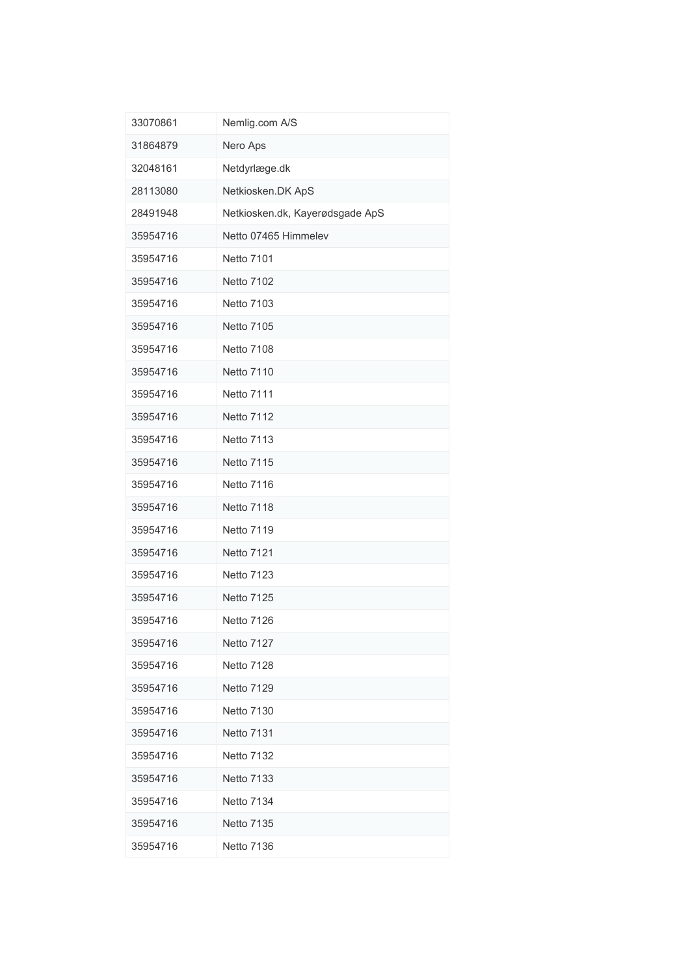| 33070861 | Nemlig.com A/S                  |
|----------|---------------------------------|
| 31864879 | Nero Aps                        |
| 32048161 | Netdyrlæge.dk                   |
| 28113080 | Netkiosken.DK ApS               |
| 28491948 | Netkiosken.dk, Kayerødsgade ApS |
| 35954716 | Netto 07465 Himmelev            |
| 35954716 | <b>Netto 7101</b>               |
| 35954716 | <b>Netto 7102</b>               |
| 35954716 | <b>Netto 7103</b>               |
| 35954716 | <b>Netto 7105</b>               |
| 35954716 | <b>Netto 7108</b>               |
| 35954716 | <b>Netto 7110</b>               |
| 35954716 | <b>Netto 7111</b>               |
| 35954716 | <b>Netto 7112</b>               |
| 35954716 | <b>Netto 7113</b>               |
| 35954716 | <b>Netto 7115</b>               |
| 35954716 | <b>Netto 7116</b>               |
| 35954716 | <b>Netto 7118</b>               |
| 35954716 | <b>Netto 7119</b>               |
| 35954716 | <b>Netto 7121</b>               |
| 35954716 | <b>Netto 7123</b>               |
| 35954716 | <b>Netto 7125</b>               |
| 35954716 | <b>Netto 7126</b>               |
| 35954716 | <b>Netto 7127</b>               |
| 35954716 | <b>Netto 7128</b>               |
| 35954716 | Netto 7129                      |
| 35954716 | <b>Netto 7130</b>               |
| 35954716 | <b>Netto 7131</b>               |
| 35954716 | <b>Netto 7132</b>               |
| 35954716 | <b>Netto 7133</b>               |
| 35954716 | <b>Netto 7134</b>               |
| 35954716 | <b>Netto 7135</b>               |
| 35954716 | <b>Netto 7136</b>               |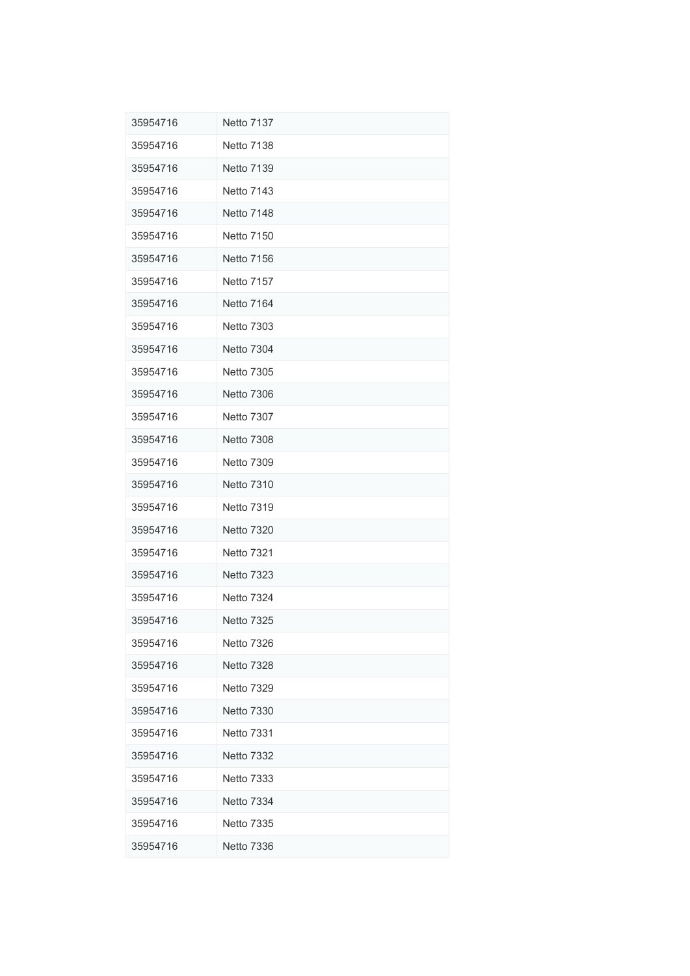| 35954716 | <b>Netto 7137</b> |
|----------|-------------------|
| 35954716 | <b>Netto 7138</b> |
| 35954716 | <b>Netto 7139</b> |
| 35954716 | <b>Netto 7143</b> |
| 35954716 | <b>Netto 7148</b> |
| 35954716 | <b>Netto 7150</b> |
| 35954716 | <b>Netto 7156</b> |
| 35954716 | <b>Netto 7157</b> |
| 35954716 | <b>Netto 7164</b> |
| 35954716 | <b>Netto 7303</b> |
| 35954716 | <b>Netto 7304</b> |
| 35954716 | <b>Netto 7305</b> |
| 35954716 | <b>Netto 7306</b> |
| 35954716 | <b>Netto 7307</b> |
| 35954716 | <b>Netto 7308</b> |
| 35954716 | <b>Netto 7309</b> |
| 35954716 | <b>Netto 7310</b> |
| 35954716 | <b>Netto 7319</b> |
| 35954716 | <b>Netto 7320</b> |
| 35954716 | <b>Netto 7321</b> |
| 35954716 | <b>Netto 7323</b> |
| 35954716 | <b>Netto 7324</b> |
| 35954716 | <b>Netto 7325</b> |
| 35954716 | <b>Netto 7326</b> |
| 35954716 | <b>Netto 7328</b> |
| 35954716 | <b>Netto 7329</b> |
| 35954716 | <b>Netto 7330</b> |
| 35954716 | <b>Netto 7331</b> |
| 35954716 | <b>Netto 7332</b> |
| 35954716 | <b>Netto 7333</b> |
| 35954716 | <b>Netto 7334</b> |
| 35954716 | <b>Netto 7335</b> |
| 35954716 | Netto 7336        |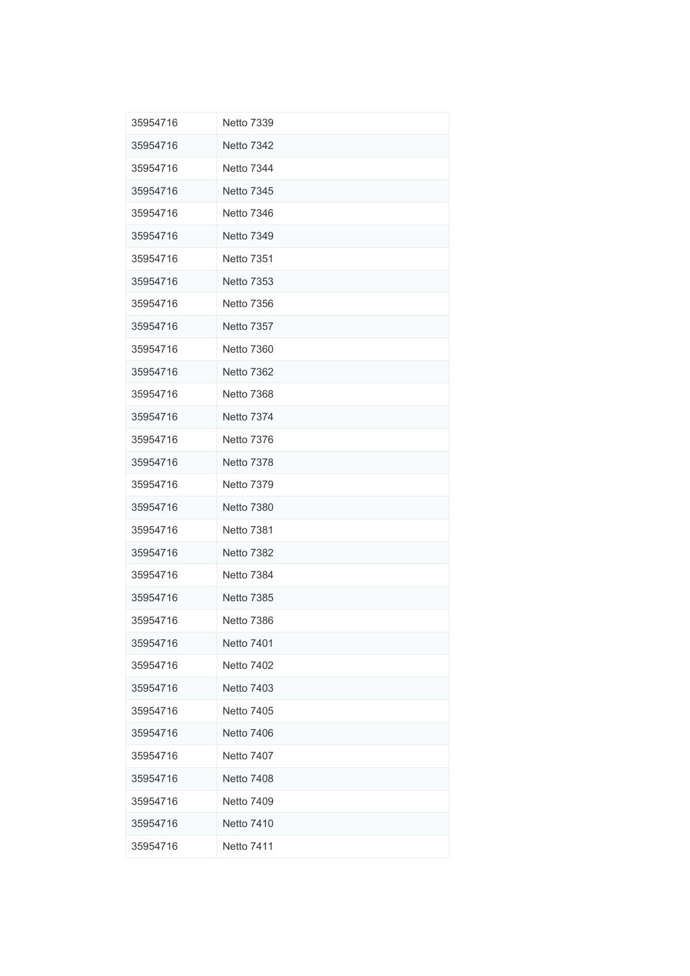| 35954716 | <b>Netto 7339</b> |
|----------|-------------------|
| 35954716 | <b>Netto 7342</b> |
| 35954716 | Netto 7344        |
| 35954716 | <b>Netto 7345</b> |
| 35954716 | <b>Netto 7346</b> |
| 35954716 | Netto 7349        |
| 35954716 | <b>Netto 7351</b> |
| 35954716 | <b>Netto 7353</b> |
| 35954716 | <b>Netto 7356</b> |
| 35954716 | <b>Netto 7357</b> |
| 35954716 | Netto 7360        |
| 35954716 | <b>Netto 7362</b> |
| 35954716 | <b>Netto 7368</b> |
| 35954716 | Netto 7374        |
| 35954716 | <b>Netto 7376</b> |
| 35954716 | <b>Netto 7378</b> |
| 35954716 | <b>Netto 7379</b> |
| 35954716 | <b>Netto 7380</b> |
| 35954716 | Netto 7381        |
| 35954716 | <b>Netto 7382</b> |
| 35954716 | <b>Netto 7384</b> |
| 35954716 | <b>Netto 7385</b> |
| 35954716 | <b>Netto 7386</b> |
| 35954716 | <b>Netto 7401</b> |
| 35954716 | <b>Netto 7402</b> |
| 35954716 | <b>Netto 7403</b> |
| 35954716 | <b>Netto 7405</b> |
| 35954716 | <b>Netto 7406</b> |
| 35954716 | <b>Netto 7407</b> |
| 35954716 | <b>Netto 7408</b> |
| 35954716 | <b>Netto 7409</b> |
| 35954716 | <b>Netto 7410</b> |
| 35954716 | <b>Netto 7411</b> |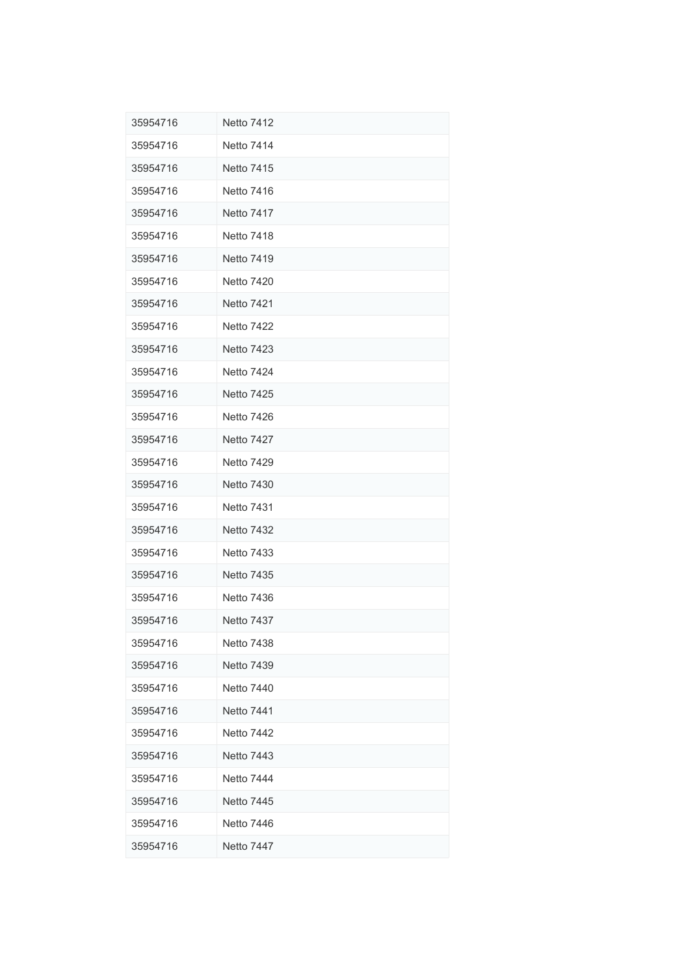| 35954716 | <b>Netto 7412</b> |
|----------|-------------------|
| 35954716 | <b>Netto 7414</b> |
| 35954716 | <b>Netto 7415</b> |
| 35954716 | <b>Netto 7416</b> |
| 35954716 | <b>Netto 7417</b> |
| 35954716 | <b>Netto 7418</b> |
| 35954716 | <b>Netto 7419</b> |
| 35954716 | <b>Netto 7420</b> |
| 35954716 | <b>Netto 7421</b> |
| 35954716 | <b>Netto 7422</b> |
| 35954716 | <b>Netto 7423</b> |
| 35954716 | <b>Netto 7424</b> |
| 35954716 | <b>Netto 7425</b> |
| 35954716 | <b>Netto 7426</b> |
| 35954716 | <b>Netto 7427</b> |
| 35954716 | <b>Netto 7429</b> |
| 35954716 | <b>Netto 7430</b> |
| 35954716 | <b>Netto 7431</b> |
| 35954716 | <b>Netto 7432</b> |
| 35954716 | <b>Netto 7433</b> |
| 35954716 | <b>Netto 7435</b> |
| 35954716 | <b>Netto 7436</b> |
| 35954716 | <b>Netto 7437</b> |
| 35954716 | <b>Netto 7438</b> |
| 35954716 | <b>Netto 7439</b> |
| 35954716 | <b>Netto 7440</b> |
| 35954716 | <b>Netto 7441</b> |
| 35954716 | <b>Netto 7442</b> |
| 35954716 | <b>Netto 7443</b> |
| 35954716 | <b>Netto 7444</b> |
| 35954716 | <b>Netto 7445</b> |
| 35954716 | <b>Netto 7446</b> |
| 35954716 | <b>Netto 7447</b> |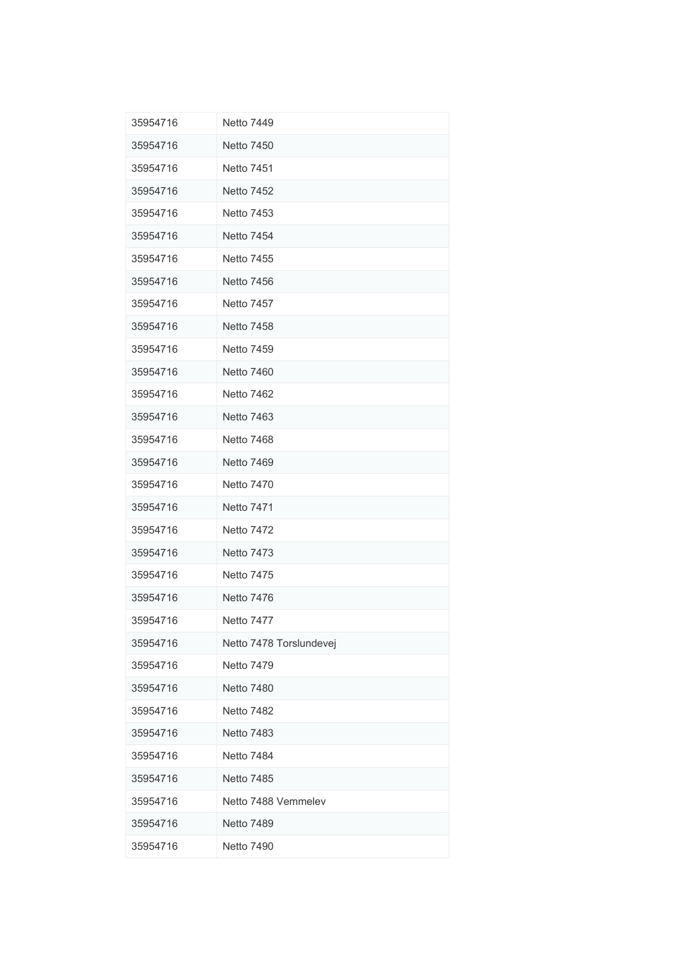| 35954716 | <b>Netto 7449</b>       |
|----------|-------------------------|
| 35954716 | <b>Netto 7450</b>       |
| 35954716 | <b>Netto 7451</b>       |
| 35954716 | <b>Netto 7452</b>       |
| 35954716 | <b>Netto 7453</b>       |
| 35954716 | <b>Netto 7454</b>       |
| 35954716 | <b>Netto 7455</b>       |
| 35954716 | <b>Netto 7456</b>       |
| 35954716 | <b>Netto 7457</b>       |
| 35954716 | <b>Netto 7458</b>       |
| 35954716 | <b>Netto 7459</b>       |
| 35954716 | <b>Netto 7460</b>       |
| 35954716 | <b>Netto 7462</b>       |
| 35954716 | <b>Netto 7463</b>       |
| 35954716 | Netto 7468              |
| 35954716 | <b>Netto 7469</b>       |
| 35954716 | <b>Netto 7470</b>       |
| 35954716 | <b>Netto 7471</b>       |
| 35954716 | <b>Netto 7472</b>       |
| 35954716 | <b>Netto 7473</b>       |
| 35954716 | <b>Netto 7475</b>       |
| 35954716 | <b>Netto 7476</b>       |
| 35954716 | Netto 7477              |
| 35954716 | Netto 7478 Torslundevej |
| 35954716 | <b>Netto 7479</b>       |
| 35954716 | <b>Netto 7480</b>       |
| 35954716 | <b>Netto 7482</b>       |
| 35954716 | <b>Netto 7483</b>       |
| 35954716 | <b>Netto 7484</b>       |
| 35954716 | <b>Netto 7485</b>       |
| 35954716 | Netto 7488 Vemmelev     |
| 35954716 | <b>Netto 7489</b>       |
| 35954716 | <b>Netto 7490</b>       |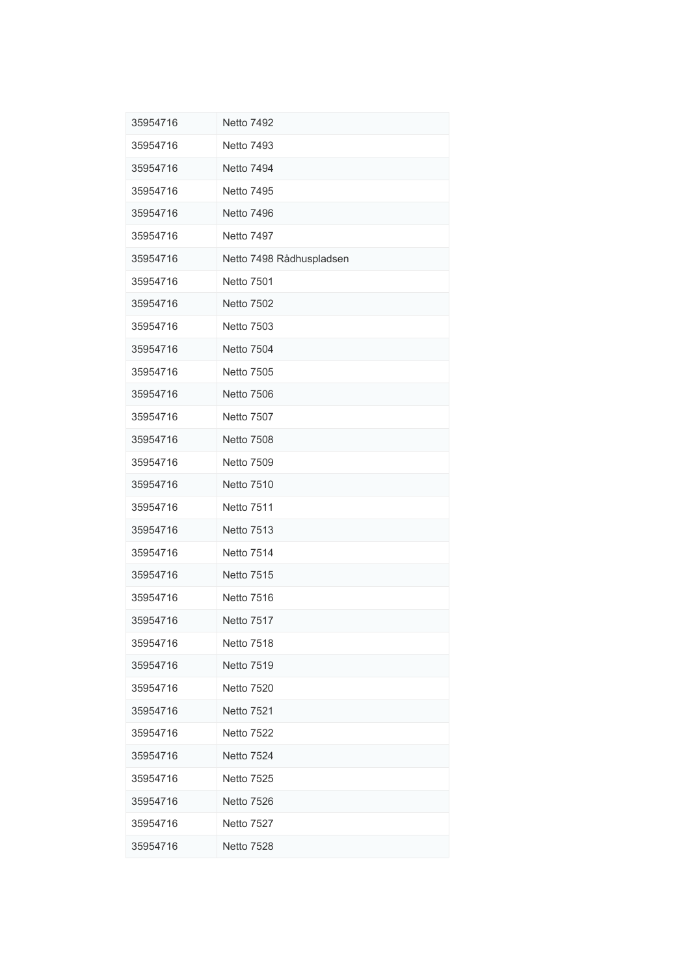| 35954716 | <b>Netto 7492</b>        |
|----------|--------------------------|
| 35954716 | <b>Netto 7493</b>        |
| 35954716 | <b>Netto 7494</b>        |
| 35954716 | <b>Netto 7495</b>        |
| 35954716 | <b>Netto 7496</b>        |
| 35954716 | <b>Netto 7497</b>        |
| 35954716 | Netto 7498 Rådhuspladsen |
| 35954716 | <b>Netto 7501</b>        |
| 35954716 | <b>Netto 7502</b>        |
| 35954716 | <b>Netto 7503</b>        |
| 35954716 | <b>Netto 7504</b>        |
| 35954716 | <b>Netto 7505</b>        |
| 35954716 | <b>Netto 7506</b>        |
| 35954716 | <b>Netto 7507</b>        |
| 35954716 | <b>Netto 7508</b>        |
| 35954716 | <b>Netto 7509</b>        |
| 35954716 | <b>Netto 7510</b>        |
| 35954716 | <b>Netto 7511</b>        |
| 35954716 | <b>Netto 7513</b>        |
| 35954716 | <b>Netto 7514</b>        |
| 35954716 | <b>Netto 7515</b>        |
| 35954716 | <b>Netto 7516</b>        |
| 35954716 | <b>Netto 7517</b>        |
| 35954716 | <b>Netto 7518</b>        |
| 35954716 | <b>Netto 7519</b>        |
| 35954716 | <b>Netto 7520</b>        |
| 35954716 | <b>Netto 7521</b>        |
| 35954716 | <b>Netto 7522</b>        |
| 35954716 | <b>Netto 7524</b>        |
| 35954716 | <b>Netto 7525</b>        |
| 35954716 | <b>Netto 7526</b>        |
| 35954716 | <b>Netto 7527</b>        |
| 35954716 | <b>Netto 7528</b>        |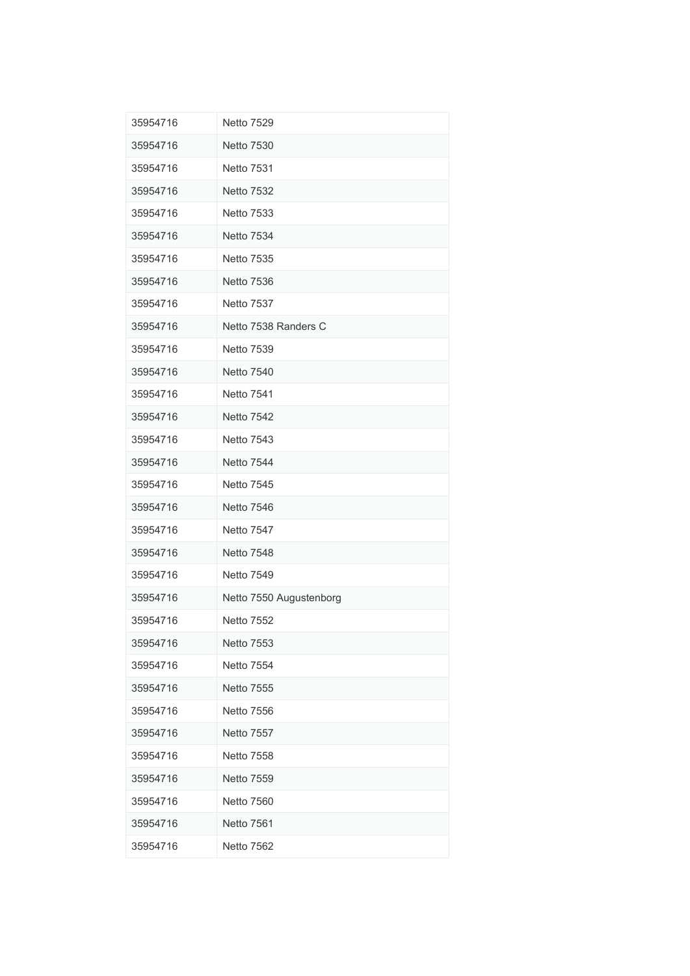| 35954716 | <b>Netto 7529</b>       |
|----------|-------------------------|
| 35954716 | <b>Netto 7530</b>       |
| 35954716 | <b>Netto 7531</b>       |
| 35954716 | <b>Netto 7532</b>       |
| 35954716 | <b>Netto 7533</b>       |
| 35954716 | <b>Netto 7534</b>       |
| 35954716 | <b>Netto 7535</b>       |
| 35954716 | <b>Netto 7536</b>       |
| 35954716 | <b>Netto 7537</b>       |
| 35954716 | Netto 7538 Randers C    |
| 35954716 | <b>Netto 7539</b>       |
| 35954716 | <b>Netto 7540</b>       |
| 35954716 | <b>Netto 7541</b>       |
| 35954716 | <b>Netto 7542</b>       |
| 35954716 | <b>Netto 7543</b>       |
| 35954716 | <b>Netto 7544</b>       |
| 35954716 | <b>Netto 7545</b>       |
| 35954716 | <b>Netto 7546</b>       |
| 35954716 | <b>Netto 7547</b>       |
| 35954716 | <b>Netto 7548</b>       |
| 35954716 | <b>Netto 7549</b>       |
| 35954716 | Netto 7550 Augustenborg |
| 35954716 | <b>Netto 7552</b>       |
| 35954716 | <b>Netto 7553</b>       |
| 35954716 | <b>Netto 7554</b>       |
| 35954716 | <b>Netto 7555</b>       |
| 35954716 | <b>Netto 7556</b>       |
| 35954716 | <b>Netto 7557</b>       |
| 35954716 | <b>Netto 7558</b>       |
| 35954716 | <b>Netto 7559</b>       |
| 35954716 | <b>Netto 7560</b>       |
| 35954716 | <b>Netto 7561</b>       |
| 35954716 | <b>Netto 7562</b>       |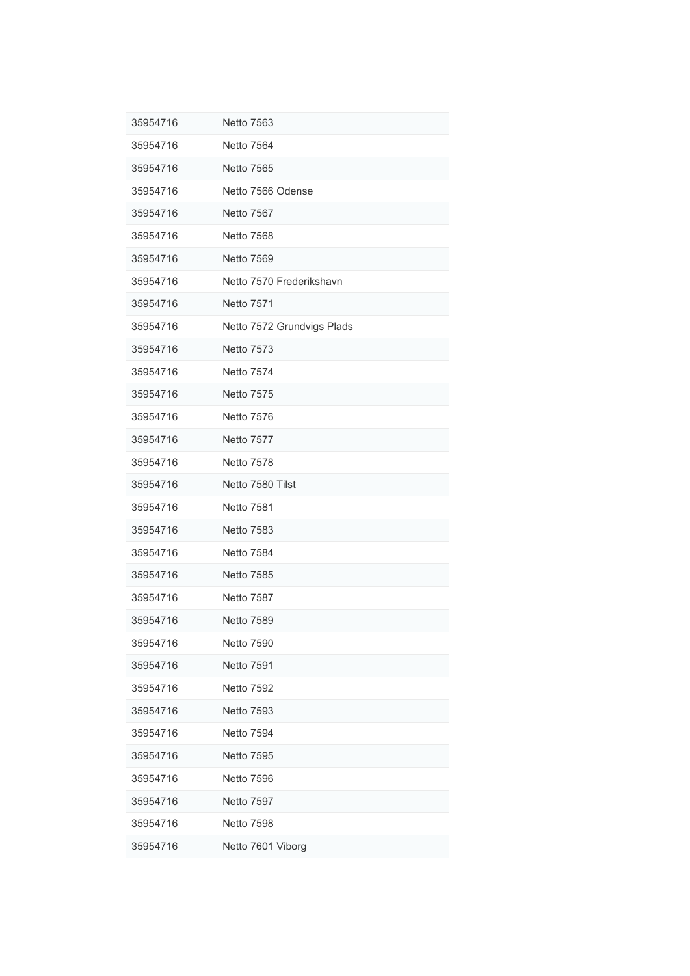| 35954716 | <b>Netto 7563</b>          |
|----------|----------------------------|
| 35954716 | <b>Netto 7564</b>          |
| 35954716 | <b>Netto 7565</b>          |
| 35954716 | Netto 7566 Odense          |
| 35954716 | Netto 7567                 |
| 35954716 | <b>Netto 7568</b>          |
| 35954716 | <b>Netto 7569</b>          |
| 35954716 | Netto 7570 Frederikshavn   |
| 35954716 | <b>Netto 7571</b>          |
| 35954716 | Netto 7572 Grundvigs Plads |
| 35954716 | <b>Netto 7573</b>          |
| 35954716 | <b>Netto 7574</b>          |
| 35954716 | <b>Netto 7575</b>          |
| 35954716 | <b>Netto 7576</b>          |
| 35954716 | <b>Netto 7577</b>          |
| 35954716 | <b>Netto 7578</b>          |
| 35954716 | Netto 7580 Tilst           |
| 35954716 | <b>Netto 7581</b>          |
| 35954716 | <b>Netto 7583</b>          |
| 35954716 | <b>Netto 7584</b>          |
| 35954716 | <b>Netto 7585</b>          |
| 35954716 | <b>Netto 7587</b>          |
| 35954716 | <b>Netto 7589</b>          |
| 35954716 | <b>Netto 7590</b>          |
| 35954716 | <b>Netto 7591</b>          |
| 35954716 | <b>Netto 7592</b>          |
| 35954716 | <b>Netto 7593</b>          |
| 35954716 | <b>Netto 7594</b>          |
| 35954716 | <b>Netto 7595</b>          |
| 35954716 | <b>Netto 7596</b>          |
| 35954716 | <b>Netto 7597</b>          |
| 35954716 | <b>Netto 7598</b>          |
| 35954716 | Netto 7601 Viborg          |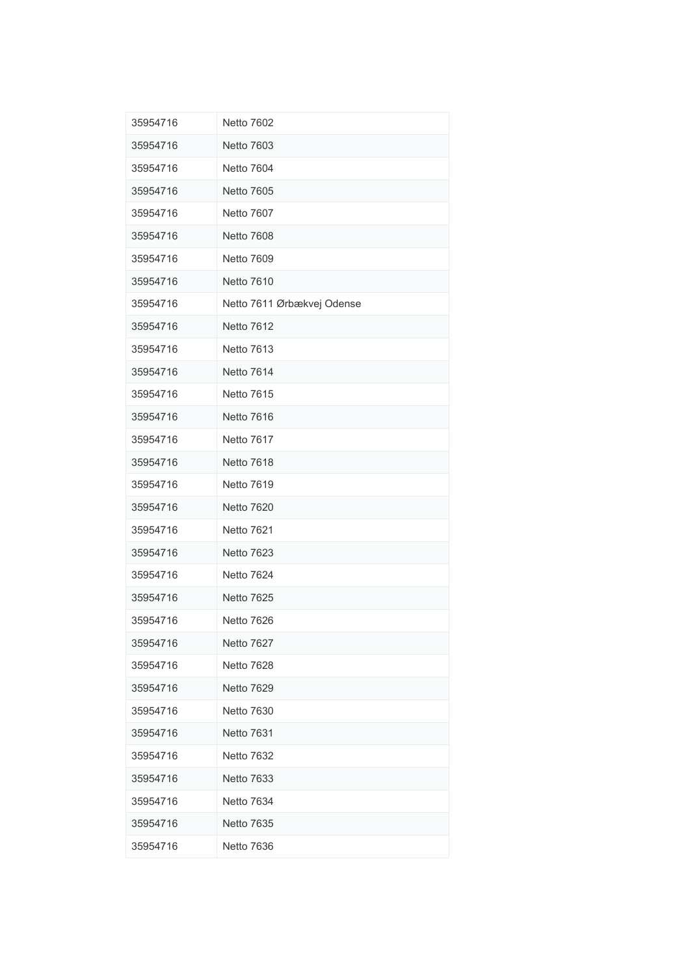| 35954716 | <b>Netto 7602</b>          |
|----------|----------------------------|
| 35954716 | <b>Netto 7603</b>          |
| 35954716 | Netto 7604                 |
| 35954716 | <b>Netto 7605</b>          |
| 35954716 | Netto 7607                 |
| 35954716 | <b>Netto 7608</b>          |
| 35954716 | Netto 7609                 |
| 35954716 | <b>Netto 7610</b>          |
| 35954716 | Netto 7611 Ørbækvej Odense |
| 35954716 | <b>Netto 7612</b>          |
| 35954716 | <b>Netto 7613</b>          |
| 35954716 | Netto 7614                 |
| 35954716 | <b>Netto 7615</b>          |
| 35954716 | Netto 7616                 |
| 35954716 | Netto 7617                 |
| 35954716 | Netto 7618                 |
| 35954716 | Netto 7619                 |
| 35954716 | <b>Netto 7620</b>          |
| 35954716 | Netto 7621                 |
| 35954716 | <b>Netto 7623</b>          |
| 35954716 | <b>Netto 7624</b>          |
| 35954716 | <b>Netto 7625</b>          |
| 35954716 | <b>Netto 7626</b>          |
| 35954716 | Netto 7627                 |
| 35954716 | <b>Netto 7628</b>          |
| 35954716 | <b>Netto 7629</b>          |
| 35954716 | <b>Netto 7630</b>          |
| 35954716 | <b>Netto 7631</b>          |
| 35954716 | <b>Netto 7632</b>          |
| 35954716 | <b>Netto 7633</b>          |
| 35954716 | Netto 7634                 |
| 35954716 | <b>Netto 7635</b>          |
| 35954716 | Netto 7636                 |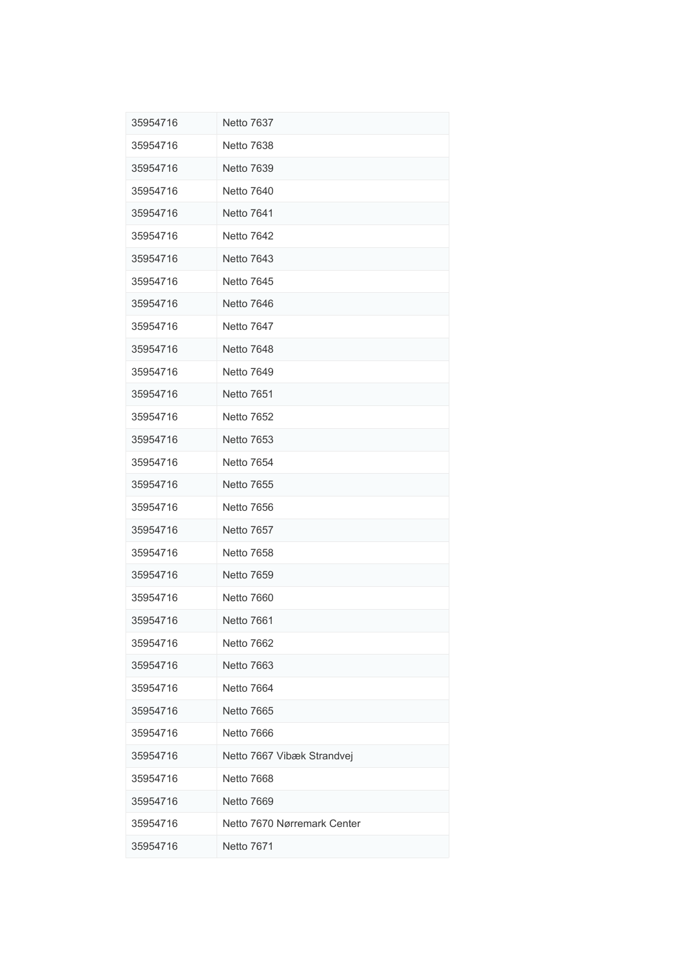| 35954716 | <b>Netto 7637</b>           |
|----------|-----------------------------|
| 35954716 | <b>Netto 7638</b>           |
| 35954716 | <b>Netto 7639</b>           |
| 35954716 | <b>Netto 7640</b>           |
| 35954716 | <b>Netto 7641</b>           |
| 35954716 | <b>Netto 7642</b>           |
| 35954716 | <b>Netto 7643</b>           |
| 35954716 | <b>Netto 7645</b>           |
| 35954716 | <b>Netto 7646</b>           |
| 35954716 | <b>Netto 7647</b>           |
| 35954716 | Netto 7648                  |
| 35954716 | <b>Netto 7649</b>           |
| 35954716 | <b>Netto 7651</b>           |
| 35954716 | <b>Netto 7652</b>           |
| 35954716 | <b>Netto 7653</b>           |
| 35954716 | <b>Netto 7654</b>           |
| 35954716 | <b>Netto 7655</b>           |
| 35954716 | <b>Netto 7656</b>           |
| 35954716 | <b>Netto 7657</b>           |
| 35954716 | <b>Netto 7658</b>           |
| 35954716 | <b>Netto 7659</b>           |
| 35954716 | <b>Netto 7660</b>           |
| 35954716 | <b>Netto 7661</b>           |
| 35954716 | <b>Netto 7662</b>           |
| 35954716 | <b>Netto 7663</b>           |
| 35954716 | Netto 7664                  |
| 35954716 | <b>Netto 7665</b>           |
| 35954716 | Netto 7666                  |
| 35954716 | Netto 7667 Vibæk Strandvej  |
| 35954716 | <b>Netto 7668</b>           |
| 35954716 | <b>Netto 7669</b>           |
| 35954716 | Netto 7670 Nørremark Center |
| 35954716 | Netto 7671                  |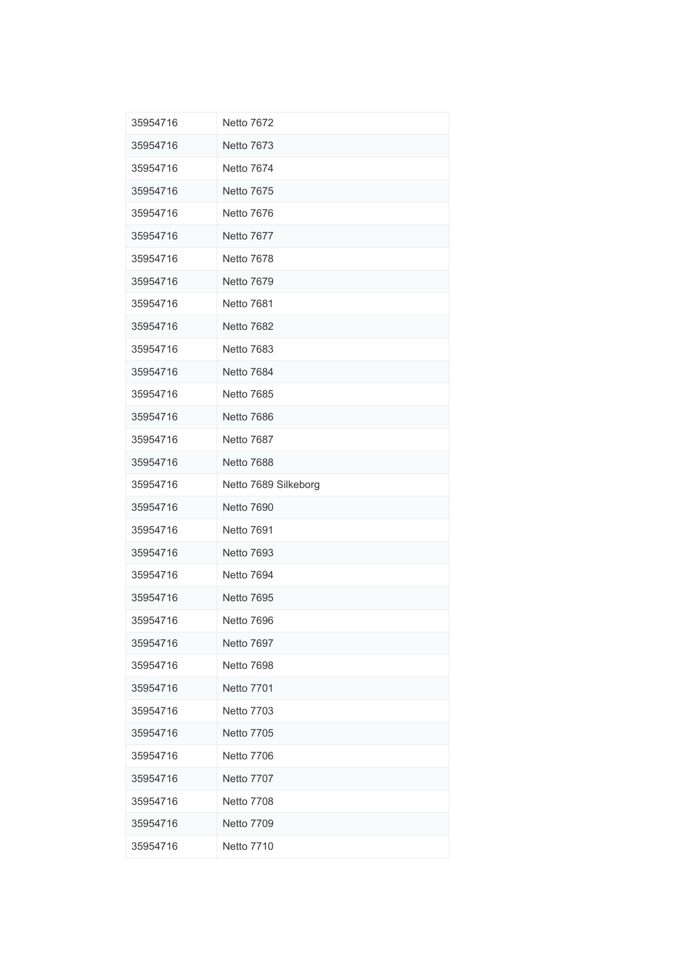| 35954716 | <b>Netto 7672</b>    |
|----------|----------------------|
| 35954716 | <b>Netto 7673</b>    |
| 35954716 | Netto 7674           |
| 35954716 | <b>Netto 7675</b>    |
| 35954716 | Netto 7676           |
| 35954716 | Netto 7677           |
| 35954716 | Netto 7678           |
| 35954716 | Netto 7679           |
| 35954716 | <b>Netto 7681</b>    |
| 35954716 | <b>Netto 7682</b>    |
| 35954716 | <b>Netto 7683</b>    |
| 35954716 | <b>Netto 7684</b>    |
| 35954716 | <b>Netto 7685</b>    |
| 35954716 | Netto 7686           |
| 35954716 | Netto 7687           |
| 35954716 | <b>Netto 7688</b>    |
| 35954716 | Netto 7689 Silkeborg |
| 35954716 | Netto 7690           |
| 35954716 | Netto 7691           |
| 35954716 | <b>Netto 7693</b>    |
| 35954716 | Netto 7694           |
| 35954716 | <b>Netto 7695</b>    |
| 35954716 | Netto 7696           |
| 35954716 | <b>Netto 7697</b>    |
| 35954716 | Netto 7698           |
| 35954716 | <b>Netto 7701</b>    |
| 35954716 | <b>Netto 7703</b>    |
| 35954716 | <b>Netto 7705</b>    |
| 35954716 | Netto 7706           |
| 35954716 | <b>Netto 7707</b>    |
| 35954716 | Netto 7708           |
| 35954716 | <b>Netto 7709</b>    |
| 35954716 | <b>Netto 7710</b>    |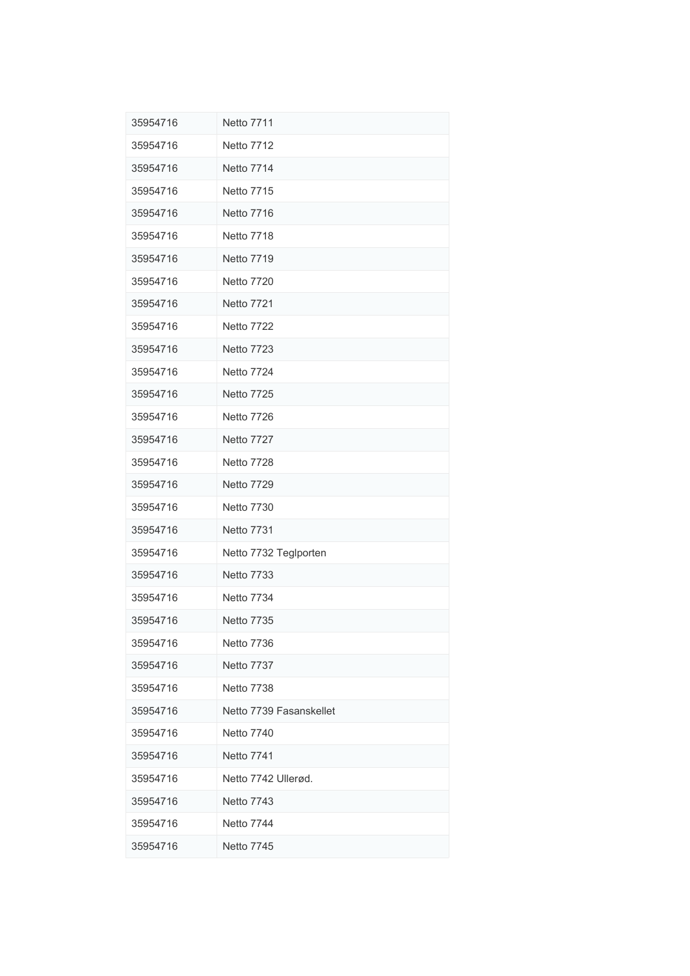| 35954716 | <b>Netto 7711</b>       |
|----------|-------------------------|
| 35954716 | <b>Netto 7712</b>       |
| 35954716 | <b>Netto 7714</b>       |
| 35954716 | <b>Netto 7715</b>       |
| 35954716 | Netto 7716              |
| 35954716 | Netto 7718              |
| 35954716 | <b>Netto 7719</b>       |
| 35954716 | <b>Netto 7720</b>       |
| 35954716 | <b>Netto 7721</b>       |
| 35954716 | <b>Netto 7722</b>       |
| 35954716 | <b>Netto 7723</b>       |
| 35954716 | <b>Netto 7724</b>       |
| 35954716 | <b>Netto 7725</b>       |
| 35954716 | <b>Netto 7726</b>       |
| 35954716 | Netto 7727              |
| 35954716 | Netto 7728              |
| 35954716 | <b>Netto 7729</b>       |
| 35954716 | <b>Netto 7730</b>       |
| 35954716 | Netto 7731              |
| 35954716 | Netto 7732 Teglporten   |
| 35954716 | Netto 7733              |
| 35954716 | <b>Netto 7734</b>       |
| 35954716 | <b>Netto 7735</b>       |
| 35954716 | <b>Netto 7736</b>       |
| 35954716 | <b>Netto 7737</b>       |
| 35954716 | <b>Netto 7738</b>       |
| 35954716 | Netto 7739 Fasanskellet |
| 35954716 | <b>Netto 7740</b>       |
| 35954716 | <b>Netto 7741</b>       |
| 35954716 | Netto 7742 Ullerød.     |
| 35954716 | <b>Netto 7743</b>       |
| 35954716 | <b>Netto 7744</b>       |
| 35954716 | <b>Netto 7745</b>       |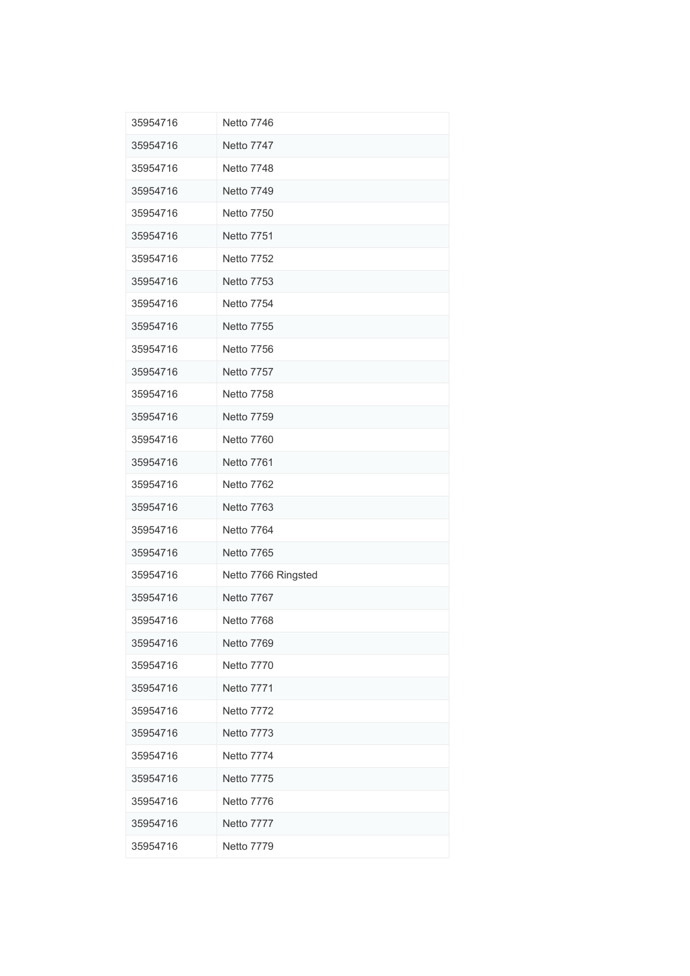| 35954716 | <b>Netto 7746</b>   |
|----------|---------------------|
| 35954716 | Netto 7747          |
| 35954716 | Netto 7748          |
| 35954716 | <b>Netto 7749</b>   |
| 35954716 | <b>Netto 7750</b>   |
| 35954716 | <b>Netto 7751</b>   |
| 35954716 | <b>Netto 7752</b>   |
| 35954716 | <b>Netto 7753</b>   |
| 35954716 | <b>Netto 7754</b>   |
| 35954716 | <b>Netto 7755</b>   |
| 35954716 | <b>Netto 7756</b>   |
| 35954716 | Netto 7757          |
| 35954716 | <b>Netto 7758</b>   |
| 35954716 | <b>Netto 7759</b>   |
| 35954716 | Netto 7760          |
| 35954716 | Netto 7761          |
| 35954716 | <b>Netto 7762</b>   |
| 35954716 | <b>Netto 7763</b>   |
| 35954716 | Netto 7764          |
| 35954716 | <b>Netto 7765</b>   |
| 35954716 | Netto 7766 Ringsted |
| 35954716 | Netto 7767          |
| 35954716 | Netto 7768          |
| 35954716 | Netto 7769          |
| 35954716 | Netto 7770          |
| 35954716 | <b>Netto 7771</b>   |
| 35954716 | <b>Netto 7772</b>   |
| 35954716 | Netto 7773          |
| 35954716 | Netto 7774          |
| 35954716 | Netto 7775          |
| 35954716 | Netto 7776          |
| 35954716 | Netto 7777          |
| 35954716 | Netto 7779          |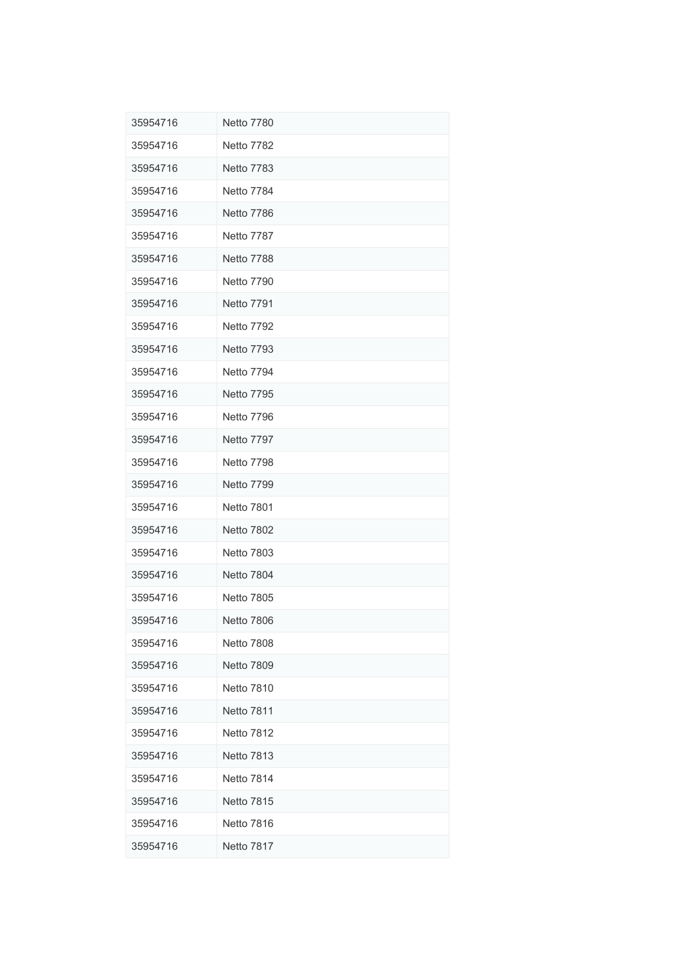| 35954716 | Netto 7780        |
|----------|-------------------|
| 35954716 | <b>Netto 7782</b> |
| 35954716 | <b>Netto 7783</b> |
| 35954716 | <b>Netto 7784</b> |
| 35954716 | <b>Netto 7786</b> |
| 35954716 | <b>Netto 7787</b> |
| 35954716 | Netto 7788        |
| 35954716 | Netto 7790        |
| 35954716 | <b>Netto 7791</b> |
| 35954716 | <b>Netto 7792</b> |
| 35954716 | <b>Netto 7793</b> |
| 35954716 | Netto 7794        |
| 35954716 | <b>Netto 7795</b> |
| 35954716 | <b>Netto 7796</b> |
| 35954716 | Netto 7797        |
| 35954716 | Netto 7798        |
| 35954716 | <b>Netto 7799</b> |
| 35954716 | <b>Netto 7801</b> |
| 35954716 | <b>Netto 7802</b> |
| 35954716 | <b>Netto 7803</b> |
| 35954716 | <b>Netto 7804</b> |
| 35954716 | <b>Netto 7805</b> |
| 35954716 | <b>Netto 7806</b> |
| 35954716 | <b>Netto 7808</b> |
| 35954716 | <b>Netto 7809</b> |
| 35954716 | <b>Netto 7810</b> |
| 35954716 | <b>Netto 7811</b> |
| 35954716 | <b>Netto 7812</b> |
| 35954716 | <b>Netto 7813</b> |
| 35954716 | Netto 7814        |
| 35954716 | <b>Netto 7815</b> |
| 35954716 | <b>Netto 7816</b> |
| 35954716 | Netto 7817        |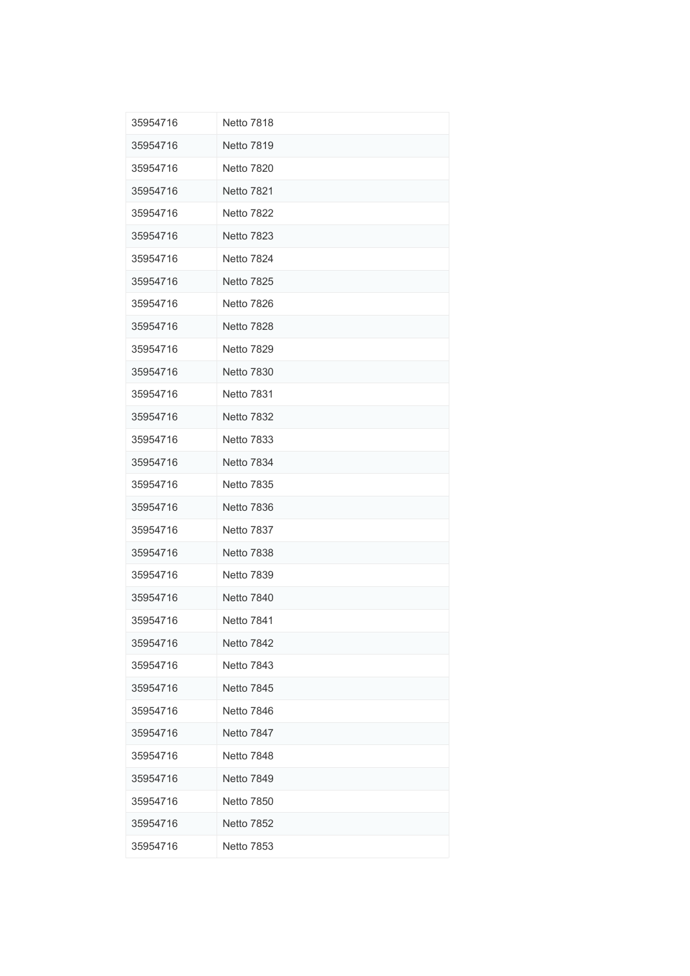| 35954716 | <b>Netto 7818</b> |
|----------|-------------------|
| 35954716 | <b>Netto 7819</b> |
| 35954716 | <b>Netto 7820</b> |
| 35954716 | <b>Netto 7821</b> |
| 35954716 | <b>Netto 7822</b> |
| 35954716 | <b>Netto 7823</b> |
| 35954716 | <b>Netto 7824</b> |
| 35954716 | <b>Netto 7825</b> |
| 35954716 | <b>Netto 7826</b> |
| 35954716 | <b>Netto 7828</b> |
| 35954716 | <b>Netto 7829</b> |
| 35954716 | <b>Netto 7830</b> |
| 35954716 | <b>Netto 7831</b> |
| 35954716 | <b>Netto 7832</b> |
| 35954716 | <b>Netto 7833</b> |
| 35954716 | <b>Netto 7834</b> |
| 35954716 | <b>Netto 7835</b> |
| 35954716 | <b>Netto 7836</b> |
| 35954716 | Netto 7837        |
| 35954716 | <b>Netto 7838</b> |
| 35954716 | <b>Netto 7839</b> |
| 35954716 | <b>Netto 7840</b> |
| 35954716 | Netto 7841        |
| 35954716 | <b>Netto 7842</b> |
| 35954716 | <b>Netto 7843</b> |
| 35954716 | <b>Netto 7845</b> |
| 35954716 | <b>Netto 7846</b> |
| 35954716 | Netto 7847        |
| 35954716 | Netto 7848        |
| 35954716 | <b>Netto 7849</b> |
| 35954716 | <b>Netto 7850</b> |
| 35954716 | <b>Netto 7852</b> |
| 35954716 | <b>Netto 7853</b> |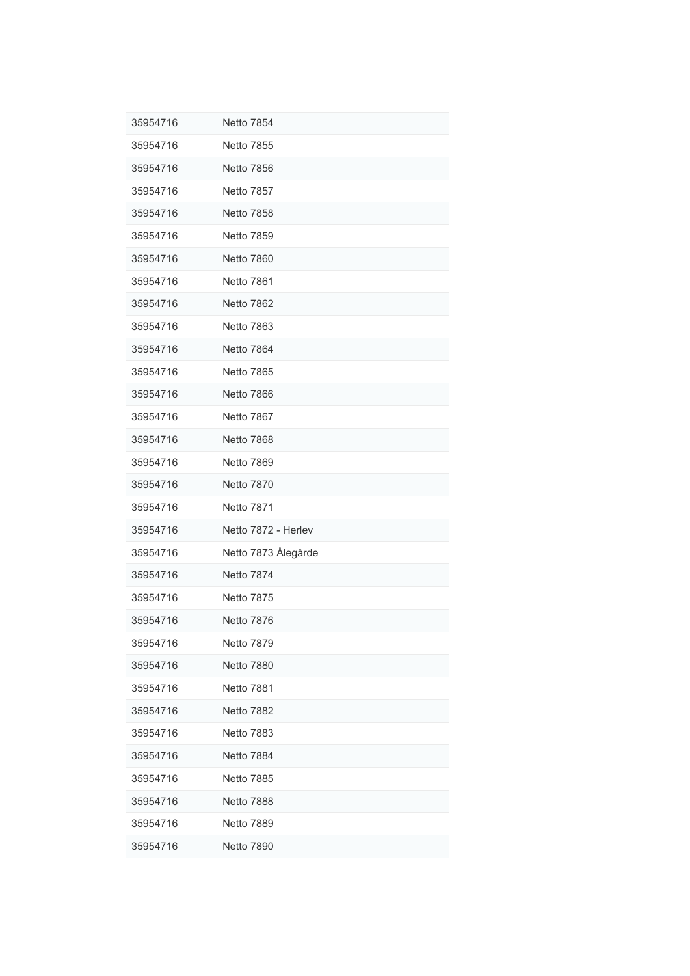| 35954716 | <b>Netto 7854</b>   |
|----------|---------------------|
| 35954716 | <b>Netto 7855</b>   |
| 35954716 | <b>Netto 7856</b>   |
| 35954716 | Netto 7857          |
| 35954716 | <b>Netto 7858</b>   |
| 35954716 | <b>Netto 7859</b>   |
| 35954716 | Netto 7860          |
| 35954716 | Netto 7861          |
| 35954716 | <b>Netto 7862</b>   |
| 35954716 | <b>Netto 7863</b>   |
| 35954716 | Netto 7864          |
| 35954716 | <b>Netto 7865</b>   |
| 35954716 | <b>Netto 7866</b>   |
| 35954716 | Netto 7867          |
| 35954716 | Netto 7868          |
| 35954716 | Netto 7869          |
| 35954716 | <b>Netto 7870</b>   |
| 35954716 | <b>Netto 7871</b>   |
| 35954716 | Netto 7872 - Herlev |
| 35954716 | Netto 7873 Ålegårde |
| 35954716 | <b>Netto 7874</b>   |
| 35954716 | <b>Netto 7875</b>   |
| 35954716 | <b>Netto 7876</b>   |
| 35954716 | <b>Netto 7879</b>   |
| 35954716 | <b>Netto 7880</b>   |
| 35954716 | <b>Netto 7881</b>   |
| 35954716 | <b>Netto 7882</b>   |
| 35954716 | Netto 7883          |
| 35954716 | Netto 7884          |
| 35954716 | <b>Netto 7885</b>   |
| 35954716 | <b>Netto 7888</b>   |
| 35954716 | <b>Netto 7889</b>   |
| 35954716 | <b>Netto 7890</b>   |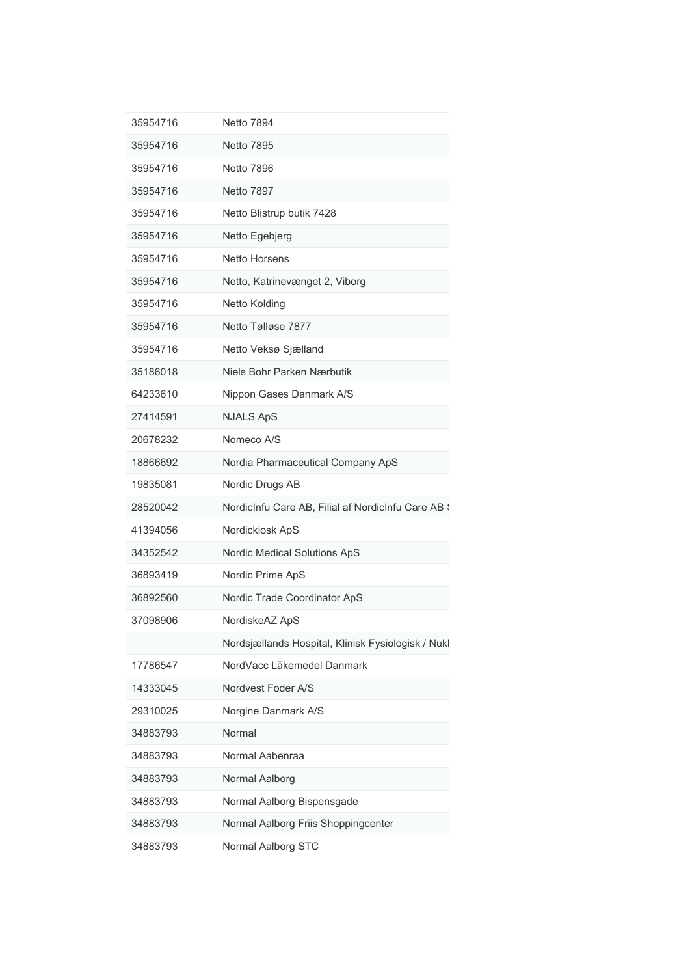| 35954716 | <b>Netto 7894</b>                                  |
|----------|----------------------------------------------------|
| 35954716 | <b>Netto 7895</b>                                  |
| 35954716 | <b>Netto 7896</b>                                  |
| 35954716 | <b>Netto 7897</b>                                  |
| 35954716 | Netto Blistrup butik 7428                          |
| 35954716 | Netto Egebjerg                                     |
| 35954716 | Netto Horsens                                      |
| 35954716 | Netto, Katrinevænget 2, Viborg                     |
| 35954716 | Netto Kolding                                      |
| 35954716 | Netto Tølløse 7877                                 |
| 35954716 | Netto Veksø Sjælland                               |
| 35186018 | Niels Bohr Parken Nærbutik                         |
| 64233610 | Nippon Gases Danmark A/S                           |
| 27414591 | <b>NJALS ApS</b>                                   |
| 20678232 | Nomeco A/S                                         |
| 18866692 | Nordia Pharmaceutical Company ApS                  |
| 19835081 | Nordic Drugs AB                                    |
| 28520042 | NordicInfu Care AB, Filial af NordicInfu Care AB ( |
| 41394056 | Nordickiosk ApS                                    |
| 34352542 | Nordic Medical Solutions ApS                       |
| 36893419 | Nordic Prime ApS                                   |
| 36892560 | Nordic Trade Coordinator ApS                       |
| 37098906 | NordiskeAZ ApS                                     |
|          | Nordsjællands Hospital, Klinisk Fysiologisk / Nukl |
| 17786547 | NordVacc Läkemedel Danmark                         |
| 14333045 | Nordvest Foder A/S                                 |
| 29310025 | Norgine Danmark A/S                                |
| 34883793 | Normal                                             |
| 34883793 | Normal Aabenraa                                    |
| 34883793 | Normal Aalborg                                     |
| 34883793 | Normal Aalborg Bispensgade                         |
| 34883793 | Normal Aalborg Friis Shoppingcenter                |
| 34883793 | Normal Aalborg STC                                 |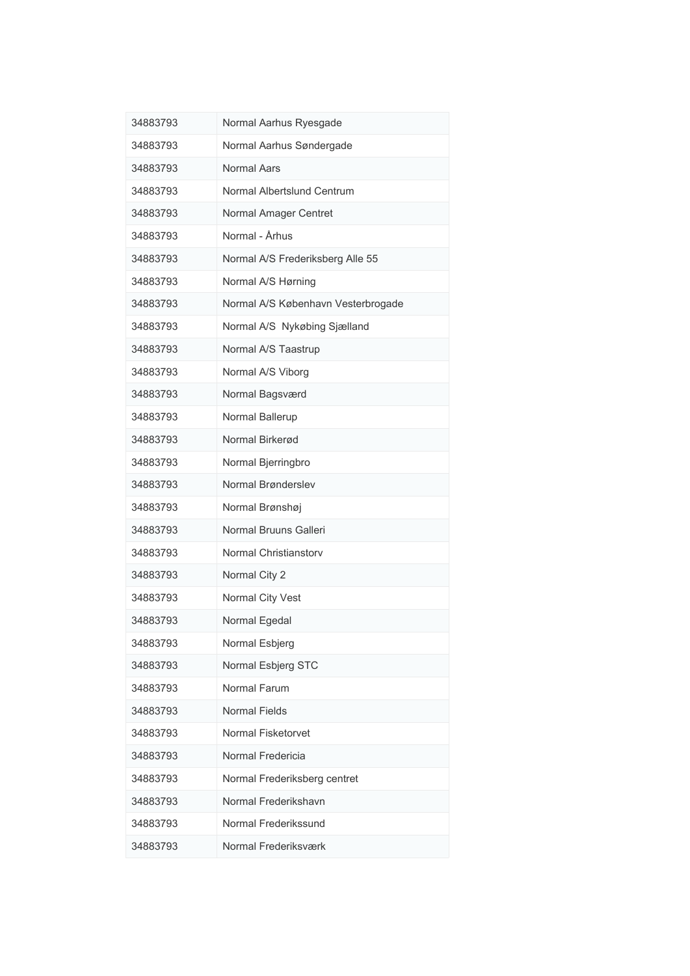| 34883793 | Normal Aarhus Ryesgade             |
|----------|------------------------------------|
| 34883793 | Normal Aarhus Søndergade           |
| 34883793 | Normal Aars                        |
| 34883793 | Normal Albertslund Centrum         |
| 34883793 | Normal Amager Centret              |
| 34883793 | Normal - Århus                     |
| 34883793 | Normal A/S Frederiksberg Alle 55   |
| 34883793 | Normal A/S Hørning                 |
| 34883793 | Normal A/S København Vesterbrogade |
| 34883793 | Normal A/S Nykøbing Sjælland       |
| 34883793 | Normal A/S Taastrup                |
| 34883793 | Normal A/S Viborg                  |
| 34883793 | Normal Bagsværd                    |
| 34883793 | Normal Ballerup                    |
| 34883793 | Normal Birkerød                    |
| 34883793 | Normal Bjerringbro                 |
| 34883793 | Normal Brønderslev                 |
| 34883793 | Normal Brønshøj                    |
| 34883793 | Normal Bruuns Galleri              |
| 34883793 | Normal Christianstory              |
| 34883793 | Normal City 2                      |
| 34883793 | Normal City Vest                   |
| 34883793 | Normal Egedal                      |
| 34883793 | Normal Esbjerg                     |
| 34883793 | Normal Esbjerg STC                 |
| 34883793 | Normal Farum                       |
| 34883793 | <b>Normal Fields</b>               |
| 34883793 | Normal Fisketorvet                 |
| 34883793 | Normal Fredericia                  |
| 34883793 | Normal Frederiksberg centret       |
| 34883793 | Normal Frederikshavn               |
| 34883793 | Normal Frederikssund               |
| 34883793 | Normal Frederiksværk               |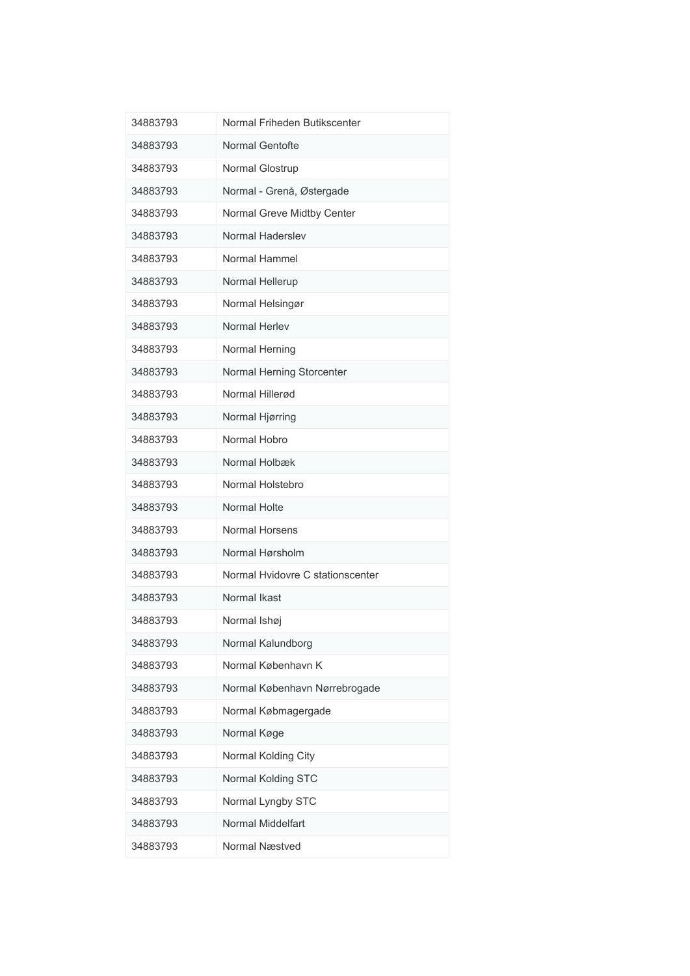| 34883793 | Normal Friheden Butikscenter     |
|----------|----------------------------------|
| 34883793 | Normal Gentofte                  |
| 34883793 | Normal Glostrup                  |
| 34883793 | Normal - Grenå, Østergade        |
| 34883793 | Normal Greve Midtby Center       |
| 34883793 | Normal Haderslev                 |
| 34883793 | Normal Hammel                    |
| 34883793 | Normal Hellerup                  |
| 34883793 | Normal Helsingør                 |
| 34883793 | Normal Herlev                    |
| 34883793 | Normal Herning                   |
| 34883793 | Normal Herning Storcenter        |
| 34883793 | Normal Hillerød                  |
| 34883793 | Normal Hjørring                  |
| 34883793 | Normal Hobro                     |
| 34883793 | Normal Holbæk                    |
| 34883793 | Normal Holstebro                 |
| 34883793 | <b>Normal Holte</b>              |
| 34883793 | Normal Horsens                   |
| 34883793 | Normal Hørsholm                  |
| 34883793 | Normal Hyidovre C stationscenter |
| 34883793 | Normal Ikast                     |
| 34883793 | Normal Ishøj                     |
| 34883793 | Normal Kalundborg                |
| 34883793 | Normal København K               |
| 34883793 | Normal København Nørrebrogade    |
| 34883793 | Normal Købmagergade              |
| 34883793 | Normal Køge                      |
| 34883793 | Normal Kolding City              |
| 34883793 | Normal Kolding STC               |
| 34883793 | Normal Lyngby STC                |
| 34883793 | Normal Middelfart                |
| 34883793 | Normal Næstved                   |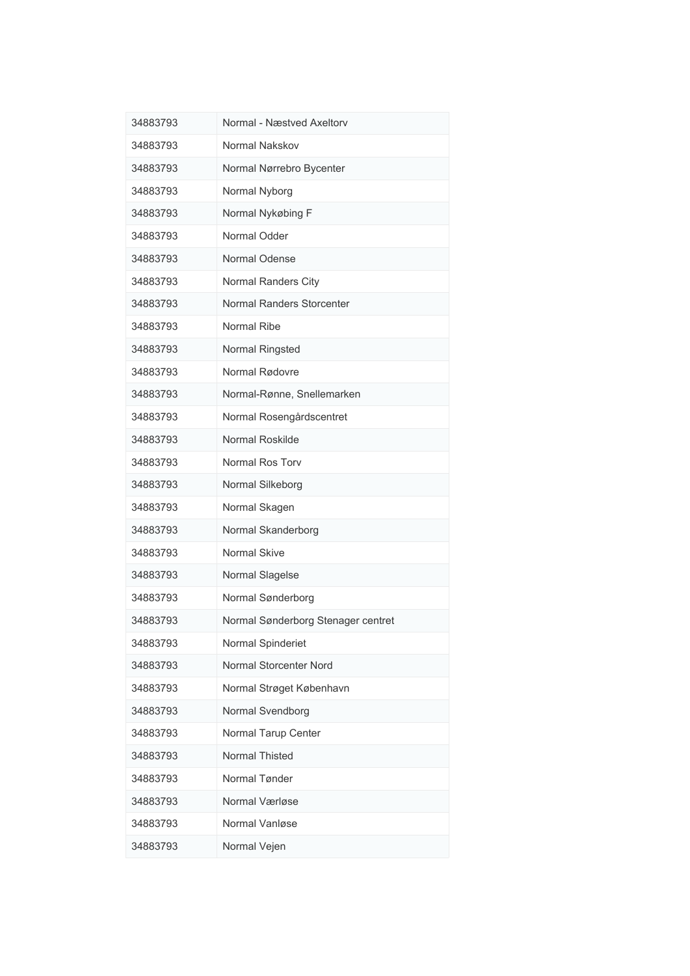| 34883793 | Normal - Næstved Axeltory          |
|----------|------------------------------------|
| 34883793 | Normal Nakskov                     |
| 34883793 | Normal Nørrebro Bycenter           |
| 34883793 | Normal Nyborg                      |
| 34883793 | Normal Nykøbing F                  |
| 34883793 | Normal Odder                       |
| 34883793 | Normal Odense                      |
| 34883793 | Normal Randers City                |
| 34883793 | <b>Normal Randers Storcenter</b>   |
| 34883793 | Normal Ribe                        |
| 34883793 | Normal Ringsted                    |
| 34883793 | Normal Rødovre                     |
| 34883793 | Normal-Rønne, Snellemarken         |
| 34883793 | Normal Rosengårdscentret           |
| 34883793 | Normal Roskilde                    |
| 34883793 | Normal Ros Torv                    |
| 34883793 | Normal Silkeborg                   |
| 34883793 | Normal Skagen                      |
| 34883793 | Normal Skanderborg                 |
| 34883793 | Normal Skive                       |
| 34883793 | Normal Slagelse                    |
| 34883793 | Normal Sønderborg                  |
| 34883793 | Normal Sønderborg Stenager centret |
| 34883793 | Normal Spinderiet                  |
| 34883793 | Normal Storcenter Nord             |
| 34883793 | Normal Strøget København           |
| 34883793 | Normal Svendborg                   |
| 34883793 | Normal Tarup Center                |
| 34883793 | Normal Thisted                     |
| 34883793 | Normal Tønder                      |
| 34883793 | Normal Værløse                     |
| 34883793 | Normal Vanløse                     |
| 34883793 | Normal Vejen                       |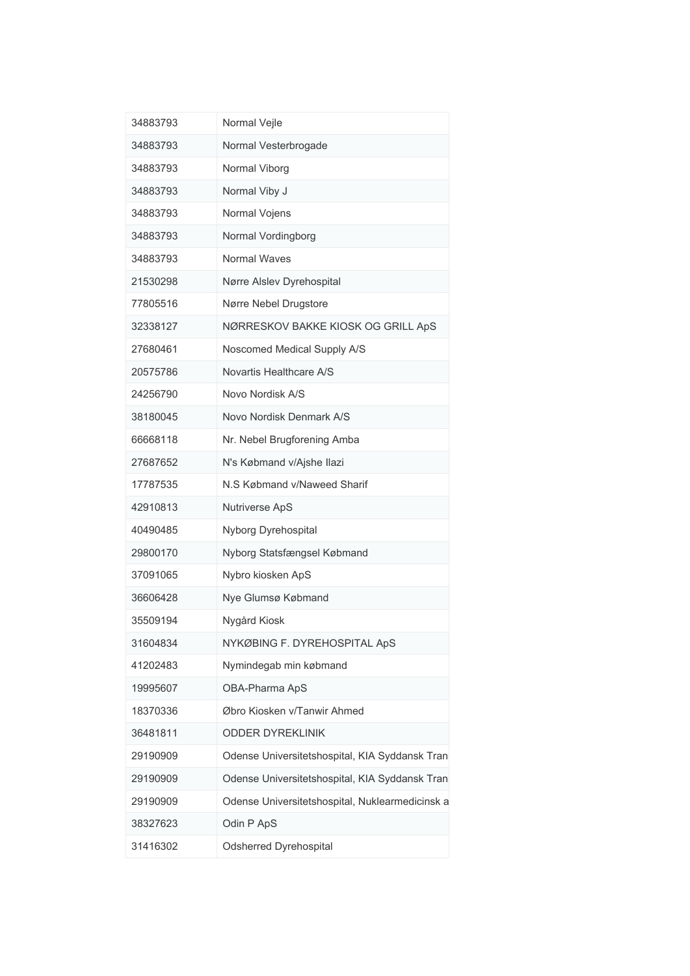| 34883793 | Normal Vejle                                    |
|----------|-------------------------------------------------|
| 34883793 | Normal Vesterbrogade                            |
| 34883793 | Normal Viborg                                   |
| 34883793 | Normal Viby J                                   |
| 34883793 | Normal Vojens                                   |
| 34883793 | Normal Vordingborg                              |
| 34883793 | Normal Waves                                    |
| 21530298 | Nørre Alslev Dyrehospital                       |
| 77805516 | Nørre Nebel Drugstore                           |
| 32338127 | NØRRESKOV BAKKE KIOSK OG GRILL ApS              |
| 27680461 | Noscomed Medical Supply A/S                     |
| 20575786 | Novartis Healthcare A/S                         |
| 24256790 | Novo Nordisk A/S                                |
| 38180045 | Novo Nordisk Denmark A/S                        |
| 66668118 | Nr. Nebel Brugforening Amba                     |
| 27687652 | N's Købmand v/Ajshe Ilazi                       |
| 17787535 | N.S Købmand v/Naweed Sharif                     |
| 42910813 | Nutriverse ApS                                  |
| 40490485 | Nyborg Dyrehospital                             |
| 29800170 | Nyborg Statsfængsel Købmand                     |
| 37091065 | Nybro kiosken ApS                               |
| 36606428 | Nye Glumsø Købmand                              |
| 35509194 | Nygård Kiosk                                    |
| 31604834 | NYKØBING F. DYREHOSPITAL ApS                    |
| 41202483 | Nymindegab min købmand                          |
| 19995607 | OBA-Pharma ApS                                  |
| 18370336 | Øbro Kiosken v/Tanwir Ahmed                     |
| 36481811 | <b>ODDER DYREKLINIK</b>                         |
| 29190909 | Odense Universitetshospital, KIA Syddansk Tran  |
| 29190909 | Odense Universitetshospital, KIA Syddansk Tran  |
| 29190909 | Odense Universitetshospital, Nuklearmedicinsk a |
| 38327623 | Odin P ApS                                      |
| 31416302 | Odsherred Dyrehospital                          |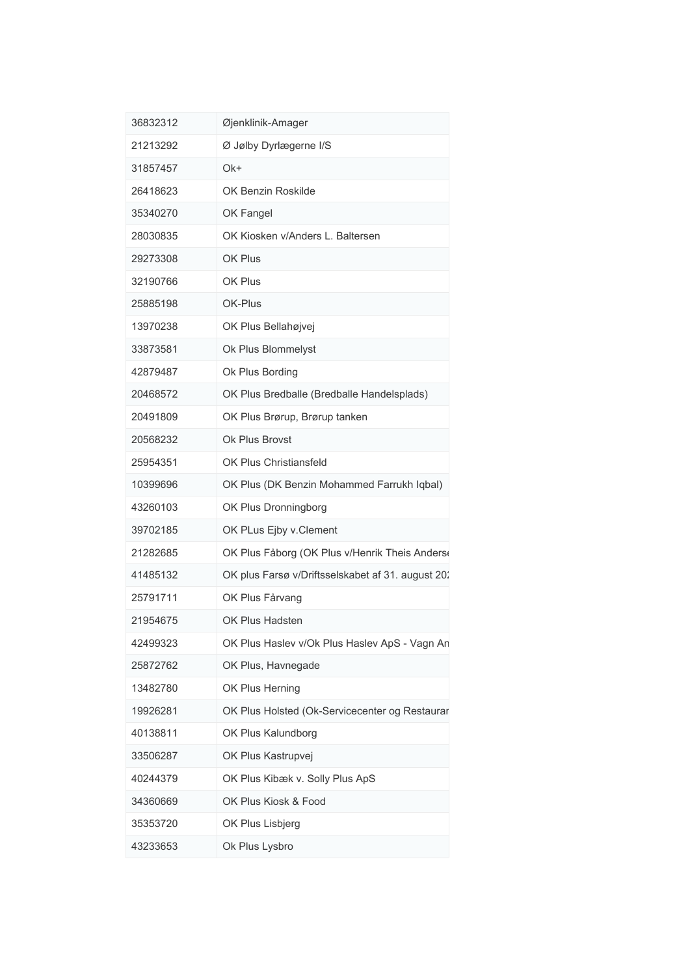| 36832312 | Øjenklinik-Amager                                 |
|----------|---------------------------------------------------|
| 21213292 | Ø Jølby Dyrlægerne I/S                            |
| 31857457 | Ok+                                               |
| 26418623 | OK Benzin Roskilde                                |
| 35340270 | OK Fangel                                         |
| 28030835 | OK Kiosken v/Anders L. Baltersen                  |
| 29273308 | OK Plus                                           |
| 32190766 | OK Plus                                           |
| 25885198 | OK-Plus                                           |
| 13970238 | OK Plus Bellahøjvej                               |
| 33873581 | Ok Plus Blommelyst                                |
| 42879487 | Ok Plus Bording                                   |
| 20468572 | OK Plus Bredballe (Bredballe Handelsplads)        |
| 20491809 | OK Plus Brørup, Brørup tanken                     |
| 20568232 | Ok Plus Brovst                                    |
| 25954351 | <b>OK Plus Christiansfeld</b>                     |
| 10399696 | OK Plus (DK Benzin Mohammed Farrukh Iqbal)        |
| 43260103 | OK Plus Dronningborg                              |
| 39702185 | OK PLus Ejby v.Clement                            |
| 21282685 | OK Plus Fåborg (OK Plus v/Henrik Theis Anders     |
| 41485132 | OK plus Farsø v/Driftsselskabet af 31. august 20. |
| 25791711 | OK Plus Fårvang                                   |
| 21954675 | OK Plus Hadsten                                   |
| 42499323 | OK Plus Haslev v/Ok Plus Haslev ApS - Vagn An     |
| 25872762 | OK Plus, Havnegade                                |
| 13482780 | OK Plus Herning                                   |
| 19926281 | OK Plus Holsted (Ok-Servicecenter og Restaurar    |
| 40138811 | OK Plus Kalundborg                                |
| 33506287 | OK Plus Kastrupvej                                |
| 40244379 | OK Plus Kibæk v. Solly Plus ApS                   |
| 34360669 | OK Plus Kiosk & Food                              |
| 35353720 | OK Plus Lisbjerg                                  |
| 43233653 | Ok Plus Lysbro                                    |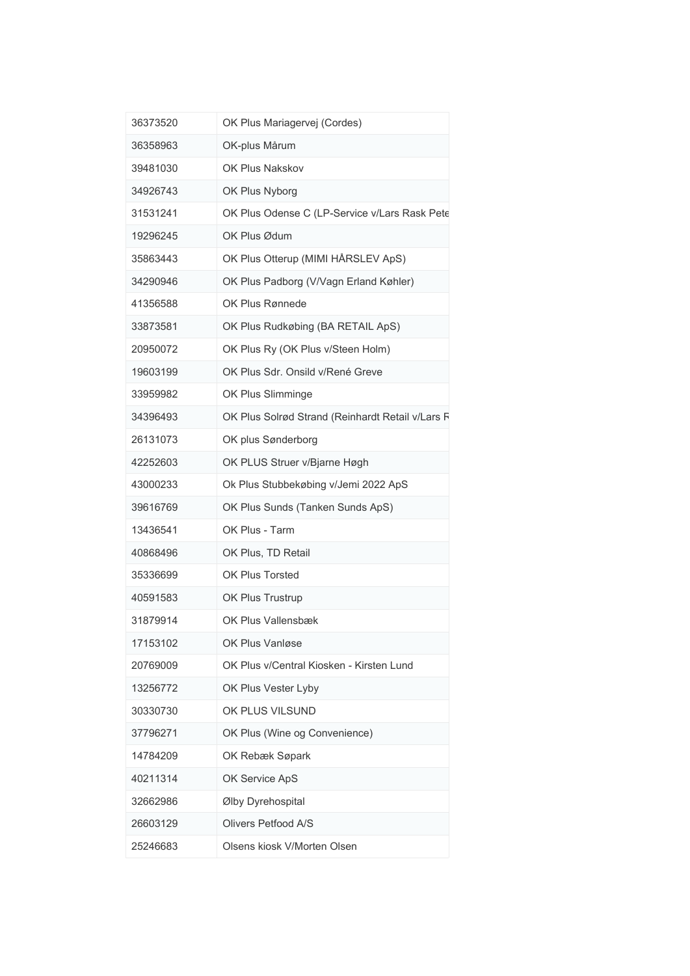| 36373520 | OK Plus Mariagervej (Cordes)                     |
|----------|--------------------------------------------------|
| 36358963 | OK-plus Mårum                                    |
| 39481030 | OK Plus Nakskov                                  |
| 34926743 | OK Plus Nyborg                                   |
| 31531241 | OK Plus Odense C (LP-Service v/Lars Rask Pete    |
| 19296245 | OK Plus Ødum                                     |
| 35863443 | OK Plus Otterup (MIMI HÅRSLEV ApS)               |
| 34290946 | OK Plus Padborg (V/Vagn Erland Køhler)           |
| 41356588 | OK Plus Rønnede                                  |
| 33873581 | OK Plus Rudkøbing (BA RETAIL ApS)                |
| 20950072 | OK Plus Ry (OK Plus v/Steen Holm)                |
| 19603199 | OK Plus Sdr. Onsild v/René Greve                 |
| 33959982 | OK Plus Slimminge                                |
| 34396493 | OK Plus Solrød Strand (Reinhardt Retail v/Lars F |
| 26131073 | OK plus Sønderborg                               |
| 42252603 | OK PLUS Struer v/Bjarne Høgh                     |
| 43000233 | Ok Plus Stubbekøbing v/Jemi 2022 ApS             |
| 39616769 | OK Plus Sunds (Tanken Sunds ApS)                 |
| 13436541 | OK Plus - Tarm                                   |
| 40868496 | OK Plus, TD Retail                               |
| 35336699 | OK Plus Torsted                                  |
| 40591583 | OK Plus Trustrup                                 |
| 31879914 | OK Plus Vallensbæk                               |
| 17153102 | OK Plus Vanløse                                  |
| 20769009 | OK Plus v/Central Kiosken - Kirsten Lund         |
| 13256772 | OK Plus Vester Lyby                              |
| 30330730 | OK PLUS VILSUND                                  |
| 37796271 | OK Plus (Wine og Convenience)                    |
| 14784209 | OK Rebæk Søpark                                  |
| 40211314 | OK Service ApS                                   |
| 32662986 | Ølby Dyrehospital                                |
| 26603129 | Olivers Petfood A/S                              |
| 25246683 | Olsens kiosk V/Morten Olsen                      |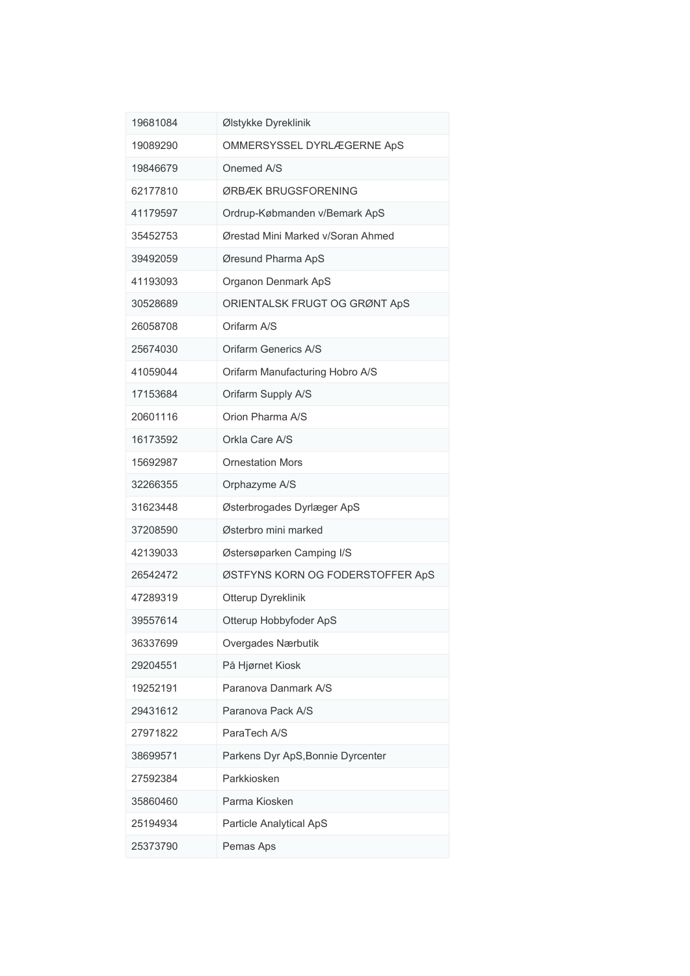| 19681084 | Ølstykke Dyreklinik               |
|----------|-----------------------------------|
| 19089290 | OMMERSYSSEL DYRLÆGERNE ApS        |
| 19846679 | Onemed A/S                        |
| 62177810 | ØRBÆK BRUGSFORENING               |
| 41179597 | Ordrup-Købmanden v/Bemark ApS     |
| 35452753 | Ørestad Mini Marked v/Soran Ahmed |
| 39492059 | Øresund Pharma ApS                |
| 41193093 | Organon Denmark ApS               |
| 30528689 | ORIENTALSK FRUGT OG GRØNT ApS     |
| 26058708 | Orifarm A/S                       |
| 25674030 | Orifarm Generics A/S              |
| 41059044 | Orifarm Manufacturing Hobro A/S   |
| 17153684 | Orifarm Supply A/S                |
| 20601116 | Orion Pharma A/S                  |
| 16173592 | Orkla Care A/S                    |
| 15692987 | <b>Ornestation Mors</b>           |
| 32266355 | Orphazyme A/S                     |
| 31623448 | Østerbrogades Dyrlæger ApS        |
| 37208590 | Østerbro mini marked              |
| 42139033 | Østersøparken Camping I/S         |
| 26542472 | ØSTFYNS KORN OG FODERSTOFFER ApS  |
| 47289319 | Otterup Dyreklinik                |
| 39557614 | Otterup Hobbyfoder ApS            |
| 36337699 | Overgades Nærbutik                |
| 29204551 | På Hjørnet Kiosk                  |
| 19252191 | Paranova Danmark A/S              |
| 29431612 | Paranova Pack A/S                 |
| 27971822 | ParaTech A/S                      |
| 38699571 | Parkens Dyr ApS, Bonnie Dyrcenter |
| 27592384 | Parkkiosken                       |
| 35860460 | Parma Kiosken                     |
| 25194934 | Particle Analytical ApS           |
| 25373790 | Pemas Aps                         |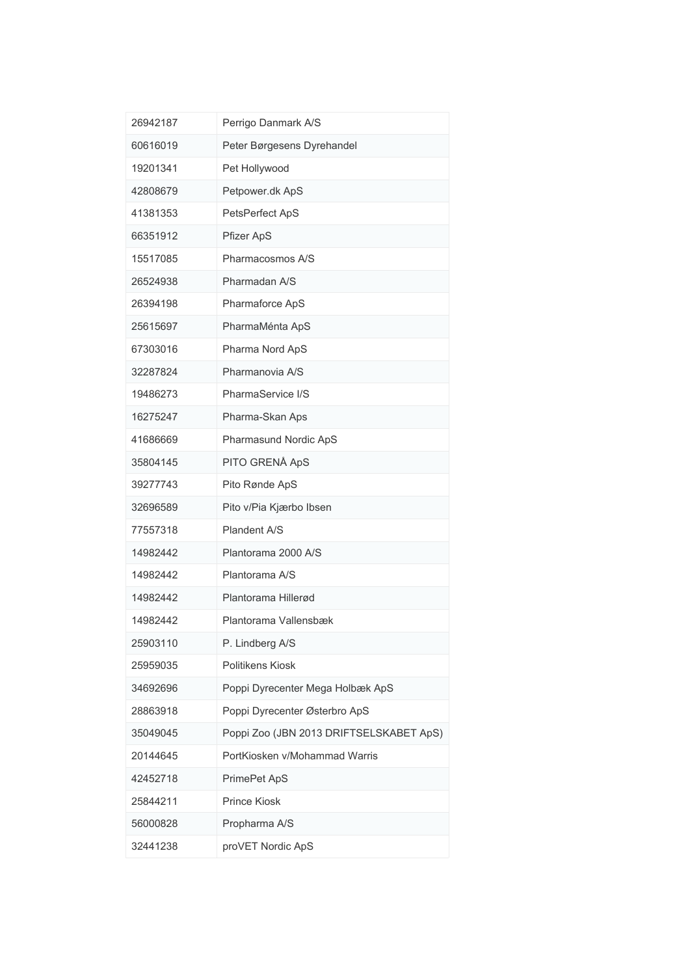| 26942187 | Perrigo Danmark A/S                     |
|----------|-----------------------------------------|
| 60616019 | Peter Børgesens Dyrehandel              |
| 19201341 | Pet Hollywood                           |
| 42808679 | Petpower.dk ApS                         |
| 41381353 | PetsPerfect ApS                         |
| 66351912 | Pfizer ApS                              |
| 15517085 | Pharmacosmos A/S                        |
| 26524938 | Pharmadan A/S                           |
| 26394198 | Pharmaforce ApS                         |
| 25615697 | PharmaMénta ApS                         |
| 67303016 | Pharma Nord ApS                         |
| 32287824 | Pharmanovia A/S                         |
| 19486273 | PharmaService I/S                       |
| 16275247 | Pharma-Skan Aps                         |
| 41686669 | Pharmasund Nordic ApS                   |
| 35804145 | PITO GRENÅ ApS                          |
| 39277743 | Pito Rønde ApS                          |
| 32696589 | Pito v/Pia Kjærbo Ibsen                 |
| 77557318 | Plandent A/S                            |
| 14982442 | Plantorama 2000 A/S                     |
| 14982442 | Plantorama A/S                          |
| 14982442 | Plantorama Hillerød                     |
| 14982442 | Plantorama Vallensbæk                   |
| 25903110 | P. Lindberg A/S                         |
| 25959035 | Politikens Kiosk                        |
| 34692696 | Poppi Dyrecenter Mega Holbæk ApS        |
| 28863918 | Poppi Dyrecenter Østerbro ApS           |
| 35049045 | Poppi Zoo (JBN 2013 DRIFTSELSKABET ApS) |
| 20144645 | PortKiosken v/Mohammad Warris           |
| 42452718 | PrimePet ApS                            |
| 25844211 | <b>Prince Kiosk</b>                     |
| 56000828 | Propharma A/S                           |
| 32441238 | proVET Nordic ApS                       |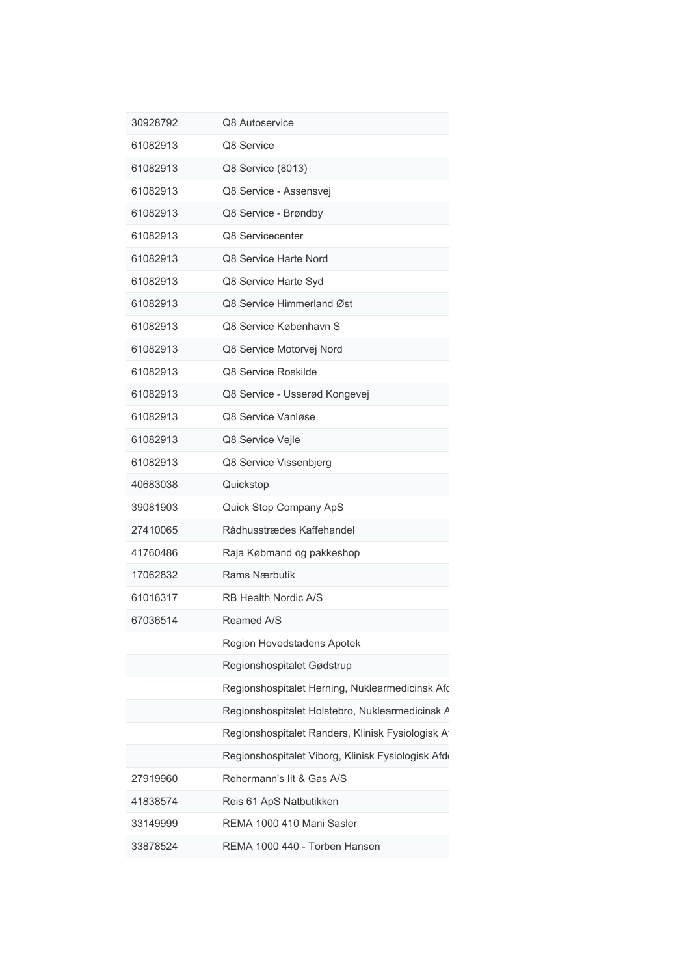| 30928792 | Q8 Autoservice                                     |
|----------|----------------------------------------------------|
| 61082913 | Q8 Service                                         |
| 61082913 | Q8 Service (8013)                                  |
| 61082913 | Q8 Service - Assensvej                             |
| 61082913 | Q8 Service - Brøndby                               |
| 61082913 | Q8 Servicecenter                                   |
| 61082913 | Q8 Service Harte Nord                              |
| 61082913 | Q8 Service Harte Syd                               |
| 61082913 | Q8 Service Himmerland Øst                          |
| 61082913 | Q8 Service København S                             |
| 61082913 | Q8 Service Motorvej Nord                           |
| 61082913 | Q8 Service Roskilde                                |
| 61082913 | Q8 Service - Usserød Kongevej                      |
| 61082913 | Q8 Service Vanløse                                 |
| 61082913 | Q8 Service Vejle                                   |
| 61082913 | Q8 Service Vissenbjerg                             |
| 40683038 | Quickstop                                          |
| 39081903 | Quick Stop Company ApS                             |
| 27410065 | Rådhusstrædes Kaffehandel                          |
| 41760486 | Raja Købmand og pakkeshop                          |
| 17062832 | Rams Nærbutik                                      |
| 61016317 | RB Health Nordic A/S                               |
| 67036514 | Reamed A/S                                         |
|          | Region Hovedstadens Apotek                         |
|          | Regionshospitalet Gødstrup                         |
|          | Regionshospitalet Herning, Nuklearmedicinsk Afd    |
|          | Regionshospitalet Holstebro, Nuklearmedicinsk A    |
|          | Regionshospitalet Randers, Klinisk Fysiologisk A   |
|          | Regionshospitalet Viborg, Klinisk Fysiologisk Afde |
| 27919960 | Rehermann's IIt & Gas A/S                          |
| 41838574 | Reis 61 ApS Natbutikken                            |
| 33149999 | REMA 1000 410 Mani Sasler                          |
| 33878524 | REMA 1000 440 - Torben Hansen                      |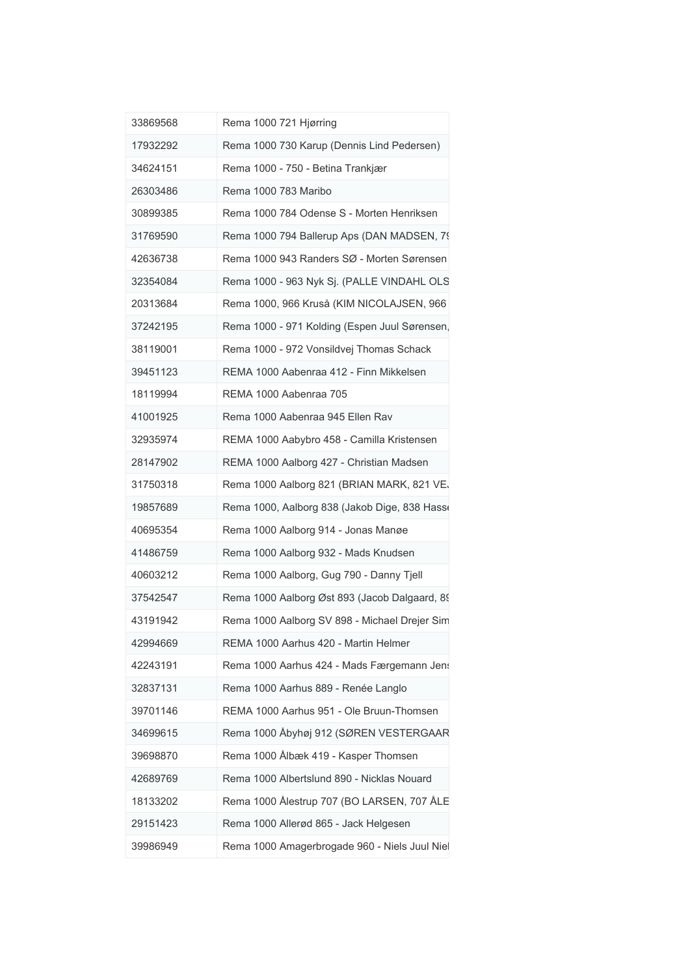| 33869568 | Rema 1000 721 Hjørring                        |
|----------|-----------------------------------------------|
| 17932292 | Rema 1000 730 Karup (Dennis Lind Pedersen)    |
| 34624151 | Rema 1000 - 750 - Betina Trankjær             |
| 26303486 | Rema 1000 783 Maribo                          |
| 30899385 | Rema 1000 784 Odense S - Morten Henriksen     |
| 31769590 | Rema 1000 794 Ballerup Aps (DAN MADSEN, 79    |
| 42636738 | Rema 1000 943 Randers SØ - Morten Sørensen    |
| 32354084 | Rema 1000 - 963 Nyk Sj. (PALLE VINDAHL OLS    |
| 20313684 | Rema 1000, 966 Kruså (KIM NICOLAJSEN, 966     |
| 37242195 | Rema 1000 - 971 Kolding (Espen Juul Sørensen, |
| 38119001 | Rema 1000 - 972 Vonsildvej Thomas Schack      |
| 39451123 | REMA 1000 Aabenraa 412 - Finn Mikkelsen       |
| 18119994 | REMA 1000 Aabenraa 705                        |
| 41001925 | Rema 1000 Aabenraa 945 Ellen Rav              |
| 32935974 | REMA 1000 Aabybro 458 - Camilla Kristensen    |
| 28147902 | REMA 1000 Aalborg 427 - Christian Madsen      |
| 31750318 | Rema 1000 Aalborg 821 (BRIAN MARK, 821 VE.    |
| 19857689 | Rema 1000, Aalborg 838 (Jakob Dige, 838 Hasse |
| 40695354 | Rema 1000 Aalborg 914 - Jonas Manøe           |
| 41486759 | Rema 1000 Aalborg 932 - Mads Knudsen          |
| 40603212 | Rema 1000 Aalborg, Gug 790 - Danny Tjell      |
| 37542547 | Rema 1000 Aalborg Øst 893 (Jacob Dalgaard, 89 |
| 43191942 | Rema 1000 Aalborg SV 898 - Michael Drejer Sim |
| 42994669 | REMA 1000 Aarhus 420 - Martin Helmer          |
| 42243191 | Rema 1000 Aarhus 424 - Mads Færgemann Jens    |
| 32837131 | Rema 1000 Aarhus 889 - Renée Langlo           |
| 39701146 | REMA 1000 Aarhus 951 - Ole Bruun-Thomsen      |
| 34699615 | Rema 1000 Åbyhøj 912 (SØREN VESTERGAAR        |
| 39698870 | Rema 1000 Ålbæk 419 - Kasper Thomsen          |
| 42689769 | Rema 1000 Albertslund 890 - Nicklas Nouard    |
| 18133202 | Rema 1000 Ålestrup 707 (BO LARSEN, 707 ÅLE    |
| 29151423 | Rema 1000 Allerød 865 - Jack Helgesen         |
| 39986949 | Rema 1000 Amagerbrogade 960 - Niels Juul Niel |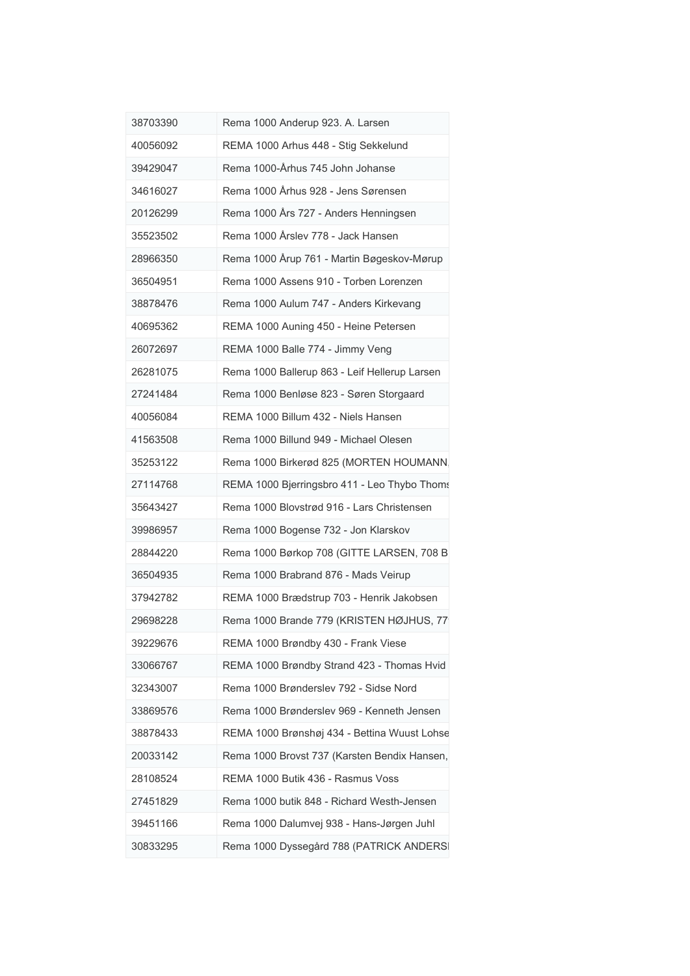| 38703390 | Rema 1000 Anderup 923. A. Larsen              |
|----------|-----------------------------------------------|
| 40056092 | REMA 1000 Arhus 448 - Stig Sekkelund          |
| 39429047 | Rema 1000-Århus 745 John Johanse              |
| 34616027 | Rema 1000 Århus 928 - Jens Sørensen           |
| 20126299 | Rema 1000 Års 727 - Anders Henningsen         |
| 35523502 | Rema 1000 Årslev 778 - Jack Hansen            |
| 28966350 | Rema 1000 Årup 761 - Martin Bøgeskov-Mørup    |
| 36504951 | Rema 1000 Assens 910 - Torben Lorenzen        |
| 38878476 | Rema 1000 Aulum 747 - Anders Kirkevang        |
| 40695362 | REMA 1000 Auning 450 - Heine Petersen         |
| 26072697 | REMA 1000 Balle 774 - Jimmy Veng              |
| 26281075 | Rema 1000 Ballerup 863 - Leif Hellerup Larsen |
| 27241484 | Rema 1000 Benløse 823 - Søren Storgaard       |
| 40056084 | REMA 1000 Billum 432 - Niels Hansen           |
| 41563508 | Rema 1000 Billund 949 - Michael Olesen        |
| 35253122 | Rema 1000 Birkerød 825 (MORTEN HOUMANN,       |
| 27114768 | REMA 1000 Bjerringsbro 411 - Leo Thybo Thoms  |
| 35643427 | Rema 1000 Blovstrød 916 - Lars Christensen    |
| 39986957 | Rema 1000 Bogense 732 - Jon Klarskov          |
| 28844220 | Rema 1000 Børkop 708 (GITTE LARSEN, 708 B     |
| 36504935 | Rema 1000 Brabrand 876 - Mads Veirup          |
| 37942782 | REMA 1000 Brædstrup 703 - Henrik Jakobsen     |
| 29698228 | Rema 1000 Brande 779 (KRISTEN HØJHUS, 77      |
| 39229676 | REMA 1000 Brøndby 430 - Frank Viese           |
| 33066767 | REMA 1000 Brøndby Strand 423 - Thomas Hvid    |
| 32343007 | Rema 1000 Brønderslev 792 - Sidse Nord        |
| 33869576 | Rema 1000 Brønderslev 969 - Kenneth Jensen    |
| 38878433 | REMA 1000 Brønshøj 434 - Bettina Wuust Lohse  |
| 20033142 | Rema 1000 Brovst 737 (Karsten Bendix Hansen,  |
| 28108524 | REMA 1000 Butik 436 - Rasmus Voss             |
| 27451829 | Rema 1000 butik 848 - Richard Westh-Jensen    |
| 39451166 | Rema 1000 Dalumvej 938 - Hans-Jørgen Juhl     |
| 30833295 | Rema 1000 Dyssegård 788 (PATRICK ANDERS       |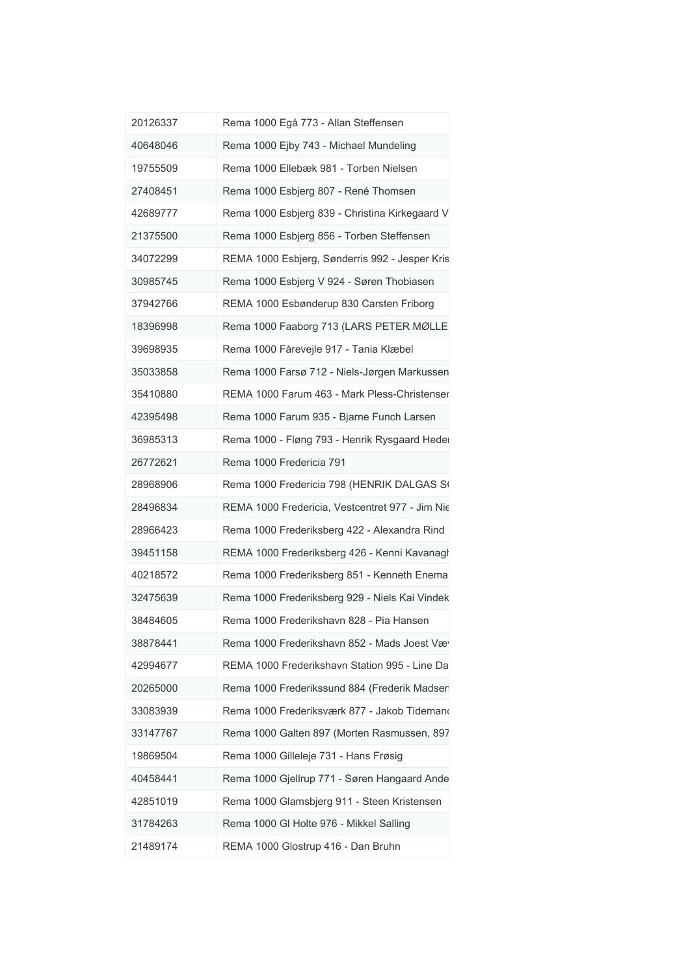| 20126337 | Rema 1000 Egå 773 - Allan Steffensen            |
|----------|-------------------------------------------------|
| 40648046 | Rema 1000 Ejby 743 - Michael Mundeling          |
| 19755509 | Rema 1000 Ellebæk 981 - Torben Nielsen          |
| 27408451 | Rema 1000 Esbjerg 807 - René Thomsen            |
| 42689777 | Rema 1000 Esbjerg 839 - Christina Kirkegaard V  |
| 21375500 | Rema 1000 Esbjerg 856 - Torben Steffensen       |
| 34072299 | REMA 1000 Esbjerg, Sønderris 992 - Jesper Kris  |
| 30985745 | Rema 1000 Esbjerg V 924 - Søren Thobiasen       |
| 37942766 | REMA 1000 Esbønderup 830 Carsten Friborg        |
| 18396998 | Rema 1000 Faaborg 713 (LARS PETER MØLLE         |
| 39698935 | Rema 1000 Fårevejle 917 - Tania Klæbel          |
| 35033858 | Rema 1000 Farsø 712 - Niels-Jørgen Markussen    |
| 35410880 | REMA 1000 Farum 463 - Mark Pless-Christenser    |
| 42395498 | Rema 1000 Farum 935 - Bjarne Funch Larsen       |
| 36985313 | Rema 1000 - Fløng 793 - Henrik Rysgaard Hedel   |
| 26772621 | Rema 1000 Fredericia 791                        |
| 28968906 | Rema 1000 Fredericia 798 (HENRIK DALGAS S       |
| 28496834 | REMA 1000 Fredericia, Vestcentret 977 - Jim Nie |
| 28966423 | Rema 1000 Frederiksberg 422 - Alexandra Rind    |
| 39451158 | REMA 1000 Frederiksberg 426 - Kenni Kavanagl    |
| 40218572 | Rema 1000 Frederiksberg 851 - Kenneth Enema     |
| 32475639 | Rema 1000 Frederiksberg 929 - Niels Kai Vindek  |
| 38484605 | Rema 1000 Frederikshavn 828 - Pia Hansen        |
| 38878441 | Rema 1000 Frederikshavn 852 - Mads Joest Væ     |
| 42994677 | REMA 1000 Frederikshavn Station 995 - Line Da   |
| 20265000 | Rema 1000 Frederikssund 884 (Frederik Madser    |
| 33083939 | Rema 1000 Frederiksværk 877 - Jakob Tidemand    |
| 33147767 | Rema 1000 Galten 897 (Morten Rasmussen, 897     |
| 19869504 | Rema 1000 Gilleleje 731 - Hans Frøsig           |
| 40458441 | Rema 1000 Gjellrup 771 - Søren Hangaard Ande    |
| 42851019 | Rema 1000 Glamsbjerg 911 - Steen Kristensen     |
| 31784263 | Rema 1000 GI Holte 976 - Mikkel Salling         |
| 21489174 | REMA 1000 Glostrup 416 - Dan Bruhn              |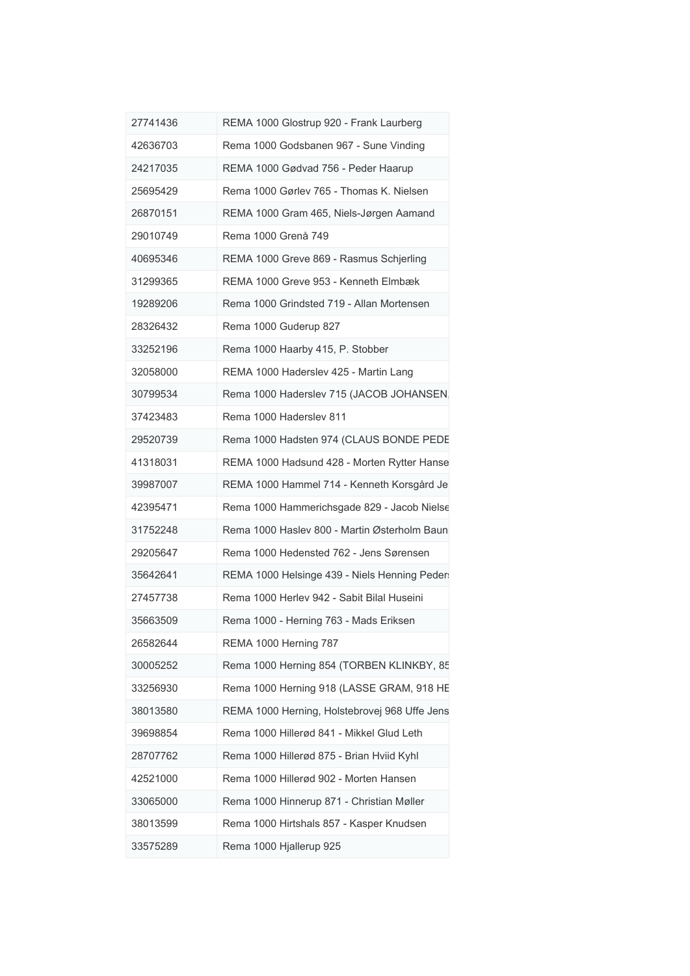| 27741436 | REMA 1000 Glostrup 920 - Frank Laurberg       |
|----------|-----------------------------------------------|
| 42636703 | Rema 1000 Godsbanen 967 - Sune Vinding        |
| 24217035 | REMA 1000 Gødvad 756 - Peder Haarup           |
| 25695429 | Rema 1000 Gørlev 765 - Thomas K. Nielsen      |
| 26870151 | REMA 1000 Gram 465, Niels-Jørgen Aamand       |
| 29010749 | Rema 1000 Grenå 749                           |
| 40695346 | REMA 1000 Greve 869 - Rasmus Schjerling       |
| 31299365 | REMA 1000 Greve 953 - Kenneth Elmbæk          |
| 19289206 | Rema 1000 Grindsted 719 - Allan Mortensen     |
| 28326432 | Rema 1000 Guderup 827                         |
| 33252196 | Rema 1000 Haarby 415, P. Stobber              |
| 32058000 | REMA 1000 Haderslev 425 - Martin Lang         |
| 30799534 | Rema 1000 Haderslev 715 (JACOB JOHANSEN       |
| 37423483 | Rema 1000 Hadersley 811                       |
| 29520739 | Rema 1000 Hadsten 974 (CLAUS BONDE PEDE       |
| 41318031 | REMA 1000 Hadsund 428 - Morten Rytter Hanse   |
| 39987007 | REMA 1000 Hammel 714 - Kenneth Korsgård Je    |
| 42395471 | Rema 1000 Hammerichsgade 829 - Jacob Nielse   |
| 31752248 | Rema 1000 Haslev 800 - Martin Østerholm Baun  |
| 29205647 | Rema 1000 Hedensted 762 - Jens Sørensen       |
| 35642641 | REMA 1000 Helsinge 439 - Niels Henning Peder  |
| 27457738 | Rema 1000 Herlev 942 - Sabit Bilal Huseini    |
| 35663509 | Rema 1000 - Herning 763 - Mads Eriksen        |
| 26582644 | REMA 1000 Herning 787                         |
| 30005252 | Rema 1000 Herning 854 (TORBEN KLINKBY, 85     |
| 33256930 | Rema 1000 Herning 918 (LASSE GRAM, 918 HE     |
| 38013580 | REMA 1000 Herning, Holstebrovej 968 Uffe Jens |
| 39698854 | Rema 1000 Hillerød 841 - Mikkel Glud Leth     |
| 28707762 | Rema 1000 Hillerød 875 - Brian Hviid Kyhl     |
| 42521000 | Rema 1000 Hillerød 902 - Morten Hansen        |
| 33065000 | Rema 1000 Hinnerup 871 - Christian Møller     |
| 38013599 | Rema 1000 Hirtshals 857 - Kasper Knudsen      |
| 33575289 | Rema 1000 Hjallerup 925                       |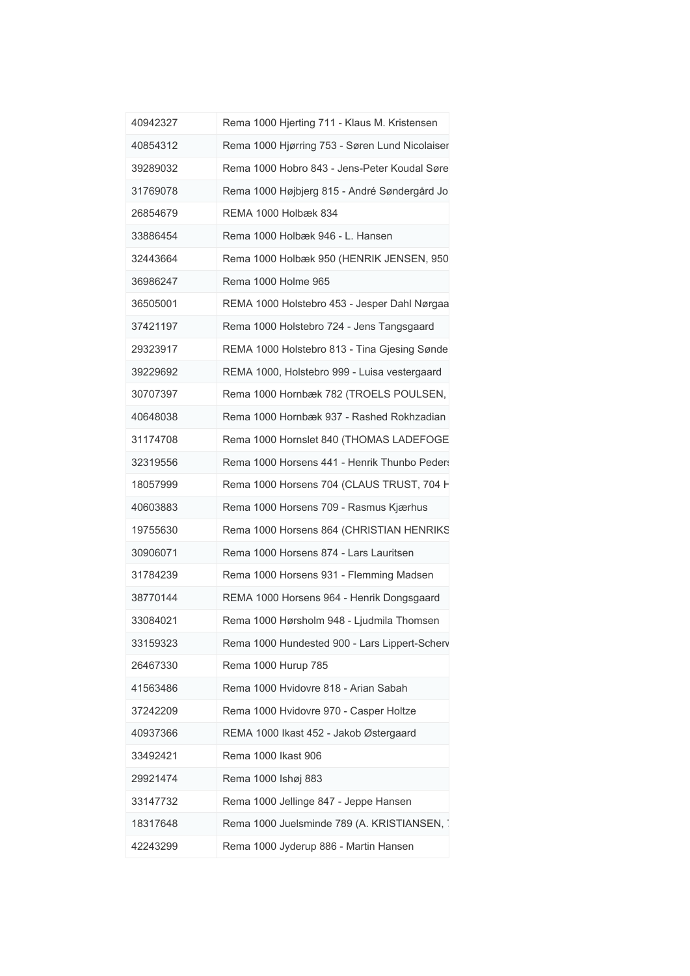| 40942327 | Rema 1000 Hjerting 711 - Klaus M. Kristensen   |
|----------|------------------------------------------------|
| 40854312 | Rema 1000 Hjørring 753 - Søren Lund Nicolaiser |
| 39289032 | Rema 1000 Hobro 843 - Jens-Peter Koudal Søre   |
| 31769078 | Rema 1000 Højbjerg 815 - André Søndergård Jo   |
| 26854679 | REMA 1000 Holbæk 834                           |
| 33886454 | Rema 1000 Holbæk 946 - L. Hansen               |
| 32443664 | Rema 1000 Holbæk 950 (HENRIK JENSEN, 950       |
| 36986247 | Rema 1000 Holme 965                            |
| 36505001 | REMA 1000 Holstebro 453 - Jesper Dahl Nørgaa   |
| 37421197 | Rema 1000 Holstebro 724 - Jens Tangsgaard      |
| 29323917 | REMA 1000 Holstebro 813 - Tina Gjesing Sønde   |
| 39229692 | REMA 1000, Holstebro 999 - Luisa vestergaard   |
| 30707397 | Rema 1000 Hornbæk 782 (TROELS POULSEN,         |
| 40648038 | Rema 1000 Hornbæk 937 - Rashed Rokhzadian      |
| 31174708 | Rema 1000 Hornslet 840 (THOMAS LADEFOGE        |
| 32319556 | Rema 1000 Horsens 441 - Henrik Thunbo Peders   |
| 18057999 | Rema 1000 Horsens 704 (CLAUS TRUST, 704 H      |
| 40603883 | Rema 1000 Horsens 709 - Rasmus Kjærhus         |
| 19755630 | Rema 1000 Horsens 864 (CHRISTIAN HENRIKS       |
| 30906071 | Rema 1000 Horsens 874 - Lars Lauritsen         |
| 31784239 | Rema 1000 Horsens 931 - Flemming Madsen        |
| 38770144 | REMA 1000 Horsens 964 - Henrik Dongsgaard      |
| 33084021 | Rema 1000 Hørsholm 948 - Ljudmila Thomsen      |
| 33159323 | Rema 1000 Hundested 900 - Lars Lippert-Scherv  |
| 26467330 | Rema 1000 Hurup 785                            |
| 41563486 | Rema 1000 Hvidovre 818 - Arian Sabah           |
| 37242209 | Rema 1000 Hvidovre 970 - Casper Holtze         |
| 40937366 | REMA 1000 Ikast 452 - Jakob Østergaard         |
| 33492421 | Rema 1000 Ikast 906                            |
| 29921474 | Rema 1000 Ishøj 883                            |
| 33147732 | Rema 1000 Jellinge 847 - Jeppe Hansen          |
| 18317648 | Rema 1000 Juelsminde 789 (A. KRISTIANSEN, 1    |
| 42243299 | Rema 1000 Jyderup 886 - Martin Hansen          |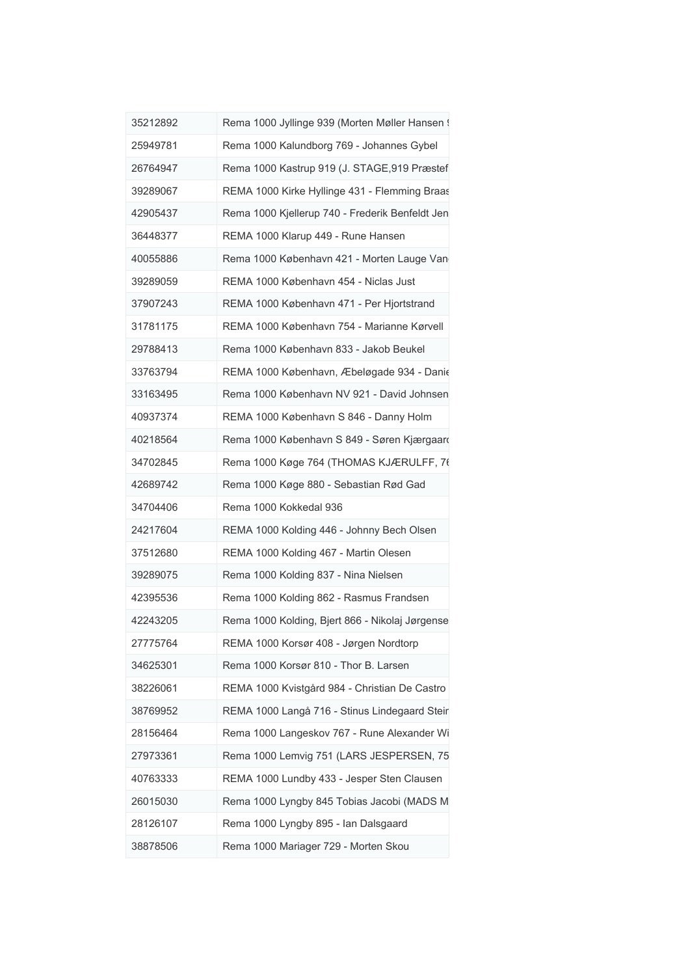| 35212892 | Rema 1000 Jyllinge 939 (Morten Møller Hansen!   |
|----------|-------------------------------------------------|
| 25949781 | Rema 1000 Kalundborg 769 - Johannes Gybel       |
| 26764947 | Rema 1000 Kastrup 919 (J. STAGE, 919 Præstef    |
| 39289067 | REMA 1000 Kirke Hyllinge 431 - Flemming Braas   |
| 42905437 | Rema 1000 Kjellerup 740 - Frederik Benfeldt Jen |
| 36448377 | REMA 1000 Klarup 449 - Rune Hansen              |
| 40055886 | Rema 1000 København 421 - Morten Lauge Van      |
| 39289059 | REMA 1000 København 454 - Niclas Just           |
| 37907243 | REMA 1000 København 471 - Per Hjortstrand       |
| 31781175 | REMA 1000 København 754 - Marianne Kørvell      |
| 29788413 | Rema 1000 København 833 - Jakob Beukel          |
| 33763794 | REMA 1000 København, Æbeløgade 934 - Danie      |
| 33163495 | Rema 1000 København NV 921 - David Johnsen      |
| 40937374 | REMA 1000 København S 846 - Danny Holm          |
| 40218564 | Rema 1000 København S 849 - Søren Kjærgaard     |
| 34702845 | Rema 1000 Køge 764 (THOMAS KJÆRULFF, 76         |
| 42689742 | Rema 1000 Køge 880 - Sebastian Rød Gad          |
| 34704406 | Rema 1000 Kokkedal 936                          |
| 24217604 | REMA 1000 Kolding 446 - Johnny Bech Olsen       |
| 37512680 | REMA 1000 Kolding 467 - Martin Olesen           |
| 39289075 | Rema 1000 Kolding 837 - Nina Nielsen            |
| 42395536 | Rema 1000 Kolding 862 - Rasmus Frandsen         |
| 42243205 | Rema 1000 Kolding, Bjert 866 - Nikolaj Jørgense |
| 27775764 | REMA 1000 Korsør 408 - Jørgen Nordtorp          |
| 34625301 | Rema 1000 Korsør 810 - Thor B. Larsen           |
| 38226061 | REMA 1000 Kvistgård 984 - Christian De Castro   |
| 38769952 | REMA 1000 Langå 716 - Stinus Lindegaard Steir   |
| 28156464 | Rema 1000 Langeskov 767 - Rune Alexander Wi     |
| 27973361 | Rema 1000 Lemvig 751 (LARS JESPERSEN, 75        |
| 40763333 | REMA 1000 Lundby 433 - Jesper Sten Clausen      |
| 26015030 | Rema 1000 Lyngby 845 Tobias Jacobi (MADS M      |
| 28126107 | Rema 1000 Lyngby 895 - Ian Dalsgaard            |
| 38878506 | Rema 1000 Mariager 729 - Morten Skou            |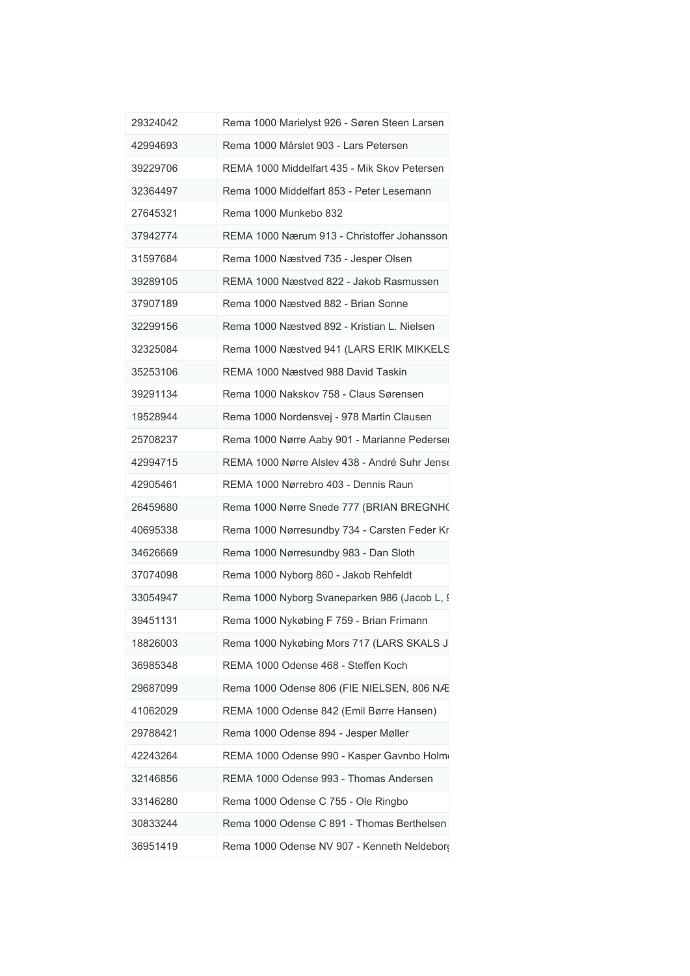| 29324042 | Rema 1000 Marielyst 926 - Søren Steen Larsen  |
|----------|-----------------------------------------------|
| 42994693 | Rema 1000 Mårslet 903 - Lars Petersen         |
| 39229706 | REMA 1000 Middelfart 435 - Mik Skov Petersen  |
| 32364497 | Rema 1000 Middelfart 853 - Peter Lesemann     |
| 27645321 | Rema 1000 Munkebo 832                         |
| 37942774 | REMA 1000 Nærum 913 - Christoffer Johansson   |
| 31597684 | Rema 1000 Næstved 735 - Jesper Olsen          |
| 39289105 | REMA 1000 Næstved 822 - Jakob Rasmussen       |
| 37907189 | Rema 1000 Næstved 882 - Brian Sonne           |
| 32299156 | Rema 1000 Næstved 892 - Kristian L. Nielsen   |
| 32325084 | Rema 1000 Næstved 941 (LARS ERIK MIKKELS      |
| 35253106 | REMA 1000 Næstved 988 David Taskin            |
| 39291134 | Rema 1000 Nakskov 758 - Claus Sørensen        |
| 19528944 | Rema 1000 Nordensvej - 978 Martin Clausen     |
| 25708237 | Rema 1000 Nørre Aaby 901 - Marianne Pederse   |
| 42994715 | REMA 1000 Nørre Alslev 438 - André Suhr Jense |
| 42905461 | REMA 1000 Nørrebro 403 - Dennis Raun          |
| 26459680 | Rema 1000 Nørre Snede 777 (BRIAN BREGNH)      |
| 40695338 | Rema 1000 Nørresundby 734 - Carsten Feder Kr  |
| 34626669 | Rema 1000 Nørresundby 983 - Dan Sloth         |
| 37074098 | Rema 1000 Nyborg 860 - Jakob Rehfeldt         |
| 33054947 | Rema 1000 Nyborg Svaneparken 986 (Jacob L, 9  |
| 39451131 | Rema 1000 Nykøbing F 759 - Brian Frimann      |
| 18826003 | Rema 1000 Nykøbing Mors 717 (LARS SKALS J     |
| 36985348 | REMA 1000 Odense 468 - Steffen Koch           |
| 29687099 | Rema 1000 Odense 806 (FIE NIELSEN, 806 NÆ     |
| 41062029 | REMA 1000 Odense 842 (Emil Børre Hansen)      |
| 29788421 | Rema 1000 Odense 894 - Jesper Møller          |
| 42243264 | REMA 1000 Odense 990 - Kasper Gavnbo Holm     |
| 32146856 | REMA 1000 Odense 993 - Thomas Andersen        |
| 33146280 | Rema 1000 Odense C 755 - Ole Ringbo           |
| 30833244 | Rema 1000 Odense C 891 - Thomas Berthelsen    |
| 36951419 | Rema 1000 Odense NV 907 - Kenneth Neldebord   |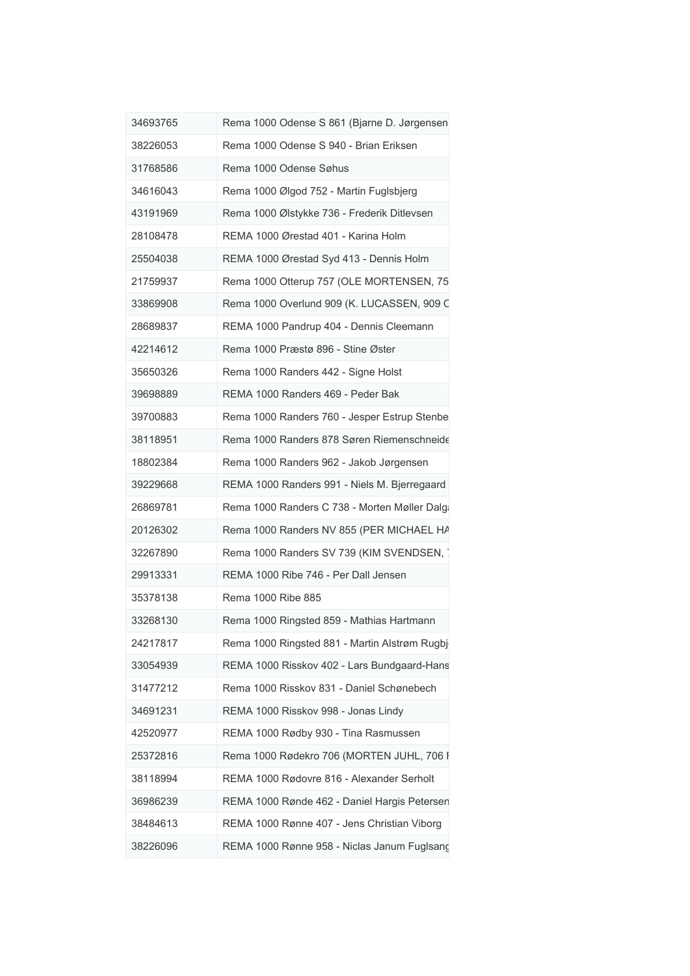| 34693765 | Rema 1000 Odense S 861 (Bjarne D. Jørgensen   |
|----------|-----------------------------------------------|
| 38226053 | Rema 1000 Odense S 940 - Brian Eriksen        |
| 31768586 | Rema 1000 Odense Søhus                        |
| 34616043 | Rema 1000 Ølgod 752 - Martin Fuglsbjerg       |
| 43191969 | Rema 1000 Ølstykke 736 - Frederik Ditlevsen   |
| 28108478 | REMA 1000 Ørestad 401 - Karina Holm           |
| 25504038 | REMA 1000 Ørestad Syd 413 - Dennis Holm       |
| 21759937 | Rema 1000 Otterup 757 (OLE MORTENSEN, 75      |
| 33869908 | Rema 1000 Overlund 909 (K. LUCASSEN, 909 C    |
| 28689837 | REMA 1000 Pandrup 404 - Dennis Cleemann       |
| 42214612 | Rema 1000 Præstø 896 - Stine Øster            |
| 35650326 | Rema 1000 Randers 442 - Signe Holst           |
| 39698889 | REMA 1000 Randers 469 - Peder Bak             |
| 39700883 | Rema 1000 Randers 760 - Jesper Estrup Stenbe  |
| 38118951 | Rema 1000 Randers 878 Søren Riemenschneide    |
| 18802384 | Rema 1000 Randers 962 - Jakob Jørgensen       |
| 39229668 | REMA 1000 Randers 991 - Niels M. Bjerregaard  |
| 26869781 | Rema 1000 Randers C 738 - Morten Møller Dalg  |
| 20126302 | Rema 1000 Randers NV 855 (PER MICHAEL HA      |
| 32267890 | Rema 1000 Randers SV 739 (KIM SVENDSEN,       |
| 29913331 | REMA 1000 Ribe 746 - Per Dall Jensen          |
| 35378138 | Rema 1000 Ribe 885                            |
| 33268130 | Rema 1000 Ringsted 859 - Mathias Hartmann     |
| 24217817 | Rema 1000 Ringsted 881 - Martin Alstrøm Rugbj |
| 33054939 | REMA 1000 Risskov 402 - Lars Bundgaard-Hans   |
| 31477212 | Rema 1000 Risskov 831 - Daniel Schønebech     |
| 34691231 | REMA 1000 Risskov 998 - Jonas Lindy           |
| 42520977 | REMA 1000 Rødby 930 - Tina Rasmussen          |
| 25372816 | Rema 1000 Rødekro 706 (MORTEN JUHL, 706 F     |
| 38118994 | REMA 1000 Rødovre 816 - Alexander Serholt     |
| 36986239 | REMA 1000 Rønde 462 - Daniel Hargis Petersen  |
| 38484613 | REMA 1000 Rønne 407 - Jens Christian Viborg   |
| 38226096 | REMA 1000 Rønne 958 - Niclas Janum Fuglsang   |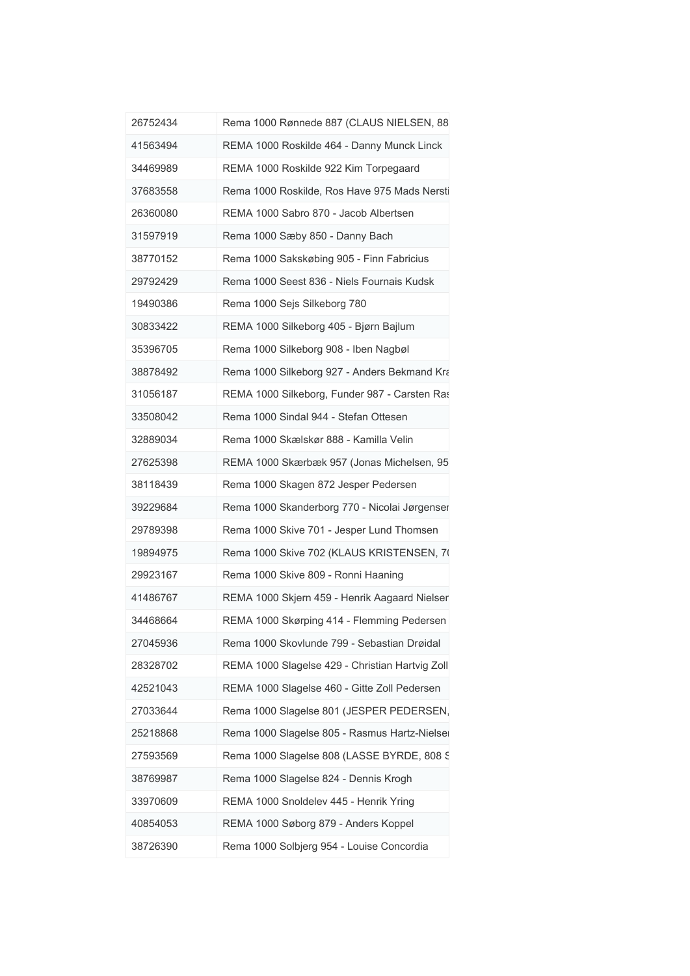| 26752434 | Rema 1000 Rønnede 887 (CLAUS NIELSEN, 88        |
|----------|-------------------------------------------------|
| 41563494 | REMA 1000 Roskilde 464 - Danny Munck Linck      |
| 34469989 | REMA 1000 Roskilde 922 Kim Torpegaard           |
| 37683558 | Rema 1000 Roskilde, Ros Have 975 Mads Nersti    |
| 26360080 | REMA 1000 Sabro 870 - Jacob Albertsen           |
| 31597919 | Rema 1000 Sæby 850 - Danny Bach                 |
| 38770152 | Rema 1000 Sakskøbing 905 - Finn Fabricius       |
| 29792429 | Rema 1000 Seest 836 - Niels Fournais Kudsk      |
| 19490386 | Rema 1000 Sejs Silkeborg 780                    |
| 30833422 | REMA 1000 Silkeborg 405 - Bjørn Bajlum          |
| 35396705 | Rema 1000 Silkeborg 908 - Iben Nagbøl           |
| 38878492 | Rema 1000 Silkeborg 927 - Anders Bekmand Kra    |
| 31056187 | REMA 1000 Silkeborg, Funder 987 - Carsten Ras   |
| 33508042 | Rema 1000 Sindal 944 - Stefan Ottesen           |
| 32889034 | Rema 1000 Skælskør 888 - Kamilla Velin          |
| 27625398 | REMA 1000 Skærbæk 957 (Jonas Michelsen, 95      |
| 38118439 | Rema 1000 Skagen 872 Jesper Pedersen            |
| 39229684 | Rema 1000 Skanderborg 770 - Nicolai Jørgenser   |
| 29789398 | Rema 1000 Skive 701 - Jesper Lund Thomsen       |
| 19894975 | Rema 1000 Skive 702 (KLAUS KRISTENSEN, 70       |
| 29923167 | Rema 1000 Skive 809 - Ronni Haaning             |
| 41486767 | REMA 1000 Skjern 459 - Henrik Aagaard Nielser   |
| 34468664 | REMA 1000 Skørping 414 - Flemming Pedersen      |
| 27045936 | Rema 1000 Skovlunde 799 - Sebastian Drøidal     |
| 28328702 | REMA 1000 Slagelse 429 - Christian Hartvig Zoll |
| 42521043 | REMA 1000 Slagelse 460 - Gitte Zoll Pedersen    |
| 27033644 | Rema 1000 Slagelse 801 (JESPER PEDERSEN,        |
| 25218868 | Rema 1000 Slagelse 805 - Rasmus Hartz-Nielse    |
| 27593569 | Rema 1000 Slagelse 808 (LASSE BYRDE, 808 S      |
| 38769987 | Rema 1000 Slagelse 824 - Dennis Krogh           |
| 33970609 | REMA 1000 Snoldelev 445 - Henrik Yring          |
| 40854053 | REMA 1000 Søborg 879 - Anders Koppel            |
| 38726390 | Rema 1000 Solbjerg 954 - Louise Concordia       |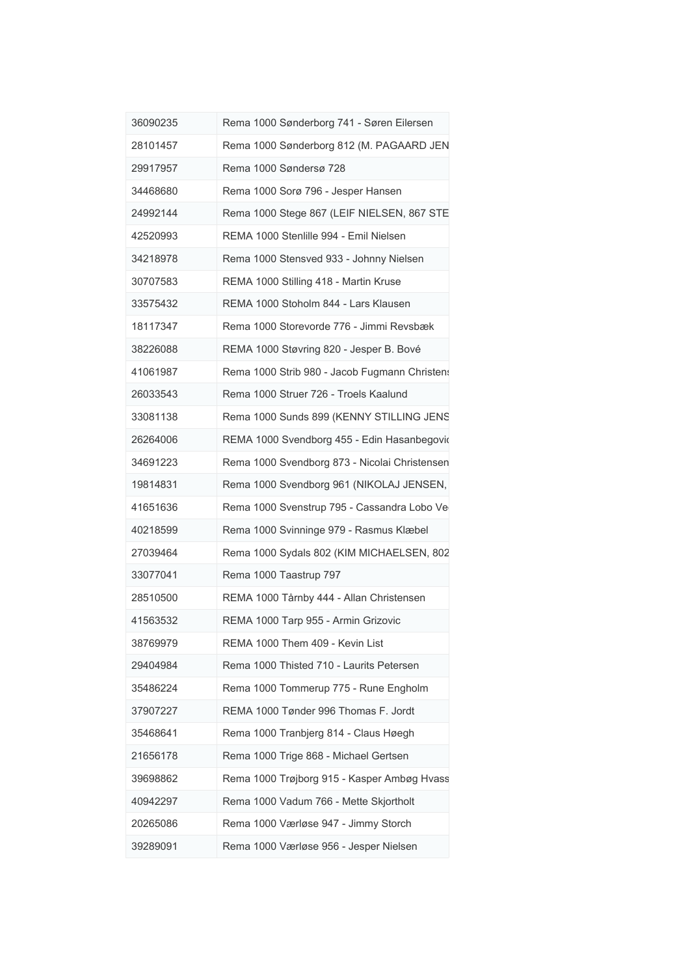| 36090235 | Rema 1000 Sønderborg 741 - Søren Eilersen     |
|----------|-----------------------------------------------|
| 28101457 | Rema 1000 Sønderborg 812 (M. PAGAARD JEN      |
| 29917957 | Rema 1000 Søndersø 728                        |
| 34468680 | Rema 1000 Sorø 796 - Jesper Hansen            |
| 24992144 | Rema 1000 Stege 867 (LEIF NIELSEN, 867 STE    |
| 42520993 | REMA 1000 Stenlille 994 - Emil Nielsen        |
| 34218978 | Rema 1000 Stensved 933 - Johnny Nielsen       |
| 30707583 | REMA 1000 Stilling 418 - Martin Kruse         |
| 33575432 | REMA 1000 Stoholm 844 - Lars Klausen          |
| 18117347 | Rema 1000 Storevorde 776 - Jimmi Revsbæk      |
| 38226088 | REMA 1000 Støvring 820 - Jesper B. Bové       |
| 41061987 | Rema 1000 Strib 980 - Jacob Fugmann Christens |
| 26033543 | Rema 1000 Struer 726 - Troels Kaalund         |
| 33081138 | Rema 1000 Sunds 899 (KENNY STILLING JENS      |
| 26264006 | REMA 1000 Svendborg 455 - Edin Hasanbegovio   |
| 34691223 | Rema 1000 Svendborg 873 - Nicolai Christensen |
| 19814831 | Rema 1000 Svendborg 961 (NIKOLAJ JENSEN,      |
| 41651636 | Rema 1000 Svenstrup 795 - Cassandra Lobo Ve   |
| 40218599 | Rema 1000 Svinninge 979 - Rasmus Klæbel       |
| 27039464 | Rema 1000 Sydals 802 (KIM MICHAELSEN, 802     |
| 33077041 | Rema 1000 Taastrup 797                        |
| 28510500 | REMA 1000 Tårnby 444 - Allan Christensen      |
| 41563532 | REMA 1000 Tarp 955 - Armin Grizovic           |
| 38769979 | REMA 1000 Them 409 - Kevin List               |
| 29404984 | Rema 1000 Thisted 710 - Laurits Petersen      |
| 35486224 | Rema 1000 Tommerup 775 - Rune Engholm         |
| 37907227 | REMA 1000 Tønder 996 Thomas F. Jordt          |
| 35468641 | Rema 1000 Tranbjerg 814 - Claus Høegh         |
| 21656178 | Rema 1000 Trige 868 - Michael Gertsen         |
| 39698862 | Rema 1000 Trøjborg 915 - Kasper Ambøg Hvass   |
| 40942297 | Rema 1000 Vadum 766 - Mette Skjortholt        |
| 20265086 | Rema 1000 Værløse 947 - Jimmy Storch          |
| 39289091 | Rema 1000 Værløse 956 - Jesper Nielsen        |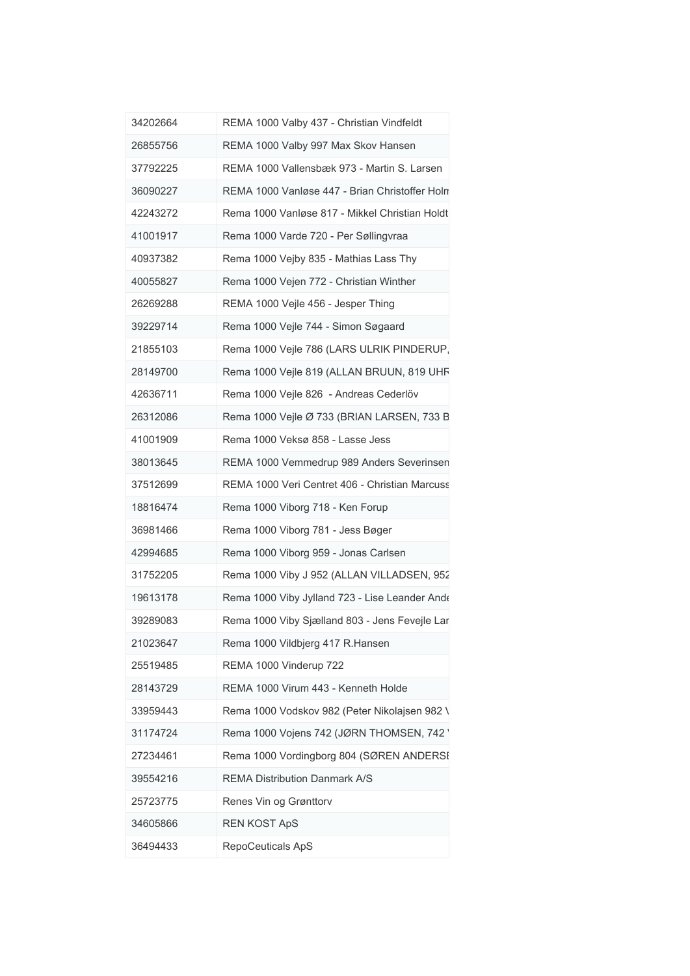| 34202664 | REMA 1000 Valby 437 - Christian Vindfeldt      |
|----------|------------------------------------------------|
| 26855756 | REMA 1000 Valby 997 Max Skov Hansen            |
| 37792225 | REMA 1000 Vallensbæk 973 - Martin S. Larsen    |
| 36090227 | REMA 1000 Vanløse 447 - Brian Christoffer Holn |
| 42243272 | Rema 1000 Vanløse 817 - Mikkel Christian Holdt |
| 41001917 | Rema 1000 Varde 720 - Per Søllingvraa          |
| 40937382 | Rema 1000 Vejby 835 - Mathias Lass Thy         |
| 40055827 | Rema 1000 Vejen 772 - Christian Winther        |
| 26269288 | REMA 1000 Vejle 456 - Jesper Thing             |
| 39229714 | Rema 1000 Vejle 744 - Simon Søgaard            |
| 21855103 | Rema 1000 Vejle 786 (LARS ULRIK PINDERUP,      |
| 28149700 | Rema 1000 Vejle 819 (ALLAN BRUUN, 819 UHF      |
| 42636711 | Rema 1000 Vejle 826 - Andreas Cederlöv         |
| 26312086 | Rema 1000 Vejle Ø 733 (BRIAN LARSEN, 733 B     |
| 41001909 | Rema 1000 Veksø 858 - Lasse Jess               |
| 38013645 | REMA 1000 Vemmedrup 989 Anders Severinsen      |
| 37512699 | REMA 1000 Veri Centret 406 - Christian Marcuss |
|          |                                                |
| 18816474 | Rema 1000 Viborg 718 - Ken Forup               |
| 36981466 | Rema 1000 Viborg 781 - Jess Bøger              |
| 42994685 | Rema 1000 Viborg 959 - Jonas Carlsen           |
| 31752205 | Rema 1000 Viby J 952 (ALLAN VILLADSEN, 952     |
| 19613178 | Rema 1000 Viby Jylland 723 - Lise Leander Ande |
| 39289083 | Rema 1000 Viby Sjælland 803 - Jens Fevejle Lar |
| 21023647 | Rema 1000 Vildbjerg 417 R.Hansen               |
| 25519485 | REMA 1000 Vinderup 722                         |
| 28143729 | REMA 1000 Virum 443 - Kenneth Holde            |
| 33959443 | Rema 1000 Vodskov 982 (Peter Nikolajsen 982 \  |
| 31174724 | Rema 1000 Vojens 742 (JØRN THOMSEN, 742)       |
| 27234461 | Rema 1000 Vordingborg 804 (SØREN ANDERSI       |
| 39554216 | <b>REMA Distribution Danmark A/S</b>           |
| 25723775 | Renes Vin og Grønttorv                         |
| 34605866 | <b>REN KOST ApS</b>                            |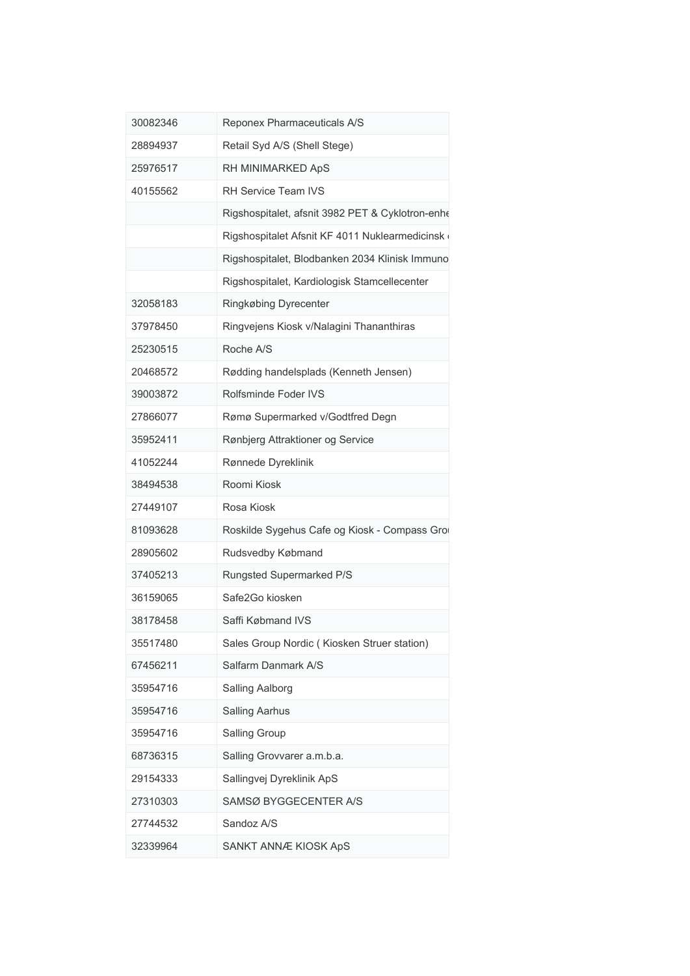| 30082346 | Reponex Pharmaceuticals A/S                      |
|----------|--------------------------------------------------|
| 28894937 | Retail Syd A/S (Shell Stege)                     |
| 25976517 | RH MINIMARKED ApS                                |
| 40155562 | RH Service Team IVS                              |
|          | Rigshospitalet, afsnit 3982 PET & Cyklotron-enhe |
|          | Rigshospitalet Afsnit KF 4011 Nuklearmedicinsk   |
|          | Rigshospitalet, Blodbanken 2034 Klinisk Immuno   |
|          | Rigshospitalet, Kardiologisk Stamcellecenter     |
| 32058183 | Ringkøbing Dyrecenter                            |
| 37978450 | Ringvejens Kiosk v/Nalagini Thananthiras         |
| 25230515 | Roche A/S                                        |
| 20468572 | Rødding handelsplads (Kenneth Jensen)            |
| 39003872 | Rolfsminde Foder IVS                             |
| 27866077 | Rømø Supermarked v/Godtfred Degn                 |
| 35952411 | Rønbjerg Attraktioner og Service                 |
| 41052244 | Rønnede Dyreklinik                               |
| 38494538 | Roomi Kiosk                                      |
| 27449107 | Rosa Kiosk                                       |
| 81093628 | Roskilde Sygehus Cafe og Kiosk - Compass Gro     |
| 28905602 | Rudsvedby Købmand                                |
| 37405213 | Rungsted Supermarked P/S                         |
| 36159065 | Safe2Go kiosken                                  |
| 38178458 | Saffi Købmand IVS                                |
| 35517480 | Sales Group Nordic (Kiosken Struer station)      |
| 67456211 | Salfarm Danmark A/S                              |
| 35954716 | Salling Aalborg                                  |
| 35954716 | Salling Aarhus                                   |
| 35954716 | Salling Group                                    |
| 68736315 | Salling Grovvarer a.m.b.a.                       |
| 29154333 | Sallingvej Dyreklinik ApS                        |
| 27310303 | SAMSØ BYGGECENTER A/S                            |
| 27744532 | Sandoz A/S                                       |
| 32339964 | SANKT ANNÆ KIOSK ApS                             |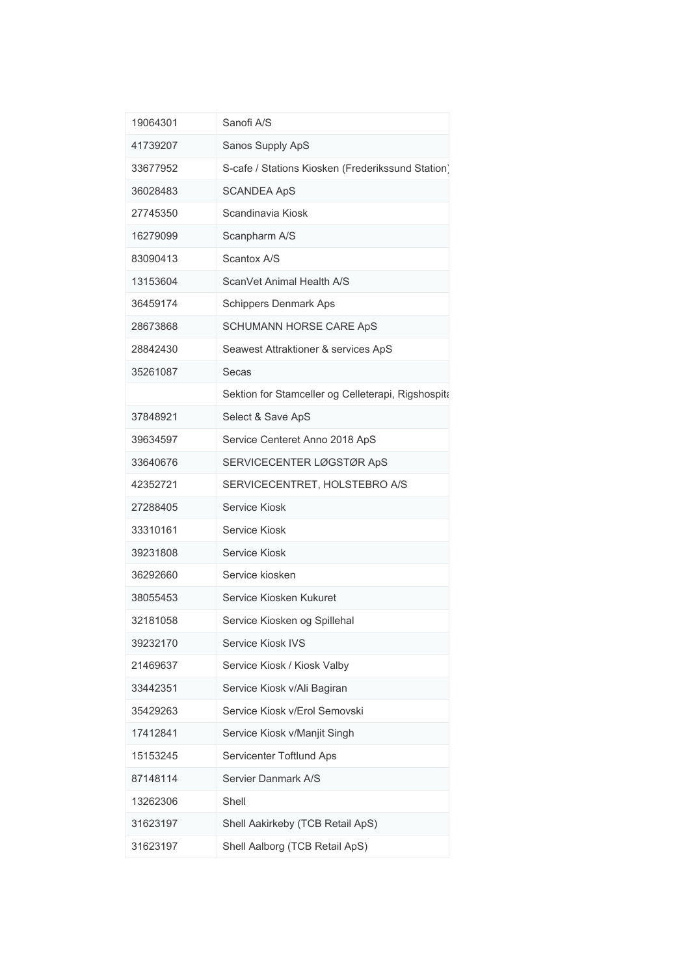| 19064301 | Sanofi A/S                                         |
|----------|----------------------------------------------------|
| 41739207 | Sanos Supply ApS                                   |
| 33677952 | S-cafe / Stations Kiosken (Frederikssund Station)  |
| 36028483 | <b>SCANDEA ApS</b>                                 |
| 27745350 | Scandinavia Kiosk                                  |
| 16279099 | Scanpharm A/S                                      |
| 83090413 | Scantox A/S                                        |
| 13153604 | ScanVet Animal Health A/S                          |
| 36459174 | <b>Schippers Denmark Aps</b>                       |
| 28673868 | SCHUMANN HORSE CARE ApS                            |
| 28842430 | Seawest Attraktioner & services ApS                |
| 35261087 | Secas                                              |
|          | Sektion for Stamceller og Celleterapi, Rigshospita |
| 37848921 | Select & Save ApS                                  |
| 39634597 | Service Centeret Anno 2018 ApS                     |
| 33640676 | SERVICECENTER LØGSTØR ApS                          |
| 42352721 | SERVICECENTRET, HOLSTEBRO A/S                      |
| 27288405 | <b>Service Kiosk</b>                               |
| 33310161 | Service Kiosk                                      |
| 39231808 | Service Kiosk                                      |
| 36292660 | Service kiosken                                    |
| 38055453 | Service Kiosken Kukuret                            |
| 32181058 | Service Kiosken og Spillehal                       |
| 39232170 | <b>Service Kiosk IVS</b>                           |
| 21469637 | Service Kiosk / Kiosk Valby                        |
| 33442351 | Service Kiosk v/Ali Bagiran                        |
| 35429263 | Service Kiosk v/Erol Semovski                      |
| 17412841 | Service Kiosk v/Manjit Singh                       |
| 15153245 | Servicenter Toftlund Aps                           |
| 87148114 | Servier Danmark A/S                                |
| 13262306 | Shell                                              |
| 31623197 | Shell Aakirkeby (TCB Retail ApS)                   |
| 31623197 | Shell Aalborg (TCB Retail ApS)                     |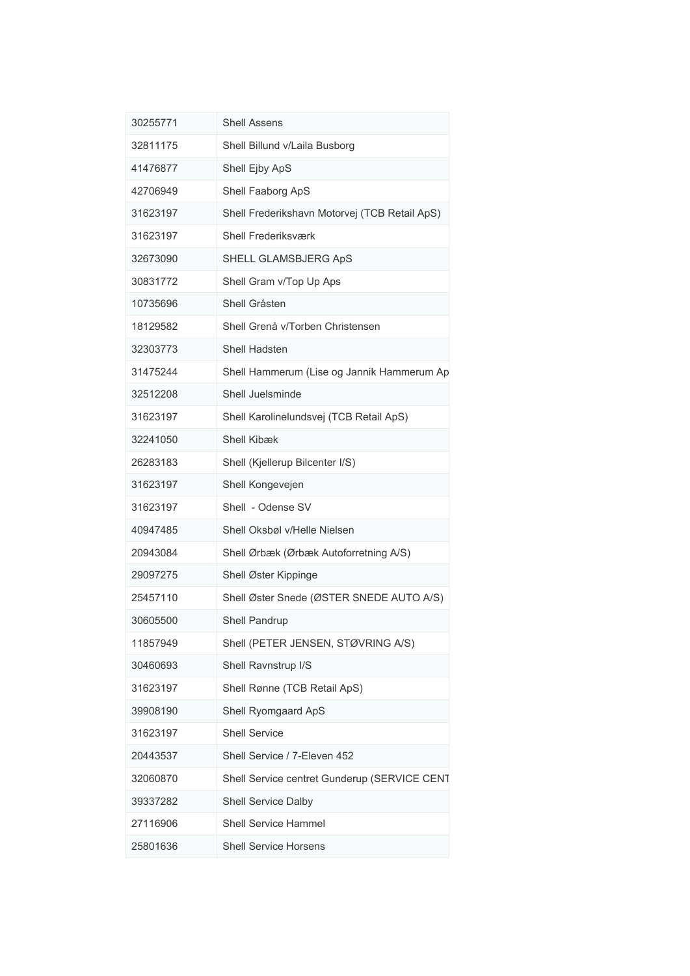| 30255771 | <b>Shell Assens</b>                           |
|----------|-----------------------------------------------|
| 32811175 | Shell Billund v/Laila Busborg                 |
| 41476877 | Shell Ejby ApS                                |
| 42706949 | Shell Faaborg ApS                             |
| 31623197 | Shell Frederikshavn Motorvej (TCB Retail ApS) |
| 31623197 | Shell Frederiksværk                           |
| 32673090 | SHELL GLAMSBJERG ApS                          |
| 30831772 | Shell Gram v/Top Up Aps                       |
| 10735696 | Shell Gråsten                                 |
| 18129582 | Shell Grenå v/Torben Christensen              |
| 32303773 | Shell Hadsten                                 |
| 31475244 | Shell Hammerum (Lise og Jannik Hammerum Ap    |
| 32512208 | Shell Juelsminde                              |
| 31623197 | Shell Karolinelundsvej (TCB Retail ApS)       |
| 32241050 | <b>Shell Kibæk</b>                            |
| 26283183 | Shell (Kjellerup Bilcenter I/S)               |
| 31623197 | Shell Kongevejen                              |
| 31623197 | Shell - Odense SV                             |
| 40947485 | Shell Oksbøl v/Helle Nielsen                  |
| 20943084 | Shell Ørbæk (Ørbæk Autoforretning A/S)        |
| 29097275 | Shell Øster Kippinge                          |
| 25457110 | Shell Øster Snede (ØSTER SNEDE AUTO A/S)      |
| 30605500 | Shell Pandrup                                 |
| 11857949 | Shell (PETER JENSEN, STØVRING A/S)            |
| 30460693 | Shell Ravnstrup I/S                           |
| 31623197 | Shell Rønne (TCB Retail ApS)                  |
| 39908190 | Shell Ryomgaard ApS                           |
| 31623197 | <b>Shell Service</b>                          |
| 20443537 | Shell Service / 7-Eleven 452                  |
| 32060870 | Shell Service centret Gunderup (SERVICE CENT  |
| 39337282 | Shell Service Dalby                           |
| 27116906 | Shell Service Hammel                          |
| 25801636 | <b>Shell Service Horsens</b>                  |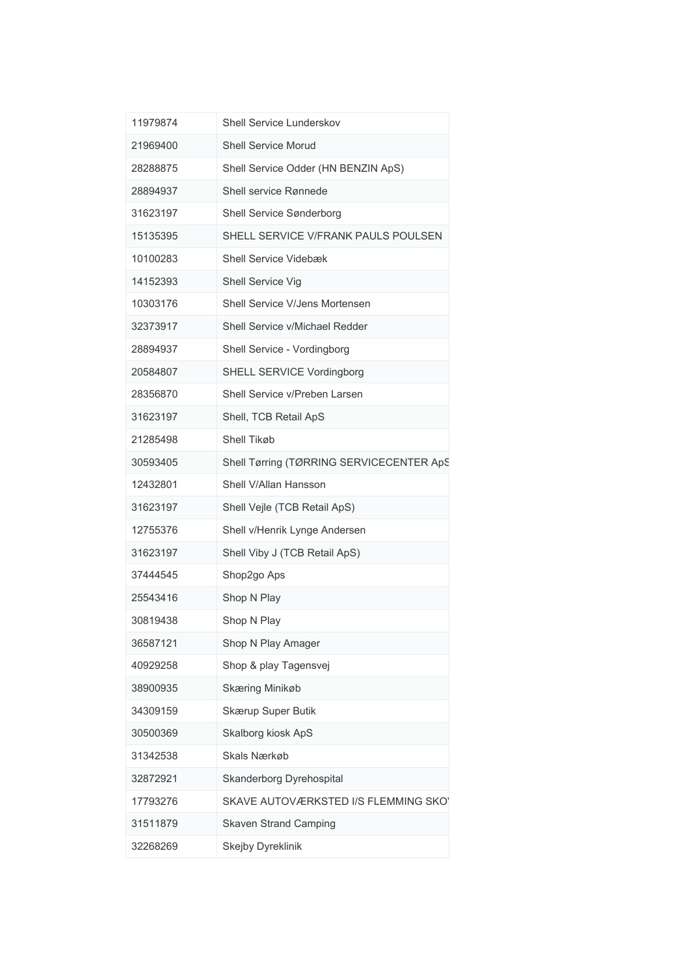| 11979874 | Shell Service Lunderskov                 |
|----------|------------------------------------------|
| 21969400 | <b>Shell Service Morud</b>               |
| 28288875 | Shell Service Odder (HN BENZIN ApS)      |
| 28894937 | Shell service Rønnede                    |
| 31623197 | Shell Service Sønderborg                 |
| 15135395 | SHELL SERVICE V/FRANK PAULS POULSEN      |
| 10100283 | Shell Service Videbæk                    |
| 14152393 | Shell Service Vig                        |
| 10303176 | Shell Service V/Jens Mortensen           |
| 32373917 | Shell Service v/Michael Redder           |
| 28894937 | Shell Service - Vordingborg              |
| 20584807 | SHELL SERVICE Vordingborg                |
| 28356870 | Shell Service v/Preben Larsen            |
| 31623197 | Shell, TCB Retail ApS                    |
| 21285498 | Shell Tikøb                              |
| 30593405 | Shell Tørring (TØRRING SERVICECENTER ApS |
| 12432801 | Shell V/Allan Hansson                    |
| 31623197 | Shell Vejle (TCB Retail ApS)             |
| 12755376 | Shell v/Henrik Lynge Andersen            |
| 31623197 | Shell Viby J (TCB Retail ApS)            |
| 37444545 | Shop2go Aps                              |
| 25543416 | Shop N Play                              |
| 30819438 | Shop N Play                              |
| 36587121 | Shop N Play Amager                       |
| 40929258 | Shop & play Tagensvej                    |
| 38900935 | Skæring Minikøb                          |
| 34309159 | Skærup Super Butik                       |
| 30500369 | Skalborg kiosk ApS                       |
| 31342538 | Skals Nærkøb                             |
| 32872921 | Skanderborg Dyrehospital                 |
| 17793276 | SKAVE AUTOVÆRKSTED I/S FLEMMING SKO'     |
| 31511879 | <b>Skaven Strand Camping</b>             |
| 32268269 | Skejby Dyreklinik                        |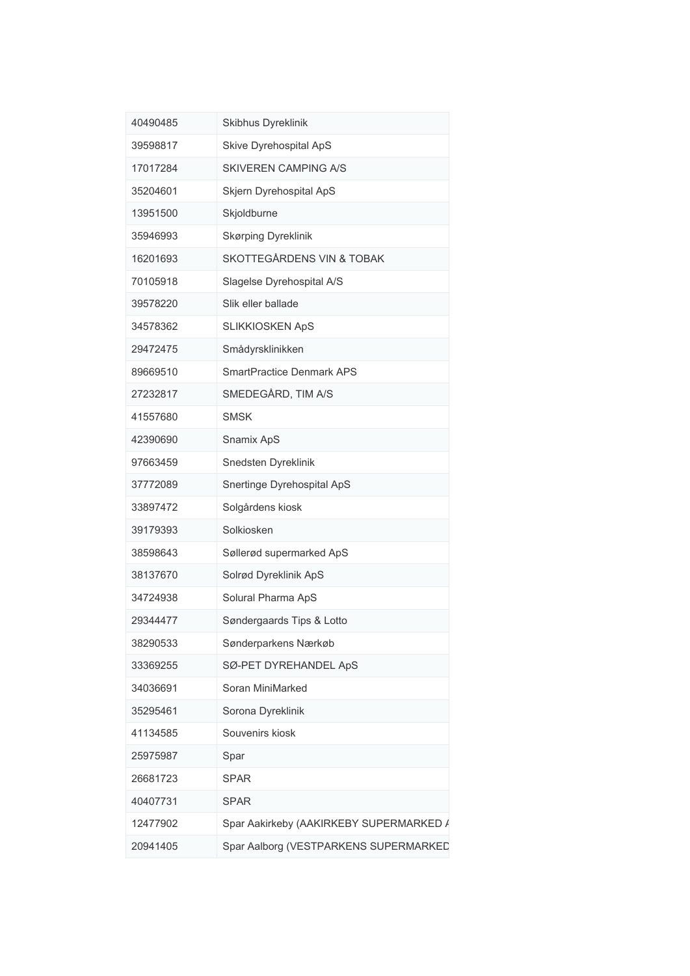| 40490485 | Skibhus Dyreklinik                      |
|----------|-----------------------------------------|
| 39598817 | Skive Dyrehospital ApS                  |
| 17017284 | <b>SKIVEREN CAMPING A/S</b>             |
| 35204601 | Skjern Dyrehospital ApS                 |
| 13951500 | Skjoldburne                             |
| 35946993 | <b>Skørping Dyreklinik</b>              |
| 16201693 | SKOTTEGÅRDENS VIN & TOBAK               |
| 70105918 | Slagelse Dyrehospital A/S               |
| 39578220 | Slik eller ballade                      |
| 34578362 | <b>SLIKKIOSKEN ApS</b>                  |
| 29472475 | Smådyrsklinikken                        |
| 89669510 | <b>SmartPractice Denmark APS</b>        |
| 27232817 | SMEDEGÅRD, TIM A/S                      |
| 41557680 | <b>SMSK</b>                             |
| 42390690 | Snamix ApS                              |
| 97663459 | Snedsten Dyreklinik                     |
| 37772089 | Snertinge Dyrehospital ApS              |
| 33897472 | Solgårdens kiosk                        |
| 39179393 | Solkiosken                              |
| 38598643 | Søllerød supermarked ApS                |
| 38137670 | Solrød Dyreklinik ApS                   |
| 34724938 | Solural Pharma ApS                      |
| 29344477 | Søndergaards Tips & Lotto               |
| 38290533 | Sønderparkens Nærkøb                    |
| 33369255 | SØ-PET DYREHANDEL ApS                   |
| 34036691 | Soran MiniMarked                        |
| 35295461 | Sorona Dyreklinik                       |
| 41134585 | Souvenirs kiosk                         |
| 25975987 | Spar                                    |
| 26681723 | <b>SPAR</b>                             |
| 40407731 | <b>SPAR</b>                             |
| 12477902 | Spar Aakirkeby (AAKIRKEBY SUPERMARKED / |
| 20941405 | Spar Aalborg (VESTPARKENS SUPERMARKED   |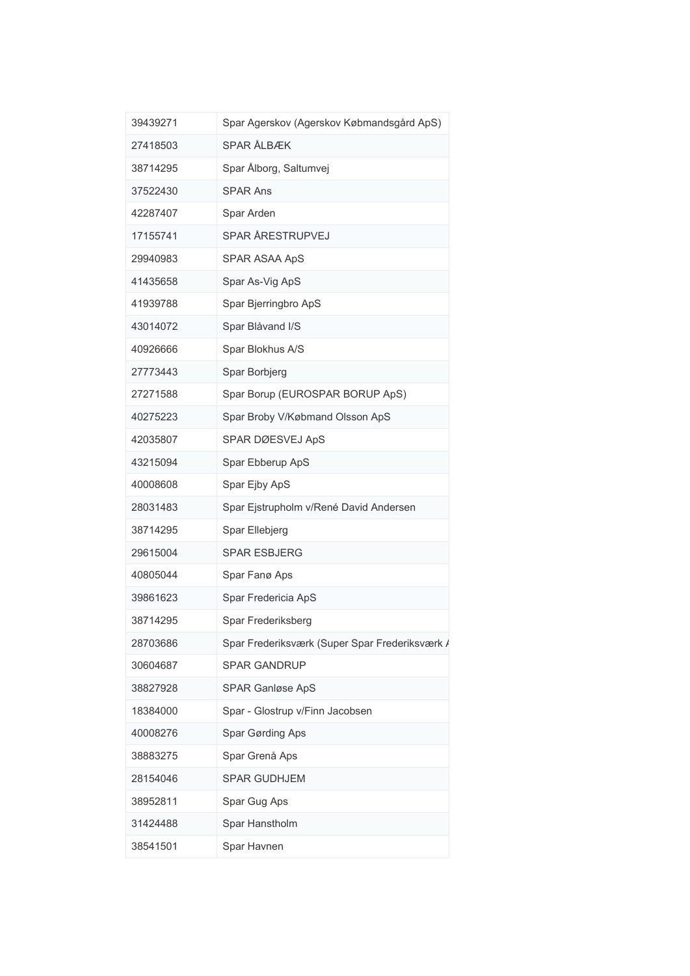| 39439271 | Spar Agerskov (Agerskov Købmandsgård ApS)      |
|----------|------------------------------------------------|
| 27418503 | <b>SPAR ÅLBÆK</b>                              |
| 38714295 | Spar Ålborg, Saltumvej                         |
| 37522430 | <b>SPAR Ans</b>                                |
| 42287407 | Spar Arden                                     |
| 17155741 | <b>SPAR ÅRESTRUPVEJ</b>                        |
| 29940983 | <b>SPAR ASAA ApS</b>                           |
| 41435658 | Spar As-Vig ApS                                |
| 41939788 | Spar Bjerringbro ApS                           |
| 43014072 | Spar Blåvand I/S                               |
| 40926666 | Spar Blokhus A/S                               |
| 27773443 | Spar Borbjerg                                  |
| 27271588 | Spar Borup (EUROSPAR BORUP ApS)                |
| 40275223 | Spar Broby V/Købmand Olsson ApS                |
| 42035807 | SPAR DØESVEJ ApS                               |
| 43215094 | Spar Ebberup ApS                               |
| 40008608 | Spar Ejby ApS                                  |
| 28031483 | Spar Ejstrupholm v/René David Andersen         |
| 38714295 | Spar Ellebjerg                                 |
| 29615004 | <b>SPAR ESBJERG</b>                            |
| 40805044 | Spar Fanø Aps                                  |
| 39861623 | Spar Fredericia ApS                            |
| 38714295 | Spar Frederiksberg                             |
| 28703686 | Spar Frederiksværk (Super Spar Frederiksværk / |
| 30604687 | <b>SPAR GANDRUP</b>                            |
| 38827928 | SPAR Ganløse ApS                               |
| 18384000 | Spar - Glostrup v/Finn Jacobsen                |
| 40008276 | Spar Gørding Aps                               |
| 38883275 | Spar Grenå Aps                                 |
| 28154046 | SPAR GUDHJEM                                   |
| 38952811 | Spar Gug Aps                                   |
| 31424488 | Spar Hanstholm                                 |
| 38541501 | Spar Havnen                                    |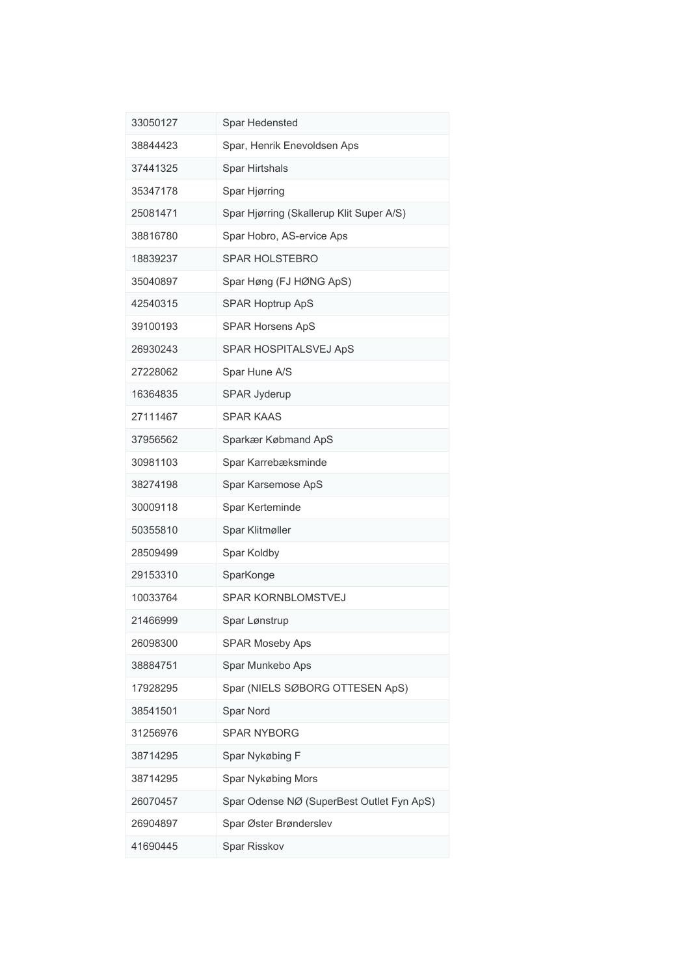| 33050127 | Spar Hedensted                            |
|----------|-------------------------------------------|
| 38844423 | Spar, Henrik Enevoldsen Aps               |
| 37441325 | Spar Hirtshals                            |
| 35347178 | Spar Hjørring                             |
| 25081471 | Spar Hjørring (Skallerup Klit Super A/S)  |
| 38816780 | Spar Hobro, AS-ervice Aps                 |
| 18839237 | <b>SPAR HOLSTEBRO</b>                     |
| 35040897 | Spar Høng (FJ HØNG ApS)                   |
| 42540315 | <b>SPAR Hoptrup ApS</b>                   |
| 39100193 | <b>SPAR Horsens ApS</b>                   |
| 26930243 | SPAR HOSPITALSVEJ ApS                     |
| 27228062 | Spar Hune A/S                             |
| 16364835 | <b>SPAR Jyderup</b>                       |
| 27111467 | <b>SPAR KAAS</b>                          |
| 37956562 | Sparkær Købmand ApS                       |
| 30981103 | Spar Karrebæksminde                       |
| 38274198 | Spar Karsemose ApS                        |
| 30009118 | Spar Kerteminde                           |
| 50355810 | Spar Klitmøller                           |
| 28509499 | Spar Koldby                               |
| 29153310 | SparKonge                                 |
| 10033764 | <b>SPAR KORNBI OMSTVEJ</b>                |
| 21466999 | Spar Lønstrup                             |
| 26098300 | <b>SPAR Moseby Aps</b>                    |
| 38884751 | Spar Munkebo Aps                          |
| 17928295 | Spar (NIELS SØBORG OTTESEN ApS)           |
| 38541501 | Spar Nord                                 |
| 31256976 | <b>SPAR NYBORG</b>                        |
| 38714295 | Spar Nykøbing F                           |
| 38714295 | Spar Nykøbing Mors                        |
| 26070457 | Spar Odense NØ (SuperBest Outlet Fyn ApS) |
| 26904897 | Spar Øster Brønderslev                    |
| 41690445 | Spar Risskov                              |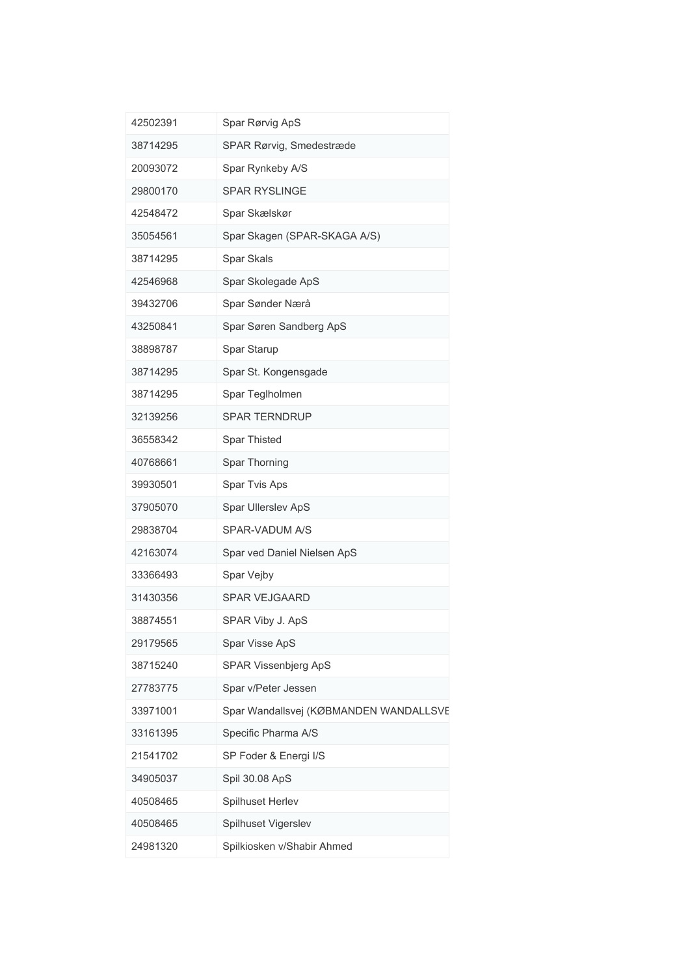| 42502391 | Spar Rørvig ApS                        |
|----------|----------------------------------------|
| 38714295 | SPAR Rørvig, Smedestræde               |
| 20093072 | Spar Rynkeby A/S                       |
| 29800170 | <b>SPAR RYSLINGE</b>                   |
| 42548472 | Spar Skælskør                          |
| 35054561 | Spar Skagen (SPAR-SKAGA A/S)           |
| 38714295 | Spar Skals                             |
| 42546968 | Spar Skolegade ApS                     |
| 39432706 | Spar Sønder Nærå                       |
| 43250841 | Spar Søren Sandberg ApS                |
| 38898787 | Spar Starup                            |
| 38714295 | Spar St. Kongensgade                   |
| 38714295 | Spar Teglholmen                        |
| 32139256 | <b>SPAR TERNDRUP</b>                   |
| 36558342 | Spar Thisted                           |
| 40768661 | Spar Thorning                          |
| 39930501 | Spar Tvis Aps                          |
| 37905070 | Spar Ullerslev ApS                     |
| 29838704 | SPAR-VADUM A/S                         |
| 42163074 | Spar ved Daniel Nielsen ApS            |
| 33366493 | Spar Vejby                             |
| 31430356 | <b>SPAR VEJGAARD</b>                   |
| 38874551 | SPAR Viby J. ApS                       |
| 29179565 | Spar Visse ApS                         |
| 38715240 | SPAR Vissenbjerg ApS                   |
| 27783775 | Spar v/Peter Jessen                    |
| 33971001 | Spar Wandallsvej (KØBMANDEN WANDALLSVE |
| 33161395 | Specific Pharma A/S                    |
| 21541702 | SP Foder & Energi I/S                  |
| 34905037 | Spil 30.08 ApS                         |
| 40508465 | Spilhuset Herlev                       |
| 40508465 | Spilhuset Vigerslev                    |
| 24981320 | Spilkiosken v/Shabir Ahmed             |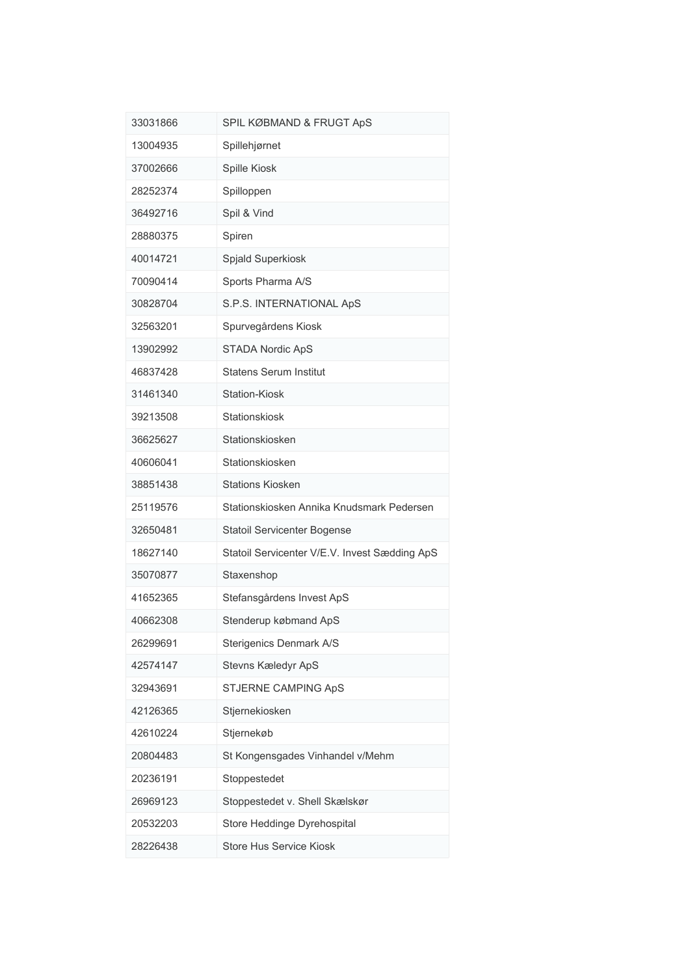| 33031866 | SPIL KØBMAND & FRUGT ApS                      |
|----------|-----------------------------------------------|
| 13004935 | Spillehjørnet                                 |
| 37002666 | Spille Kiosk                                  |
| 28252374 | Spilloppen                                    |
| 36492716 | Spil & Vind                                   |
| 28880375 | Spiren                                        |
| 40014721 | Spjald Superkiosk                             |
| 70090414 | Sports Pharma A/S                             |
| 30828704 | S.P.S. INTERNATIONAL ApS                      |
| 32563201 | Spurvegårdens Kiosk                           |
| 13902992 | <b>STADA Nordic ApS</b>                       |
| 46837428 | <b>Statens Serum Institut</b>                 |
| 31461340 | <b>Station-Kiosk</b>                          |
| 39213508 | Stationskiosk                                 |
| 36625627 | Stationskiosken                               |
| 40606041 | Stationskiosken                               |
| 38851438 | <b>Stations Kiosken</b>                       |
| 25119576 | Stationskiosken Annika Knudsmark Pedersen     |
| 32650481 | Statoil Servicenter Bogense                   |
| 18627140 | Statoil Servicenter V/E.V. Invest Sædding ApS |
| 35070877 | Staxenshop                                    |
| 41652365 | Stefansgårdens Invest ApS                     |
| 40662308 | Stenderup købmand ApS                         |
| 26299691 | Sterigenics Denmark A/S                       |
| 42574147 | Stevns Kæledyr ApS                            |
| 32943691 | STJERNE CAMPING ApS                           |
| 42126365 | Stjernekiosken                                |
| 42610224 | Stjernekøb                                    |
| 20804483 | St Kongensgades Vinhandel v/Mehm              |
| 20236191 | Stoppestedet                                  |
| 26969123 | Stoppestedet v. Shell Skælskør                |
| 20532203 | Store Heddinge Dyrehospital                   |
| 28226438 | <b>Store Hus Service Kiosk</b>                |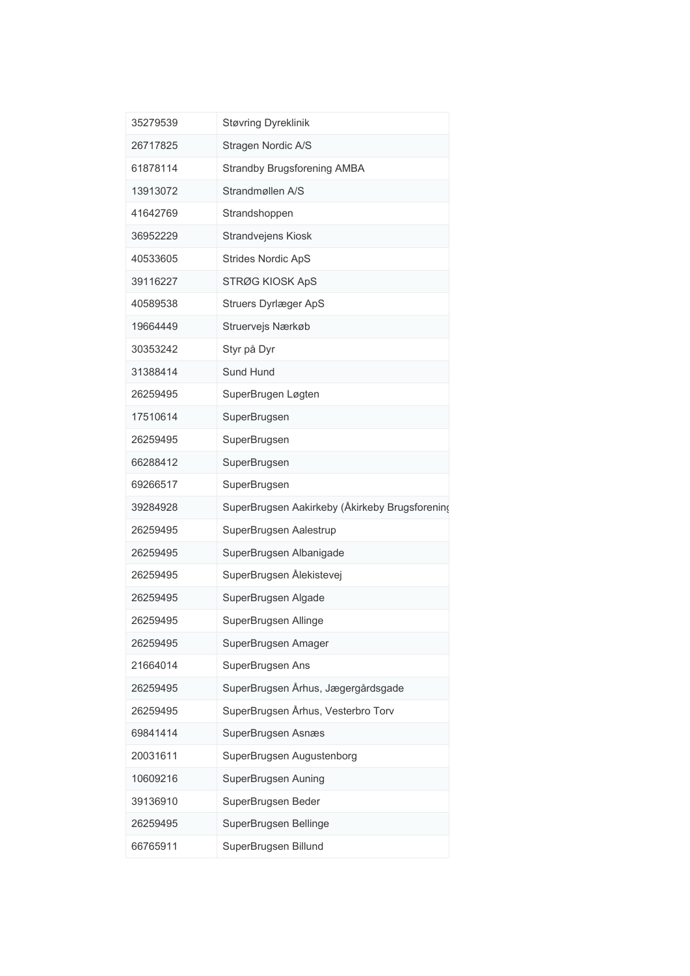| 35279539 | <b>Støvring Dyreklinik</b>                     |
|----------|------------------------------------------------|
| 26717825 | Stragen Nordic A/S                             |
| 61878114 | <b>Strandby Brugsforening AMBA</b>             |
| 13913072 | Strandmøllen A/S                               |
| 41642769 | Strandshoppen                                  |
| 36952229 | Strandvejens Kiosk                             |
| 40533605 | <b>Strides Nordic ApS</b>                      |
| 39116227 | STRØG KIOSK ApS                                |
| 40589538 | <b>Struers Dyrlæger ApS</b>                    |
| 19664449 | Struervejs Nærkøb                              |
| 30353242 | Styr på Dyr                                    |
| 31388414 | Sund Hund                                      |
| 26259495 | SuperBrugen Løgten                             |
| 17510614 | SuperBrugsen                                   |
| 26259495 | SuperBrugsen                                   |
| 66288412 | SuperBrugsen                                   |
| 69266517 | SuperBrugsen                                   |
| 39284928 | SuperBrugsen Aakirkeby (Åkirkeby Brugsforening |
| 26259495 | SuperBrugsen Aalestrup                         |
| 26259495 | SuperBrugsen Albanigade                        |
| 26259495 | SuperBrugsen Ålekistevej                       |
| 26259495 | SuperBrugsen Algade                            |
| 26259495 | SuperBrugsen Allinge                           |
| 26259495 | SuperBrugsen Amager                            |
| 21664014 | SuperBrugsen Ans                               |
| 26259495 | SuperBrugsen Århus, Jægergårdsgade             |
| 26259495 | SuperBrugsen Århus, Vesterbro Torv             |
| 69841414 | SuperBrugsen Asnæs                             |
| 20031611 | SuperBrugsen Augustenborg                      |
| 10609216 | SuperBrugsen Auning                            |
| 39136910 | SuperBrugsen Beder                             |
| 26259495 | SuperBrugsen Bellinge                          |
| 66765911 | SuperBrugsen Billund                           |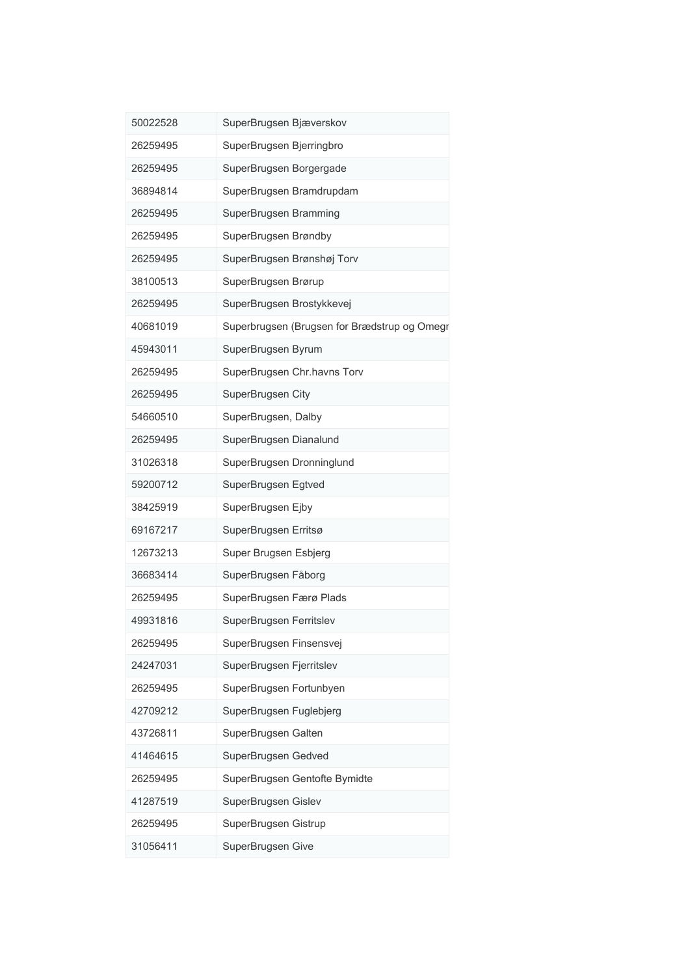| 50022528 | SuperBrugsen Bjæverskov                      |
|----------|----------------------------------------------|
| 26259495 | SuperBrugsen Bjerringbro                     |
| 26259495 | SuperBrugsen Borgergade                      |
| 36894814 | SuperBrugsen Bramdrupdam                     |
| 26259495 | SuperBrugsen Bramming                        |
| 26259495 | SuperBrugsen Brøndby                         |
| 26259495 | SuperBrugsen Brønshøj Torv                   |
| 38100513 | SuperBrugsen Brørup                          |
| 26259495 | SuperBrugsen Brostykkevej                    |
| 40681019 | Superbrugsen (Brugsen for Brædstrup og Omegr |
| 45943011 | SuperBrugsen Byrum                           |
| 26259495 | SuperBrugsen Chr.havns Torv                  |
| 26259495 | SuperBrugsen City                            |
| 54660510 | SuperBrugsen, Dalby                          |
| 26259495 | SuperBrugsen Dianalund                       |
| 31026318 | SuperBrugsen Dronninglund                    |
| 59200712 | SuperBrugsen Egtved                          |
| 38425919 | SuperBrugsen Ejby                            |
| 69167217 | SuperBrugsen Erritsø                         |
| 12673213 | Super Brugsen Esbjerg                        |
| 36683414 | SuperBrugsen Fåborg                          |
| 26259495 | SuperBrugsen Færø Plads                      |
| 49931816 | SuperBrugsen Ferritslev                      |
| 26259495 | SuperBrugsen Finsensvej                      |
| 24247031 | SuperBrugsen Fjerritslev                     |
| 26259495 | SuperBrugsen Fortunbyen                      |
| 42709212 | SuperBrugsen Fuglebjerg                      |
| 43726811 | SuperBrugsen Galten                          |
| 41464615 | SuperBrugsen Gedved                          |
| 26259495 | SuperBrugsen Gentofte Bymidte                |
| 41287519 | SuperBrugsen Gislev                          |
| 26259495 | SuperBrugsen Gistrup                         |
| 31056411 | SuperBrugsen Give                            |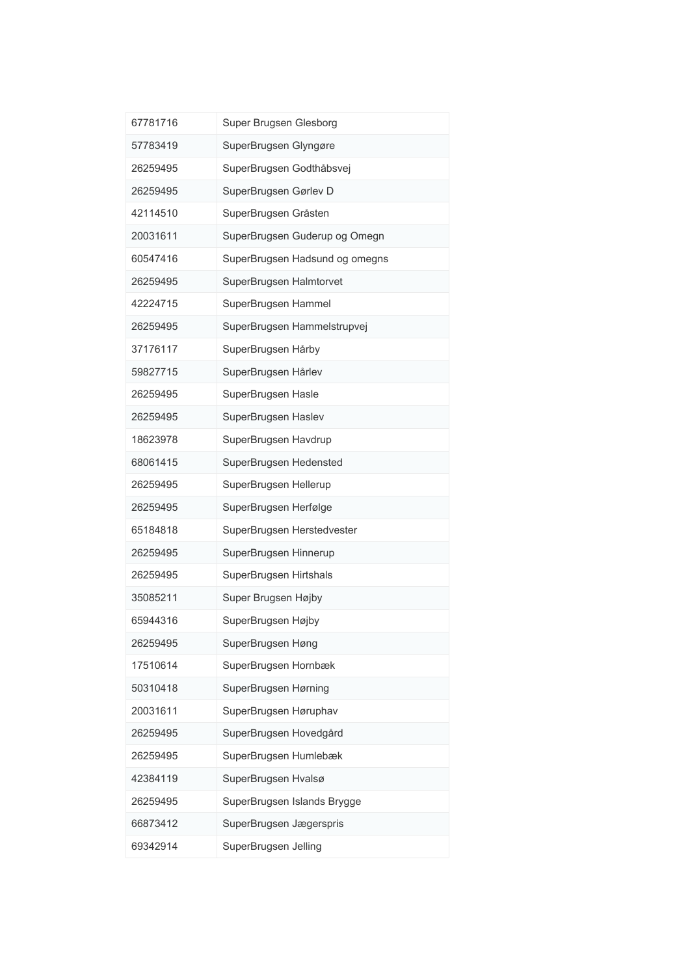| 67781716 | Super Brugsen Glesborg         |
|----------|--------------------------------|
| 57783419 | SuperBrugsen Glyngøre          |
| 26259495 | SuperBrugsen Godthåbsvej       |
| 26259495 | SuperBrugsen Gørlev D          |
| 42114510 | SuperBrugsen Gråsten           |
| 20031611 | SuperBrugsen Guderup og Omegn  |
| 60547416 | SuperBrugsen Hadsund og omegns |
| 26259495 | SuperBrugsen Halmtorvet        |
| 42224715 | SuperBrugsen Hammel            |
| 26259495 | SuperBrugsen Hammelstrupvej    |
| 37176117 | SuperBrugsen Hårby             |
| 59827715 | SuperBrugsen Hårlev            |
| 26259495 | SuperBrugsen Hasle             |
| 26259495 | SuperBrugsen Haslev            |
| 18623978 | SuperBrugsen Havdrup           |
| 68061415 | SuperBrugsen Hedensted         |
| 26259495 | SuperBrugsen Hellerup          |
| 26259495 | SuperBrugsen Herfølge          |
| 65184818 | SuperBrugsen Herstedvester     |
| 26259495 | SuperBrugsen Hinnerup          |
| 26259495 | SuperBrugsen Hirtshals         |
| 35085211 | Super Brugsen Højby            |
| 65944316 | SuperBrugsen Højby             |
| 26259495 | SuperBrugsen Høng              |
| 17510614 | SuperBrugsen Hornbæk           |
| 50310418 | SuperBrugsen Hørning           |
| 20031611 | SuperBrugsen Høruphav          |
| 26259495 | SuperBrugsen Hovedgård         |
| 26259495 | SuperBrugsen Humlebæk          |
| 42384119 | SuperBrugsen Hvalsø            |
| 26259495 | SuperBrugsen Islands Brygge    |
| 66873412 | SuperBrugsen Jægerspris        |
| 69342914 | SuperBrugsen Jelling           |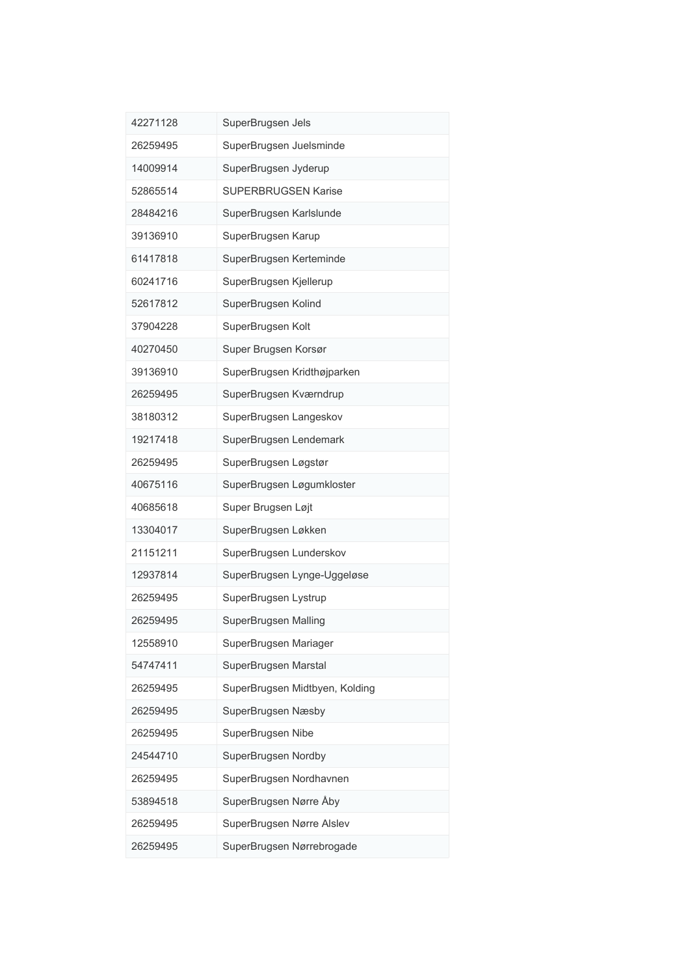| 42271128 | SuperBrugsen Jels              |
|----------|--------------------------------|
| 26259495 | SuperBrugsen Juelsminde        |
| 14009914 | SuperBrugsen Jyderup           |
| 52865514 | <b>SUPERBRUGSEN Karise</b>     |
| 28484216 | SuperBrugsen Karlslunde        |
| 39136910 | SuperBrugsen Karup             |
| 61417818 | SuperBrugsen Kerteminde        |
| 60241716 | SuperBrugsen Kjellerup         |
| 52617812 | SuperBrugsen Kolind            |
| 37904228 | SuperBrugsen Kolt              |
| 40270450 | Super Brugsen Korsør           |
| 39136910 | SuperBrugsen Kridthøjparken    |
| 26259495 | SuperBrugsen Kværndrup         |
| 38180312 | SuperBrugsen Langeskov         |
| 19217418 | SuperBrugsen Lendemark         |
| 26259495 | SuperBrugsen Løgstør           |
| 40675116 | SuperBrugsen Løgumkloster      |
| 40685618 | Super Brugsen Løjt             |
| 13304017 | SuperBrugsen Løkken            |
| 21151211 | SuperBrugsen Lunderskov        |
| 12937814 | SuperBrugsen Lynge-Uggeløse    |
| 26259495 | SuperBrugsen Lystrup           |
| 26259495 | SuperBrugsen Malling           |
| 12558910 | SuperBrugsen Mariager          |
| 54747411 | SuperBrugsen Marstal           |
| 26259495 | SuperBrugsen Midtbyen, Kolding |
| 26259495 | SuperBrugsen Næsby             |
| 26259495 | SuperBrugsen Nibe              |
| 24544710 | SuperBrugsen Nordby            |
| 26259495 | SuperBrugsen Nordhavnen        |
| 53894518 | SuperBrugsen Nørre Åby         |
| 26259495 | SuperBrugsen Nørre Alslev      |
| 26259495 | SuperBrugsen Nørrebrogade      |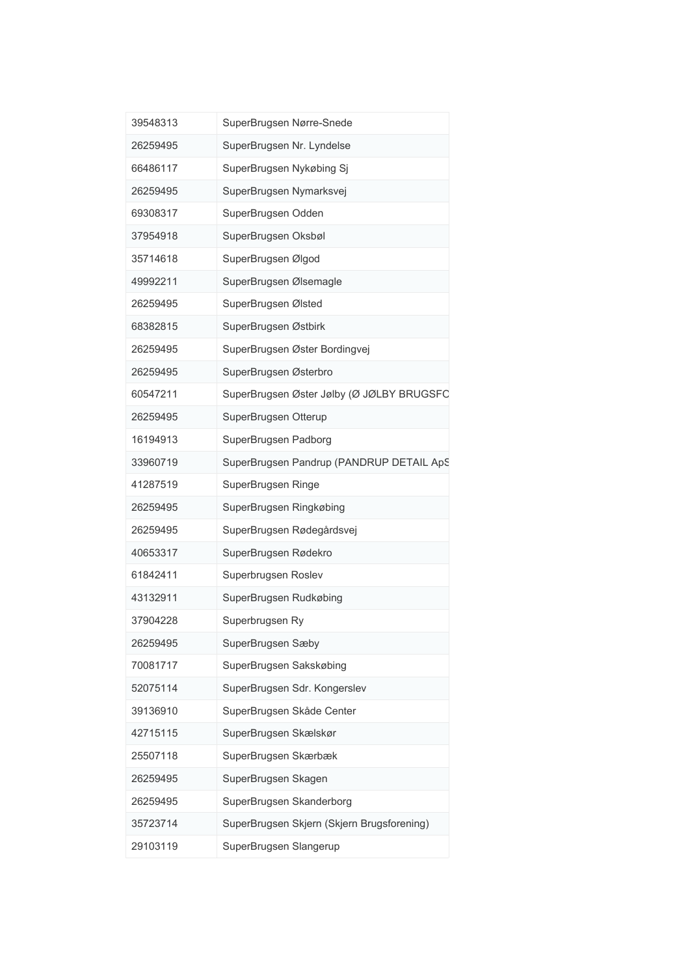| 39548313 | SuperBrugsen Nørre-Snede                   |
|----------|--------------------------------------------|
| 26259495 | SuperBrugsen Nr. Lyndelse                  |
| 66486117 | SuperBrugsen Nykøbing Sj                   |
| 26259495 | SuperBrugsen Nymarksvej                    |
| 69308317 | SuperBrugsen Odden                         |
| 37954918 | SuperBrugsen Oksbøl                        |
| 35714618 | SuperBrugsen Ølgod                         |
| 49992211 | SuperBrugsen Ølsemagle                     |
| 26259495 | SuperBrugsen Ølsted                        |
| 68382815 | SuperBrugsen Østbirk                       |
| 26259495 | SuperBrugsen Øster Bordingvej              |
| 26259495 | SuperBrugsen Østerbro                      |
| 60547211 | SuperBrugsen Øster Jølby (Ø JØLBY BRUGSFC  |
| 26259495 | SuperBrugsen Otterup                       |
| 16194913 | SuperBrugsen Padborg                       |
| 33960719 | SuperBrugsen Pandrup (PANDRUP DETAIL ApS   |
| 41287519 | SuperBrugsen Ringe                         |
| 26259495 | SuperBrugsen Ringkøbing                    |
| 26259495 | SuperBrugsen Rødegårdsvej                  |
| 40653317 | SuperBrugsen Rødekro                       |
| 61842411 | Superbrugsen Roslev                        |
| 43132911 | SuperBrugsen Rudkøbing                     |
| 37904228 | Superbrugsen Ry                            |
| 26259495 | SuperBrugsen Sæby                          |
| 70081717 | SuperBrugsen Sakskøbing                    |
| 52075114 | SuperBrugsen Sdr. Kongerslev               |
| 39136910 | SuperBrugsen Skåde Center                  |
| 42715115 | SuperBrugsen Skælskør                      |
| 25507118 | SuperBrugsen Skærbæk                       |
| 26259495 | SuperBrugsen Skagen                        |
| 26259495 | SuperBrugsen Skanderborg                   |
| 35723714 | SuperBrugsen Skjern (Skjern Brugsforening) |
| 29103119 | SuperBrugsen Slangerup                     |
|          |                                            |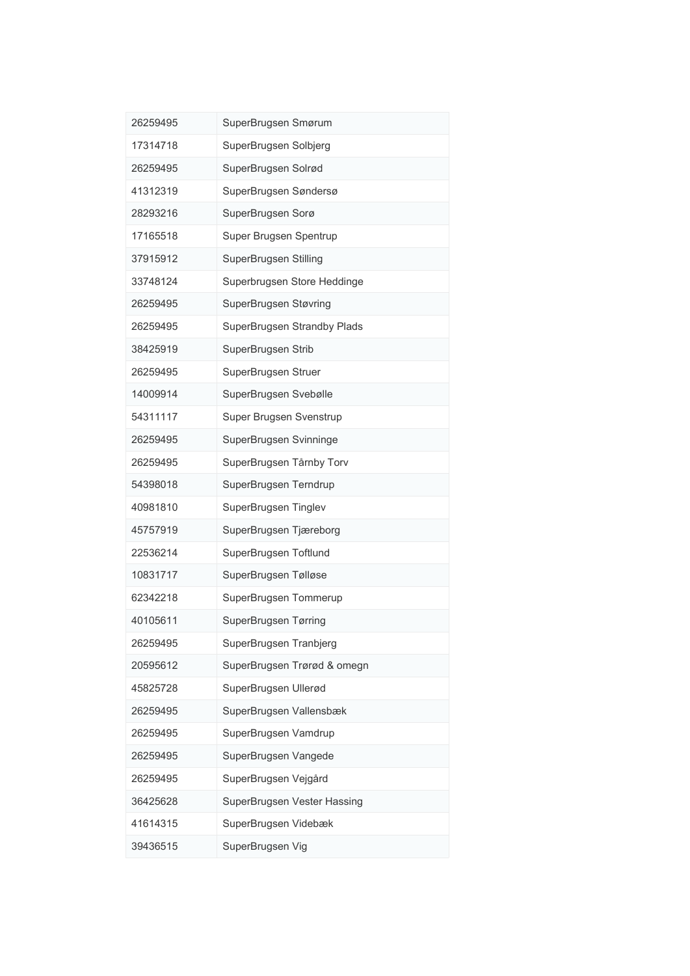| 26259495 | SuperBrugsen Smørum         |
|----------|-----------------------------|
| 17314718 | SuperBrugsen Solbjerg       |
| 26259495 | SuperBrugsen Solrød         |
| 41312319 | SuperBrugsen Søndersø       |
| 28293216 | SuperBrugsen Sorø           |
| 17165518 | Super Brugsen Spentrup      |
| 37915912 | SuperBrugsen Stilling       |
| 33748124 | Superbrugsen Store Heddinge |
| 26259495 | SuperBrugsen Støvring       |
| 26259495 | SuperBrugsen Strandby Plads |
| 38425919 | SuperBrugsen Strib          |
| 26259495 | SuperBrugsen Struer         |
| 14009914 | SuperBrugsen Svebølle       |
| 54311117 | Super Brugsen Svenstrup     |
| 26259495 | SuperBrugsen Svinninge      |
| 26259495 | SuperBrugsen Tårnby Torv    |
| 54398018 | SuperBrugsen Terndrup       |
| 40981810 | SuperBrugsen Tinglev        |
| 45757919 | SuperBrugsen Tjæreborg      |
| 22536214 | SuperBrugsen Toftlund       |
| 10831717 | SuperBrugsen Tølløse        |
| 62342218 | SuperBrugsen Tommerup       |
| 40105611 | SuperBrugsen Tørring        |
| 26259495 | SuperBrugsen Tranbjerg      |
| 20595612 | SuperBrugsen Trørød & omegn |
| 45825728 | SuperBrugsen Ullerød        |
| 26259495 | SuperBrugsen Vallensbæk     |
| 26259495 | SuperBrugsen Vamdrup        |
| 26259495 | SuperBrugsen Vangede        |
| 26259495 | SuperBrugsen Vejgård        |
| 36425628 | SuperBrugsen Vester Hassing |
| 41614315 | SuperBrugsen Videbæk        |
| 39436515 | SuperBrugsen Vig            |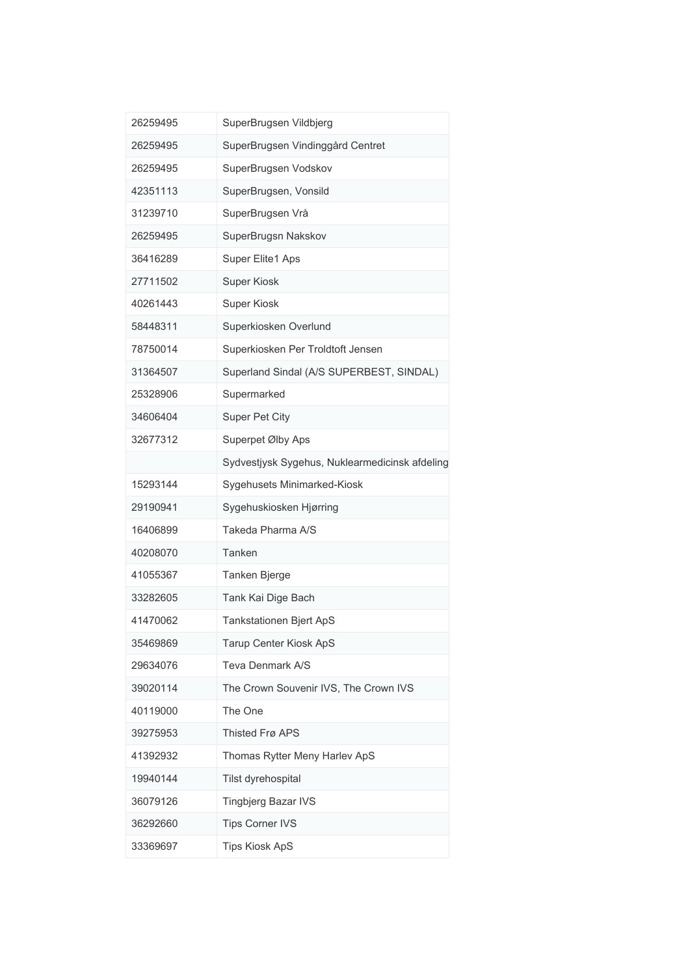| 26259495 | SuperBrugsen Vildbjerg                         |
|----------|------------------------------------------------|
| 26259495 | SuperBrugsen Vindinggård Centret               |
| 26259495 | SuperBrugsen Vodskov                           |
| 42351113 | SuperBrugsen, Vonsild                          |
| 31239710 | SuperBrugsen Vrå                               |
| 26259495 | SuperBrugsn Nakskov                            |
| 36416289 | Super Elite1 Aps                               |
| 27711502 | <b>Super Kiosk</b>                             |
| 40261443 | Super Kiosk                                    |
| 58448311 | Superkiosken Overlund                          |
| 78750014 | Superkiosken Per Troldtoft Jensen              |
| 31364507 | Superland Sindal (A/S SUPERBEST, SINDAL)       |
| 25328906 | Supermarked                                    |
| 34606404 | Super Pet City                                 |
| 32677312 | Superpet Ølby Aps                              |
|          | Sydvestjysk Sygehus, Nuklearmedicinsk afdeling |
| 15293144 | Sygehusets Minimarked-Kiosk                    |
| 29190941 | Sygehuskiosken Hjørring                        |
| 16406899 | Takeda Pharma A/S                              |
| 40208070 | Tanken                                         |
| 41055367 | Tanken Bjerge                                  |
| 33282605 | Tank Kai Dige Bach                             |
| 41470062 | <b>Tankstationen Bjert ApS</b>                 |
| 35469869 | Tarup Center Kiosk ApS                         |
| 29634076 | Teva Denmark A/S                               |
| 39020114 | The Crown Souvenir IVS, The Crown IVS          |
| 40119000 | The One                                        |
| 39275953 | Thisted Frø APS                                |
| 41392932 | Thomas Rytter Meny Harlev ApS                  |
| 19940144 | Tilst dyrehospital                             |
| 36079126 | Tingbjerg Bazar IVS                            |
| 36292660 | <b>Tips Corner IVS</b>                         |
| 33369697 | <b>Tips Kiosk ApS</b>                          |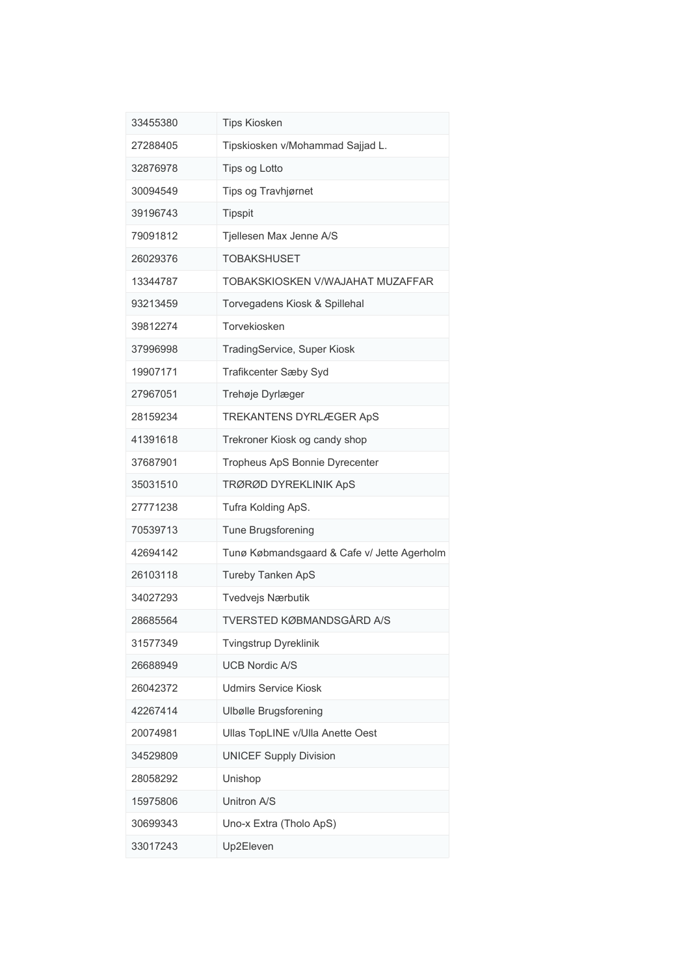| 33455380 | <b>Tips Kiosken</b>                         |
|----------|---------------------------------------------|
| 27288405 | Tipskiosken v/Mohammad Sajjad L.            |
| 32876978 | Tips og Lotto                               |
| 30094549 | Tips og Travhjørnet                         |
| 39196743 | <b>Tipspit</b>                              |
| 79091812 | Tjellesen Max Jenne A/S                     |
| 26029376 | <b>TOBAKSHUSET</b>                          |
| 13344787 | TOBAKSKIOSKEN V/WAJAHAT MUZAFFAR            |
| 93213459 | Torvegadens Kiosk & Spillehal               |
| 39812274 | Torvekiosken                                |
| 37996998 | TradingService, Super Kiosk                 |
| 19907171 | Trafikcenter Sæby Syd                       |
| 27967051 | Trehøje Dyrlæger                            |
| 28159234 | TREKANTENS DYRLÆGER ApS                     |
| 41391618 | Trekroner Kiosk og candy shop               |
| 37687901 | Tropheus ApS Bonnie Dyrecenter              |
| 35031510 | TRØRØD DYREKLINIK ApS                       |
| 27771238 | Tufra Kolding ApS.                          |
| 70539713 | Tune Brugsforening                          |
| 42694142 | Tunø Købmandsgaard & Cafe v/ Jette Agerholm |
| 26103118 | Tureby Tanken ApS                           |
| 34027293 | Tvedvejs Nærbutik                           |
| 28685564 | TVERSTED KØBMANDSGÅRD A/S                   |
| 31577349 | <b>Tvingstrup Dyreklinik</b>                |
| 26688949 | <b>UCB Nordic A/S</b>                       |
| 26042372 | <b>Udmirs Service Kiosk</b>                 |
| 42267414 | <b>Ulbølle Brugsforening</b>                |
| 20074981 | Ullas TopLINE v/Ulla Anette Oest            |
| 34529809 | <b>UNICEF Supply Division</b>               |
| 28058292 | Unishop                                     |
| 15975806 | Unitron A/S                                 |
| 30699343 | Uno-x Extra (Tholo ApS)                     |
| 33017243 | Up2Eleven                                   |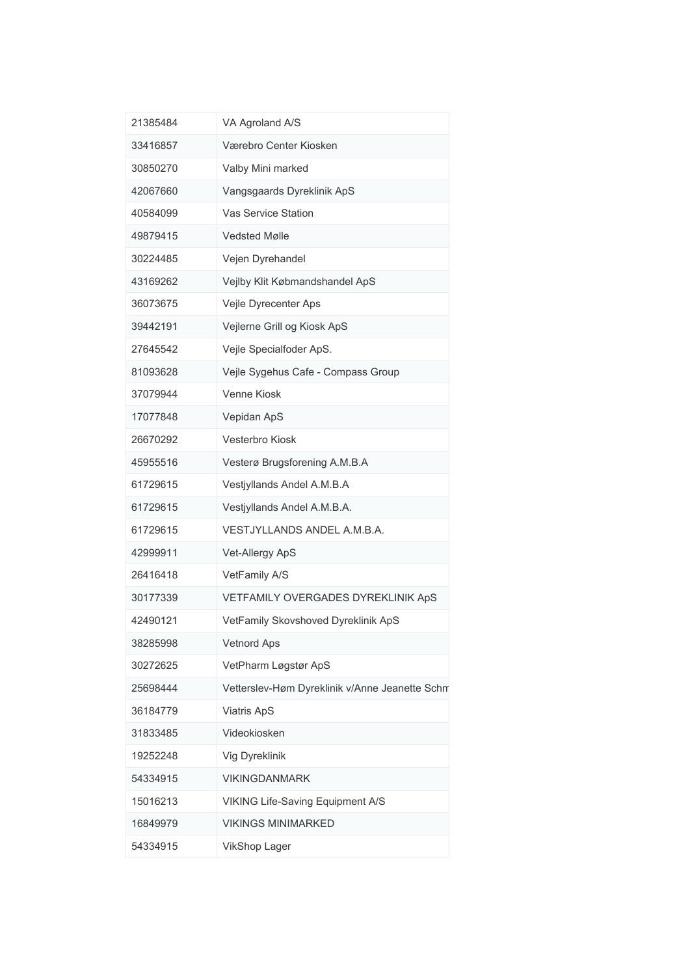| 21385484 | VA Agroland A/S                                |
|----------|------------------------------------------------|
| 33416857 | Værebro Center Kiosken                         |
| 30850270 | Valby Mini marked                              |
| 42067660 | Vangsgaards Dyreklinik ApS                     |
| 40584099 | Vas Service Station                            |
| 49879415 | <b>Vedsted Mølle</b>                           |
| 30224485 | Vejen Dyrehandel                               |
| 43169262 | Vejlby Klit Købmandshandel ApS                 |
| 36073675 | Vejle Dyrecenter Aps                           |
| 39442191 | Vejlerne Grill og Kiosk ApS                    |
| 27645542 | Vejle Specialfoder ApS.                        |
| 81093628 | Vejle Sygehus Cafe - Compass Group             |
| 37079944 | Venne Kiosk                                    |
| 17077848 | Vepidan ApS                                    |
| 26670292 | Vesterbro Kiosk                                |
| 45955516 | Vesterø Brugsforening A.M.B.A                  |
| 61729615 | Vestjyllands Andel A.M.B.A                     |
| 61729615 | Vestjyllands Andel A.M.B.A.                    |
| 61729615 | VESTJYLLANDS ANDEL A.M.B.A.                    |
| 42999911 | Vet-Allergy ApS                                |
| 26416418 | VetFamily A/S                                  |
| 30177339 | VETFAMILY OVERGADES DYREKLINIK ApS             |
| 42490121 | VetFamily Skovshoved Dyreklinik ApS            |
| 38285998 | <b>Vetnord Aps</b>                             |
| 30272625 | VetPharm Løgstør ApS                           |
| 25698444 | Vetterslev-Høm Dyreklinik v/Anne Jeanette Schn |
| 36184779 | <b>Viatris ApS</b>                             |
| 31833485 | Videokiosken                                   |
| 19252248 | Vig Dyreklinik                                 |
| 54334915 | <b>VIKINGDANMARK</b>                           |
| 15016213 | VIKING Life-Saving Equipment A/S               |
| 16849979 | <b>VIKINGS MINIMARKED</b>                      |
| 54334915 | VikShop Lager                                  |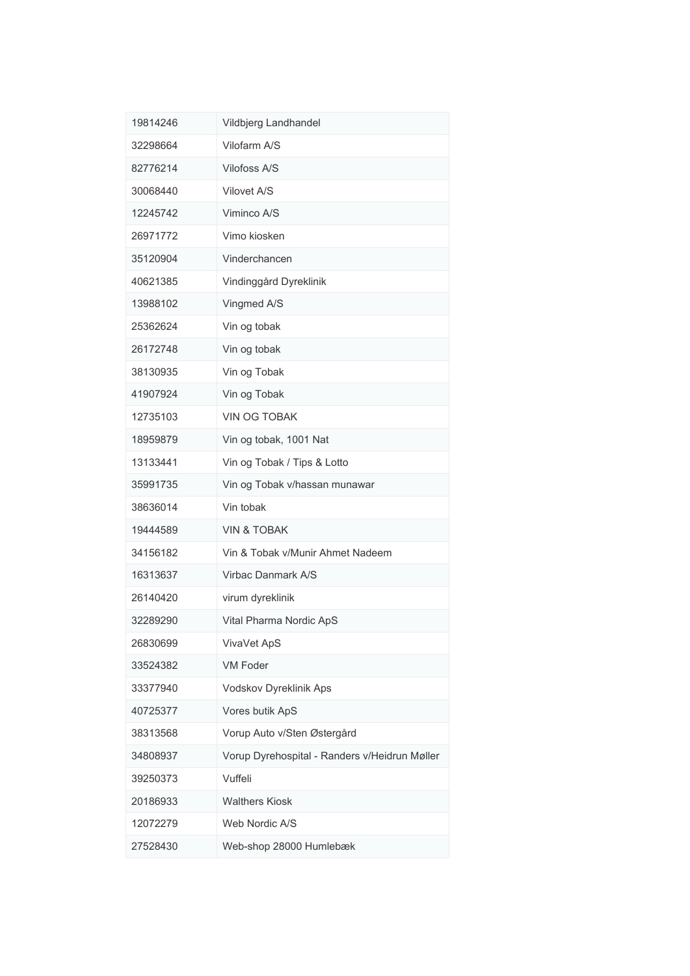| 19814246 | Vildbjerg Landhandel                          |
|----------|-----------------------------------------------|
| 32298664 | Vilofarm A/S                                  |
| 82776214 | Vilofoss A/S                                  |
| 30068440 | Vilovet A/S                                   |
| 12245742 | Viminco A/S                                   |
| 26971772 | Vimo kiosken                                  |
| 35120904 | Vinderchancen                                 |
| 40621385 | Vindinggård Dyreklinik                        |
| 13988102 | Vingmed A/S                                   |
| 25362624 | Vin og tobak                                  |
| 26172748 | Vin og tobak                                  |
| 38130935 | Vin og Tobak                                  |
| 41907924 | Vin og Tobak                                  |
| 12735103 | <b>VIN OG TOBAK</b>                           |
| 18959879 | Vin og tobak, 1001 Nat                        |
| 13133441 | Vin og Tobak / Tips & Lotto                   |
| 35991735 | Vin og Tobak v/hassan munawar                 |
| 38636014 | Vin tobak                                     |
| 19444589 | <b>VIN &amp; TOBAK</b>                        |
| 34156182 | Vin & Tobak v/Munir Ahmet Nadeem              |
| 16313637 | Virbac Danmark A/S                            |
| 26140420 | virum dyreklinik                              |
| 32289290 | Vital Pharma Nordic ApS                       |
| 26830699 | VivaVet ApS                                   |
| 33524382 | <b>VM Foder</b>                               |
| 33377940 | Vodskov Dyreklinik Aps                        |
| 40725377 | Vores butik ApS                               |
| 38313568 | Vorup Auto v/Sten Østergård                   |
| 34808937 | Vorup Dyrehospital - Randers v/Heidrun Møller |
| 39250373 | Vuffeli                                       |
| 20186933 | <b>Walthers Kiosk</b>                         |
| 12072279 | Web Nordic A/S                                |
| 27528430 | Web-shop 28000 Humlebæk                       |